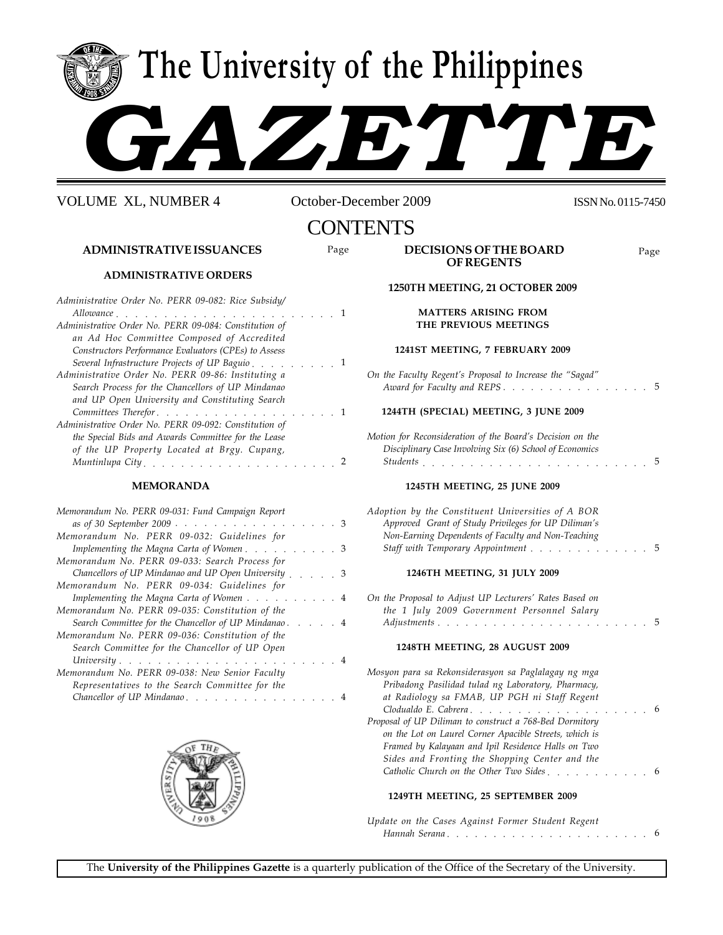**The University of the Philippines**

# *GAZETTE*

VOLUME XL, NUMBER 4 October-December 2009 ISSN No.0115-7450

# **CONTENTS**

## **ADMINISTRATIVE ISSUANCES**

## **ADMINISTRATIVE ORDERS**

| Allowance<br><b>Contract Contract</b><br>Administrative Order No. PERR 09-084: Constitution of<br>an Ad Hoc Committee Composed of Accredited<br>Constructors Performance Evaluators (CPEs) to Assess<br>Several Infrastructure Projects of UP Baguio<br>Administrative Order No. PERR 09-86: Instituting a |
|------------------------------------------------------------------------------------------------------------------------------------------------------------------------------------------------------------------------------------------------------------------------------------------------------------|
|                                                                                                                                                                                                                                                                                                            |
|                                                                                                                                                                                                                                                                                                            |
|                                                                                                                                                                                                                                                                                                            |
|                                                                                                                                                                                                                                                                                                            |
|                                                                                                                                                                                                                                                                                                            |
|                                                                                                                                                                                                                                                                                                            |
| Search Process for the Chancellors of UP Mindanao                                                                                                                                                                                                                                                          |
| and UP Open University and Constituting Search                                                                                                                                                                                                                                                             |
| Committees Therefor                                                                                                                                                                                                                                                                                        |
| Administrative Order No. PERR 09-092: Constitution of                                                                                                                                                                                                                                                      |
| the Special Bids and Awards Committee for the Lease                                                                                                                                                                                                                                                        |
| of the UP Property Located at Brgy. Cupang,                                                                                                                                                                                                                                                                |
|                                                                                                                                                                                                                                                                                                            |

## **MEMORANDA**

| Memorandum No. PERR 09-031: Fund Campaign Report     |
|------------------------------------------------------|
| as of 30 September 2009 3                            |
| Memorandum No. PERR 09-032: Guidelines for           |
| Implementing the Magna Carta of Women3               |
| Memorandum No. PERR 09-033: Search Process for       |
| Chancellors of UP Mindanao and UP Open University 3  |
| Memorandum No. PERR 09-034: Guidelines for           |
| Implementing the Magna Carta of Women 4              |
| Memorandum No. PERR 09-035: Constitution of the      |
| Search Committee for the Chancellor of UP Mindanao 4 |
| Memorandum No. PERR 09-036: Constitution of the      |
| Search Committee for the Chancellor of UP Open       |
|                                                      |
| Memorandum No. PERR 09-038: New Senior Faculty       |
| Representatives to the Search Committee for the      |
| Chancellor of UP Mindanao                            |



| Page | DECISIONS OF THE BOARD | Page |
|------|------------------------|------|
|      | <b>OF REGENTS</b>      |      |

## **1250TH MEETING, 21 OCTOBER 2009 MATTERS ARISING FROM THE PREVIOUS MEETINGS**

## **1241ST MEETING, 7 FEBRUARY 2009**

|  | On the Faculty Regent's Proposal to Increase the "Sagad" |  |  |  |  |  |  |  |  |  |  |  |  |
|--|----------------------------------------------------------|--|--|--|--|--|--|--|--|--|--|--|--|
|  | Award for Faculty and REPS5                              |  |  |  |  |  |  |  |  |  |  |  |  |

## **1244TH (SPECIAL) MEETING, 3 JUNE 2009**

| Motion for Reconsideration of the Board's Decision on the |  |  |  |
|-----------------------------------------------------------|--|--|--|
| Disciplinary Case Involving Six (6) School of Economics   |  |  |  |
| <i>Students</i>                                           |  |  |  |

## **1245TH MEETING, 25 JUNE 2009**

| Adoption by the Constituent Universities of A BOR   |  |  |  |
|-----------------------------------------------------|--|--|--|
| Approved Grant of Study Privileges for UP Diliman's |  |  |  |
| Non-Earning Dependents of Faculty and Non-Teaching  |  |  |  |
| Staff with Temporary Appointment 5                  |  |  |  |
|                                                     |  |  |  |

## **1246TH MEETING, 31 JULY 2009**

|  | On the Proposal to Adjust UP Lecturers' Rates Based on |  |  |  |  |  |  |  |  |  |  |  |
|--|--------------------------------------------------------|--|--|--|--|--|--|--|--|--|--|--|
|  | the 1 July 2009 Government Personnel Salary            |  |  |  |  |  |  |  |  |  |  |  |
|  |                                                        |  |  |  |  |  |  |  |  |  |  |  |

## **1248TH MEETING, 28 AUGUST 2009**

| Mosyon para sa Rekonsiderasyon sa Paglalagay ng mga     |  |  |  |
|---------------------------------------------------------|--|--|--|
| Pribadong Pasilidad tulad ng Laboratory, Pharmacy,      |  |  |  |
| at Radiology sa FMAB, UP PGH ni Staff Regent            |  |  |  |
|                                                         |  |  |  |
| Proposal of UP Diliman to construct a 768-Bed Dormitory |  |  |  |
| on the Lot on Laurel Corner Apacible Streets, which is  |  |  |  |
| Framed by Kalayaan and Ipil Residence Halls on Two      |  |  |  |
| Sides and Fronting the Shopping Center and the          |  |  |  |
| Catholic Church on the Other Two Sides. 6               |  |  |  |
|                                                         |  |  |  |

## **1249TH MEETING, 25 SEPTEMBER 2009**

| Update on the Cases Against Former Student Regent |  |  |  |  |  |  |  |  |  |  |  |  |  |
|---------------------------------------------------|--|--|--|--|--|--|--|--|--|--|--|--|--|
|                                                   |  |  |  |  |  |  |  |  |  |  |  |  |  |

The **University of the Philippines Gazette** is a quarterly publication of the Office of the Secretary of the University.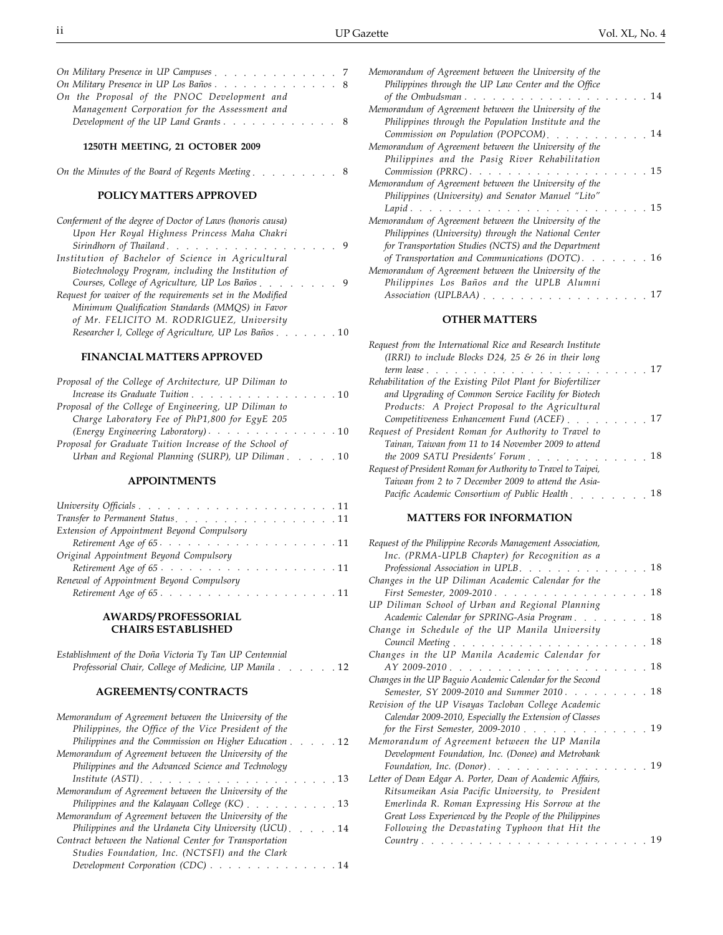| On Military Presence in UP Campuses 7         |  |  |  |  |  |  |  |
|-----------------------------------------------|--|--|--|--|--|--|--|
| On Military Presence in UP Los Baños8         |  |  |  |  |  |  |  |
| On the Proposal of the PNOC Development and   |  |  |  |  |  |  |  |
| Management Corporation for the Assessment and |  |  |  |  |  |  |  |
|                                               |  |  |  |  |  |  |  |

#### **1250TH MEETING, 21 OCTOBER 2009**

|  | On the Minutes of the Board of Regents Meeting |  |  | the contract of the contract of the contract of the contract of the contract of the contract of the contract of |  |  |  |
|--|------------------------------------------------|--|--|-----------------------------------------------------------------------------------------------------------------|--|--|--|
|--|------------------------------------------------|--|--|-----------------------------------------------------------------------------------------------------------------|--|--|--|

## **POLICY MATTERS APPROVED**

| Conferment of the degree of Doctor of Laws (honoris causa) |  |
|------------------------------------------------------------|--|
| Upon Her Royal Highness Princess Maha Chakri               |  |
| - 9                                                        |  |
| Institution of Bachelor of Science in Agricultural         |  |
| Biotechnology Program, including the Institution of        |  |
| Courses, College of Agriculture, UP Los Baños 9            |  |
| Request for waiver of the requirements set in the Modified |  |
| Minimum Qualification Standards (MMQS) in Favor            |  |
| of Mr. FELICITO M. RODRIGUEZ, University                   |  |
| Researcher I, College of Agriculture, UP Los Baños 10      |  |
|                                                            |  |

## **FINANCIAL MATTERS APPROVED**

| Proposal of the College of Architecture, UP Diliman to  |
|---------------------------------------------------------|
| Increase its Graduate Tuition 10                        |
| Proposal of the College of Engineering, UP Diliman to   |
| Charge Laboratory Fee of PhP1,800 for EgyE 205          |
| (Energy Engineering Laboratory). 10                     |
| Proposal for Graduate Tuition Increase of the School of |
| Urban and Regional Planning (SURP), UP Diliman 10       |
|                                                         |

## **APPOINTMENTS**

| Transfer to Permanent Status. 11                                                                                                      |
|---------------------------------------------------------------------------------------------------------------------------------------|
| Extension of Appointment Beyond Compulsory                                                                                            |
| Retirement Age of $65 \cdot \cdot \cdot \cdot \cdot \cdot \cdot \cdot \cdot \cdot \cdot \cdot \cdot \cdot \cdot \cdot \cdot \cdot 11$ |
| Original Appointment Beyond Compulsory                                                                                                |
|                                                                                                                                       |
| Renewal of Appointment Beyond Compulsory                                                                                              |
|                                                                                                                                       |
|                                                                                                                                       |

## **AWARDS/ PROFESSORIAL CHAIRS ESTABLISHED**

| Establishment of the Doña Victoria Ty Tan UP Centennial |  |  |  |
|---------------------------------------------------------|--|--|--|
| Professorial Chair, College of Medicine, UP Manila 12   |  |  |  |

## **AGREEMENTS/ CONTRACTS**

| Memorandum of Agreement between the University of the   |
|---------------------------------------------------------|
| Philippines, the Office of the Vice President of the    |
| Philippines and the Commission on Higher Education 12   |
| Memorandum of Agreement between the University of the   |
| Philippines and the Advanced Science and Technology     |
|                                                         |
| Memorandum of Agreement between the University of the   |
|                                                         |
| Memorandum of Agreement between the University of the   |
| Philippines and the Urdaneta City University (UCU)      |
| Contract between the National Center for Transportation |
| Studies Foundation, Inc. (NCTSFI) and the Clark         |
| Development Corporation (CDC) 14                        |

| Memorandum of Agreement between the University of the                                                                |
|----------------------------------------------------------------------------------------------------------------------|
| Philippines through the UP Law Center and the Office                                                                 |
| . 14<br>of the Ombudsman $\cdots$ $\cdots$ $\cdots$ $\cdots$                                                         |
| Memorandum of Agreement between the University of the                                                                |
| Philippines through the Population Institute and the                                                                 |
| Commission on Population (POPCOM)<br>14                                                                              |
| Memorandum of Agreement between the University of the                                                                |
| Philippines and the Pasig River Rehabilitation                                                                       |
| 15<br>Commission (PRRC), etc., etc., etc., etc., etc., etc., etc., etc., etc., etc., etc., etc., etc., etc., etc., e |
| Memorandum of Agreement between the University of the                                                                |
| Philippines (University) and Senator Manuel "Lito"                                                                   |
| 15<br>Lapid.                                                                                                         |
| Memorandum of Agreement between the University of the                                                                |
| Philippines (University) through the National Center                                                                 |
| for Transportation Studies (NCTS) and the Department                                                                 |
| of Transportation and Communications (DOTC).<br>16                                                                   |
| Memorandum of Agreement between the University of the                                                                |
| Philippines Los Baños and the UPLB Alumni                                                                            |
| Association (UPLBAA)                                                                                                 |
|                                                                                                                      |

## **OTHER MATTERS**

| Request from the International Rice and Research Institute<br>(IRRI) to include Blocks $D24$ , 25 & 26 in their long |  |    |
|----------------------------------------------------------------------------------------------------------------------|--|----|
| . 17<br>$term$ lease $\ldots$ $\ldots$ $\ldots$ $\ldots$                                                             |  |    |
| Rehabilitation of the Existing Pilot Plant for Biofertilizer                                                         |  |    |
| and Upgrading of Common Service Facility for Biotech                                                                 |  |    |
| Products: A Project Proposal to the Agricultural                                                                     |  |    |
| Competitiveness Enhancement Fund (ACEF)                                                                              |  |    |
| Request of President Roman for Authority to Travel to                                                                |  |    |
| Tainan, Taiwan from 11 to 14 November 2009 to attend                                                                 |  |    |
| the 2009 SATU Presidents' Forum                                                                                      |  | 18 |
| Request of President Roman for Authority to Travel to Taipei,                                                        |  |    |
| Taiwan from 2 to 7 December 2009 to attend the Asia-                                                                 |  |    |
| Pacific Academic Consortium of Public Health                                                                         |  | 18 |
|                                                                                                                      |  |    |

## **MATTERS FOR INFORMATION**

| Request of the Philippine Records Management Association, |  |
|-----------------------------------------------------------|--|
| Inc. (PRMA-UPLB Chapter) for Recognition as a             |  |
| Professional Association in UPLB.<br>- 18                 |  |
| Changes in the UP Diliman Academic Calendar for the       |  |
| First Semester, 2009-2010.<br>.18                         |  |
| UP Diliman School of Urban and Regional Planning          |  |
| Academic Calendar for SPRING-Asia Program18               |  |
| Change in Schedule of the UP Manila University            |  |
| Council Meeting<br>- 18                                   |  |
| Changes in the UP Manila Academic Calendar for            |  |
| $AY 2009-2010$<br>- 18                                    |  |
| Changes in the UP Baguio Academic Calendar for the Second |  |
| Semester, SY 2009-2010 and Summer 2010<br>. 18            |  |
| Revision of the UP Visayas Tacloban College Academic      |  |
| Calendar 2009-2010, Especially the Extension of Classes   |  |
| for the First Semester, 2009-2010.<br>19                  |  |
| Memorandum of Agreement between the UP Manila             |  |
| Development Foundation, Inc. (Donee) and Metrobank        |  |
| 19<br>Foundation, Inc. (Donor).                           |  |
| Letter of Dean Edgar A. Porter, Dean of Academic Affairs, |  |
| Ritsumeikan Asia Pacific University, to President         |  |
| Emerlinda R. Roman Expressing His Sorrow at the           |  |
| Great Loss Experienced by the People of the Philippines   |  |
| Following the Devastating Typhoon that Hit the            |  |
| 19<br>Country                                             |  |
|                                                           |  |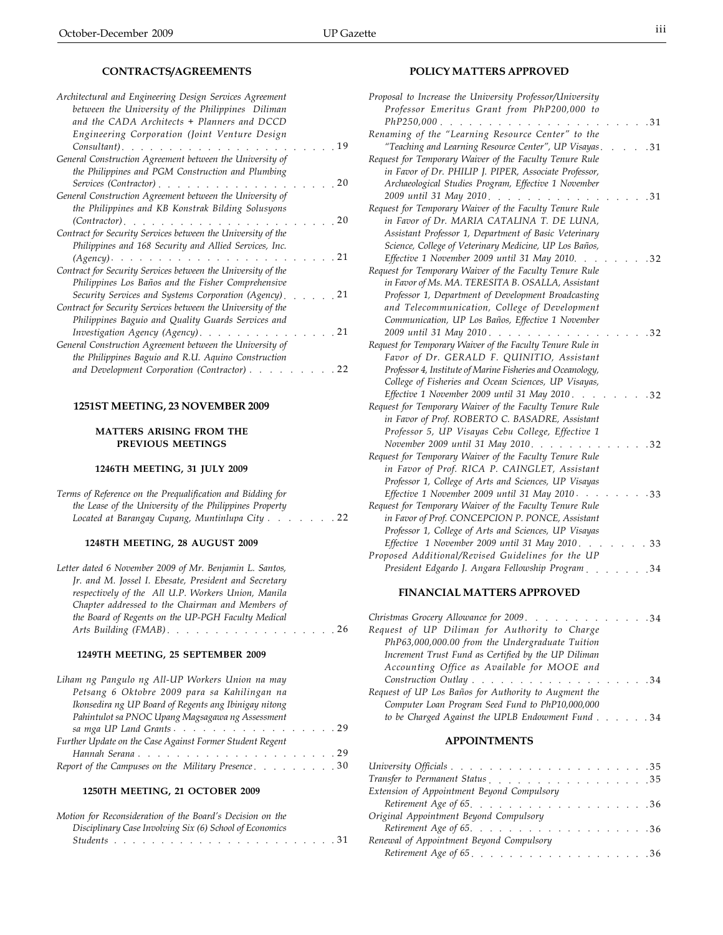| Architectural and Engineering Design Services Agreement      |  |      |
|--------------------------------------------------------------|--|------|
| between the University of the Philippines Diliman            |  |      |
| and the CADA Architects + Planners and DCCD                  |  |      |
| Engineering Corporation (Joint Venture Design                |  |      |
| Consultant).<br>and the state of                             |  | 19   |
| General Construction Agreement between the University of     |  |      |
| the Philippines and PGM Construction and Plumbing            |  |      |
| Services (Contractor)                                        |  | 20   |
| General Construction Agreement between the University of     |  |      |
| the Philippines and KB Konstrak Bilding Solusyons            |  |      |
| $(Contractor)$ , , , , , , , , , ,                           |  | 20   |
| Contract for Security Services between the University of the |  |      |
| Philippines and 168 Security and Allied Services, Inc.       |  |      |
| $(Agency)$ .                                                 |  | 21   |
| Contract for Security Services between the University of the |  |      |
| Philippines Los Baños and the Fisher Comprehensive           |  |      |
| Security Services and Systems Corporation (Agency).          |  | - 21 |
| Contract for Security Services between the University of the |  |      |
| Philippines Baguio and Quality Guards Services and           |  |      |
| Investigation Agency (Agency).                               |  | 21   |
| General Construction Agreement between the University of     |  |      |
| the Philippines Baguio and R.U. Aquino Construction          |  |      |
| and Development Corporation (Contractor)                     |  | 22   |
|                                                              |  |      |

## **1251ST MEETING, 23 NOVEMBER 2009**

## **MATTERS ARISING FROM THE PREVIOUS MEETINGS**

## **1246TH MEETING, 31 JULY 2009**

| Terms of Reference on the Prequalification and Bidding for           |
|----------------------------------------------------------------------|
| the Lease of the University of the Philippines Property              |
| Located at Barangay Cupang, Muntinlupa City $\ldots$ , $\ldots$ , 22 |
|                                                                      |
| 1248TH MEETING, 28 AUGUST 2009                                       |

| Letter dated 6 November 2009 of Mr. Benjamin L. Santos, |  |
|---------------------------------------------------------|--|
| Jr. and M. Jossel I. Ebesate, President and Secretary   |  |
| respectively of the All U.P. Workers Union, Manila      |  |
| Chapter addressed to the Chairman and Members of        |  |
| the Board of Regents on the UP-PGH Faculty Medical      |  |
| Arts Building (FMAB). 26                                |  |

#### **1249TH MEETING, 25 SEPTEMBER 2009**

| Liham ng Pangulo ng All-UP Workers Union na may          |  |  |  |
|----------------------------------------------------------|--|--|--|
| Petsang 6 Oktobre 2009 para sa Kahilingan na             |  |  |  |
| Ikonsedira ng UP Board of Regents ang Ibinigay nitong    |  |  |  |
| Pahintulot sa PNOC Upang Magsagawa ng Assessment         |  |  |  |
|                                                          |  |  |  |
| Further Update on the Case Against Former Student Regent |  |  |  |
|                                                          |  |  |  |
| Report of the Campuses on the Military Presence30        |  |  |  |

## **1250TH MEETING, 21 OCTOBER 2009**

| Motion for Reconsideration of the Board's Decision on the |  |
|-----------------------------------------------------------|--|
| Disciplinary Case Involving Six (6) School of Economics   |  |
|                                                           |  |

## **POLICY MATTERS APPROVED**

| Proposal to Increase the University Professor/University                      |  |      |
|-------------------------------------------------------------------------------|--|------|
| Professor Emeritus Grant from PhP200,000 to                                   |  |      |
| $PhP250,000$<br>$\mathcal{L}^{\text{max}}$ , where $\mathcal{L}^{\text{max}}$ |  | .31  |
| Renaming of the "Learning Resource Center" to the                             |  |      |
| "Teaching and Learning Resource Center", UP Visayas.                          |  | .31  |
| Request for Temporary Waiver of the Faculty Tenure Rule                       |  |      |
| in Favor of Dr. PHILIP J. PIPER, Associate Professor,                         |  |      |
| Archaeological Studies Program, Effective 1 November                          |  |      |
| 2009 until 31 May 2010.                                                       |  | 31   |
| Request for Temporary Waiver of the Faculty Tenure Rule                       |  |      |
| in Favor of Dr. MARIA CATALINA T. DE LUNA,                                    |  |      |
| Assistant Professor 1, Department of Basic Veterinary                         |  |      |
| Science, College of Veterinary Medicine, UP Los Baños,                        |  |      |
| Effective 1 November 2009 until 31 May 2010.                                  |  | 32   |
| Request for Temporary Waiver of the Faculty Tenure Rule                       |  |      |
| in Favor of Ms. MA. TERESITA B. OSALLA, Assistant                             |  |      |
| Professor 1, Department of Development Broadcasting                           |  |      |
| and Telecommunication, College of Development                                 |  |      |
| Communication, UP Los Baños, Effective 1 November                             |  |      |
| 2009 until 31 May 2010.                                                       |  | 32   |
| Request for Temporary Waiver of the Faculty Tenure Rule in                    |  |      |
| Favor of Dr. GERALD F. QUINITIO, Assistant                                    |  |      |
| Professor 4, Institute of Marine Fisheries and Oceanology,                    |  |      |
| College of Fisheries and Ocean Sciences, UP Visayas,                          |  |      |
| Effective 1 November 2009 until 31 May 2010.                                  |  | . 32 |
| Request for Temporary Waiver of the Faculty Tenure Rule                       |  |      |
| in Favor of Prof. ROBERTO C. BASADRE, Assistant                               |  |      |
| Professor 5, UP Visayas Cebu College, Effective 1                             |  |      |
| November 2009 until 31 May 2010                                               |  | 32   |
| Request for Temporary Waiver of the Faculty Tenure Rule                       |  |      |
| in Favor of Prof. RICA P. CAINGLET, Assistant                                 |  |      |
| Professor 1, College of Arts and Sciences, UP Visayas                         |  |      |
| Effective 1 November 2009 until 31 May 2010                                   |  | 33   |
| Request for Temporary Waiver of the Faculty Tenure Rule                       |  |      |
| in Favor of Prof. CONCEPCION P. PONCE, Assistant                              |  |      |
| Professor 1, College of Arts and Sciences, UP Visayas                         |  |      |
| Effective 1 November 2009 until 31 May 2010.                                  |  | 33   |
| Proposed Additional/Revised Guidelines for the UP                             |  |      |
| President Edgardo J. Angara Fellowship Program                                |  | .34  |
|                                                                               |  |      |

## **FINANCIAL MATTERS APPROVED**

| Christmas Grocery Allowance for 2009. 34             |  |  |  |
|------------------------------------------------------|--|--|--|
| Request of UP Diliman for Authority to Charge        |  |  |  |
| PhP63,000,000.00 from the Undergraduate Tuition      |  |  |  |
| Increment Trust Fund as Certified by the UP Diliman  |  |  |  |
| Accounting Office as Available for MOOE and          |  |  |  |
| Construction Outlay 34                               |  |  |  |
| Request of UP Los Baños for Authority to Augment the |  |  |  |
| Computer Loan Program Seed Fund to PhP10,000,000     |  |  |  |
| to be Charged Against the UPLB Endowment Fund 34     |  |  |  |
|                                                      |  |  |  |

## **APPOINTMENTS**

| Extension of Appointment Beyond Compulsory                                                       |  |  |  |  |  |
|--------------------------------------------------------------------------------------------------|--|--|--|--|--|
|                                                                                                  |  |  |  |  |  |
| Original Appointment Beyond Compulsory                                                           |  |  |  |  |  |
| Retirement Age of $65$ . $\ldots$ $\ldots$ $\ldots$ $\ldots$ $\ldots$ $\ldots$ $\ldots$ $\ldots$ |  |  |  |  |  |
| Renewal of Appointment Beyond Compulsory                                                         |  |  |  |  |  |
|                                                                                                  |  |  |  |  |  |
|                                                                                                  |  |  |  |  |  |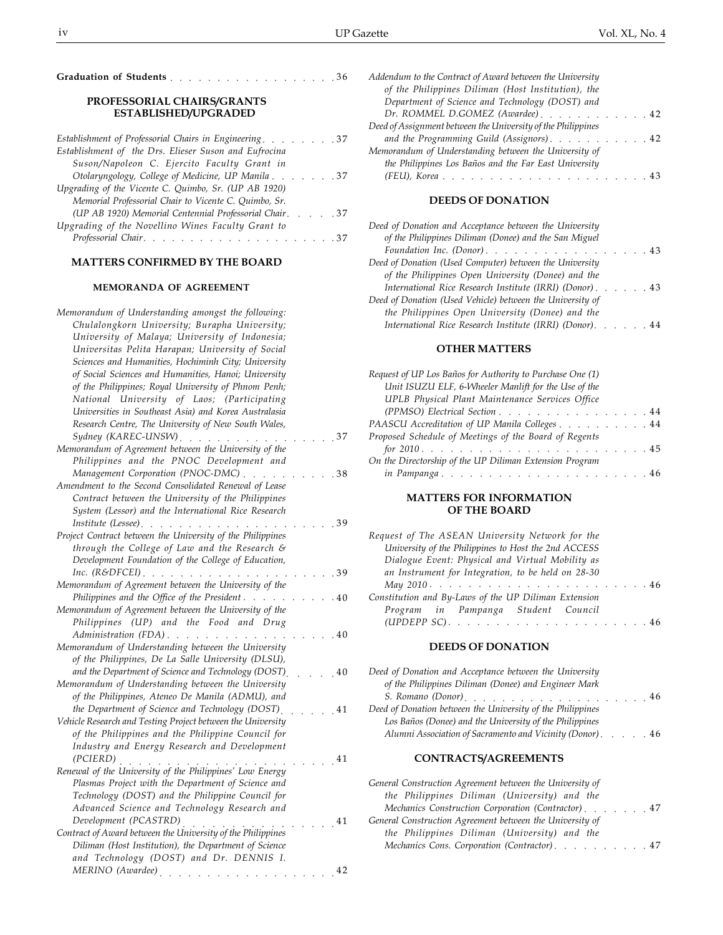| Graduation of Students 36 |  |  |  |  |  |  |  |  |  |  |  |
|---------------------------|--|--|--|--|--|--|--|--|--|--|--|
|                           |  |  |  |  |  |  |  |  |  |  |  |

#### **PROFESSORIAL CHAIRS/GRANTS ESTABLISHED/UPGRADED**

| Establishment of Professorial Chairs in Engineering 37  |
|---------------------------------------------------------|
| Establishment of the Drs. Elieser Suson and Eufrocina   |
| Suson/Napoleon C. Ejercito Faculty Grant in             |
| Otolaryngology, College of Medicine, UP Manila 37       |
| Upgrading of the Vicente C. Quimbo, Sr. (UP AB 1920)    |
| Memorial Professorial Chair to Vicente C. Quimbo, Sr.   |
| (UP AB 1920) Memorial Centennial Professorial Chair. 37 |
| Upgrading of the Novellino Wines Faculty Grant to       |
|                                                         |

## **MATTERS CONFIRMED BY THE BOARD**

## **MEMORANDA OF AGREEMENT**

| Memorandum of Understanding amongst the following:<br>Chulalongkorn University; Burapha University;<br>University of Malaya; University of Indonesia;<br>Universitas Pelita Harapan; University of Social<br>Sciences and Humanities, Hochiminh City; University<br>of Social Sciences and Humanities, Hanoi; University |  |           |
|--------------------------------------------------------------------------------------------------------------------------------------------------------------------------------------------------------------------------------------------------------------------------------------------------------------------------|--|-----------|
| of the Philippines; Royal University of Phnom Penh;<br>National University of Laos; (Participating<br>Universities in Southeast Asia) and Korea Australasia<br>Research Centre, The University of New South Wales,<br>Sydney (KAREC-UNSW)                                                                                |  | 37        |
| $\sim$<br>Memorandum of Agreement between the University of the<br>Philippines and the PNOC Development and                                                                                                                                                                                                              |  |           |
| Management Corporation (PNOC-DMC)<br>Amendment to the Second Consolidated Renewal of Lease<br>Contract between the University of the Philippines<br>System (Lessor) and the International Rice Research                                                                                                                  |  | -38       |
| Institute (Lessee).<br>.<br>Project Contract between the University of the Philippines<br>through the College of Law and the Research &<br>Development Foundation of the College of Education,                                                                                                                           |  | 39        |
| Inc. $(R\&DFCEI)$ .<br>Memorandum of Agreement between the University of the                                                                                                                                                                                                                                             |  | .39       |
| Philippines and the Office of the President<br>Memorandum of Agreement between the University of the<br>Philippines (UP) and the Food and Drug                                                                                                                                                                           |  | .40       |
| Administration (FDA).<br>Memorandum of Understanding between the University<br>of the Philippines, De La Salle University (DLSU),<br>and the Department of Science and Technology (DOST)                                                                                                                                 |  | .40<br>40 |
| Memorandum of Understanding between the University<br>of the Philippines, Ateneo De Manila (ADMU), and<br>the Department of Science and Technology (DOST)                                                                                                                                                                |  | 41        |
| Vehicle Research and Testing Project between the University<br>of the Philippines and the Philippine Council for<br>Industry and Energy Research and Development                                                                                                                                                         |  |           |
| (PCIERD)<br>Renewal of the University of the Philippines' Low Energy<br>Plasmas Project with the Department of Science and<br>Technology (DOST) and the Philippine Council for<br>Advanced Science and Technology Research and                                                                                           |  | 41        |
| Development (PCASTRD)<br>Contract of Award between the University of the Philippines<br>Diliman (Host Institution), the Department of Science<br>and Technology (DOST) and Dr. DENNIS I.                                                                                                                                 |  | 41        |
| MERINO (Awardee)<br>والمناور والمناور والمناور والمناور والمناور والمناور والمناور                                                                                                                                                                                                                                       |  | 42        |

| Addendum to the Contract of Award between the University     |  |  |
|--------------------------------------------------------------|--|--|
| of the Philippines Diliman (Host Institution), the           |  |  |
| Department of Science and Technology (DOST) and              |  |  |
| Dr. ROMMEL D.GOMEZ (Awardee)42                               |  |  |
| Deed of Assignment between the University of the Philippines |  |  |
| and the Programming Guild (Assignors). 42                    |  |  |
| Memorandum of Understanding between the University of        |  |  |
| the Philippines Los Baños and the Far East University        |  |  |
|                                                              |  |  |
|                                                              |  |  |

## **DEEDS OF DONATION**

| Deed of Donation and Acceptance between the University                             |  |  |  |
|------------------------------------------------------------------------------------|--|--|--|
| of the Philippines Diliman (Donee) and the San Miguel                              |  |  |  |
| Foundation Inc. (Donor). $\ldots$ , $\ldots$ , $\ldots$ , $\ldots$ , $\ldots$ , 43 |  |  |  |
| Deed of Donation (Used Computer) between the University                            |  |  |  |
| of the Philippines Open University (Donee) and the                                 |  |  |  |
| International Rice Research Institute (IRRI) (Donor). 43                           |  |  |  |
| Deed of Donation (Used Vehicle) between the University of                          |  |  |  |
| the Philippines Open University (Donee) and the                                    |  |  |  |
| International Rice Research Institute (IRRI) (Donor).                              |  |  |  |

## **OTHER MATTERS**

| Request of UP Los Baños for Authority to Purchase One (1) |  |  |  |
|-----------------------------------------------------------|--|--|--|
| Unit ISUZU ELF, 6-Wheeler Manlift for the Use of the      |  |  |  |
| <b>UPLB</b> Physical Plant Maintenance Services Office    |  |  |  |
| (PPMSO) Electrical Section 44                             |  |  |  |
| PAASCU Accreditation of UP Manila Colleges 44             |  |  |  |
| Proposed Schedule of Meetings of the Board of Regents     |  |  |  |
|                                                           |  |  |  |
| On the Directorship of the UP Diliman Extension Program   |  |  |  |
| in Pampanga46                                             |  |  |  |

## **MATTERS FOR INFORMATION OF THE BOARD**

| Request of The ASEAN University Network for the                                                       |  |  |  |
|-------------------------------------------------------------------------------------------------------|--|--|--|
| University of the Philippines to Host the 2nd ACCESS                                                  |  |  |  |
| Dialogue Event: Physical and Virtual Mobility as                                                      |  |  |  |
| an Instrument for Integration, to be held on 28-30                                                    |  |  |  |
| May 2010 $\cdots$ $\cdots$ $\cdots$ $\cdots$ $\cdots$ $\cdots$ $\cdots$ $\cdots$ $\cdots$ $\cdots$ 46 |  |  |  |
| Constitution and By-Laws of the UP Diliman Extension                                                  |  |  |  |
| Program in Pampanga Student Council                                                                   |  |  |  |
|                                                                                                       |  |  |  |

## **DEEDS OF DONATION**

| Deed of Donation and Acceptance between the University     |    |
|------------------------------------------------------------|----|
| of the Philippines Diliman (Donee) and Engineer Mark       |    |
|                                                            | 46 |
| Deed of Donation between the University of the Philippines |    |
| Los Baños (Donee) and the University of the Philippines    |    |
| Alumni Association of Sacramento and Vicinity (Donor). 46  |    |

## **CONTRACTS/AGREEMENTS**

| General Construction Agreement between the University of |  |
|----------------------------------------------------------|--|
| the Philippines Diliman (University) and the             |  |
| Mechanics Construction Corporation (Contractor) 47       |  |
| General Construction Agreement between the University of |  |
| the Philippines Diliman (University) and the             |  |
| Mechanics Cons. Corporation (Contractor). 47             |  |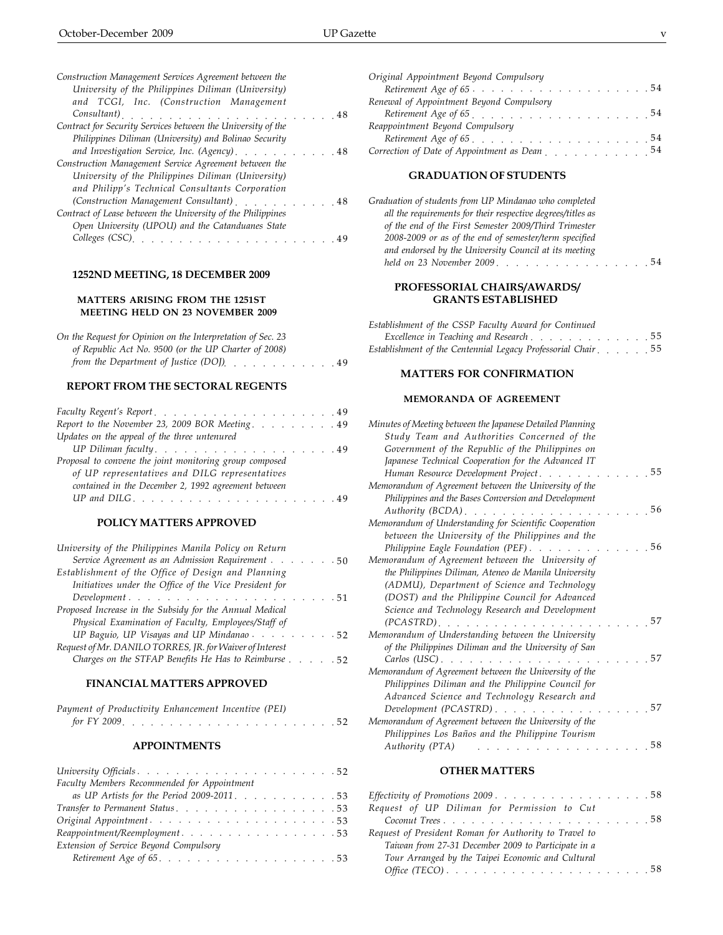| Construction Management Services Agreement between the                                  |  |      |
|-----------------------------------------------------------------------------------------|--|------|
| University of the Philippines Diliman (University)                                      |  |      |
| and TCGI, Inc. (Construction Management                                                 |  |      |
| Consultant)                                                                             |  | - 48 |
| Contract for Security Services between the University of the                            |  |      |
| Philippines Diliman (University) and Bolinao Security                                   |  |      |
| and Investigation Service, Inc. (Agency) 48                                             |  |      |
| Construction Management Service Agreement between the                                   |  |      |
| University of the Philippines Diliman (University)                                      |  |      |
| and Philipp's Technical Consultants Corporation                                         |  |      |
| (Construction Management Consultant) [1999] (Construction Management Consultant) [1999] |  |      |
| Contract of Lease between the University of the Philippines                             |  |      |
| Open University (UPOU) and the Catanduanes State                                        |  |      |
| Colleges (CSC).                                                                         |  |      |
|                                                                                         |  |      |

## **1252ND MEETING, 18 DECEMBER 2009**

## **MATTERS ARISING FROM THE 1251ST MEETING HELD ON 23 NOVEMBER 2009**

| On the Request for Opinion on the Interpretation of Sec. 23               |  |  |
|---------------------------------------------------------------------------|--|--|
| of Republic Act No. 9500 (or the UP Charter of 2008)                      |  |  |
| from the Department of Justice (DOJ), $\ldots$ , $\ldots$ , $\ldots$ , 49 |  |  |

## **REPORT FROM THE SECTORAL REGENTS**

| Report to the November 23, 2009 BOR Meeting. 49         |  |
|---------------------------------------------------------|--|
| Updates on the appeal of the three untenured            |  |
|                                                         |  |
| Proposal to convene the joint monitoring group composed |  |
| of UP representatives and DILG representatives          |  |
| contained in the December 2, 1992 agreement between     |  |
|                                                         |  |
|                                                         |  |

## **POLICY MATTERS APPROVED**

| University of the Philippines Manila Policy on Return    |
|----------------------------------------------------------|
| Service Agreement as an Admission Requirement 50         |
| Establishment of the Office of Design and Planning       |
| Initiatives under the Office of the Vice President for   |
| $\emph{Development}$ 51                                  |
| Proposed Increase in the Subsidy for the Annual Medical  |
| Physical Examination of Faculty, Employees/Staff of      |
| UP Baguio, UP Visayas and UP Mindanao $\cdots$ 52        |
| Request of Mr. DANILO TORRES, JR. for Waiver of Interest |
| Charges on the STFAP Benefits He Has to Reimburse 52     |

## **FINANCIAL MATTERS APPROVED**

| Payment of Productivity Enhancement Incentive (PEI) |  |  |  |  |  |  |  |  |  |  |  |
|-----------------------------------------------------|--|--|--|--|--|--|--|--|--|--|--|
|                                                     |  |  |  |  |  |  |  |  |  |  |  |

#### **APPOINTMENTS**

| Faculty Members Recommended for Appointment                                 |
|-----------------------------------------------------------------------------|
| as UP Artists for the Period 2009-2011. 53                                  |
| Transfer to Permanent Status. 53                                            |
|                                                                             |
| Reappointment/Reemployment53                                                |
| Extension of Service Beyond Compulsory                                      |
| Retirement Age of $65. \ldots \ldots \ldots \ldots \ldots \ldots \ldots 53$ |

| nagement Services Agreement between the     | Original Appointment Beyond Compulsory                                                  |  |
|---------------------------------------------|-----------------------------------------------------------------------------------------|--|
| of the Philippines Diliman (University)     | Retirement Age of 6554                                                                  |  |
| Inc. (Construction Management               | Renewal of Appointment Beyond Compulsory                                                |  |
|                                             |                                                                                         |  |
| rity Services between the University of the | Reappointment Beyond Compulsory                                                         |  |
| )iliman (University) and Bolinao Security   |                                                                                         |  |
| ation Service, Inc. (Agency)48              | Correction of Date of Appointment as Dean [1] Correction of Date of Appointment as Dean |  |
| magamant Carrica Agreement between the      |                                                                                         |  |

## **GRADUATION OF STUDENTS**

| Graduation of students from UP Mindanao who completed       |    |
|-------------------------------------------------------------|----|
| all the requirements for their respective degrees/titles as |    |
| of the end of the First Semester 2009/Third Trimester       |    |
| 2008-2009 or as of the end of semester/term specified       |    |
| and endorsed by the University Council at its meeting       |    |
|                                                             | 54 |

## **PROFESSORIAL CHAIRS/AWARDS/ GRANTS ESTABLISHED**

| Establishment of the CSSP Faculty Award for Continued        |  |  |  |
|--------------------------------------------------------------|--|--|--|
| Excellence in Teaching and Research 55                       |  |  |  |
| Establishment of the Centennial Legacy Professorial Chair 55 |  |  |  |

## **MATTERS FOR CONFIRMATION**

#### **MEMORANDA OF AGREEMENT**

| Minutes of Meeting between the Japanese Detailed Planning |    |
|-----------------------------------------------------------|----|
| Study Team and Authorities Concerned of the               |    |
| Government of the Republic of the Philippines on          |    |
| Japanese Technical Cooperation for the Advanced IT        |    |
| Human Resource Development Project                        | 55 |
| Memorandum of Agreement between the University of the     |    |
| Philippines and the Bases Conversion and Development      |    |
| Authority $(BCDA)$ .                                      | 56 |
| Memorandum of Understanding for Scientific Cooperation    |    |
| between the University of the Philippines and the         |    |
| Philippine Eagle Foundation (PEF)                         | 56 |
| Memorandum of Agreement between the University of         |    |
| the Philippines Diliman, Ateneo de Manila University      |    |
| (ADMU), Department of Science and Technology              |    |
| (DOST) and the Philippine Council for Advanced            |    |
| Science and Technology Research and Development           |    |
| $(PCASTRD)$ , , , , , , ,                                 | 57 |
| Memorandum of Understanding between the University        |    |
| of the Philippines Diliman and the University of San      |    |
| Carlos (USC)                                              | 57 |
| Memorandum of Agreement between the University of the     |    |
| Philippines Diliman and the Philippine Council for        |    |
| Advanced Science and Technology Research and              |    |
| Development (PCASTRD)                                     | 57 |
| Memorandum of Agreement between the University of the     |    |
| Philippines Los Baños and the Philippine Tourism          |    |
| Authority (PTA)                                           | 58 |
|                                                           |    |

## **OTHER MATTERS**

| Effectivity of Promotions 2009. 58                    |  |
|-------------------------------------------------------|--|
| Request of UP Diliman for Permission to Cut           |  |
|                                                       |  |
| Request of President Roman for Authority to Travel to |  |
| Taiwan from 27-31 December 2009 to Participate in a   |  |
| Tour Arranged by the Taipei Economic and Cultural     |  |
|                                                       |  |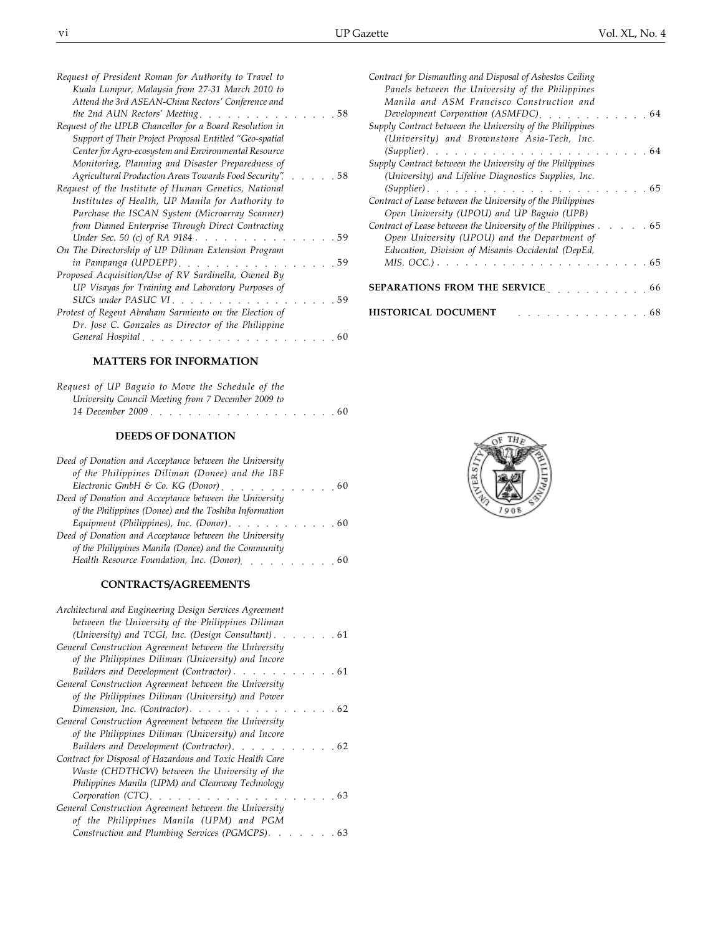| Request of President Roman for Authority to Travel to         |
|---------------------------------------------------------------|
| Kuala Lumpur, Malaysia from 27-31 March 2010 to               |
| Attend the 3rd ASEAN-China Rectors' Conference and            |
| the 2nd AUN Rectors' Meeting<br>. 58                          |
| Request of the UPLB Chancellor for a Board Resolution in      |
| Support of Their Project Proposal Entitled "Geo-spatial       |
| Center for Agro-ecosystem and Environmental Resource          |
| Monitoring, Planning and Disaster Preparedness of             |
| Agricultural Production Areas Towards Food Security".<br>. 58 |
| Request of the Institute of Human Genetics, National          |
| Institutes of Health, UP Manila for Authority to              |
| Purchase the ISCAN System (Microarray Scanner)                |
| from Diamed Enterprise Through Direct Contracting             |
| Under Sec. 50 (c) of RA 9184<br>. 59                          |
| On The Directorship of UP Diliman Extension Program           |
| in Pampanga (UPDEPP)<br>- 59                                  |
| Proposed Acquisition/Use of RV Sardinella, Owned By           |
| UP Visayas for Training and Laboratory Purposes of            |
| SUCs under PASUC VI<br>-59                                    |
| Protest of Regent Abraham Sarmiento on the Election of        |
| Dr. Jose C. Gonzales as Director of the Philippine            |
| General Hospital.<br>. 60                                     |
|                                                               |

## **MATTERS FOR INFORMATION**

| Request of UP Baguio to Move the Schedule of the   |  |  |  |
|----------------------------------------------------|--|--|--|
| University Council Meeting from 7 December 2009 to |  |  |  |
|                                                    |  |  |  |

## **DEEDS OF DONATION**

| Electronic GmbH & Co. KG (Donor) [19] Lectronic GmbH & Co. KG (Donor)                  |
|----------------------------------------------------------------------------------------|
|                                                                                        |
|                                                                                        |
| Equipment (Philippines), Inc. (Donor). $\ldots$ , 60                                   |
|                                                                                        |
|                                                                                        |
| Health Resource Foundation, Inc. (Donor) [19] Health Resource Foundation, Inc. (Donor) |
|                                                                                        |

## **CONTRACTS/AGREEMENTS**

| Architectural and Engineering Design Services Agreement<br>between the University of the Philippines Diliman |
|--------------------------------------------------------------------------------------------------------------|
| (University) and TCGI, Inc. (Design Consultant). 61                                                          |
| General Construction Agreement between the University                                                        |
| of the Philippines Diliman (University) and Incore                                                           |
| Builders and Development (Contractor). 61                                                                    |
| General Construction Agreement between the University                                                        |
| of the Philippines Diliman (University) and Power                                                            |
| Dimension, Inc. (Contractor).<br>. 62                                                                        |
| General Construction Agreement between the University                                                        |
| of the Philippines Diliman (University) and Incore                                                           |
| Builders and Development (Contractor).<br>62                                                                 |
| Contract for Disposal of Hazardous and Toxic Health Care                                                     |
| Waste (CHDTHCW) between the University of the                                                                |
| Philippines Manila (UPM) and Cleanway Technology                                                             |
| Corporation (CTC).<br>- 63<br>.                                                                              |
| General Construction Agreement between the University                                                        |
| of the Philippines Manila (UPM) and PGM                                                                      |
| Construction and Plumbing Services (PGMCPS). 63                                                              |

| Contract for Dismantling and Disposal of Asbestos Ceiling                                                        |
|------------------------------------------------------------------------------------------------------------------|
| Panels between the University of the Philippines                                                                 |
| Manila and ASM Francisco Construction and                                                                        |
| Development Corporation (ASMFDC) extensional values of the set of the set of the Development Corporation<br>- 64 |
| Supply Contract between the University of the Philippines                                                        |
| (University) and Brownstone Asia-Tech, Inc.                                                                      |
| $(Supplier)$<br>. 64                                                                                             |
| Supply Contract between the University of the Philippines                                                        |
| (University) and Lifeline Diagnostics Supplies, Inc.                                                             |
| . 65                                                                                                             |
| Contract of Lease between the University of the Philippines                                                      |
| Open University (UPOU) and UP Baguio (UPB)                                                                       |
| Contract of Lease between the University of the Philippines<br>. 65                                              |
| Open University (UPOU) and the Department of                                                                     |
| Education, Division of Misamis Occidental (DepEd,                                                                |
| . 65                                                                                                             |
|                                                                                                                  |
| <b>SEPARATIONS FROM THE SERVICE</b><br>$\ldots$ 66                                                               |
|                                                                                                                  |
| <b>HISTORICAL DOCUMENT</b><br>. 68                                                                               |

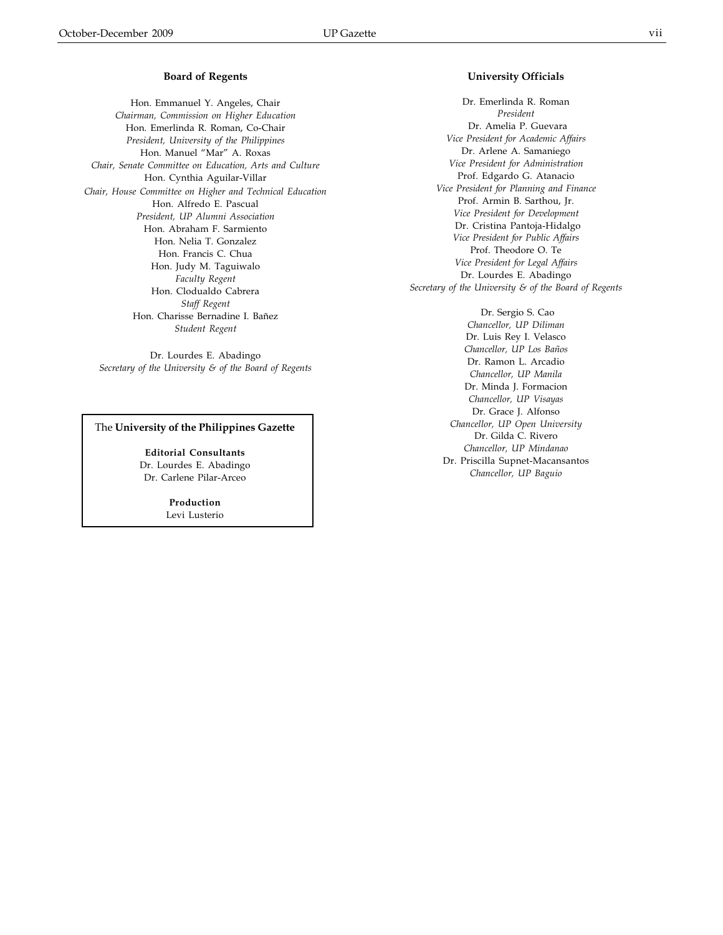Hon. Emmanuel Y. Angeles, Chair *Chairman, Commission on Higher Education* Hon. Emerlinda R. Roman, Co-Chair *President, University of the Philippines* Hon. Manuel "Mar" A. Roxas *Chair, Senate Committee on Education, Arts and Culture* Hon. Cynthia Aguilar-Villar *Chair, House Committee on Higher and Technical Education* Hon. Alfredo E. Pascual *President, UP Alumni Association* Hon. Abraham F. Sarmiento Hon. Nelia T. Gonzalez Hon. Francis C. Chua Hon. Judy M. Taguiwalo *Faculty Regent* Hon. Clodualdo Cabrera *Staff Regent* Hon. Charisse Bernadine I. Bañez *Student Regent*

Dr. Lourdes E. Abadingo *Secretary of the University & of the Board of Regents*

## The **University of the Philippines Gazette**

**Editorial Consultants** Dr. Lourdes E. Abadingo Dr. Carlene Pilar-Arceo

> **Production** Levi Lusterio

## **University Officials**

Dr. Emerlinda R. Roman *President* Dr. Amelia P. Guevara *Vice President for Academic Affairs* Dr. Arlene A. Samaniego *Vice President for Administration* Prof. Edgardo G. Atanacio *Vice President for Planning and Finance* Prof. Armin B. Sarthou, Jr. *Vice President for Development* Dr. Cristina Pantoja-Hidalgo *Vice President for Public Affairs* Prof. Theodore O. Te *Vice President for Legal Affairs* Dr. Lourdes E. Abadingo *Secretary of the University & of the Board of Regents*

> Dr. Sergio S. Cao *Chancellor, UP Diliman* Dr. Luis Rey I. Velasco *Chancellor, UP Los Baños* Dr. Ramon L. Arcadio *Chancellor, UP Manila* Dr. Minda J. Formacion *Chancellor, UP Visayas* Dr. Grace J. Alfonso *Chancellor, UP Open University* Dr. Gilda C. Rivero *Chancellor, UP Mindanao* Dr. Priscilla Supnet-Macansantos *Chancellor, UP Baguio*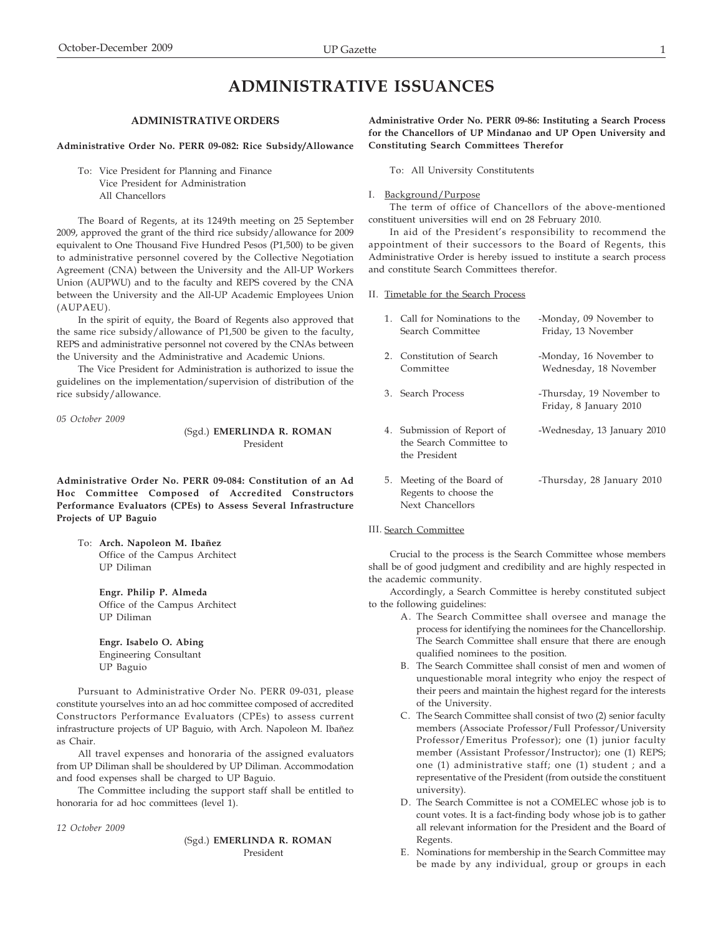# **ADMINISTRATIVE ISSUANCES**

#### **ADMINISTRATIVE ORDERS**

#### **Administrative Order No. PERR 09-082: Rice Subsidy/Allowance**

To: Vice President for Planning and Finance Vice President for Administration All Chancellors

The Board of Regents, at its 1249th meeting on 25 September 2009, approved the grant of the third rice subsidy/allowance for 2009 equivalent to One Thousand Five Hundred Pesos (P1,500) to be given to administrative personnel covered by the Collective Negotiation Agreement (CNA) between the University and the All-UP Workers Union (AUPWU) and to the faculty and REPS covered by the CNA between the University and the All-UP Academic Employees Union (AUPAEU).

In the spirit of equity, the Board of Regents also approved that the same rice subsidy/allowance of P1,500 be given to the faculty, REPS and administrative personnel not covered by the CNAs between the University and the Administrative and Academic Unions.

The Vice President for Administration is authorized to issue the guidelines on the implementation/supervision of distribution of the rice subsidy/allowance.

*05 October 2009*

(Sgd.) **EMERLINDA R. ROMAN** President

**Administrative Order No. PERR 09-084: Constitution of an Ad Hoc Committee Composed of Accredited Constructors Performance Evaluators (CPEs) to Assess Several Infrastructure Projects of UP Baguio**

To: **Arch. Napoleon M. Ibañez** Office of the Campus Architect UP Diliman

> **Engr. Philip P. Almeda** Office of the Campus Architect UP Diliman

**Engr. Isabelo O. Abing** Engineering Consultant UP Baguio

Pursuant to Administrative Order No. PERR 09-031, please constitute yourselves into an ad hoc committee composed of accredited Constructors Performance Evaluators (CPEs) to assess current infrastructure projects of UP Baguio, with Arch. Napoleon M. Ibañez as Chair.

All travel expenses and honoraria of the assigned evaluators from UP Diliman shall be shouldered by UP Diliman. Accommodation and food expenses shall be charged to UP Baguio.

The Committee including the support staff shall be entitled to honoraria for ad hoc committees (level 1).

*12 October 2009*

(Sgd.) **EMERLINDA R. ROMAN** President

**Administrative Order No. PERR 09-86: Instituting a Search Process for the Chancellors of UP Mindanao and UP Open University and Constituting Search Committees Therefor**

To: All University Constitutents

#### I. Background/Purpose

The term of office of Chancellors of the above-mentioned constituent universities will end on 28 February 2010.

In aid of the President's responsibility to recommend the appointment of their successors to the Board of Regents, this Administrative Order is hereby issued to institute a search process and constitute Search Committees therefor.

#### II. Timetable for the Search Process

| 1. Call for Nominations to the<br>Search Committee                     | -Monday, 09 November to<br>Friday, 13 November      |
|------------------------------------------------------------------------|-----------------------------------------------------|
| 2. Constitution of Search<br>Committee                                 | -Monday, 16 November to<br>Wednesday, 18 November   |
| 3. Search Process                                                      | -Thursday, 19 November to<br>Friday, 8 January 2010 |
| 4. Submission of Report of<br>the Search Committee to<br>the President | -Wednesday, 13 January 2010                         |
| 5. Meeting of the Board of<br>Regents to choose the                    | -Thursday, 28 January 2010                          |

#### III. Search Committee

Next Chancellors

Crucial to the process is the Search Committee whose members shall be of good judgment and credibility and are highly respected in the academic community.

Accordingly, a Search Committee is hereby constituted subject to the following guidelines:

- A. The Search Committee shall oversee and manage the process for identifying the nominees for the Chancellorship. The Search Committee shall ensure that there are enough qualified nominees to the position.
- B. The Search Committee shall consist of men and women of unquestionable moral integrity who enjoy the respect of their peers and maintain the highest regard for the interests of the University.
- C. The Search Committee shall consist of two (2) senior faculty members (Associate Professor/Full Professor/University Professor/Emeritus Professor); one (1) junior faculty member (Assistant Professor/Instructor); one (1) REPS; one (1) administrative staff; one (1) student ; and a representative of the President (from outside the constituent university).
- D. The Search Committee is not a COMELEC whose job is to count votes. It is a fact-finding body whose job is to gather all relevant information for the President and the Board of Regents.
- E. Nominations for membership in the Search Committee may be made by any individual, group or groups in each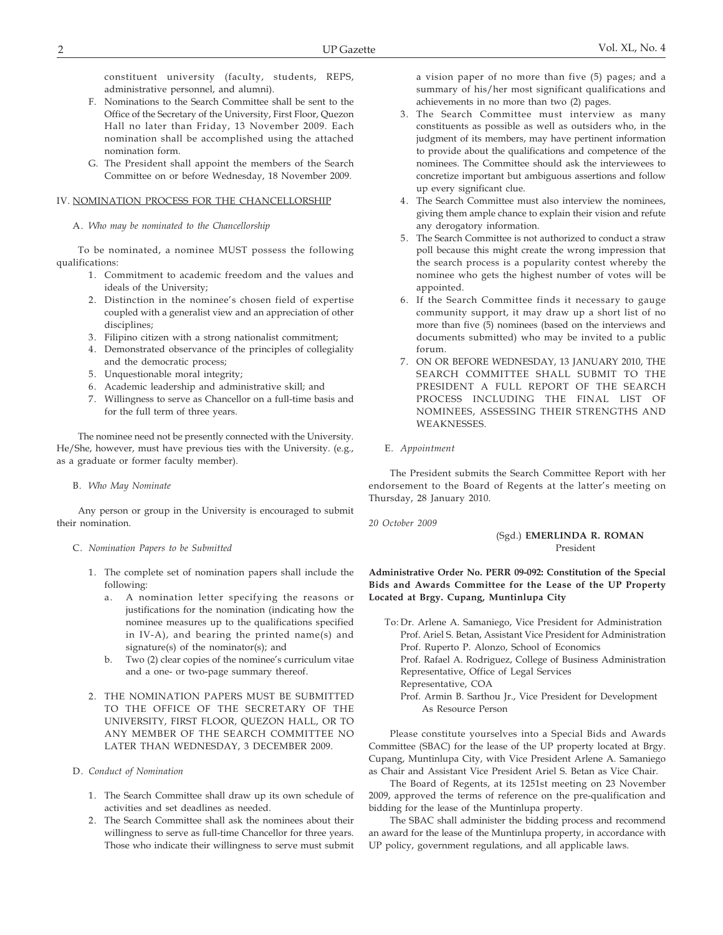constituent university (faculty, students, REPS, administrative personnel, and alumni).

- F. Nominations to the Search Committee shall be sent to the Office of the Secretary of the University, First Floor, Quezon Hall no later than Friday, 13 November 2009. Each nomination shall be accomplished using the attached nomination form.
- G. The President shall appoint the members of the Search Committee on or before Wednesday, 18 November 2009.

#### IV. NOMINATION PROCESS FOR THE CHANCELLORSHIP

#### A. *Who may be nominated to the Chancellorship*

To be nominated, a nominee MUST possess the following qualifications:

- 1. Commitment to academic freedom and the values and ideals of the University;
- 2. Distinction in the nominee's chosen field of expertise coupled with a generalist view and an appreciation of other disciplines;
- 3. Filipino citizen with a strong nationalist commitment;
- 4. Demonstrated observance of the principles of collegiality and the democratic process;
- 5. Unquestionable moral integrity;
- 6. Academic leadership and administrative skill; and
- 7. Willingness to serve as Chancellor on a full-time basis and for the full term of three years.

The nominee need not be presently connected with the University. He/She, however, must have previous ties with the University. (e.g., as a graduate or former faculty member).

#### B. *Who May Nominate*

Any person or group in the University is encouraged to submit their nomination.

#### C. *Nomination Papers to be Submitted*

- 1. The complete set of nomination papers shall include the following:
	- a. A nomination letter specifying the reasons or justifications for the nomination (indicating how the nominee measures up to the qualifications specified in IV-A), and bearing the printed name(s) and signature(s) of the nominator(s); and
	- b. Two (2) clear copies of the nominee's curriculum vitae and a one- or two-page summary thereof.
- 2. THE NOMINATION PAPERS MUST BE SUBMITTED TO THE OFFICE OF THE SECRETARY OF THE UNIVERSITY, FIRST FLOOR, QUEZON HALL, OR TO ANY MEMBER OF THE SEARCH COMMITTEE NO LATER THAN WEDNESDAY, 3 DECEMBER 2009.

#### D. *Conduct of Nomination*

- 1. The Search Committee shall draw up its own schedule of activities and set deadlines as needed.
- 2. The Search Committee shall ask the nominees about their willingness to serve as full-time Chancellor for three years. Those who indicate their willingness to serve must submit

a vision paper of no more than five (5) pages; and a summary of his/her most significant qualifications and achievements in no more than two (2) pages.

- 3. The Search Committee must interview as many constituents as possible as well as outsiders who, in the judgment of its members, may have pertinent information to provide about the qualifications and competence of the nominees. The Committee should ask the interviewees to concretize important but ambiguous assertions and follow up every significant clue.
- 4. The Search Committee must also interview the nominees, giving them ample chance to explain their vision and refute any derogatory information.
- 5. The Search Committee is not authorized to conduct a straw poll because this might create the wrong impression that the search process is a popularity contest whereby the nominee who gets the highest number of votes will be appointed.
- 6. If the Search Committee finds it necessary to gauge community support, it may draw up a short list of no more than five (5) nominees (based on the interviews and documents submitted) who may be invited to a public forum.
- 7. ON OR BEFORE WEDNESDAY, 13 JANUARY 2010, THE SEARCH COMMITTEE SHALL SUBMIT TO THE PRESIDENT A FULL REPORT OF THE SEARCH PROCESS INCLUDING THE FINAL LIST OF NOMINEES, ASSESSING THEIR STRENGTHS AND WEAKNESSES.

#### E. *Appointment*

The President submits the Search Committee Report with her endorsement to the Board of Regents at the latter's meeting on Thursday, 28 January 2010.

*20 October 2009*

#### (Sgd.) **EMERLINDA R. ROMAN** President

**Administrative Order No. PERR 09-092: Constitution of the Special Bids and Awards Committee for the Lease of the UP Property Located at Brgy. Cupang, Muntinlupa City**

To: Dr. Arlene A. Samaniego, Vice President for Administration Prof. Ariel S. Betan, Assistant Vice President for Administration Prof. Ruperto P. Alonzo, School of Economics Prof. Rafael A. Rodriguez, College of Business Administration Representative, Office of Legal Services Representative, COA Prof. Armin B. Sarthou Jr., Vice President for Development As Resource Person

Please constitute yourselves into a Special Bids and Awards Committee (SBAC) for the lease of the UP property located at Brgy. Cupang, Muntinlupa City, with Vice President Arlene A. Samaniego as Chair and Assistant Vice President Ariel S. Betan as Vice Chair.

The Board of Regents, at its 1251st meeting on 23 November 2009, approved the terms of reference on the pre-qualification and bidding for the lease of the Muntinlupa property.

The SBAC shall administer the bidding process and recommend an award for the lease of the Muntinlupa property, in accordance with UP policy, government regulations, and all applicable laws.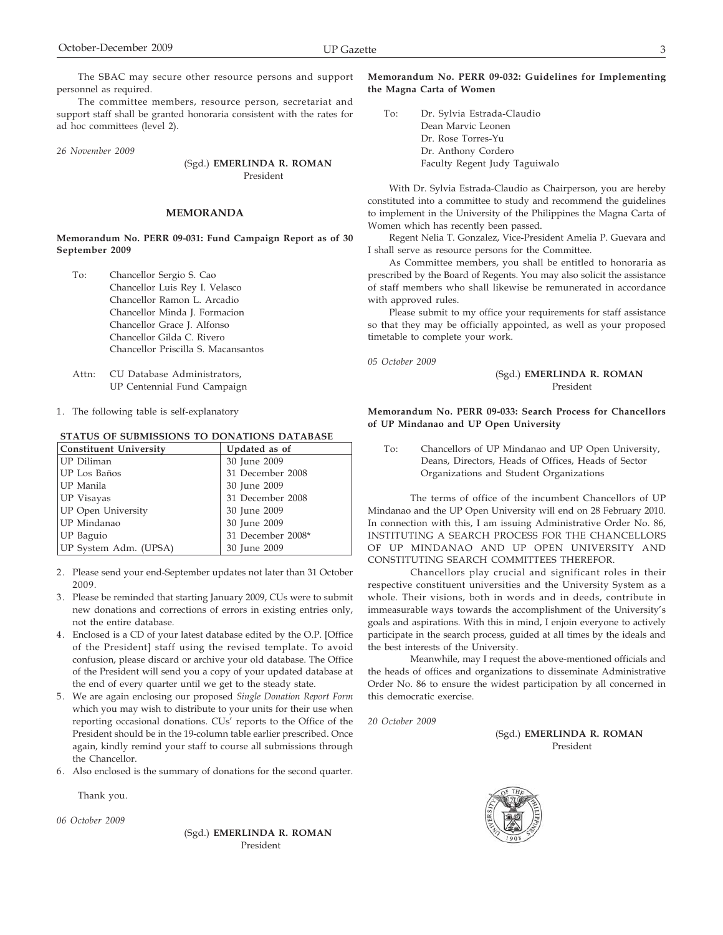The SBAC may secure other resource persons and support personnel as required.

The committee members, resource person, secretariat and support staff shall be granted honoraria consistent with the rates for ad hoc committees (level 2).

*26 November 2009*

(Sgd.) **EMERLINDA R. ROMAN** President

#### **MEMORANDA**

**Memorandum No. PERR 09-031: Fund Campaign Report as of 30 September 2009**

- To: Chancellor Sergio S. Cao Chancellor Luis Rey I. Velasco Chancellor Ramon L. Arcadio Chancellor Minda J. Formacion Chancellor Grace J. Alfonso Chancellor Gilda C. Rivero Chancellor Priscilla S. Macansantos
- Attn: CU Database Administrators, UP Centennial Fund Campaign
- 1. The following table is self-explanatory

 **STATUS OF SUBMISSIONS TO DONATIONS DATABASE**

| Constituent University    | Updated as of     |
|---------------------------|-------------------|
| UP Diliman                | 30 June 2009      |
| UP Los Baños              | 31 December 2008  |
| UP Manila                 | 30 June 2009      |
| UP Visayas                | 31 December 2008  |
| <b>UP Open University</b> | 30 June 2009      |
| UP Mindanao               | 30 June 2009      |
| UP Baguio                 | 31 December 2008* |
| UP System Adm. (UPSA)     | 30 June 2009      |

- 2. Please send your end-September updates not later than 31 October 2009.
- 3. Please be reminded that starting January 2009, CUs were to submit new donations and corrections of errors in existing entries only, not the entire database.
- 4. Enclosed is a CD of your latest database edited by the O.P. [Office of the President] staff using the revised template. To avoid confusion, please discard or archive your old database. The Office of the President will send you a copy of your updated database at the end of every quarter until we get to the steady state.
- 5. We are again enclosing our proposed *Single Donation Report Form* which you may wish to distribute to your units for their use when reporting occasional donations. CUs' reports to the Office of the President should be in the 19-column table earlier prescribed. Once again, kindly remind your staff to course all submissions through the Chancellor.
- 6. Also enclosed is the summary of donations for the second quarter.

Thank you.

*06 October 2009*

(Sgd.) **EMERLINDA R. ROMAN** President

## **Memorandum No. PERR 09-032: Guidelines for Implementing the Magna Carta of Women**

To: Dr. Sylvia Estrada-Claudio Dean Marvic Leonen Dr. Rose Torres-Yu Dr. Anthony Cordero Faculty Regent Judy Taguiwalo

With Dr. Sylvia Estrada-Claudio as Chairperson, you are hereby constituted into a committee to study and recommend the guidelines to implement in the University of the Philippines the Magna Carta of Women which has recently been passed.

Regent Nelia T. Gonzalez, Vice-President Amelia P. Guevara and I shall serve as resource persons for the Committee.

As Committee members, you shall be entitled to honoraria as prescribed by the Board of Regents. You may also solicit the assistance of staff members who shall likewise be remunerated in accordance with approved rules.

Please submit to my office your requirements for staff assistance so that they may be officially appointed, as well as your proposed timetable to complete your work.

*05 October 2009*

#### (Sgd.) **EMERLINDA R. ROMAN** President

#### **Memorandum No. PERR 09-033: Search Process for Chancellors of UP Mindanao and UP Open University**

To: Chancellors of UP Mindanao and UP Open University, Deans, Directors, Heads of Offices, Heads of Sector Organizations and Student Organizations

The terms of office of the incumbent Chancellors of UP Mindanao and the UP Open University will end on 28 February 2010. In connection with this, I am issuing Administrative Order No. 86, INSTITUTING A SEARCH PROCESS FOR THE CHANCELLORS OF UP MINDANAO AND UP OPEN UNIVERSITY AND CONSTITUTING SEARCH COMMITTEES THEREFOR.

Chancellors play crucial and significant roles in their respective constituent universities and the University System as a whole. Their visions, both in words and in deeds, contribute in immeasurable ways towards the accomplishment of the University's goals and aspirations. With this in mind, I enjoin everyone to actively participate in the search process, guided at all times by the ideals and the best interests of the University.

Meanwhile, may I request the above-mentioned officials and the heads of offices and organizations to disseminate Administrative Order No. 86 to ensure the widest participation by all concerned in this democratic exercise.

*20 October 2009*

(Sgd.) **EMERLINDA R. ROMAN** President

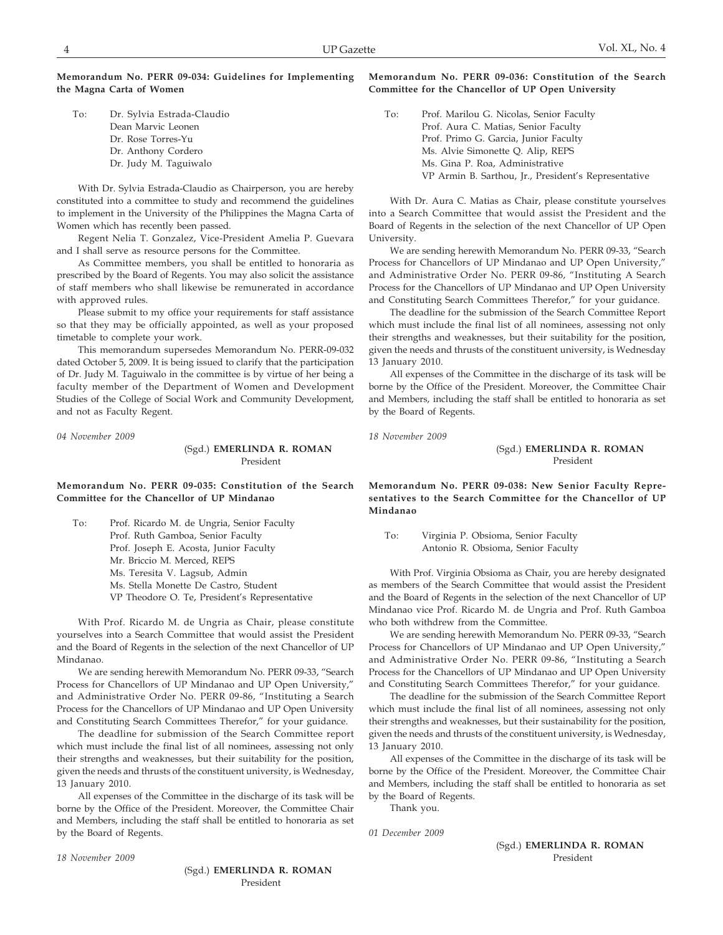#### **Memorandum No. PERR 09-034: Guidelines for Implementing the Magna Carta of Women**

To: Dr. Sylvia Estrada-Claudio Dean Marvic Leonen Dr. Rose Torres-Yu Dr. Anthony Cordero Dr. Judy M. Taguiwalo

With Dr. Sylvia Estrada-Claudio as Chairperson, you are hereby constituted into a committee to study and recommend the guidelines to implement in the University of the Philippines the Magna Carta of Women which has recently been passed.

Regent Nelia T. Gonzalez, Vice-President Amelia P. Guevara and I shall serve as resource persons for the Committee.

As Committee members, you shall be entitled to honoraria as prescribed by the Board of Regents. You may also solicit the assistance of staff members who shall likewise be remunerated in accordance with approved rules.

Please submit to my office your requirements for staff assistance so that they may be officially appointed, as well as your proposed timetable to complete your work.

This memorandum supersedes Memorandum No. PERR-09-032 dated October 5, 2009. It is being issued to clarify that the participation of Dr. Judy M. Taguiwalo in the committee is by virtue of her being a faculty member of the Department of Women and Development Studies of the College of Social Work and Community Development, and not as Faculty Regent.

*04 November 2009*

(Sgd.) **EMERLINDA R. ROMAN** President

## **Memorandum No. PERR 09-035: Constitution of the Search Committee for the Chancellor of UP Mindanao**

To: Prof. Ricardo M. de Ungria, Senior Faculty Prof. Ruth Gamboa, Senior Faculty Prof. Joseph E. Acosta, Junior Faculty Mr. Briccio M. Merced, REPS Ms. Teresita V. Lagsub, Admin Ms. Stella Monette De Castro, Student VP Theodore O. Te, President's Representative

With Prof. Ricardo M. de Ungria as Chair, please constitute yourselves into a Search Committee that would assist the President and the Board of Regents in the selection of the next Chancellor of UP Mindanao.

We are sending herewith Memorandum No. PERR 09-33, "Search Process for Chancellors of UP Mindanao and UP Open University," and Administrative Order No. PERR 09-86, "Instituting a Search Process for the Chancellors of UP Mindanao and UP Open University and Constituting Search Committees Therefor," for your guidance.

The deadline for submission of the Search Committee report which must include the final list of all nominees, assessing not only their strengths and weaknesses, but their suitability for the position, given the needs and thrusts of the constituent university, is Wednesday, 13 January 2010.

All expenses of the Committee in the discharge of its task will be borne by the Office of the President. Moreover, the Committee Chair and Members, including the staff shall be entitled to honoraria as set by the Board of Regents.

**Memorandum No. PERR 09-036: Constitution of the Search Committee for the Chancellor of UP Open University**

To: Prof. Marilou G. Nicolas, Senior Faculty Prof. Aura C. Matias, Senior Faculty Prof. Primo G. Garcia, Junior Faculty Ms. Alvie Simonette Q. Alip, REPS Ms. Gina P. Roa, Administrative VP Armin B. Sarthou, Jr., President's Representative

With Dr. Aura C. Matias as Chair, please constitute yourselves into a Search Committee that would assist the President and the Board of Regents in the selection of the next Chancellor of UP Open University.

We are sending herewith Memorandum No. PERR 09-33, "Search Process for Chancellors of UP Mindanao and UP Open University," and Administrative Order No. PERR 09-86, "Instituting A Search Process for the Chancellors of UP Mindanao and UP Open University and Constituting Search Committees Therefor," for your guidance.

The deadline for the submission of the Search Committee Report which must include the final list of all nominees, assessing not only their strengths and weaknesses, but their suitability for the position, given the needs and thrusts of the constituent university, is Wednesday 13 January 2010.

All expenses of the Committee in the discharge of its task will be borne by the Office of the President. Moreover, the Committee Chair and Members, including the staff shall be entitled to honoraria as set by the Board of Regents.

*18 November 2009*

## (Sgd.) **EMERLINDA R. ROMAN** President

**Memorandum No. PERR 09-038: New Senior Faculty Representatives to the Search Committee for the Chancellor of UP Mindanao**

To: Virginia P. Obsioma, Senior Faculty Antonio R. Obsioma, Senior Faculty

With Prof. Virginia Obsioma as Chair, you are hereby designated as members of the Search Committee that would assist the President and the Board of Regents in the selection of the next Chancellor of UP Mindanao vice Prof. Ricardo M. de Ungria and Prof. Ruth Gamboa who both withdrew from the Committee.

We are sending herewith Memorandum No. PERR 09-33, "Search Process for Chancellors of UP Mindanao and UP Open University," and Administrative Order No. PERR 09-86, "Instituting a Search Process for the Chancellors of UP Mindanao and UP Open University and Constituting Search Committees Therefor," for your guidance.

The deadline for the submission of the Search Committee Report which must include the final list of all nominees, assessing not only their strengths and weaknesses, but their sustainability for the position, given the needs and thrusts of the constituent university, is Wednesday, 13 January 2010.

All expenses of the Committee in the discharge of its task will be borne by the Office of the President. Moreover, the Committee Chair and Members, including the staff shall be entitled to honoraria as set by the Board of Regents.

Thank you.

*01 December 2009*

(Sgd.) **EMERLINDA R. ROMAN** President

*18 November 2009*

(Sgd.) **EMERLINDA R. ROMAN** President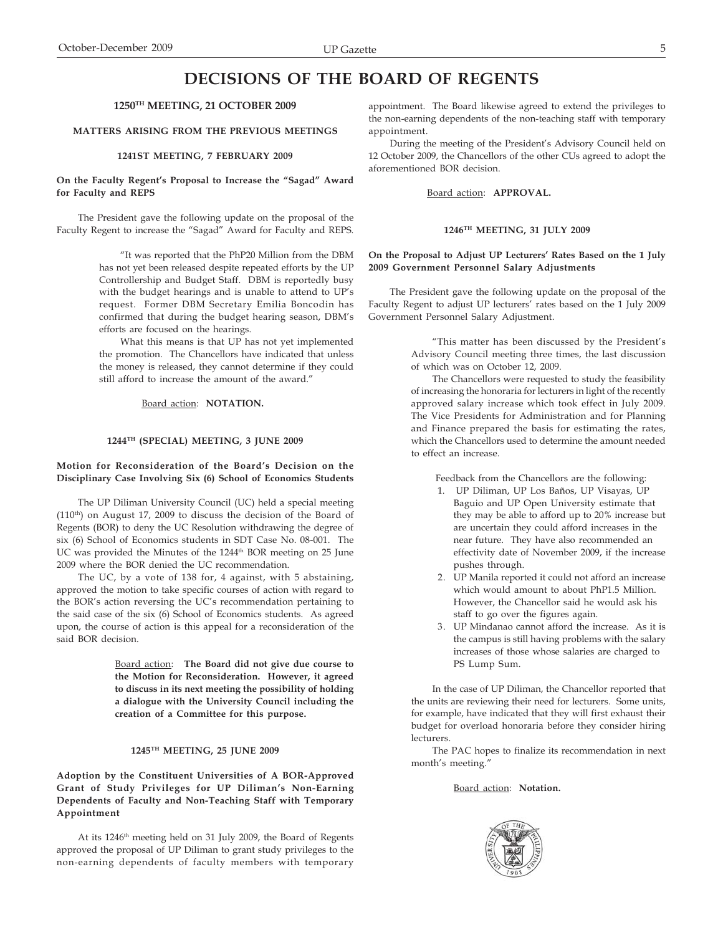# **DECISIONS OF THE BOARD OF REGENTS**

#### **1250TH MEETING, 21 OCTOBER 2009**

## **MATTERS ARISING FROM THE PREVIOUS MEETINGS**

## **1241ST MEETING, 7 FEBRUARY 2009**

#### **On the Faculty Regent's Proposal to Increase the "Sagad" Award for Faculty and REPS**

The President gave the following update on the proposal of the Faculty Regent to increase the "Sagad" Award for Faculty and REPS.

> "It was reported that the PhP20 Million from the DBM has not yet been released despite repeated efforts by the UP Controllership and Budget Staff. DBM is reportedly busy with the budget hearings and is unable to attend to UP's request. Former DBM Secretary Emilia Boncodin has confirmed that during the budget hearing season, DBM's efforts are focused on the hearings.

> What this means is that UP has not yet implemented the promotion. The Chancellors have indicated that unless the money is released, they cannot determine if they could still afford to increase the amount of the award."

> > Board action: **NOTATION.**

## **1244TH (SPECIAL) MEETING, 3 JUNE 2009**

#### **Motion for Reconsideration of the Board's Decision on the Disciplinary Case Involving Six (6) School of Economics Students**

The UP Diliman University Council (UC) held a special meeting (110th) on August 17, 2009 to discuss the decision of the Board of Regents (BOR) to deny the UC Resolution withdrawing the degree of six (6) School of Economics students in SDT Case No. 08-001. The UC was provided the Minutes of the 1244<sup>th</sup> BOR meeting on 25 June 2009 where the BOR denied the UC recommendation.

The UC, by a vote of 138 for, 4 against, with 5 abstaining, approved the motion to take specific courses of action with regard to the BOR's action reversing the UC's recommendation pertaining to the said case of the six (6) School of Economics students. As agreed upon, the course of action is this appeal for a reconsideration of the said BOR decision.

> Board action: **The Board did not give due course to the Motion for Reconsideration. However, it agreed to discuss in its next meeting the possibility of holding a dialogue with the University Council including the creation of a Committee for this purpose.**

#### **1245TH MEETING, 25 JUNE 2009**

**Adoption by the Constituent Universities of A BOR-Approved Grant of Study Privileges for UP Diliman's Non-Earning Dependents of Faculty and Non-Teaching Staff with Temporary Appointment**

At its 1246<sup>th</sup> meeting held on 31 July 2009, the Board of Regents approved the proposal of UP Diliman to grant study privileges to the non-earning dependents of faculty members with temporary appointment. The Board likewise agreed to extend the privileges to the non-earning dependents of the non-teaching staff with temporary appointment.

During the meeting of the President's Advisory Council held on 12 October 2009, the Chancellors of the other CUs agreed to adopt the aforementioned BOR decision.

Board action: **APPROVAL.**

#### **1246TH MEETING, 31 JULY 2009**

#### **On the Proposal to Adjust UP Lecturers' Rates Based on the 1 July 2009 Government Personnel Salary Adjustments**

The President gave the following update on the proposal of the Faculty Regent to adjust UP lecturers' rates based on the 1 July 2009 Government Personnel Salary Adjustment.

> "This matter has been discussed by the President's Advisory Council meeting three times, the last discussion of which was on October 12, 2009.

> The Chancellors were requested to study the feasibility of increasing the honoraria for lecturers in light of the recently approved salary increase which took effect in July 2009. The Vice Presidents for Administration and for Planning and Finance prepared the basis for estimating the rates, which the Chancellors used to determine the amount needed to effect an increase.

Feedback from the Chancellors are the following:

- 1. UP Diliman, UP Los Baños, UP Visayas, UP Baguio and UP Open University estimate that they may be able to afford up to 20% increase but are uncertain they could afford increases in the near future. They have also recommended an effectivity date of November 2009, if the increase pushes through.
- 2. UP Manila reported it could not afford an increase which would amount to about PhP1.5 Million. However, the Chancellor said he would ask his staff to go over the figures again.
- 3. UP Mindanao cannot afford the increase. As it is the campus is still having problems with the salary increases of those whose salaries are charged to PS Lump Sum.

In the case of UP Diliman, the Chancellor reported that the units are reviewing their need for lecturers. Some units, for example, have indicated that they will first exhaust their budget for overload honoraria before they consider hiring **lecturers** 

The PAC hopes to finalize its recommendation in next month's meeting."

#### Board action: **Notation.**

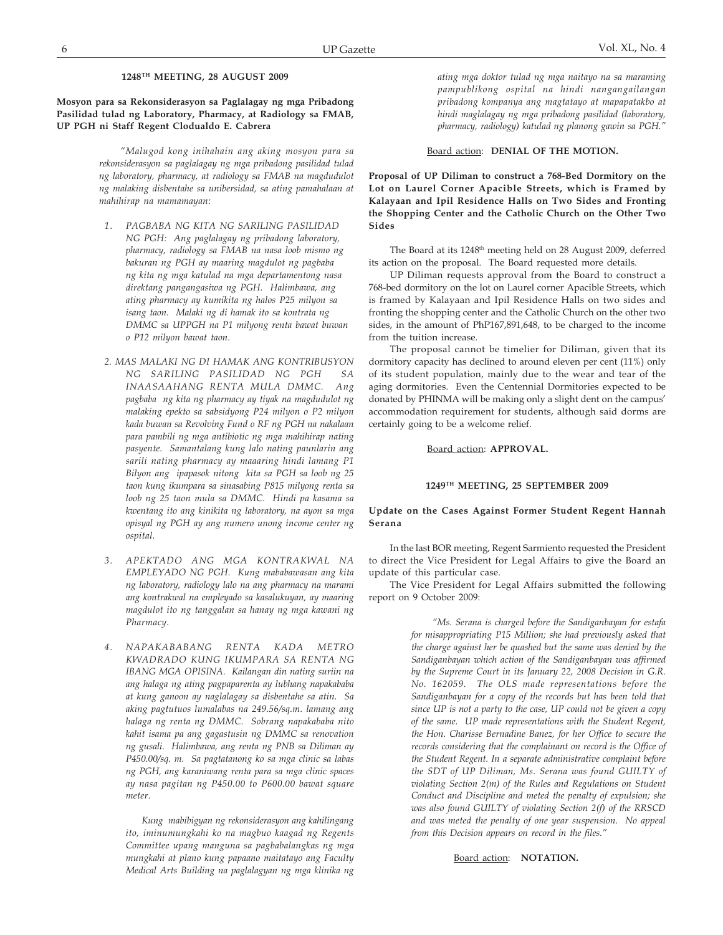## **1248TH MEETING, 28 AUGUST 2009**

## **Mosyon para sa Rekonsiderasyon sa Paglalagay ng mga Pribadong Pasilidad tulad ng Laboratory, Pharmacy, at Radiology sa FMAB, UP PGH ni Staff Regent Clodualdo E. Cabrera**

*"Malugod kong inihahain ang aking mosyon para sa rekonsiderasyon sa paglalagay ng mga pribadong pasilidad tulad ng laboratory, pharmacy, at radiology sa FMAB na magdudulot ng malaking disbentahe sa unibersidad, sa ating pamahalaan at mahihirap na mamamayan:*

- *1. PAGBABA NG KITA NG SARILING PASILIDAD NG PGH: Ang paglalagay ng pribadong laboratory, pharmacy, radiology sa FMAB na nasa loob mismo ng bakuran ng PGH ay maaring magdulot ng pagbaba ng kita ng mga katulad na mga departamentong nasa direktang pangangasiwa ng PGH. Halimbawa, ang ating pharmacy ay kumikita ng halos P25 milyon sa isang taon. Malaki ng di hamak ito sa kontrata ng DMMC sa UPPGH na P1 milyong renta bawat buwan o P12 milyon bawat taon.*
- *2. MAS MALAKI NG DI HAMAK ANG KONTRIBUSYON NG SARILING PASILIDAD NG PGH SA INAASAAHANG RENTA MULA DMMC. Ang pagbaba ng kita ng pharmacy ay tiyak na magdudulot ng malaking epekto sa sabsidyong P24 milyon o P2 milyon kada buwan sa Revolving Fund o RF ng PGH na nakalaan para pambili ng mga antibiotic ng mga mahihirap nating pasyente. Samantalang kung lalo nating paunlarin ang sarili nating pharmacy ay maaaring hindi lamang P1 Bilyon ang ipapasok nitong kita sa PGH sa loob ng 25 taon kung ikumpara sa sinasabing P815 milyong renta sa loob ng 25 taon mula sa DMMC. Hindi pa kasama sa kwentang ito ang kinikita ng laboratory, na ayon sa mga opisyal ng PGH ay ang numero unong income center ng ospital.*
- *3. APEKTADO ANG MGA KONTRAKWAL NA EMPLEYADO NG PGH. Kung mababawasan ang kita ng laboratory, radiology lalo na ang pharmacy na marami ang kontrakwal na empleyado sa kasalukuyan, ay maaring magdulot ito ng tanggalan sa hanay ng mga kawani ng Pharmacy.*
- *4. NAPAKABABANG RENTA KADA METRO KWADRADO KUNG IKUMPARA SA RENTA NG IBANG MGA OPISINA. Kailangan din nating suriin na ang halaga ng ating pagpaparenta ay lubhang napakababa at kung ganoon ay naglalagay sa disbentahe sa atin. Sa aking pagtutuos lumalabas na 249.56/sq.m. lamang ang halaga ng renta ng DMMC. Sobrang napakababa nito kahit isama pa ang gagastusin ng DMMC sa renovation ng gusali. Halimbawa, ang renta ng PNB sa Diliman ay P450.00/sq. m. Sa pagtatanong ko sa mga clinic sa labas ng PGH, ang karaniwang renta para sa mga clinic spaces ay nasa pagitan ng P450.00 to P600.00 bawat square meter.*

*Kung mabibigyan ng rekonsiderasyon ang kahilingang ito, iminumungkahi ko na magbuo kaagad ng Regents Committee upang manguna sa pagbabalangkas ng mga mungkahi at plano kung papaano maitatayo ang Faculty Medical Arts Building na paglalagyan ng mga klinika ng* *ating mga doktor tulad ng mga naitayo na sa maraming pampublikong ospital na hindi nangangailangan pribadong kompanya ang magtatayo at mapapatakbo at hindi maglalagay ng mga pribadong pasilidad (laboratory, pharmacy, radiology) katulad ng planong gawin sa PGH."*

#### Board action: **DENIAL OF THE MOTION.**

**Proposal of UP Diliman to construct a 768-Bed Dormitory on the Lot on Laurel Corner Apacible Streets, which is Framed by Kalayaan and Ipil Residence Halls on Two Sides and Fronting the Shopping Center and the Catholic Church on the Other Two Sides**

The Board at its 1248<sup>th</sup> meeting held on 28 August 2009, deferred its action on the proposal. The Board requested more details.

UP Diliman requests approval from the Board to construct a 768-bed dormitory on the lot on Laurel corner Apacible Streets, which is framed by Kalayaan and Ipil Residence Halls on two sides and fronting the shopping center and the Catholic Church on the other two sides, in the amount of PhP167,891,648, to be charged to the income from the tuition increase.

The proposal cannot be timelier for Diliman, given that its dormitory capacity has declined to around eleven per cent (11%) only of its student population, mainly due to the wear and tear of the aging dormitories. Even the Centennial Dormitories expected to be donated by PHINMA will be making only a slight dent on the campus' accommodation requirement for students, although said dorms are certainly going to be a welcome relief.

#### Board action: **APPROVAL.**

#### **1249TH MEETING, 25 SEPTEMBER 2009**

#### **Update on the Cases Against Former Student Regent Hannah Serana**

In the last BOR meeting, Regent Sarmiento requested the President to direct the Vice President for Legal Affairs to give the Board an update of this particular case.

The Vice President for Legal Affairs submitted the following report on 9 October 2009:

> *"Ms. Serana is charged before the Sandiganbayan for estafa for misappropriating P15 Million; she had previously asked that the charge against her be quashed but the same was denied by the Sandiganbayan which action of the Sandiganbayan was affirmed by the Supreme Court in its January 22, 2008 Decision in G.R. No. 162059. The OLS made representations before the Sandiganbayan for a copy of the records but has been told that since UP is not a party to the case, UP could not be given a copy of the same. UP made representations with the Student Regent, the Hon. Charisse Bernadine Banez, for her Office to secure the records considering that the complainant on record is the Office of the Student Regent. In a separate administrative complaint before the SDT of UP Diliman, Ms. Serana was found GUILTY of violating Section 2(m) of the Rules and Regulations on Student Conduct and Discipline and meted the penalty of expulsion; she was also found GUILTY of violating Section 2(f) of the RRSCD and was meted the penalty of one year suspension. No appeal from this Decision appears on record in the files."*

#### Board action: **NOTATION.**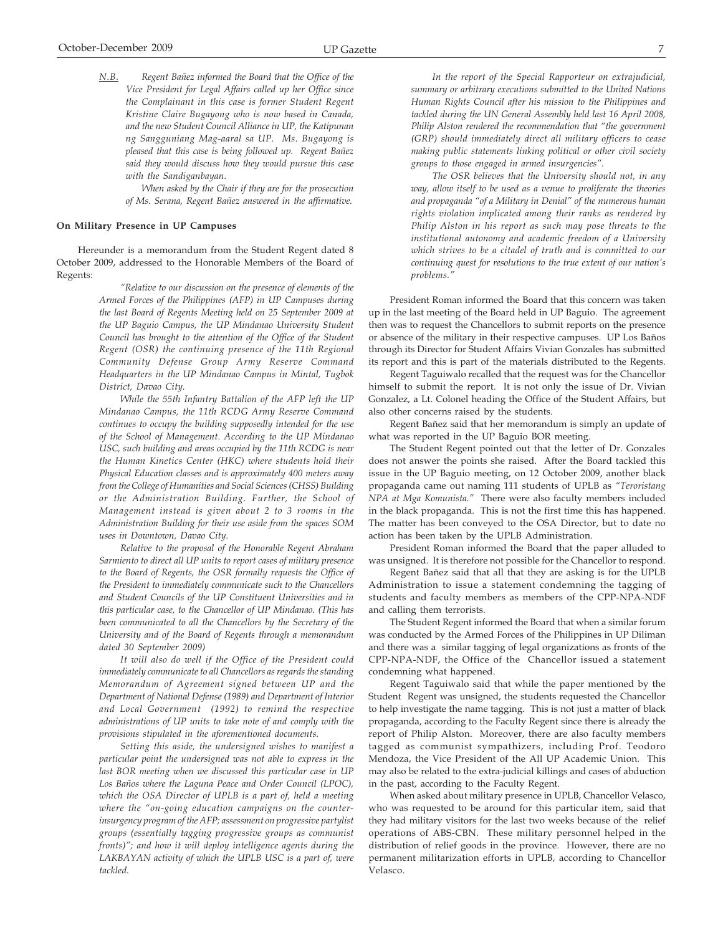*N.B. Regent Bañez informed the Board that the Office of the Vice President for Legal Affairs called up her Office since the Complainant in this case is former Student Regent Kristine Claire Bugayong who is now based in Canada, and the new Student Council Alliance in UP, the Katipunan ng Sangguniang Mag-aaral sa UP. Ms. Bugayong is pleased that this case is being followed up. Regent Bañez said they would discuss how they would pursue this case with the Sandiganbayan.*

*When asked by the Chair if they are for the prosecution of Ms. Serana, Regent Bañez answered in the affirmative.*

#### **On Military Presence in UP Campuses**

Hereunder is a memorandum from the Student Regent dated 8 October 2009, addressed to the Honorable Members of the Board of Regents:

> *"Relative to our discussion on the presence of elements of the Armed Forces of the Philippines (AFP) in UP Campuses during the last Board of Regents Meeting held on 25 September 2009 at the UP Baguio Campus, the UP Mindanao University Student Council has brought to the attention of the Office of the Student Regent (OSR) the continuing presence of the 11th Regional Community Defense Group Army Reserve Command Headquarters in the UP Mindanao Campus in Mintal, Tugbok District, Davao City.*

> *While the 55th Infantry Battalion of the AFP left the UP Mindanao Campus, the 11th RCDG Army Reserve Command continues to occupy the building supposedly intended for the use of the School of Management. According to the UP Mindanao USC, such building and areas occupied by the 11th RCDG is near the Human Kinetics Center (HKC) where students hold their Physical Education classes and is approximately 400 meters away from the College of Humanities and Social Sciences (CHSS) Building or the Administration Building. Further, the School of Management instead is given about 2 to 3 rooms in the Administration Building for their use aside from the spaces SOM uses in Downtown, Davao City.*

> *Relative to the proposal of the Honorable Regent Abraham Sarmiento to direct all UP units to report cases of military presence to the Board of Regents, the OSR formally requests the Office of the President to immediately communicate such to the Chancellors and Student Councils of the UP Constituent Universities and in this particular case, to the Chancellor of UP Mindanao. (This has been communicated to all the Chancellors by the Secretary of the University and of the Board of Regents through a memorandum dated 30 September 2009)*

> *It will also do well if the Office of the President could immediately communicate to all Chancellors as regards the standing Memorandum of Agreement signed between UP and the Department of National Defense (1989) and Department of Interior and Local Government (1992) to remind the respective administrations of UP units to take note of and comply with the provisions stipulated in the aforementioned documents.*

> *Setting this aside, the undersigned wishes to manifest a particular point the undersigned was not able to express in the last BOR meeting when we discussed this particular case in UP Los Baños where the Laguna Peace and Order Council (LPOC), which the OSA Director of UPLB is a part of, held a meeting where the "on-going education campaigns on the counterinsurgency program of the AFP; assessment on progressive partylist groups (essentially tagging progressive groups as communist fronts)"; and how it will deploy intelligence agents during the LAKBAYAN activity of which the UPLB USC is a part of, were tackled.*

*In the report of the Special Rapporteur on extrajudicial, summary or arbitrary executions submitted to the United Nations Human Rights Council after his mission to the Philippines and tackled during the UN General Assembly held last 16 April 2008, Philip Alston rendered the recommendation that "the government (GRP) should immediately direct all military officers to cease making public statements linking political or other civil society groups to those engaged in armed insurgencies".*

*The OSR believes that the University should not, in any way, allow itself to be used as a venue to proliferate the theories and propaganda "of a Military in Denial" of the numerous human rights violation implicated among their ranks as rendered by Philip Alston in his report as such may pose threats to the institutional autonomy and academic freedom of a University which strives to be a citadel of truth and is committed to our continuing quest for resolutions to the true extent of our nation's problems."*

President Roman informed the Board that this concern was taken up in the last meeting of the Board held in UP Baguio. The agreement then was to request the Chancellors to submit reports on the presence or absence of the military in their respective campuses. UP Los Baños through its Director for Student Affairs Vivian Gonzales has submitted its report and this is part of the materials distributed to the Regents.

Regent Taguiwalo recalled that the request was for the Chancellor himself to submit the report. It is not only the issue of Dr. Vivian Gonzalez, a Lt. Colonel heading the Office of the Student Affairs, but also other concerns raised by the students.

Regent Bañez said that her memorandum is simply an update of what was reported in the UP Baguio BOR meeting.

The Student Regent pointed out that the letter of Dr. Gonzales does not answer the points she raised. After the Board tackled this issue in the UP Baguio meeting, on 12 October 2009, another black propaganda came out naming 111 students of UPLB as *"Teroristang NPA at Mga Komunista."* There were also faculty members included in the black propaganda. This is not the first time this has happened. The matter has been conveyed to the OSA Director, but to date no action has been taken by the UPLB Administration.

President Roman informed the Board that the paper alluded to was unsigned. It is therefore not possible for the Chancellor to respond.

Regent Bañez said that all that they are asking is for the UPLB Administration to issue a statement condemning the tagging of students and faculty members as members of the CPP-NPA-NDF and calling them terrorists.

The Student Regent informed the Board that when a similar forum was conducted by the Armed Forces of the Philippines in UP Diliman and there was a similar tagging of legal organizations as fronts of the CPP-NPA-NDF, the Office of the Chancellor issued a statement condemning what happened.

Regent Taguiwalo said that while the paper mentioned by the Student Regent was unsigned, the students requested the Chancellor to help investigate the name tagging. This is not just a matter of black propaganda, according to the Faculty Regent since there is already the report of Philip Alston. Moreover, there are also faculty members tagged as communist sympathizers, including Prof. Teodoro Mendoza, the Vice President of the All UP Academic Union. This may also be related to the extra-judicial killings and cases of abduction in the past, according to the Faculty Regent.

When asked about military presence in UPLB, Chancellor Velasco, who was requested to be around for this particular item, said that they had military visitors for the last two weeks because of the relief operations of ABS-CBN. These military personnel helped in the distribution of relief goods in the province. However, there are no permanent militarization efforts in UPLB, according to Chancellor Velasco.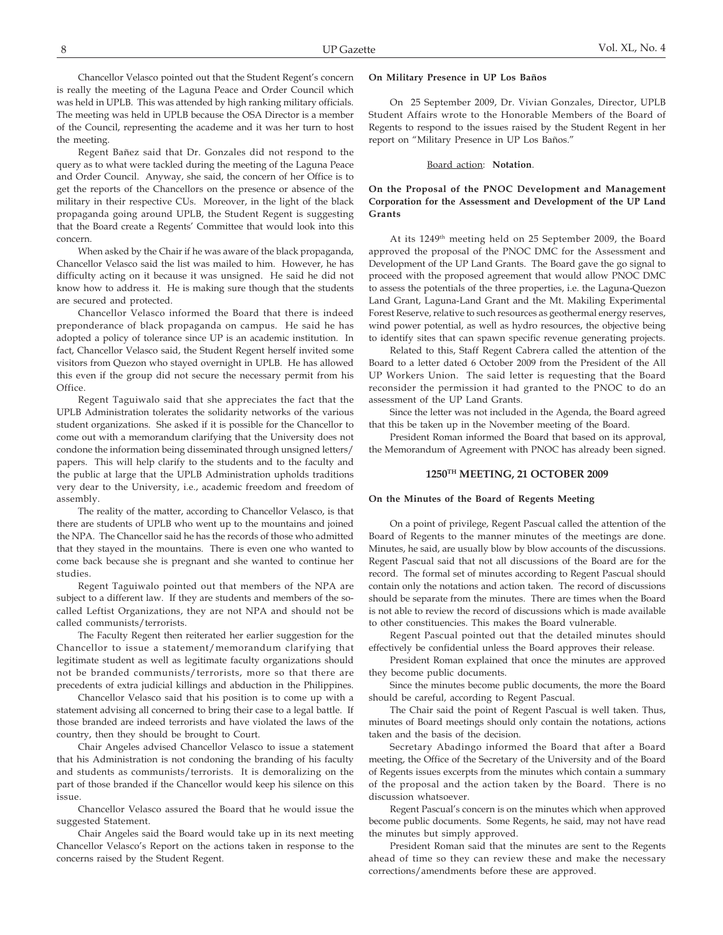Chancellor Velasco pointed out that the Student Regent's concern is really the meeting of the Laguna Peace and Order Council which was held in UPLB. This was attended by high ranking military officials. The meeting was held in UPLB because the OSA Director is a member of the Council, representing the academe and it was her turn to host the meeting.

Regent Bañez said that Dr. Gonzales did not respond to the query as to what were tackled during the meeting of the Laguna Peace and Order Council. Anyway, she said, the concern of her Office is to get the reports of the Chancellors on the presence or absence of the military in their respective CUs. Moreover, in the light of the black propaganda going around UPLB, the Student Regent is suggesting that the Board create a Regents' Committee that would look into this concern.

When asked by the Chair if he was aware of the black propaganda, Chancellor Velasco said the list was mailed to him. However, he has difficulty acting on it because it was unsigned. He said he did not know how to address it. He is making sure though that the students are secured and protected.

Chancellor Velasco informed the Board that there is indeed preponderance of black propaganda on campus. He said he has adopted a policy of tolerance since UP is an academic institution. In fact, Chancellor Velasco said, the Student Regent herself invited some visitors from Quezon who stayed overnight in UPLB. He has allowed this even if the group did not secure the necessary permit from his **Office** 

Regent Taguiwalo said that she appreciates the fact that the UPLB Administration tolerates the solidarity networks of the various student organizations. She asked if it is possible for the Chancellor to come out with a memorandum clarifying that the University does not condone the information being disseminated through unsigned letters/ papers. This will help clarify to the students and to the faculty and the public at large that the UPLB Administration upholds traditions very dear to the University, i.e., academic freedom and freedom of assembly.

The reality of the matter, according to Chancellor Velasco, is that there are students of UPLB who went up to the mountains and joined the NPA. The Chancellor said he has the records of those who admitted that they stayed in the mountains. There is even one who wanted to come back because she is pregnant and she wanted to continue her studies.

Regent Taguiwalo pointed out that members of the NPA are subject to a different law. If they are students and members of the socalled Leftist Organizations, they are not NPA and should not be called communists/terrorists.

The Faculty Regent then reiterated her earlier suggestion for the Chancellor to issue a statement/memorandum clarifying that legitimate student as well as legitimate faculty organizations should not be branded communists/terrorists, more so that there are precedents of extra judicial killings and abduction in the Philippines.

Chancellor Velasco said that his position is to come up with a statement advising all concerned to bring their case to a legal battle. If those branded are indeed terrorists and have violated the laws of the country, then they should be brought to Court.

Chair Angeles advised Chancellor Velasco to issue a statement that his Administration is not condoning the branding of his faculty and students as communists/terrorists. It is demoralizing on the part of those branded if the Chancellor would keep his silence on this issue.

Chancellor Velasco assured the Board that he would issue the suggested Statement.

Chair Angeles said the Board would take up in its next meeting Chancellor Velasco's Report on the actions taken in response to the concerns raised by the Student Regent.

#### **On Military Presence in UP Los Baños**

On 25 September 2009, Dr. Vivian Gonzales, Director, UPLB Student Affairs wrote to the Honorable Members of the Board of Regents to respond to the issues raised by the Student Regent in her report on "Military Presence in UP Los Baños."

#### Board action: **Notation**.

#### **On the Proposal of the PNOC Development and Management Corporation for the Assessment and Development of the UP Land Grants**

At its 1249th meeting held on 25 September 2009, the Board approved the proposal of the PNOC DMC for the Assessment and Development of the UP Land Grants. The Board gave the go signal to proceed with the proposed agreement that would allow PNOC DMC to assess the potentials of the three properties, i.e. the Laguna-Quezon Land Grant, Laguna-Land Grant and the Mt. Makiling Experimental Forest Reserve, relative to such resources as geothermal energy reserves, wind power potential, as well as hydro resources, the objective being to identify sites that can spawn specific revenue generating projects.

Related to this, Staff Regent Cabrera called the attention of the Board to a letter dated 6 October 2009 from the President of the All UP Workers Union. The said letter is requesting that the Board reconsider the permission it had granted to the PNOC to do an assessment of the UP Land Grants.

Since the letter was not included in the Agenda, the Board agreed that this be taken up in the November meeting of the Board.

President Roman informed the Board that based on its approval, the Memorandum of Agreement with PNOC has already been signed.

#### **1250TH MEETING, 21 OCTOBER 2009**

#### **On the Minutes of the Board of Regents Meeting**

On a point of privilege, Regent Pascual called the attention of the Board of Regents to the manner minutes of the meetings are done. Minutes, he said, are usually blow by blow accounts of the discussions. Regent Pascual said that not all discussions of the Board are for the record. The formal set of minutes according to Regent Pascual should contain only the notations and action taken. The record of discussions should be separate from the minutes. There are times when the Board is not able to review the record of discussions which is made available to other constituencies. This makes the Board vulnerable.

Regent Pascual pointed out that the detailed minutes should effectively be confidential unless the Board approves their release.

President Roman explained that once the minutes are approved they become public documents.

Since the minutes become public documents, the more the Board should be careful, according to Regent Pascual.

The Chair said the point of Regent Pascual is well taken. Thus, minutes of Board meetings should only contain the notations, actions taken and the basis of the decision.

Secretary Abadingo informed the Board that after a Board meeting, the Office of the Secretary of the University and of the Board of Regents issues excerpts from the minutes which contain a summary of the proposal and the action taken by the Board. There is no discussion whatsoever.

Regent Pascual's concern is on the minutes which when approved become public documents. Some Regents, he said, may not have read the minutes but simply approved.

President Roman said that the minutes are sent to the Regents ahead of time so they can review these and make the necessary corrections/amendments before these are approved.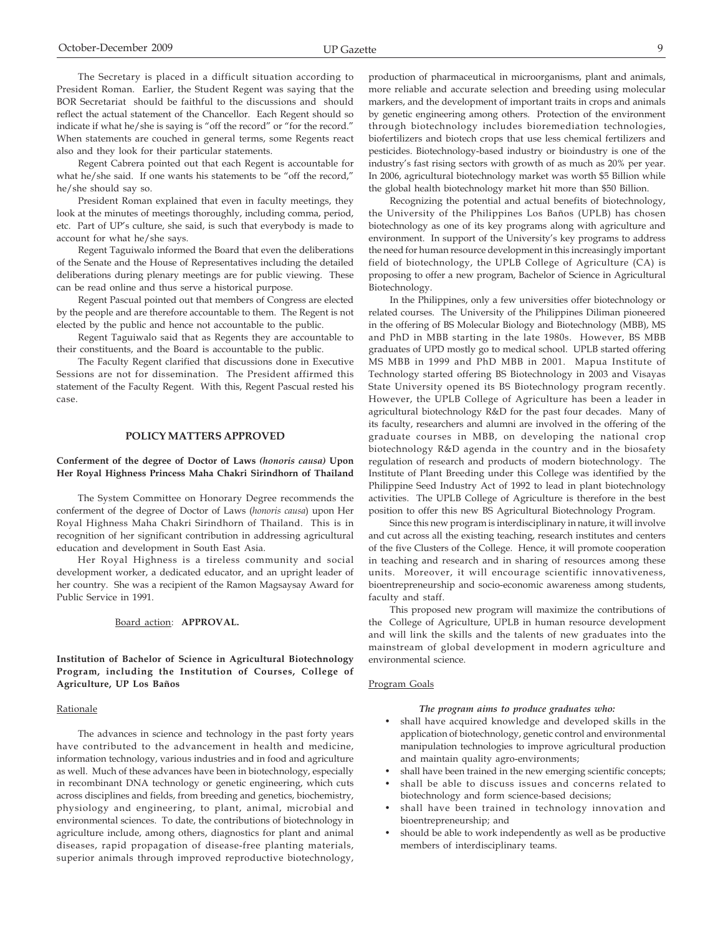The Secretary is placed in a difficult situation according to President Roman. Earlier, the Student Regent was saying that the BOR Secretariat should be faithful to the discussions and should reflect the actual statement of the Chancellor. Each Regent should so indicate if what he/she is saying is "off the record" or "for the record." When statements are couched in general terms, some Regents react also and they look for their particular statements.

Regent Cabrera pointed out that each Regent is accountable for what he/she said. If one wants his statements to be "off the record," he/she should say so.

President Roman explained that even in faculty meetings, they look at the minutes of meetings thoroughly, including comma, period, etc. Part of UP's culture, she said, is such that everybody is made to account for what he/she says.

Regent Taguiwalo informed the Board that even the deliberations of the Senate and the House of Representatives including the detailed deliberations during plenary meetings are for public viewing. These can be read online and thus serve a historical purpose.

Regent Pascual pointed out that members of Congress are elected by the people and are therefore accountable to them. The Regent is not elected by the public and hence not accountable to the public.

Regent Taguiwalo said that as Regents they are accountable to their constituents, and the Board is accountable to the public.

The Faculty Regent clarified that discussions done in Executive Sessions are not for dissemination. The President affirmed this statement of the Faculty Regent. With this, Regent Pascual rested his case.

#### **POLICY MATTERS APPROVED**

#### **Conferment of the degree of Doctor of Laws** *(honoris causa)* **Upon Her Royal Highness Princess Maha Chakri Sirindhorn of Thailand**

The System Committee on Honorary Degree recommends the conferment of the degree of Doctor of Laws (*honoris causa*) upon Her Royal Highness Maha Chakri Sirindhorn of Thailand. This is in recognition of her significant contribution in addressing agricultural education and development in South East Asia.

Her Royal Highness is a tireless community and social development worker, a dedicated educator, and an upright leader of her country. She was a recipient of the Ramon Magsaysay Award for Public Service in 1991.

#### Board action: **APPROVAL.**

**Institution of Bachelor of Science in Agricultural Biotechnology Program, including the Institution of Courses, College of Agriculture, UP Los Baños**

#### **Rationale**

The advances in science and technology in the past forty years have contributed to the advancement in health and medicine, information technology, various industries and in food and agriculture as well. Much of these advances have been in biotechnology, especially in recombinant DNA technology or genetic engineering, which cuts across disciplines and fields, from breeding and genetics, biochemistry, physiology and engineering, to plant, animal, microbial and environmental sciences. To date, the contributions of biotechnology in agriculture include, among others, diagnostics for plant and animal diseases, rapid propagation of disease-free planting materials, superior animals through improved reproductive biotechnology, production of pharmaceutical in microorganisms, plant and animals, more reliable and accurate selection and breeding using molecular markers, and the development of important traits in crops and animals by genetic engineering among others. Protection of the environment through biotechnology includes bioremediation technologies, biofertilizers and biotech crops that use less chemical fertilizers and pesticides. Biotechnology-based industry or bioindustry is one of the industry's fast rising sectors with growth of as much as 20% per year. In 2006, agricultural biotechnology market was worth \$5 Billion while the global health biotechnology market hit more than \$50 Billion.

Recognizing the potential and actual benefits of biotechnology, the University of the Philippines Los Baños (UPLB) has chosen biotechnology as one of its key programs along with agriculture and environment. In support of the University's key programs to address the need for human resource development in this increasingly important field of biotechnology, the UPLB College of Agriculture (CA) is proposing to offer a new program, Bachelor of Science in Agricultural Biotechnology.

In the Philippines, only a few universities offer biotechnology or related courses. The University of the Philippines Diliman pioneered in the offering of BS Molecular Biology and Biotechnology (MBB), MS and PhD in MBB starting in the late 1980s. However, BS MBB graduates of UPD mostly go to medical school. UPLB started offering MS MBB in 1999 and PhD MBB in 2001. Mapua Institute of Technology started offering BS Biotechnology in 2003 and Visayas State University opened its BS Biotechnology program recently. However, the UPLB College of Agriculture has been a leader in agricultural biotechnology R&D for the past four decades. Many of its faculty, researchers and alumni are involved in the offering of the graduate courses in MBB, on developing the national crop biotechnology R&D agenda in the country and in the biosafety regulation of research and products of modern biotechnology. The Institute of Plant Breeding under this College was identified by the Philippine Seed Industry Act of 1992 to lead in plant biotechnology activities. The UPLB College of Agriculture is therefore in the best position to offer this new BS Agricultural Biotechnology Program.

Since this new program is interdisciplinary in nature, it will involve and cut across all the existing teaching, research institutes and centers of the five Clusters of the College. Hence, it will promote cooperation in teaching and research and in sharing of resources among these units. Moreover, it will encourage scientific innovativeness, bioentrepreneurship and socio-economic awareness among students, faculty and staff.

This proposed new program will maximize the contributions of the College of Agriculture, UPLB in human resource development and will link the skills and the talents of new graduates into the mainstream of global development in modern agriculture and environmental science.

#### Program Goals

#### *The program aims to produce graduates who:*

- shall have acquired knowledge and developed skills in the application of biotechnology, genetic control and environmental manipulation technologies to improve agricultural production and maintain quality agro-environments;
- shall have been trained in the new emerging scientific concepts;
- shall be able to discuss issues and concerns related to biotechnology and form science-based decisions;
- shall have been trained in technology innovation and bioentrepreneurship; and
- should be able to work independently as well as be productive members of interdisciplinary teams.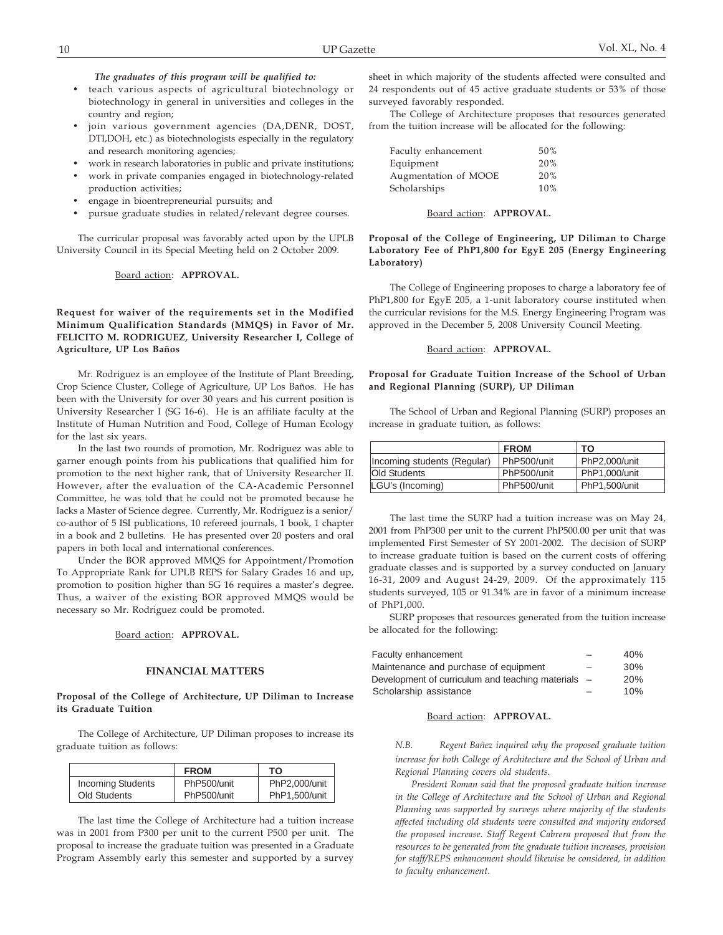*The graduates of this program will be qualified to:*

- teach various aspects of agricultural biotechnology or biotechnology in general in universities and colleges in the country and region;
- join various government agencies (DA,DENR, DOST, DTI,DOH, etc.) as biotechnologists especially in the regulatory and research monitoring agencies;
- work in research laboratories in public and private institutions;
- work in private companies engaged in biotechnology-related production activities;
- engage in bioentrepreneurial pursuits; and
- pursue graduate studies in related/relevant degree courses.

The curricular proposal was favorably acted upon by the UPLB University Council in its Special Meeting held on 2 October 2009.

Board action: **APPROVAL.**

#### **Request for waiver of the requirements set in the Modified Minimum Qualification Standards (MMQS) in Favor of Mr. FELICITO M. RODRIGUEZ, University Researcher I, College of Agriculture, UP Los Baños**

Mr. Rodriguez is an employee of the Institute of Plant Breeding, Crop Science Cluster, College of Agriculture, UP Los Baños. He has been with the University for over 30 years and his current position is University Researcher I (SG 16-6). He is an affiliate faculty at the Institute of Human Nutrition and Food, College of Human Ecology for the last six years.

In the last two rounds of promotion, Mr. Rodriguez was able to garner enough points from his publications that qualified him for promotion to the next higher rank, that of University Researcher II. However, after the evaluation of the CA-Academic Personnel Committee, he was told that he could not be promoted because he lacks a Master of Science degree. Currently, Mr. Rodriguez is a senior/ co-author of 5 ISI publications, 10 refereed journals, 1 book, 1 chapter in a book and 2 bulletins. He has presented over 20 posters and oral papers in both local and international conferences.

Under the BOR approved MMQS for Appointment/Promotion To Appropriate Rank for UPLB REPS for Salary Grades 16 and up, promotion to position higher than SG 16 requires a master's degree. Thus, a waiver of the existing BOR approved MMQS would be necessary so Mr. Rodriguez could be promoted.

#### Board action: **APPROVAL.**

#### **FINANCIAL MATTERS**

#### **Proposal of the College of Architecture, UP Diliman to Increase its Graduate Tuition**

The College of Architecture, UP Diliman proposes to increase its graduate tuition as follows:

|                          | <b>FROM</b> | ТΟ            |
|--------------------------|-------------|---------------|
| <b>Incoming Students</b> | PhP500/unit | PhP2,000/unit |
| Old Students             | PhP500/unit | PhP1,500/unit |

The last time the College of Architecture had a tuition increase was in 2001 from P300 per unit to the current P500 per unit. The proposal to increase the graduate tuition was presented in a Graduate Program Assembly early this semester and supported by a survey sheet in which majority of the students affected were consulted and 24 respondents out of 45 active graduate students or 53% of those surveyed favorably responded.

The College of Architecture proposes that resources generated from the tuition increase will be allocated for the following:

| Faculty enhancement  | 50% |
|----------------------|-----|
| Equipment            | 20% |
| Augmentation of MOOE | 20% |
| Scholarships         | 10% |

#### Board action: **APPROVAL.**

#### **Proposal of the College of Engineering, UP Diliman to Charge Laboratory Fee of PhP1,800 for EgyE 205 (Energy Engineering Laboratory)**

The College of Engineering proposes to charge a laboratory fee of PhP1,800 for EgyE 205, a 1-unit laboratory course instituted when the curricular revisions for the M.S. Energy Engineering Program was approved in the December 5, 2008 University Council Meeting.

#### Board action: **APPROVAL.**

#### **Proposal for Graduate Tuition Increase of the School of Urban and Regional Planning (SURP), UP Diliman**

The School of Urban and Regional Planning (SURP) proposes an increase in graduate tuition, as follows:

|                             | <b>FROM</b> | то            |
|-----------------------------|-------------|---------------|
| Incoming students (Regular) | PhP500/unit | PhP2.000/unit |
| <b>Old Students</b>         | PhP500/unit | PhP1.000/unit |
| LGU's (Incoming)            | PhP500/unit | PhP1.500/unit |

The last time the SURP had a tuition increase was on May 24, 2001 from PhP300 per unit to the current PhP500.00 per unit that was implemented First Semester of SY 2001-2002. The decision of SURP to increase graduate tuition is based on the current costs of offering graduate classes and is supported by a survey conducted on January 16-31, 2009 and August 24-29, 2009. Of the approximately 115 students surveyed, 105 or 91.34% are in favor of a minimum increase of PhP1,000.

SURP proposes that resources generated from the tuition increase be allocated for the following:

| Faculty enhancement                                |   | 40% |
|----------------------------------------------------|---|-----|
| Maintenance and purchase of equipment              | - | 30% |
| Development of curriculum and teaching materials – |   | 20% |
| Scholarship assistance                             |   | 10% |

#### Board action: **APPROVAL.**

*N.B. Regent Bañez inquired why the proposed graduate tuition increase for both College of Architecture and the School of Urban and Regional Planning covers old students.*

*President Roman said that the proposed graduate tuition increase in the College of Architecture and the School of Urban and Regional Planning was supported by surveys where majority of the students affected including old students were consulted and majority endorsed the proposed increase. Staff Regent Cabrera proposed that from the resources to be generated from the graduate tuition increases, provision for staff/REPS enhancement should likewise be considered, in addition to faculty enhancement.*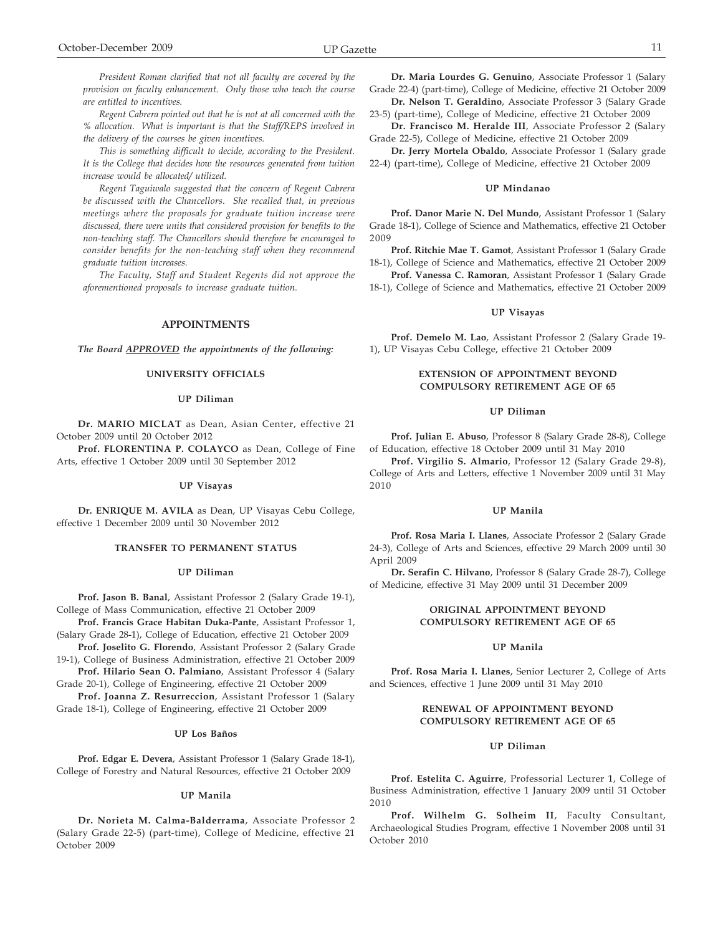*President Roman clarified that not all faculty are covered by the provision on faculty enhancement. Only those who teach the course are entitled to incentives.*

*Regent Cabrera pointed out that he is not at all concerned with the % allocation. What is important is that the Staff/REPS involved in the delivery of the courses be given incentives.*

*This is something difficult to decide, according to the President. It is the College that decides how the resources generated from tuition increase would be allocated/ utilized.*

*Regent Taguiwalo suggested that the concern of Regent Cabrera be discussed with the Chancellors. She recalled that, in previous meetings where the proposals for graduate tuition increase were discussed, there were units that considered provision for benefits to the non-teaching staff. The Chancellors should therefore be encouraged to consider benefits for the non-teaching staff when they recommend graduate tuition increases.*

*The Faculty, Staff and Student Regents did not approve the aforementioned proposals to increase graduate tuition.*

#### **APPOINTMENTS**

*The Board APPROVED the appointments of the following:*

#### **UNIVERSITY OFFICIALS**

#### **UP Diliman**

**Dr. MARIO MICLAT** as Dean, Asian Center, effective 21 October 2009 until 20 October 2012

**Prof. FLORENTINA P. COLAYCO** as Dean, College of Fine Arts, effective 1 October 2009 until 30 September 2012

#### **UP Visayas**

**Dr. ENRIQUE M. AVILA** as Dean, UP Visayas Cebu College, effective 1 December 2009 until 30 November 2012

#### **TRANSFER TO PERMANENT STATUS**

#### **UP Diliman**

**Prof. Jason B. Banal**, Assistant Professor 2 (Salary Grade 19-1), College of Mass Communication, effective 21 October 2009

**Prof. Francis Grace Habitan Duka-Pante**, Assistant Professor 1, (Salary Grade 28-1), College of Education, effective 21 October 2009

**Prof. Joselito G. Florendo**, Assistant Professor 2 (Salary Grade 19-1), College of Business Administration, effective 21 October 2009

**Prof. Hilario Sean O. Palmiano**, Assistant Professor 4 (Salary Grade 20-1), College of Engineering, effective 21 October 2009

**Prof. Joanna Z. Resurreccion**, Assistant Professor 1 (Salary Grade 18-1), College of Engineering, effective 21 October 2009

#### **UP Los Baños**

**Prof. Edgar E. Devera**, Assistant Professor 1 (Salary Grade 18-1), College of Forestry and Natural Resources, effective 21 October 2009

#### **UP Manila**

**Dr. Norieta M. Calma-Balderrama**, Associate Professor 2 (Salary Grade 22-5) (part-time), College of Medicine, effective 21 October 2009

**Dr. Maria Lourdes G. Genuino**, Associate Professor 1 (Salary Grade 22-4) (part-time), College of Medicine, effective 21 October 2009

**Dr. Nelson T. Geraldino**, Associate Professor 3 (Salary Grade 23-5) (part-time), College of Medicine, effective 21 October 2009 **Dr. Francisco M. Heralde III**, Associate Professor 2 (Salary

Grade 22-5), College of Medicine, effective 21 October 2009

**Dr. Jerry Mortela Obaldo**, Associate Professor 1 (Salary grade 22-4) (part-time), College of Medicine, effective 21 October 2009

#### **UP Mindanao**

**Prof. Danor Marie N. Del Mundo**, Assistant Professor 1 (Salary Grade 18-1), College of Science and Mathematics, effective 21 October 2009

**Prof. Ritchie Mae T. Gamot**, Assistant Professor 1 (Salary Grade 18-1), College of Science and Mathematics, effective 21 October 2009

**Prof. Vanessa C. Ramoran**, Assistant Professor 1 (Salary Grade 18-1), College of Science and Mathematics, effective 21 October 2009

#### **UP Visayas**

**Prof. Demelo M. Lao**, Assistant Professor 2 (Salary Grade 19- 1), UP Visayas Cebu College, effective 21 October 2009

#### **EXTENSION OF APPOINTMENT BEYOND COMPULSORY RETIREMENT AGE OF 65**

#### **UP Diliman**

**Prof. Julian E. Abuso**, Professor 8 (Salary Grade 28-8), College of Education, effective 18 October 2009 until 31 May 2010

**Prof. Virgilio S. Almario**, Professor 12 (Salary Grade 29-8), College of Arts and Letters, effective 1 November 2009 until 31 May 2010

#### **UP Manila**

**Prof. Rosa Maria I. Llanes**, Associate Professor 2 (Salary Grade 24-3), College of Arts and Sciences, effective 29 March 2009 until 30 April 2009

**Dr. Serafin C. Hilvano**, Professor 8 (Salary Grade 28-7), College of Medicine, effective 31 May 2009 until 31 December 2009

#### **ORIGINAL APPOINTMENT BEYOND COMPULSORY RETIREMENT AGE OF 65**

#### **UP Manila**

**Prof. Rosa Maria I. Llanes**, Senior Lecturer 2, College of Arts and Sciences, effective 1 June 2009 until 31 May 2010

#### **RENEWAL OF APPOINTMENT BEYOND COMPULSORY RETIREMENT AGE OF 65**

#### **UP Diliman**

**Prof. Estelita C. Aguirre**, Professorial Lecturer 1, College of Business Administration, effective 1 January 2009 until 31 October 2010

**Prof. Wilhelm G. Solheim II**, Faculty Consultant, Archaeological Studies Program, effective 1 November 2008 until 31 October 2010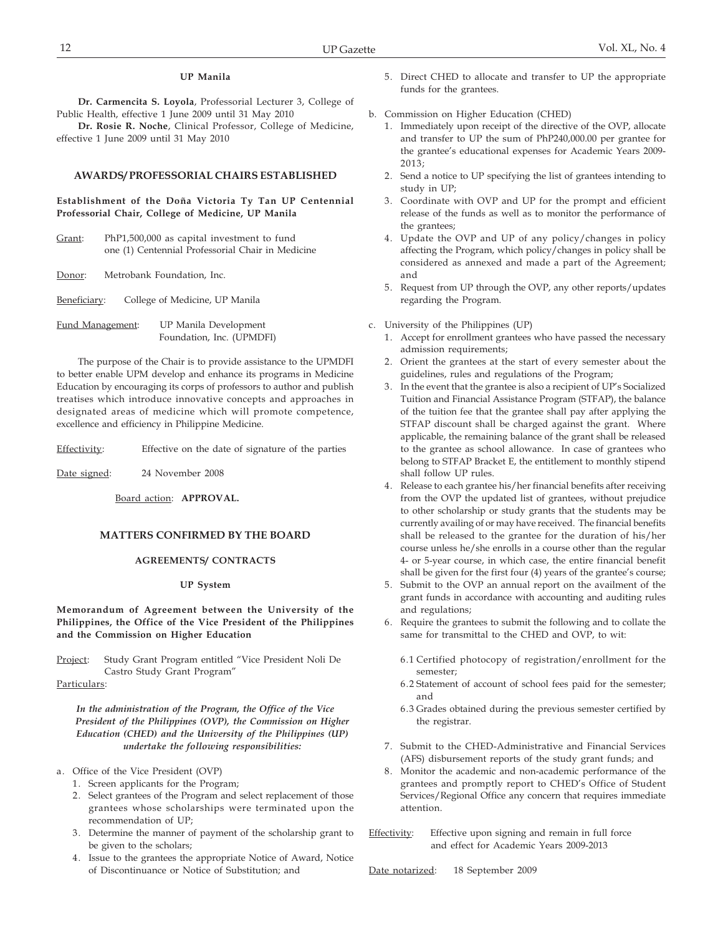## **UP Manila**

**Dr. Carmencita S. Loyola**, Professorial Lecturer 3, College of Public Health, effective 1 June 2009 until 31 May 2010

**Dr. Rosie R. Noche**, Clinical Professor, College of Medicine, effective 1 June 2009 until 31 May 2010

#### **AWARDS/ PROFESSORIAL CHAIRS ESTABLISHED**

**Establishment of the Doña Victoria Ty Tan UP Centennial Professorial Chair, College of Medicine, UP Manila**

Grant: PhP1,500,000 as capital investment to fund one (1) Centennial Professorial Chair in Medicine

Donor: Metrobank Foundation, Inc.

| Beneficiary: | College of Medicine, UP Manila |  |
|--------------|--------------------------------|--|
|              |                                |  |

Fund Management: UP Manila Development Foundation, Inc. (UPMDFI)

The purpose of the Chair is to provide assistance to the UPMDFI to better enable UPM develop and enhance its programs in Medicine Education by encouraging its corps of professors to author and publish treatises which introduce innovative concepts and approaches in designated areas of medicine which will promote competence, excellence and efficiency in Philippine Medicine.

Effectivity: Effective on the date of signature of the parties

Date signed: 24 November 2008

Board action: **APPROVAL.**

#### **MATTERS CONFIRMED BY THE BOARD**

#### **AGREEMENTS/ CONTRACTS**

#### **UP System**

**Memorandum of Agreement between the University of the Philippines, the Office of the Vice President of the Philippines and the Commission on Higher Education**

Project: Study Grant Program entitled "Vice President Noli De Castro Study Grant Program"

Particulars:

*In the administration of the Program, the Office of the Vice President of the Philippines (OVP), the Commission on Higher Education (CHED) and the University of the Philippines (UP) undertake the following responsibilities:*

- a. Office of the Vice President (OVP)
	- 1. Screen applicants for the Program;
	- 2. Select grantees of the Program and select replacement of those grantees whose scholarships were terminated upon the recommendation of UP;
	- 3. Determine the manner of payment of the scholarship grant to be given to the scholars;
	- 4. Issue to the grantees the appropriate Notice of Award, Notice of Discontinuance or Notice of Substitution; and
- 5. Direct CHED to allocate and transfer to UP the appropriate funds for the grantees.
- b. Commission on Higher Education (CHED)
	- 1. Immediately upon receipt of the directive of the OVP, allocate and transfer to UP the sum of PhP240,000.00 per grantee for the grantee's educational expenses for Academic Years 2009- 2013;
	- 2. Send a notice to UP specifying the list of grantees intending to study in UP;
	- 3. Coordinate with OVP and UP for the prompt and efficient release of the funds as well as to monitor the performance of the grantees:
	- 4. Update the OVP and UP of any policy/changes in policy affecting the Program, which policy/changes in policy shall be considered as annexed and made a part of the Agreement; and
	- 5. Request from UP through the OVP, any other reports/updates regarding the Program.
- c. University of the Philippines (UP)
	- 1. Accept for enrollment grantees who have passed the necessary admission requirements;
	- 2. Orient the grantees at the start of every semester about the guidelines, rules and regulations of the Program;
	- 3. In the event that the grantee is also a recipient of UP's Socialized Tuition and Financial Assistance Program (STFAP), the balance of the tuition fee that the grantee shall pay after applying the STFAP discount shall be charged against the grant. Where applicable, the remaining balance of the grant shall be released to the grantee as school allowance. In case of grantees who belong to STFAP Bracket E, the entitlement to monthly stipend shall follow UP rules.
	- 4. Release to each grantee his/her financial benefits after receiving from the OVP the updated list of grantees, without prejudice to other scholarship or study grants that the students may be currently availing of or may have received. The financial benefits shall be released to the grantee for the duration of his/her course unless he/she enrolls in a course other than the regular 4- or 5-year course, in which case, the entire financial benefit shall be given for the first four (4) years of the grantee's course;
	- 5. Submit to the OVP an annual report on the availment of the grant funds in accordance with accounting and auditing rules and regulations;
	- 6. Require the grantees to submit the following and to collate the same for transmittal to the CHED and OVP, to wit:
		- 6.1 Certified photocopy of registration/enrollment for the semester;
		- 6.2 Statement of account of school fees paid for the semester; and
		- 6.3 Grades obtained during the previous semester certified by the registrar.
	- 7. Submit to the CHED-Administrative and Financial Services (AFS) disbursement reports of the study grant funds; and
	- 8. Monitor the academic and non-academic performance of the grantees and promptly report to CHED's Office of Student Services/Regional Office any concern that requires immediate attention.
- Effectivity: Effective upon signing and remain in full force and effect for Academic Years 2009-2013

Date notarized: 18 September 2009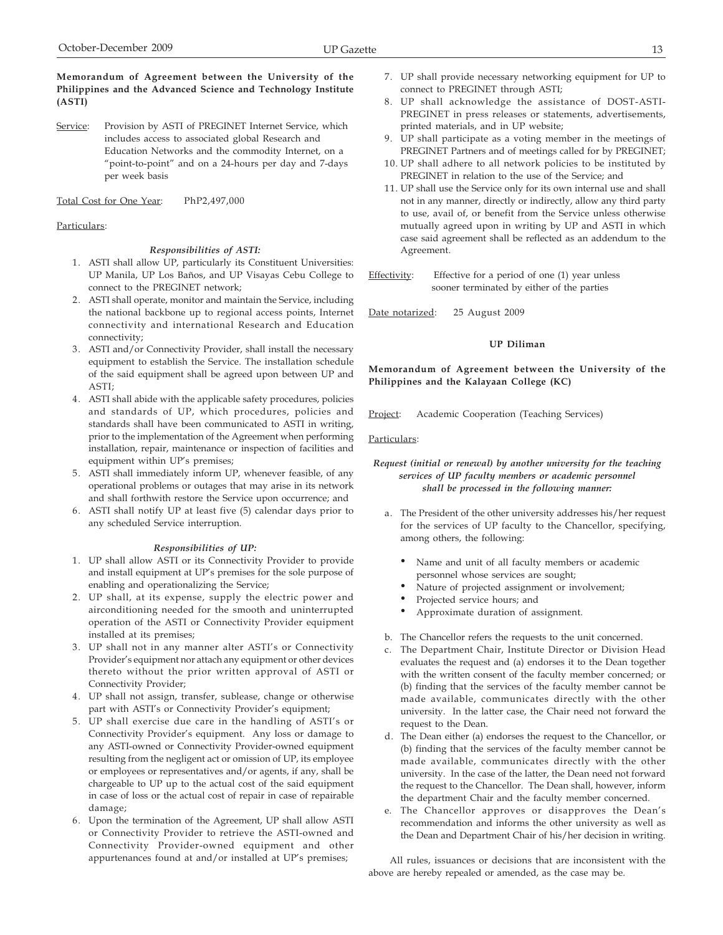Service: Provision by ASTI of PREGINET Internet Service, which includes access to associated global Research and Education Networks and the commodity Internet, on a "point-to-point" and on a 24-hours per day and 7-days per week basis

Total Cost for One Year: PhP2,497,000

#### Particulars:

#### *Responsibilities of ASTI:*

- 1. ASTI shall allow UP, particularly its Constituent Universities: UP Manila, UP Los Baños, and UP Visayas Cebu College to connect to the PREGINET network;
- 2. ASTI shall operate, monitor and maintain the Service, including the national backbone up to regional access points, Internet connectivity and international Research and Education connectivity;
- 3. ASTI and/or Connectivity Provider, shall install the necessary equipment to establish the Service. The installation schedule of the said equipment shall be agreed upon between UP and ASTI;
- 4. ASTI shall abide with the applicable safety procedures, policies and standards of UP, which procedures, policies and standards shall have been communicated to ASTI in writing, prior to the implementation of the Agreement when performing installation, repair, maintenance or inspection of facilities and equipment within UP's premises;
- 5. ASTI shall immediately inform UP, whenever feasible, of any operational problems or outages that may arise in its network and shall forthwith restore the Service upon occurrence; and
- 6. ASTI shall notify UP at least five (5) calendar days prior to any scheduled Service interruption.

#### *Responsibilities of UP:*

- 1. UP shall allow ASTI or its Connectivity Provider to provide and install equipment at UP's premises for the sole purpose of enabling and operationalizing the Service;
- 2. UP shall, at its expense, supply the electric power and airconditioning needed for the smooth and uninterrupted operation of the ASTI or Connectivity Provider equipment installed at its premises;
- 3. UP shall not in any manner alter ASTI's or Connectivity Provider's equipment nor attach any equipment or other devices thereto without the prior written approval of ASTI or Connectivity Provider;
- 4. UP shall not assign, transfer, sublease, change or otherwise part with ASTI's or Connectivity Provider's equipment;
- 5. UP shall exercise due care in the handling of ASTI's or Connectivity Provider's equipment. Any loss or damage to any ASTI-owned or Connectivity Provider-owned equipment resulting from the negligent act or omission of UP, its employee or employees or representatives and/or agents, if any, shall be chargeable to UP up to the actual cost of the said equipment in case of loss or the actual cost of repair in case of repairable damage;
- 6. Upon the termination of the Agreement, UP shall allow ASTI or Connectivity Provider to retrieve the ASTI-owned and Connectivity Provider-owned equipment and other appurtenances found at and/or installed at UP's premises;
- 7. UP shall provide necessary networking equipment for UP to connect to PREGINET through ASTI;
- 8. UP shall acknowledge the assistance of DOST-ASTI-PREGINET in press releases or statements, advertisements, printed materials, and in UP website;
- 9. UP shall participate as a voting member in the meetings of PREGINET Partners and of meetings called for by PREGINET;
- 10. UP shall adhere to all network policies to be instituted by PREGINET in relation to the use of the Service; and
- 11. UP shall use the Service only for its own internal use and shall not in any manner, directly or indirectly, allow any third party to use, avail of, or benefit from the Service unless otherwise mutually agreed upon in writing by UP and ASTI in which case said agreement shall be reflected as an addendum to the Agreement.

Effectivity: Effective for a period of one (1) year unless sooner terminated by either of the parties

Date notarized: 25 August 2009

#### **UP Diliman**

**Memorandum of Agreement between the University of the Philippines and the Kalayaan College (KC)**

Project: Academic Cooperation (Teaching Services)

Particulars:

#### *Request (initial or renewal) by another university for the teaching services of UP faculty members or academic personnel shall be processed in the following manner:*

- a. The President of the other university addresses his/her request for the services of UP faculty to the Chancellor, specifying, among others, the following:
	- Name and unit of all faculty members or academic personnel whose services are sought;
	- Nature of projected assignment or involvement;
	- Projected service hours; and
	- Approximate duration of assignment.
- b. The Chancellor refers the requests to the unit concerned.
- c. The Department Chair, Institute Director or Division Head evaluates the request and (a) endorses it to the Dean together with the written consent of the faculty member concerned; or (b) finding that the services of the faculty member cannot be made available, communicates directly with the other university. In the latter case, the Chair need not forward the request to the Dean.
- d. The Dean either (a) endorses the request to the Chancellor, or (b) finding that the services of the faculty member cannot be made available, communicates directly with the other university. In the case of the latter, the Dean need not forward the request to the Chancellor. The Dean shall, however, inform the department Chair and the faculty member concerned.
- e. The Chancellor approves or disapproves the Dean's recommendation and informs the other university as well as the Dean and Department Chair of his/her decision in writing.

All rules, issuances or decisions that are inconsistent with the above are hereby repealed or amended, as the case may be.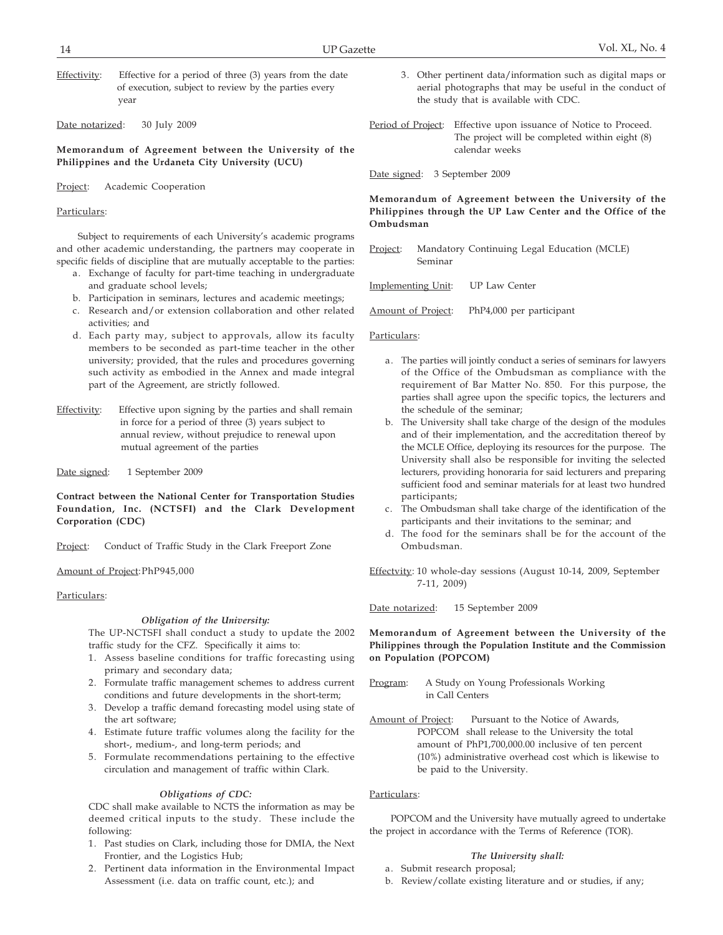Effectivity: Effective for a period of three (3) years from the date of execution, subject to review by the parties every year

Date notarized: 30 July 2009

**Memorandum of Agreement between the University of the Philippines and the Urdaneta City University (UCU)**

Project: Academic Cooperation

#### Particulars:

Subject to requirements of each University's academic programs and other academic understanding, the partners may cooperate in specific fields of discipline that are mutually acceptable to the parties:

- a. Exchange of faculty for part-time teaching in undergraduate and graduate school levels;
- b. Participation in seminars, lectures and academic meetings;
- c. Research and/or extension collaboration and other related activities; and
- d. Each party may, subject to approvals, allow its faculty members to be seconded as part-time teacher in the other university; provided, that the rules and procedures governing such activity as embodied in the Annex and made integral part of the Agreement, are strictly followed.
- Effectivity: Effective upon signing by the parties and shall remain in force for a period of three (3) years subject to annual review, without prejudice to renewal upon mutual agreement of the parties

Date signed: 1 September 2009

**Contract between the National Center for Transportation Studies Foundation, Inc. (NCTSFI) and the Clark Development Corporation (CDC)**

Project: Conduct of Traffic Study in the Clark Freeport Zone

Amount of Project:PhP945,000

#### Particulars:

#### *Obligation of the University:*

The UP-NCTSFI shall conduct a study to update the 2002 traffic study for the CFZ. Specifically it aims to:

- 1. Assess baseline conditions for traffic forecasting using primary and secondary data;
- 2. Formulate traffic management schemes to address current conditions and future developments in the short-term;
- 3. Develop a traffic demand forecasting model using state of the art software;
- 4. Estimate future traffic volumes along the facility for the short-, medium-, and long-term periods; and
- 5. Formulate recommendations pertaining to the effective circulation and management of traffic within Clark.

#### *Obligations of CDC:*

CDC shall make available to NCTS the information as may be deemed critical inputs to the study. These include the following:

- 1. Past studies on Clark, including those for DMIA, the Next Frontier, and the Logistics Hub;
- 2. Pertinent data information in the Environmental Impact Assessment (i.e. data on traffic count, etc.); and
- 3. Other pertinent data/information such as digital maps or aerial photographs that may be useful in the conduct of the study that is available with CDC.
- Period of Project: Effective upon issuance of Notice to Proceed. The project will be completed within eight (8) calendar weeks
- Date signed: 3 September 2009

**Memorandum of Agreement between the University of the Philippines through the UP Law Center and the Office of the Ombudsman**

Project: Mandatory Continuing Legal Education (MCLE) Seminar

Implementing Unit: UP Law Center

Amount of Project: PhP4,000 per participant

Particulars:

- a. The parties will jointly conduct a series of seminars for lawyers of the Office of the Ombudsman as compliance with the requirement of Bar Matter No. 850. For this purpose, the parties shall agree upon the specific topics, the lecturers and the schedule of the seminar;
- b. The University shall take charge of the design of the modules and of their implementation, and the accreditation thereof by the MCLE Office, deploying its resources for the purpose. The University shall also be responsible for inviting the selected lecturers, providing honoraria for said lecturers and preparing sufficient food and seminar materials for at least two hundred participants;
- c. The Ombudsman shall take charge of the identification of the participants and their invitations to the seminar; and
- d. The food for the seminars shall be for the account of the Ombudsman.

Effectvity: 10 whole-day sessions (August 10-14, 2009, September 7-11, 2009)

Date notarized: 15 September 2009

**Memorandum of Agreement between the University of the Philippines through the Population Institute and the Commission on Population (POPCOM)**

- Program: A Study on Young Professionals Working in Call Centers
- Amount of Project: Pursuant to the Notice of Awards, POPCOM shall release to the University the total amount of PhP1,700,000.00 inclusive of ten percent (10%) administrative overhead cost which is likewise to be paid to the University.

#### Particulars:

POPCOM and the University have mutually agreed to undertake the project in accordance with the Terms of Reference (TOR).

#### *The University shall:*

- a. Submit research proposal;
- b. Review/collate existing literature and or studies, if any;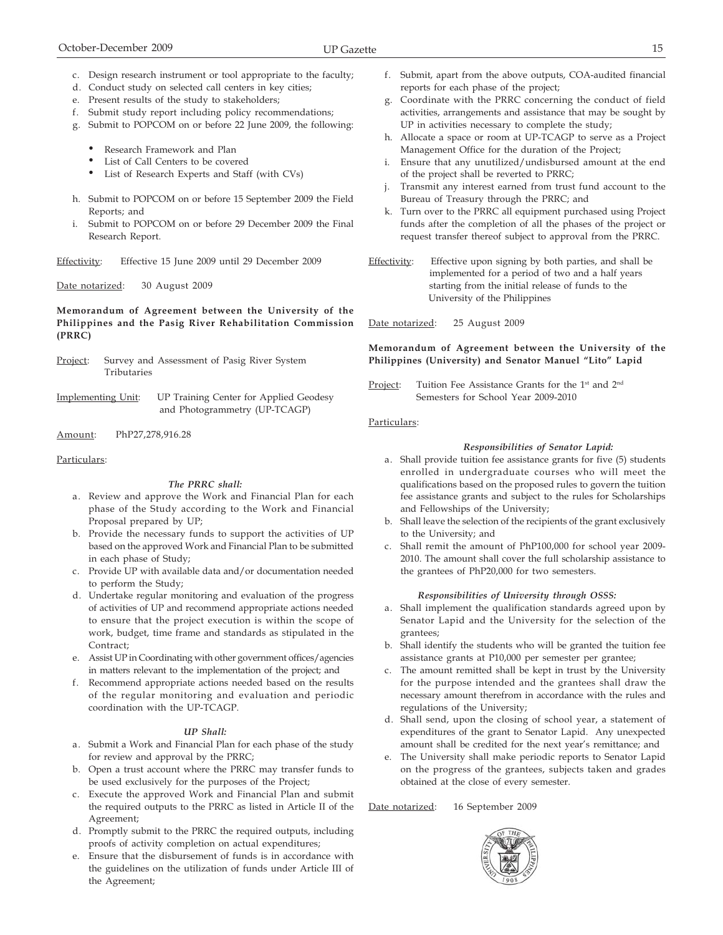- c. Design research instrument or tool appropriate to the faculty;
- d. Conduct study on selected call centers in key cities;
- e. Present results of the study to stakeholders;
- f. Submit study report including policy recommendations;
- g. Submit to POPCOM on or before 22 June 2009, the following:
	- Research Framework and Plan
	- List of Call Centers to be covered
	- List of Research Experts and Staff (with CVs)
- h. Submit to POPCOM on or before 15 September 2009 the Field Reports; and
- i. Submit to POPCOM on or before 29 December 2009 the Final Research Report.

Effectivity: Effective 15 June 2009 until 29 December 2009

Date notarized: 30 August 2009

## **Memorandum of Agreement between the University of the Philippines and the Pasig River Rehabilitation Commission (PRRC)**

Project: Survey and Assessment of Pasig River System Tributaries

Implementing Unit: UP Training Center for Applied Geodesy and Photogrammetry (UP-TCAGP)

Amount: PhP27,278,916.28

#### Particulars:

#### *The PRRC shall:*

- a. Review and approve the Work and Financial Plan for each phase of the Study according to the Work and Financial Proposal prepared by UP;
- b. Provide the necessary funds to support the activities of UP based on the approved Work and Financial Plan to be submitted in each phase of Study;
- c. Provide UP with available data and/or documentation needed to perform the Study;
- d. Undertake regular monitoring and evaluation of the progress of activities of UP and recommend appropriate actions needed to ensure that the project execution is within the scope of work, budget, time frame and standards as stipulated in the Contract;
- e. Assist UP in Coordinating with other government offices/agencies in matters relevant to the implementation of the project; and
- f. Recommend appropriate actions needed based on the results of the regular monitoring and evaluation and periodic coordination with the UP-TCAGP.

#### *UP Shall:*

- a. Submit a Work and Financial Plan for each phase of the study for review and approval by the PRRC;
- b. Open a trust account where the PRRC may transfer funds to be used exclusively for the purposes of the Project;
- c. Execute the approved Work and Financial Plan and submit the required outputs to the PRRC as listed in Article II of the Agreement;
- d. Promptly submit to the PRRC the required outputs, including proofs of activity completion on actual expenditures;
- e. Ensure that the disbursement of funds is in accordance with the guidelines on the utilization of funds under Article III of the Agreement;
- f. Submit, apart from the above outputs, COA-audited financial reports for each phase of the project;
- g. Coordinate with the PRRC concerning the conduct of field activities, arrangements and assistance that may be sought by UP in activities necessary to complete the study;
- h. Allocate a space or room at UP-TCAGP to serve as a Project Management Office for the duration of the Project;
- i. Ensure that any unutilized/undisbursed amount at the end of the project shall be reverted to PRRC;
- Transmit any interest earned from trust fund account to the Bureau of Treasury through the PRRC; and
- k. Turn over to the PRRC all equipment purchased using Project funds after the completion of all the phases of the project or request transfer thereof subject to approval from the PRRC.
- Effectivity: Effective upon signing by both parties, and shall be implemented for a period of two and a half years starting from the initial release of funds to the University of the Philippines

Date notarized: 25 August 2009

**Memorandum of Agreement between the University of the Philippines (University) and Senator Manuel "Lito" Lapid**

Project: Tuition Fee Assistance Grants for the 1<sup>st</sup> and 2<sup>nd</sup> Semesters for School Year 2009-2010

## Particulars:

## *Responsibilities of Senator Lapid:*

- a. Shall provide tuition fee assistance grants for five (5) students enrolled in undergraduate courses who will meet the qualifications based on the proposed rules to govern the tuition fee assistance grants and subject to the rules for Scholarships and Fellowships of the University;
- b. Shall leave the selection of the recipients of the grant exclusively to the University; and
- c. Shall remit the amount of PhP100,000 for school year 2009- 2010. The amount shall cover the full scholarship assistance to the grantees of PhP20,000 for two semesters.

#### *Responsibilities of University through OSSS:*

- a. Shall implement the qualification standards agreed upon by Senator Lapid and the University for the selection of the grantees;
- b. Shall identify the students who will be granted the tuition fee assistance grants at P10,000 per semester per grantee;
- c. The amount remitted shall be kept in trust by the University for the purpose intended and the grantees shall draw the necessary amount therefrom in accordance with the rules and regulations of the University;
- d. Shall send, upon the closing of school year, a statement of expenditures of the grant to Senator Lapid. Any unexpected amount shall be credited for the next year's remittance; and
- e. The University shall make periodic reports to Senator Lapid on the progress of the grantees, subjects taken and grades obtained at the close of every semester.

Date notarized: 16 September 2009

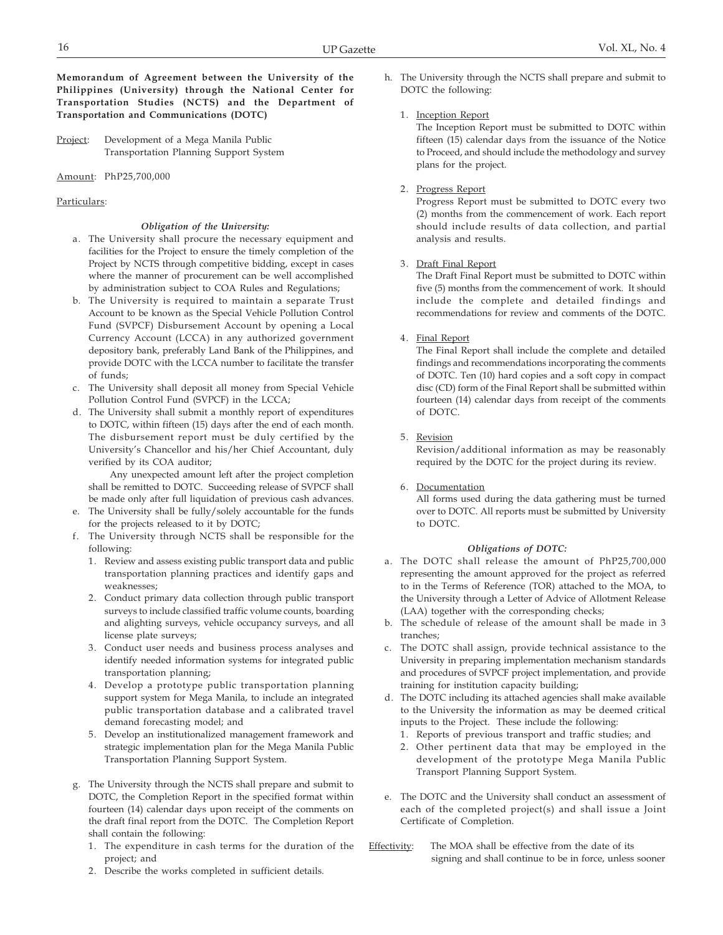Project: Development of a Mega Manila Public Transportation Planning Support System

Amount: PhP25,700,000

#### Particulars:

#### *Obligation of the University:*

- a. The University shall procure the necessary equipment and facilities for the Project to ensure the timely completion of the Project by NCTS through competitive bidding, except in cases where the manner of procurement can be well accomplished by administration subject to COA Rules and Regulations;
- b. The University is required to maintain a separate Trust Account to be known as the Special Vehicle Pollution Control Fund (SVPCF) Disbursement Account by opening a Local Currency Account (LCCA) in any authorized government depository bank, preferably Land Bank of the Philippines, and provide DOTC with the LCCA number to facilitate the transfer of funds;
- c. The University shall deposit all money from Special Vehicle Pollution Control Fund (SVPCF) in the LCCA;
- d. The University shall submit a monthly report of expenditures to DOTC, within fifteen (15) days after the end of each month. The disbursement report must be duly certified by the University's Chancellor and his/her Chief Accountant, duly verified by its COA auditor;

Any unexpected amount left after the project completion shall be remitted to DOTC. Succeeding release of SVPCF shall be made only after full liquidation of previous cash advances.

- e. The University shall be fully/solely accountable for the funds for the projects released to it by DOTC;
- f. The University through NCTS shall be responsible for the following:
	- 1. Review and assess existing public transport data and public transportation planning practices and identify gaps and weaknesses;
	- 2. Conduct primary data collection through public transport surveys to include classified traffic volume counts, boarding and alighting surveys, vehicle occupancy surveys, and all license plate surveys;
	- 3. Conduct user needs and business process analyses and identify needed information systems for integrated public transportation planning;
	- 4. Develop a prototype public transportation planning support system for Mega Manila, to include an integrated public transportation database and a calibrated travel demand forecasting model; and
	- 5. Develop an institutionalized management framework and strategic implementation plan for the Mega Manila Public Transportation Planning Support System.
- g. The University through the NCTS shall prepare and submit to DOTC, the Completion Report in the specified format within fourteen (14) calendar days upon receipt of the comments on the draft final report from the DOTC. The Completion Report shall contain the following:
	- 1. The expenditure in cash terms for the duration of the project; and
	- 2. Describe the works completed in sufficient details.

h. The University through the NCTS shall prepare and submit to DOTC the following:

## 1. Inception Report

The Inception Report must be submitted to DOTC within fifteen (15) calendar days from the issuance of the Notice to Proceed, and should include the methodology and survey plans for the project.

#### 2. Progress Report

Progress Report must be submitted to DOTC every two (2) months from the commencement of work. Each report should include results of data collection, and partial analysis and results.

#### 3. Draft Final Report

The Draft Final Report must be submitted to DOTC within five (5) months from the commencement of work. It should include the complete and detailed findings and recommendations for review and comments of the DOTC.

4. Final Report

The Final Report shall include the complete and detailed findings and recommendations incorporating the comments of DOTC. Ten (10) hard copies and a soft copy in compact disc (CD) form of the Final Report shall be submitted within fourteen (14) calendar days from receipt of the comments of DOTC.

5. Revision

Revision/additional information as may be reasonably required by the DOTC for the project during its review.

6. Documentation All forms used during the data gathering must be turned over to DOTC. All reports must be submitted by University to DOTC.

#### *Obligations of DOTC:*

- a. The DOTC shall release the amount of PhP25,700,000 representing the amount approved for the project as referred to in the Terms of Reference (TOR) attached to the MOA, to the University through a Letter of Advice of Allotment Release (LAA) together with the corresponding checks;
- b. The schedule of release of the amount shall be made in 3 tranches;
- c. The DOTC shall assign, provide technical assistance to the University in preparing implementation mechanism standards and procedures of SVPCF project implementation, and provide training for institution capacity building;
- d. The DOTC including its attached agencies shall make available to the University the information as may be deemed critical inputs to the Project. These include the following:
	- 1. Reports of previous transport and traffic studies; and
	- 2. Other pertinent data that may be employed in the development of the prototype Mega Manila Public Transport Planning Support System.
- e. The DOTC and the University shall conduct an assessment of each of the completed project(s) and shall issue a Joint Certificate of Completion.

## Effectivity: The MOA shall be effective from the date of its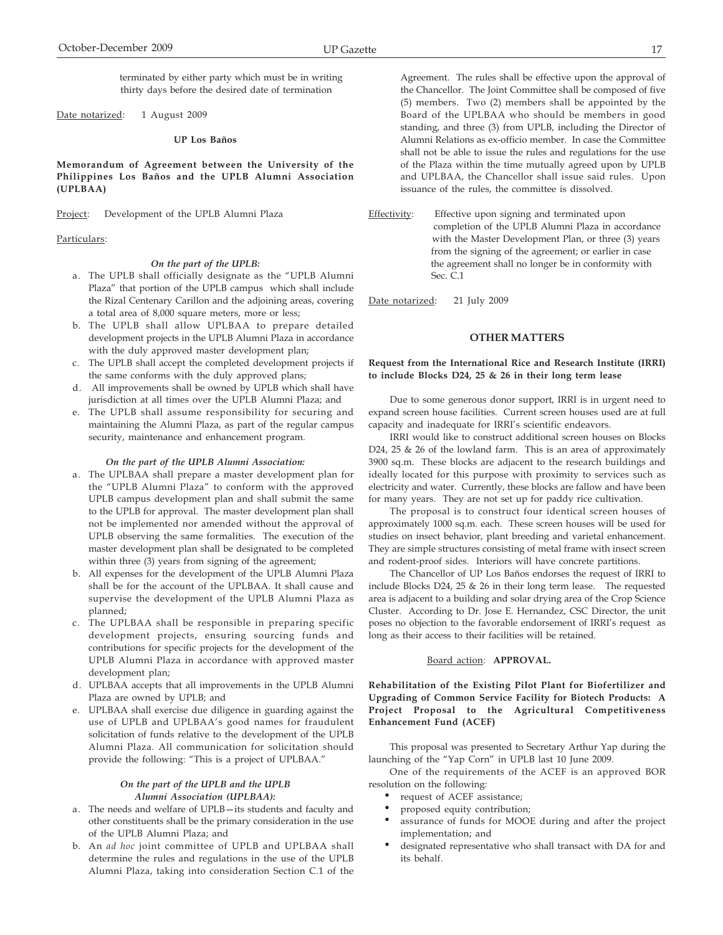terminated by either party which must be in writing thirty days before the desired date of termination

Date notarized: 1 August 2009

#### **UP Los Baños**

**Memorandum of Agreement between the University of the Philippines Los Baños and the UPLB Alumni Association (UPLBAA)**

Project: Development of the UPLB Alumni Plaza

#### Particulars:

#### *On the part of the UPLB:*

- a. The UPLB shall officially designate as the "UPLB Alumni Plaza" that portion of the UPLB campus which shall include the Rizal Centenary Carillon and the adjoining areas, covering a total area of 8,000 square meters, more or less;
- b. The UPLB shall allow UPLBAA to prepare detailed development projects in the UPLB Alumni Plaza in accordance with the duly approved master development plan;
- c. The UPLB shall accept the completed development projects if the same conforms with the duly approved plans;
- d. All improvements shall be owned by UPLB which shall have jurisdiction at all times over the UPLB Alumni Plaza; and
- e. The UPLB shall assume responsibility for securing and maintaining the Alumni Plaza, as part of the regular campus security, maintenance and enhancement program.

#### *On the part of the UPLB Alumni Association:*

- a. The UPLBAA shall prepare a master development plan for the "UPLB Alumni Plaza" to conform with the approved UPLB campus development plan and shall submit the same to the UPLB for approval. The master development plan shall not be implemented nor amended without the approval of UPLB observing the same formalities. The execution of the master development plan shall be designated to be completed within three (3) years from signing of the agreement;
- b. All expenses for the development of the UPLB Alumni Plaza shall be for the account of the UPLBAA. It shall cause and supervise the development of the UPLB Alumni Plaza as planned;
- c. The UPLBAA shall be responsible in preparing specific development projects, ensuring sourcing funds and contributions for specific projects for the development of the UPLB Alumni Plaza in accordance with approved master development plan;
- d. UPLBAA accepts that all improvements in the UPLB Alumni Plaza are owned by UPLB; and
- e. UPLBAA shall exercise due diligence in guarding against the use of UPLB and UPLBAA's good names for fraudulent solicitation of funds relative to the development of the UPLB Alumni Plaza. All communication for solicitation should provide the following: "This is a project of UPLBAA."

#### *On the part of the UPLB and the UPLB Alumni Association (UPLBAA):*

- a. The needs and welfare of UPLB—its students and faculty and other constituents shall be the primary consideration in the use of the UPLB Alumni Plaza; and
- b. An *ad hoc* joint committee of UPLB and UPLBAA shall determine the rules and regulations in the use of the UPLB Alumni Plaza, taking into consideration Section C.1 of the

Agreement. The rules shall be effective upon the approval of the Chancellor. The Joint Committee shall be composed of five (5) members. Two (2) members shall be appointed by the Board of the UPLBAA who should be members in good standing, and three (3) from UPLB, including the Director of Alumni Relations as ex-officio member. In case the Committee shall not be able to issue the rules and regulations for the use of the Plaza within the time mutually agreed upon by UPLB and UPLBAA, the Chancellor shall issue said rules. Upon issuance of the rules, the committee is dissolved.

Effectivity: Effective upon signing and terminated upon completion of the UPLB Alumni Plaza in accordance with the Master Development Plan, or three (3) years from the signing of the agreement; or earlier in case the agreement shall no longer be in conformity with Sec. C.1

Date notarized: 21 July 2009

#### **OTHER MATTERS**

#### **Request from the International Rice and Research Institute (IRRI) to include Blocks D24, 25 & 26 in their long term lease**

Due to some generous donor support, IRRI is in urgent need to expand screen house facilities. Current screen houses used are at full capacity and inadequate for IRRI's scientific endeavors.

IRRI would like to construct additional screen houses on Blocks D24, 25 & 26 of the lowland farm. This is an area of approximately 3900 sq.m. These blocks are adjacent to the research buildings and ideally located for this purpose with proximity to services such as electricity and water. Currently, these blocks are fallow and have been for many years. They are not set up for paddy rice cultivation.

The proposal is to construct four identical screen houses of approximately 1000 sq.m. each. These screen houses will be used for studies on insect behavior, plant breeding and varietal enhancement. They are simple structures consisting of metal frame with insect screen and rodent-proof sides. Interiors will have concrete partitions.

The Chancellor of UP Los Baños endorses the request of IRRI to include Blocks D24, 25 & 26 in their long term lease. The requested area is adjacent to a building and solar drying area of the Crop Science Cluster. According to Dr. Jose E. Hernandez, CSC Director, the unit poses no objection to the favorable endorsement of IRRI's request as long as their access to their facilities will be retained.

#### Board action: **APPROVAL.**

**Rehabilitation of the Existing Pilot Plant for Biofertilizer and Upgrading of Common Service Facility for Biotech Products: A Project Proposal to the Agricultural Competitiveness Enhancement Fund (ACEF)**

This proposal was presented to Secretary Arthur Yap during the launching of the "Yap Corn" in UPLB last 10 June 2009.

One of the requirements of the ACEF is an approved BOR resolution on the following:

- request of ACEF assistance;
- proposed equity contribution;
- assurance of funds for MOOE during and after the project implementation; and
- designated representative who shall transact with DA for and its behalf.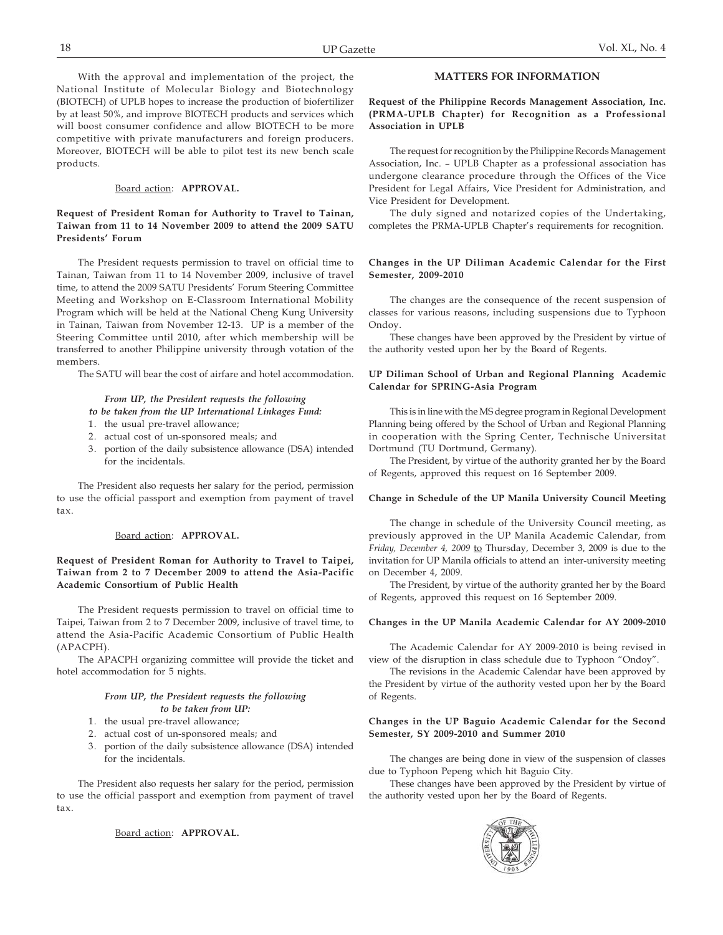With the approval and implementation of the project, the National Institute of Molecular Biology and Biotechnology (BIOTECH) of UPLB hopes to increase the production of biofertilizer by at least 50%, and improve BIOTECH products and services which will boost consumer confidence and allow BIOTECH to be more competitive with private manufacturers and foreign producers. Moreover, BIOTECH will be able to pilot test its new bench scale products.

#### Board action: **APPROVAL.**

#### **Request of President Roman for Authority to Travel to Tainan, Taiwan from 11 to 14 November 2009 to attend the 2009 SATU Presidents' Forum**

The President requests permission to travel on official time to Tainan, Taiwan from 11 to 14 November 2009, inclusive of travel time, to attend the 2009 SATU Presidents' Forum Steering Committee Meeting and Workshop on E-Classroom International Mobility Program which will be held at the National Cheng Kung University in Tainan, Taiwan from November 12-13. UP is a member of the Steering Committee until 2010, after which membership will be transferred to another Philippine university through votation of the members.

The SATU will bear the cost of airfare and hotel accommodation.

#### *From UP, the President requests the following*

#### *to be taken from the UP International Linkages Fund:*

- 1. the usual pre-travel allowance;
- 2. actual cost of un-sponsored meals; and
- 3. portion of the daily subsistence allowance (DSA) intended for the incidentals.

The President also requests her salary for the period, permission to use the official passport and exemption from payment of travel tax.

#### Board action: **APPROVAL.**

#### **Request of President Roman for Authority to Travel to Taipei, Taiwan from 2 to 7 December 2009 to attend the Asia-Pacific Academic Consortium of Public Health**

The President requests permission to travel on official time to Taipei, Taiwan from 2 to 7 December 2009, inclusive of travel time, to attend the Asia-Pacific Academic Consortium of Public Health (APACPH).

The APACPH organizing committee will provide the ticket and hotel accommodation for 5 nights.

#### *From UP, the President requests the following to be taken from UP:*

- 1. the usual pre-travel allowance;
- 2. actual cost of un-sponsored meals; and
- 3. portion of the daily subsistence allowance (DSA) intended for the incidentals.

The President also requests her salary for the period, permission to use the official passport and exemption from payment of travel tax.

Board action: **APPROVAL.**

## **MATTERS FOR INFORMATION**

**Request of the Philippine Records Management Association, Inc. (PRMA-UPLB Chapter) for Recognition as a Professional Association in UPLB**

The request for recognition by the Philippine Records Management Association, Inc. – UPLB Chapter as a professional association has undergone clearance procedure through the Offices of the Vice President for Legal Affairs, Vice President for Administration, and Vice President for Development.

The duly signed and notarized copies of the Undertaking, completes the PRMA-UPLB Chapter's requirements for recognition.

#### **Changes in the UP Diliman Academic Calendar for the First Semester, 2009-2010**

The changes are the consequence of the recent suspension of classes for various reasons, including suspensions due to Typhoon Ondoy.

These changes have been approved by the President by virtue of the authority vested upon her by the Board of Regents.

#### **UP Diliman School of Urban and Regional Planning Academic Calendar for SPRING-Asia Program**

This is in line with the MS degree program in Regional Development Planning being offered by the School of Urban and Regional Planning in cooperation with the Spring Center, Technische Universitat Dortmund (TU Dortmund, Germany).

The President, by virtue of the authority granted her by the Board of Regents, approved this request on 16 September 2009.

#### **Change in Schedule of the UP Manila University Council Meeting**

The change in schedule of the University Council meeting, as previously approved in the UP Manila Academic Calendar, from *Friday, December 4, 2009* to Thursday, December 3, 2009 is due to the invitation for UP Manila officials to attend an inter-university meeting on December 4, 2009.

The President, by virtue of the authority granted her by the Board of Regents, approved this request on 16 September 2009.

#### **Changes in the UP Manila Academic Calendar for AY 2009-2010**

The Academic Calendar for AY 2009-2010 is being revised in view of the disruption in class schedule due to Typhoon "Ondoy".

The revisions in the Academic Calendar have been approved by the President by virtue of the authority vested upon her by the Board of Regents.

#### **Changes in the UP Baguio Academic Calendar for the Second Semester, SY 2009-2010 and Summer 2010**

The changes are being done in view of the suspension of classes due to Typhoon Pepeng which hit Baguio City.

These changes have been approved by the President by virtue of the authority vested upon her by the Board of Regents.

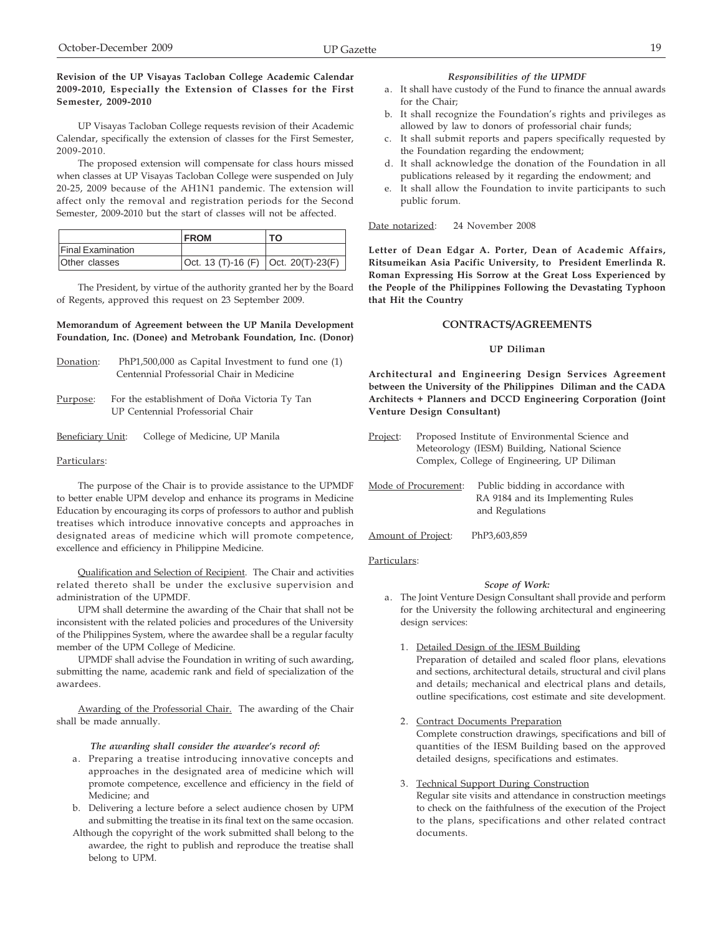## **Revision of the UP Visayas Tacloban College Academic Calendar 2009-2010, Especially the Extension of Classes for the First Semester, 2009-2010**

UP Visayas Tacloban College requests revision of their Academic Calendar, specifically the extension of classes for the First Semester, 2009-2010.

The proposed extension will compensate for class hours missed when classes at UP Visayas Tacloban College were suspended on July 20-25, 2009 because of the AH1N1 pandemic. The extension will affect only the removal and registration periods for the Second Semester, 2009-2010 but the start of classes will not be affected.

|                          | <b>FROM</b>                           | TO. |
|--------------------------|---------------------------------------|-----|
| <b>Final Examination</b> |                                       |     |
| Other classes            | Oct. 13 (T)-16 (F)   Oct. 20(T)-23(F) |     |

The President, by virtue of the authority granted her by the Board of Regents, approved this request on 23 September 2009.

#### **Memorandum of Agreement between the UP Manila Development Foundation, Inc. (Donee) and Metrobank Foundation, Inc. (Donor)**

| Donation: | $PhP1,500,000$ as Capital Investment to fund one $(1)$ |
|-----------|--------------------------------------------------------|
|           | Centennial Professorial Chair in Medicine              |

Purpose: For the establishment of Doña Victoria Ty Tan UP Centennial Professorial Chair

#### Beneficiary Unit: College of Medicine, UP Manila

## Particulars:

The purpose of the Chair is to provide assistance to the UPMDF to better enable UPM develop and enhance its programs in Medicine Education by encouraging its corps of professors to author and publish treatises which introduce innovative concepts and approaches in designated areas of medicine which will promote competence, excellence and efficiency in Philippine Medicine.

Qualification and Selection of Recipient. The Chair and activities related thereto shall be under the exclusive supervision and administration of the UPMDF.

UPM shall determine the awarding of the Chair that shall not be inconsistent with the related policies and procedures of the University of the Philippines System, where the awardee shall be a regular faculty member of the UPM College of Medicine.

UPMDF shall advise the Foundation in writing of such awarding, submitting the name, academic rank and field of specialization of the awardees.

Awarding of the Professorial Chair. The awarding of the Chair shall be made annually.

#### *The awarding shall consider the awardee's record of:*

- a. Preparing a treatise introducing innovative concepts and approaches in the designated area of medicine which will promote competence, excellence and efficiency in the field of Medicine; and
- b. Delivering a lecture before a select audience chosen by UPM and submitting the treatise in its final text on the same occasion.
- Although the copyright of the work submitted shall belong to the awardee, the right to publish and reproduce the treatise shall belong to UPM.

#### *Responsibilities of the UPMDF*

- a. It shall have custody of the Fund to finance the annual awards for the Chair;
- b. It shall recognize the Foundation's rights and privileges as allowed by law to donors of professorial chair funds;
- c. It shall submit reports and papers specifically requested by the Foundation regarding the endowment;
- d. It shall acknowledge the donation of the Foundation in all publications released by it regarding the endowment; and
- e. It shall allow the Foundation to invite participants to such public forum.

Date notarized: 24 November 2008

**Letter of Dean Edgar A. Porter, Dean of Academic Affairs, Ritsumeikan Asia Pacific University, to President Emerlinda R. Roman Expressing His Sorrow at the Great Loss Experienced by the People of the Philippines Following the Devastating Typhoon that Hit the Country**

## **CONTRACTS/AGREEMENTS**

## **UP Diliman**

**Architectural and Engineering Design Services Agreement between the University of the Philippines Diliman and the CADA Architects + Planners and DCCD Engineering Corporation (Joint Venture Design Consultant)**

- Project: Proposed Institute of Environmental Science and Meteorology (IESM) Building, National Science Complex, College of Engineering, UP Diliman
- Mode of Procurement: Public bidding in accordance with RA 9184 and its Implementing Rules and Regulations
- Amount of Project: PhP3,603,859

#### Particulars:

#### *Scope of Work:*

- a. The Joint Venture Design Consultant shall provide and perform for the University the following architectural and engineering design services:
	- 1. Detailed Design of the IESM Building

Preparation of detailed and scaled floor plans, elevations and sections, architectural details, structural and civil plans and details; mechanical and electrical plans and details, outline specifications, cost estimate and site development.

2. Contract Documents Preparation

Complete construction drawings, specifications and bill of quantities of the IESM Building based on the approved detailed designs, specifications and estimates.

3. Technical Support During Construction Regular site visits and attendance in construction meetings to check on the faithfulness of the execution of the Project to the plans, specifications and other related contract documents.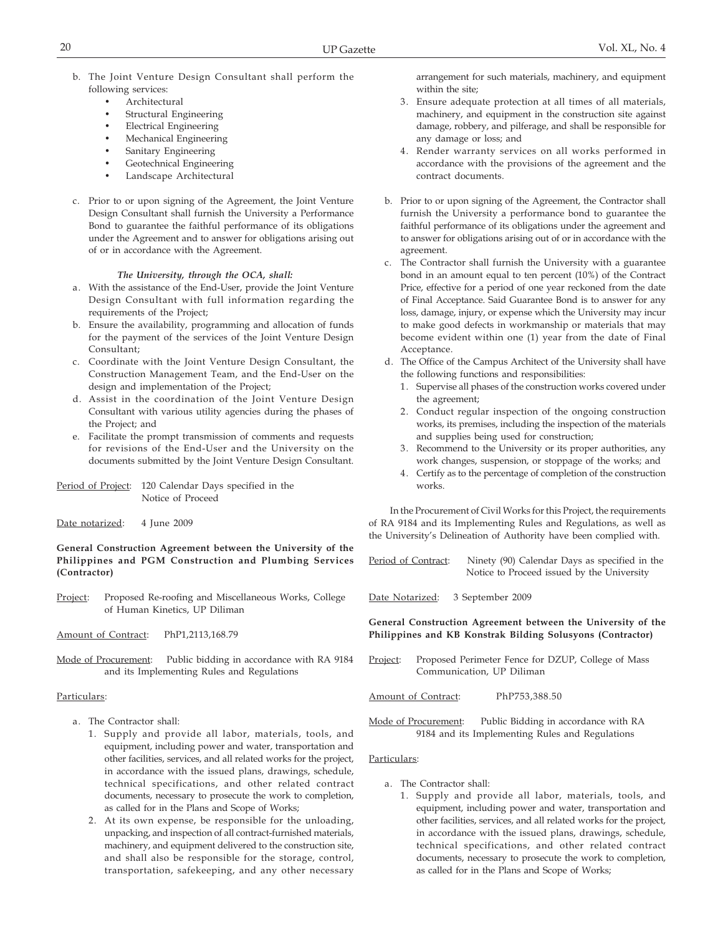- b. The Joint Venture Design Consultant shall perform the following services:
	- **Architectural**
	- Structural Engineering
	- Electrical Engineering
	- Mechanical Engineering
	- Sanitary Engineering
	- Geotechnical Engineering
	- Landscape Architectural
- c. Prior to or upon signing of the Agreement, the Joint Venture Design Consultant shall furnish the University a Performance Bond to guarantee the faithful performance of its obligations under the Agreement and to answer for obligations arising out of or in accordance with the Agreement.

#### *The University, through the OCA, shall:*

- a. With the assistance of the End-User, provide the Joint Venture Design Consultant with full information regarding the requirements of the Project;
- b. Ensure the availability, programming and allocation of funds for the payment of the services of the Joint Venture Design Consultant;
- c. Coordinate with the Joint Venture Design Consultant, the Construction Management Team, and the End-User on the design and implementation of the Project;
- d. Assist in the coordination of the Joint Venture Design Consultant with various utility agencies during the phases of the Project; and
- e. Facilitate the prompt transmission of comments and requests for revisions of the End-User and the University on the documents submitted by the Joint Venture Design Consultant.
- Period of Project: 120 Calendar Days specified in the Notice of Proceed
- Date notarized: 4 June 2009

**General Construction Agreement between the University of the Philippines and PGM Construction and Plumbing Services (Contractor)**

- Project: Proposed Re-roofing and Miscellaneous Works, College of Human Kinetics, UP Diliman
- Amount of Contract: PhP1,2113,168.79
- Mode of Procurement: Public bidding in accordance with RA 9184 and its Implementing Rules and Regulations

#### Particulars:

- a. The Contractor shall:
	- 1. Supply and provide all labor, materials, tools, and equipment, including power and water, transportation and other facilities, services, and all related works for the project, in accordance with the issued plans, drawings, schedule, technical specifications, and other related contract documents, necessary to prosecute the work to completion, as called for in the Plans and Scope of Works;
	- 2. At its own expense, be responsible for the unloading, unpacking, and inspection of all contract-furnished materials, machinery, and equipment delivered to the construction site, and shall also be responsible for the storage, control, transportation, safekeeping, and any other necessary

arrangement for such materials, machinery, and equipment within the site;

- 3. Ensure adequate protection at all times of all materials, machinery, and equipment in the construction site against damage, robbery, and pilferage, and shall be responsible for any damage or loss; and
- 4. Render warranty services on all works performed in accordance with the provisions of the agreement and the contract documents.
- b. Prior to or upon signing of the Agreement, the Contractor shall furnish the University a performance bond to guarantee the faithful performance of its obligations under the agreement and to answer for obligations arising out of or in accordance with the agreement.
- c. The Contractor shall furnish the University with a guarantee bond in an amount equal to ten percent (10%) of the Contract Price, effective for a period of one year reckoned from the date of Final Acceptance. Said Guarantee Bond is to answer for any loss, damage, injury, or expense which the University may incur to make good defects in workmanship or materials that may become evident within one (1) year from the date of Final Acceptance.
- d. The Office of the Campus Architect of the University shall have the following functions and responsibilities:
	- 1. Supervise all phases of the construction works covered under the agreement;
	- 2. Conduct regular inspection of the ongoing construction works, its premises, including the inspection of the materials and supplies being used for construction;
	- 3. Recommend to the University or its proper authorities, any work changes, suspension, or stoppage of the works; and
	- 4. Certify as to the percentage of completion of the construction works.

In the Procurement of Civil Works for this Project, the requirements of RA 9184 and its Implementing Rules and Regulations, as well as the University's Delineation of Authority have been complied with.

Period of Contract: Ninety (90) Calendar Days as specified in the Notice to Proceed issued by the University

Date Notarized: 3 September 2009

**General Construction Agreement between the University of the Philippines and KB Konstrak Bilding Solusyons (Contractor)**

- Project: Proposed Perimeter Fence for DZUP, College of Mass Communication, UP Diliman
- Amount of Contract: PhP753,388.50
- Mode of Procurement: Public Bidding in accordance with RA 9184 and its Implementing Rules and Regulations

#### Particulars:

- a. The Contractor shall:
	- 1. Supply and provide all labor, materials, tools, and equipment, including power and water, transportation and other facilities, services, and all related works for the project, in accordance with the issued plans, drawings, schedule, technical specifications, and other related contract documents, necessary to prosecute the work to completion, as called for in the Plans and Scope of Works;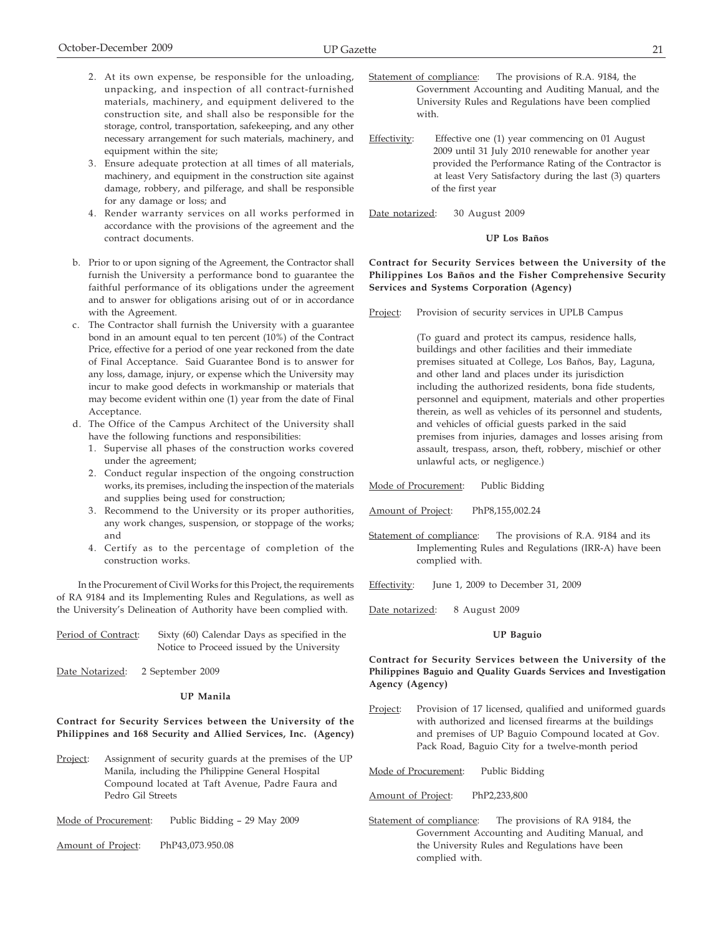- 2. At its own expense, be responsible for the unloading, unpacking, and inspection of all contract-furnished materials, machinery, and equipment delivered to the construction site, and shall also be responsible for the storage, control, transportation, safekeeping, and any other necessary arrangement for such materials, machinery, and equipment within the site;
- 3. Ensure adequate protection at all times of all materials, machinery, and equipment in the construction site against damage, robbery, and pilferage, and shall be responsible for any damage or loss; and
- 4. Render warranty services on all works performed in accordance with the provisions of the agreement and the contract documents.
- b. Prior to or upon signing of the Agreement, the Contractor shall furnish the University a performance bond to guarantee the faithful performance of its obligations under the agreement and to answer for obligations arising out of or in accordance with the Agreement.
- c. The Contractor shall furnish the University with a guarantee bond in an amount equal to ten percent (10%) of the Contract Price, effective for a period of one year reckoned from the date of Final Acceptance. Said Guarantee Bond is to answer for any loss, damage, injury, or expense which the University may incur to make good defects in workmanship or materials that may become evident within one (1) year from the date of Final Acceptance.
- d. The Office of the Campus Architect of the University shall have the following functions and responsibilities:
	- 1. Supervise all phases of the construction works covered under the agreement;
	- 2. Conduct regular inspection of the ongoing construction works, its premises, including the inspection of the materials and supplies being used for construction;
	- 3. Recommend to the University or its proper authorities, any work changes, suspension, or stoppage of the works; and
	- 4. Certify as to the percentage of completion of the construction works.

In the Procurement of Civil Works for this Project, the requirements of RA 9184 and its Implementing Rules and Regulations, as well as the University's Delineation of Authority have been complied with.

| Period of Contract: | Sixty (60) Calendar Days as specified in the |
|---------------------|----------------------------------------------|
|                     | Notice to Proceed issued by the University   |

Date Notarized: 2 September 2009

## **UP Manila**

## **Contract for Security Services between the University of the Philippines and 168 Security and Allied Services, Inc. (Agency)**

Project: Assignment of security guards at the premises of the UP Manila, including the Philippine General Hospital Compound located at Taft Avenue, Padre Faura and Pedro Gil Streets

Mode of Procurement: Public Bidding – 29 May 2009

Amount of Project: PhP43,073.950.08

- Statement of compliance: The provisions of R.A. 9184, the Government Accounting and Auditing Manual, and the University Rules and Regulations have been complied with.
- Effectivity: Effective one (1) year commencing on 01 August 2009 until 31 July 2010 renewable for another year provided the Performance Rating of the Contractor is at least Very Satisfactory during the last (3) quarters of the first year

#### **UP Los Baños**

**Contract for Security Services between the University of the Philippines Los Baños and the Fisher Comprehensive Security Services and Systems Corporation (Agency)**

Project: Provision of security services in UPLB Campus

(To guard and protect its campus, residence halls, buildings and other facilities and their immediate premises situated at College, Los Baños, Bay, Laguna, and other land and places under its jurisdiction including the authorized residents, bona fide students, personnel and equipment, materials and other properties therein, as well as vehicles of its personnel and students, and vehicles of official guests parked in the said premises from injuries, damages and losses arising from assault, trespass, arson, theft, robbery, mischief or other unlawful acts, or negligence.)

Mode of Procurement: Public Bidding

Amount of Project: PhP8,155,002.24

Statement of compliance: The provisions of R.A. 9184 and its Implementing Rules and Regulations (IRR-A) have been complied with.

Effectivity: June 1, 2009 to December 31, 2009

Date notarized: 8 August 2009

#### **UP Baguio**

**Contract for Security Services between the University of the Philippines Baguio and Quality Guards Services and Investigation Agency (Agency)**

Project: Provision of 17 licensed, qualified and uniformed guards with authorized and licensed firearms at the buildings and premises of UP Baguio Compound located at Gov. Pack Road, Baguio City for a twelve-month period

Mode of Procurement: Public Bidding

Amount of Project: PhP2,233,800

Statement of compliance: The provisions of RA 9184, the Government Accounting and Auditing Manual, and the University Rules and Regulations have been complied with.

Date notarized: 30 August 2009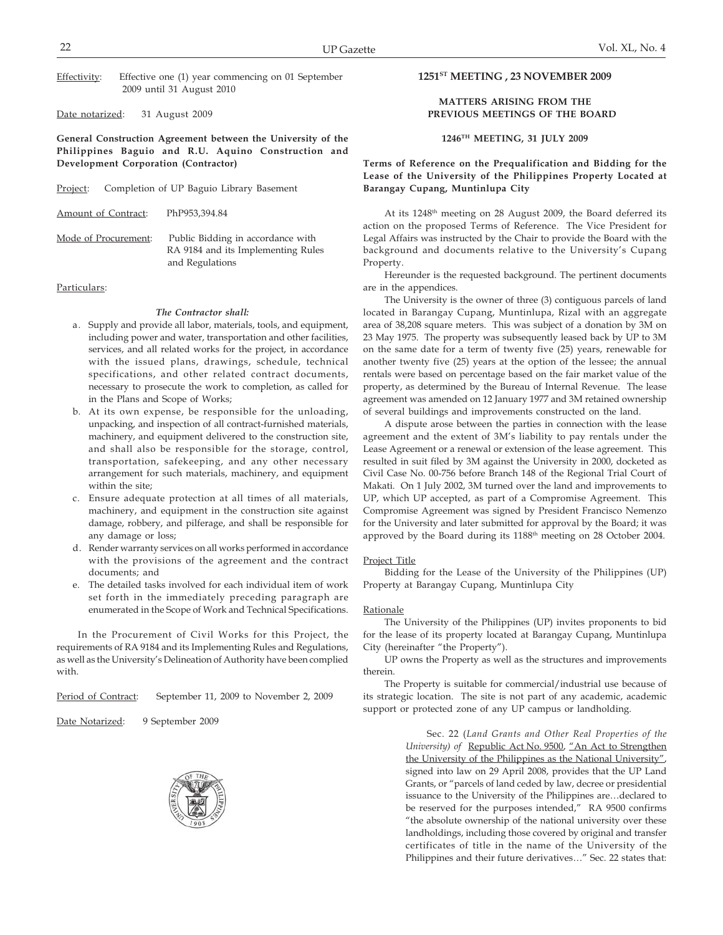Effectivity: Effective one (1) year commencing on 01 September 2009 until 31 August 2010

Date notarized: 31 August 2009

**General Construction Agreement between the University of the Philippines Baguio and R.U. Aquino Construction and Development Corporation (Contractor)**

|  | Project: | Completion of UP Baguio Library Basement |  |  |  |  |
|--|----------|------------------------------------------|--|--|--|--|
|--|----------|------------------------------------------|--|--|--|--|

Amount of Contract: PhP953,394.84

Mode of Procurement: Public Bidding in accordance with RA 9184 and its Implementing Rules and Regulations

#### Particulars:

#### *The Contractor shall:*

- a. Supply and provide all labor, materials, tools, and equipment, including power and water, transportation and other facilities, services, and all related works for the project, in accordance with the issued plans, drawings, schedule, technical specifications, and other related contract documents, necessary to prosecute the work to completion, as called for in the Plans and Scope of Works;
- b. At its own expense, be responsible for the unloading, unpacking, and inspection of all contract-furnished materials, machinery, and equipment delivered to the construction site, and shall also be responsible for the storage, control, transportation, safekeeping, and any other necessary arrangement for such materials, machinery, and equipment within the site;
- c. Ensure adequate protection at all times of all materials, machinery, and equipment in the construction site against damage, robbery, and pilferage, and shall be responsible for any damage or loss;
- d. Render warranty services on all works performed in accordance with the provisions of the agreement and the contract documents; and
- e. The detailed tasks involved for each individual item of work set forth in the immediately preceding paragraph are enumerated in the Scope of Work and Technical Specifications.

In the Procurement of Civil Works for this Project, the requirements of RA 9184 and its Implementing Rules and Regulations, as well as the University's Delineation of Authority have been complied with.

Period of Contract: September 11, 2009 to November 2, 2009

Date Notarized: 9 September 2009



## **1251ST MEETING , 23 NOVEMBER 2009**

#### **MATTERS ARISING FROM THE PREVIOUS MEETINGS OF THE BOARD**

#### **1246TH MEETING, 31 JULY 2009**

## **Terms of Reference on the Prequalification and Bidding for the Lease of the University of the Philippines Property Located at Barangay Cupang, Muntinlupa City**

At its 1248th meeting on 28 August 2009, the Board deferred its action on the proposed Terms of Reference. The Vice President for Legal Affairs was instructed by the Chair to provide the Board with the background and documents relative to the University's Cupang Property.

Hereunder is the requested background. The pertinent documents are in the appendices.

The University is the owner of three (3) contiguous parcels of land located in Barangay Cupang, Muntinlupa, Rizal with an aggregate area of 38,208 square meters. This was subject of a donation by 3M on 23 May 1975. The property was subsequently leased back by UP to 3M on the same date for a term of twenty five (25) years, renewable for another twenty five (25) years at the option of the lessee; the annual rentals were based on percentage based on the fair market value of the property, as determined by the Bureau of Internal Revenue. The lease agreement was amended on 12 January 1977 and 3M retained ownership of several buildings and improvements constructed on the land.

A dispute arose between the parties in connection with the lease agreement and the extent of 3M's liability to pay rentals under the Lease Agreement or a renewal or extension of the lease agreement. This resulted in suit filed by 3M against the University in 2000, docketed as Civil Case No. 00-756 before Branch 148 of the Regional Trial Court of Makati. On 1 July 2002, 3M turned over the land and improvements to UP, which UP accepted, as part of a Compromise Agreement. This Compromise Agreement was signed by President Francisco Nemenzo for the University and later submitted for approval by the Board; it was approved by the Board during its 1188<sup>th</sup> meeting on 28 October 2004.

#### Project Title

Bidding for the Lease of the University of the Philippines (UP) Property at Barangay Cupang, Muntinlupa City

#### **Rationale**

The University of the Philippines (UP) invites proponents to bid for the lease of its property located at Barangay Cupang, Muntinlupa City (hereinafter "the Property").

UP owns the Property as well as the structures and improvements therein.

The Property is suitable for commercial/industrial use because of its strategic location. The site is not part of any academic, academic support or protected zone of any UP campus or landholding.

> Sec. 22 (*Land Grants and Other Real Properties of the University) of* Republic Act No. 9500, "An Act to Strengthen the University of the Philippines as the National University", signed into law on 29 April 2008, provides that the UP Land Grants, or "parcels of land ceded by law, decree or presidential issuance to the University of the Philippines are…declared to be reserved for the purposes intended," RA 9500 confirms "the absolute ownership of the national university over these landholdings, including those covered by original and transfer certificates of title in the name of the University of the Philippines and their future derivatives…" Sec. 22 states that: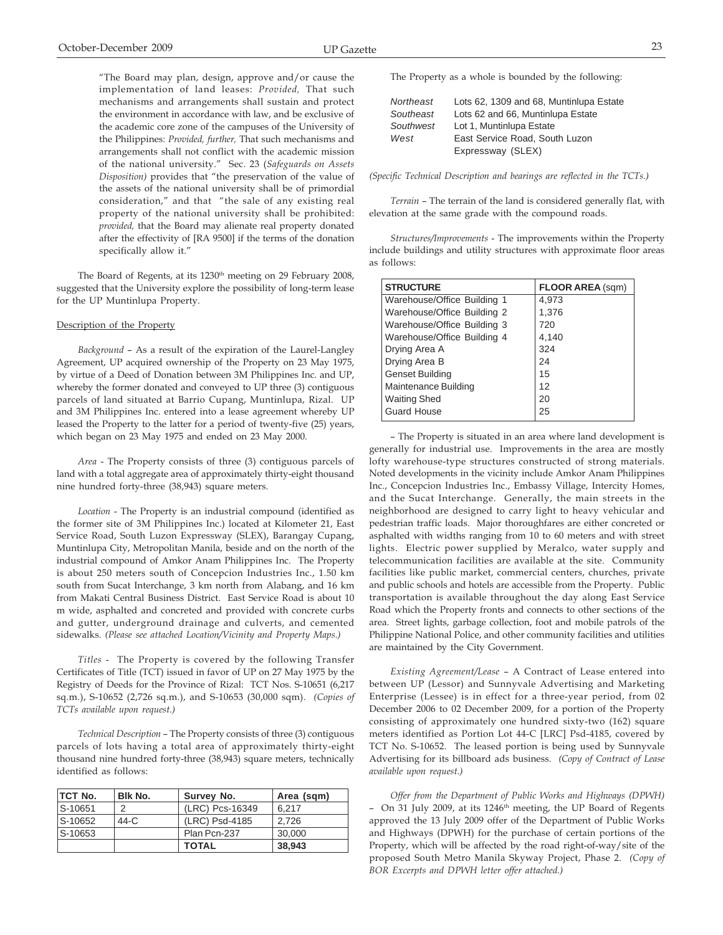"The Board may plan, design, approve and/or cause the implementation of land leases: *Provided,* That such mechanisms and arrangements shall sustain and protect the environment in accordance with law, and be exclusive of the academic core zone of the campuses of the University of the Philippines: *Provided, further,* That such mechanisms and arrangements shall not conflict with the academic mission of the national university." Sec. 23 (*Safeguards on Assets Disposition)* provides that "the preservation of the value of the assets of the national university shall be of primordial consideration," and that "the sale of any existing real property of the national university shall be prohibited: *provided,* that the Board may alienate real property donated after the effectivity of [RA 9500] if the terms of the donation specifically allow it."

The Board of Regents, at its 1230<sup>th</sup> meeting on 29 February 2008, suggested that the University explore the possibility of long-term lease for the UP Muntinlupa Property.

#### Description of the Property

*Background* – As a result of the expiration of the Laurel-Langley Agreement, UP acquired ownership of the Property on 23 May 1975, by virtue of a Deed of Donation between 3M Philippines Inc. and UP, whereby the former donated and conveyed to UP three (3) contiguous parcels of land situated at Barrio Cupang, Muntinlupa, Rizal. UP and 3M Philippines Inc. entered into a lease agreement whereby UP leased the Property to the latter for a period of twenty-five (25) years, which began on 23 May 1975 and ended on 23 May 2000.

*Area* - The Property consists of three (3) contiguous parcels of land with a total aggregate area of approximately thirty-eight thousand nine hundred forty-three (38,943) square meters.

*Location* - The Property is an industrial compound (identified as the former site of 3M Philippines Inc.) located at Kilometer 21, East Service Road, South Luzon Expressway (SLEX), Barangay Cupang, Muntinlupa City, Metropolitan Manila, beside and on the north of the industrial compound of Amkor Anam Philippines Inc. The Property is about 250 meters south of Concepcion Industries Inc., 1.50 km south from Sucat Interchange, 3 km north from Alabang, and 16 km from Makati Central Business District. East Service Road is about 10 m wide, asphalted and concreted and provided with concrete curbs and gutter, underground drainage and culverts, and cemented sidewalks. *(Please see attached Location/Vicinity and Property Maps.)*

*Titles* - The Property is covered by the following Transfer Certificates of Title (TCT) issued in favor of UP on 27 May 1975 by the Registry of Deeds for the Province of Rizal: TCT Nos. S-10651 (6,217 sq.m.), S-10652 (2,726 sq.m.), and S-10653 (30,000 sqm). *(Copies of TCTs available upon request.)*

*Technical Description* – The Property consists of three (3) contiguous parcels of lots having a total area of approximately thirty-eight thousand nine hundred forty-three (38,943) square meters, technically identified as follows:

| <b>TCT No.</b> | Blk No. | Survey No.      | Area (sqm) |
|----------------|---------|-----------------|------------|
| S-10651        | ⌒       | (LRC) Pcs-16349 | 6.217      |
| S-10652        | 44-C    | (LRC) Psd-4185  | 2.726      |
| S-10653        |         | Plan Pcn-237    | 30,000     |
|                |         | <b>TOTAL</b>    | 38.943     |

The Property as a whole is bounded by the following:

| Northeast | Lots 62, 1309 and 68, Muntinlupa Estate |
|-----------|-----------------------------------------|
| Southeast | Lots 62 and 66, Muntinlupa Estate       |
| Southwest | Lot 1, Muntinlupa Estate                |
| West      | East Service Road. South Luzon          |
|           | Expressway (SLEX)                       |
|           |                                         |

*(Specific Technical Description and bearings are reflected in the TCTs.)*

*Terrain* – The terrain of the land is considered generally flat, with elevation at the same grade with the compound roads.

*Structures/Improvements* - The improvements within the Property include buildings and utility structures with approximate floor areas as follows:

| <b>STRUCTURE</b>            | <b>FLOOR AREA (sqm)</b> |
|-----------------------------|-------------------------|
| Warehouse/Office Building 1 | 4,973                   |
| Warehouse/Office Building 2 | 1,376                   |
| Warehouse/Office Building 3 | 720                     |
| Warehouse/Office Building 4 | 4,140                   |
| Drying Area A               | 324                     |
| Drying Area B               | 24                      |
| <b>Genset Building</b>      | 15                      |
| Maintenance Building        | 12                      |
| <b>Waiting Shed</b>         | 20                      |
| <b>Guard House</b>          | 25                      |

– The Property is situated in an area where land development is generally for industrial use. Improvements in the area are mostly lofty warehouse-type structures constructed of strong materials. Noted developments in the vicinity include Amkor Anam Philippines Inc., Concepcion Industries Inc., Embassy Village, Intercity Homes, and the Sucat Interchange. Generally, the main streets in the neighborhood are designed to carry light to heavy vehicular and pedestrian traffic loads. Major thoroughfares are either concreted or asphalted with widths ranging from 10 to 60 meters and with street lights. Electric power supplied by Meralco, water supply and telecommunication facilities are available at the site. Community facilities like public market, commercial centers, churches, private and public schools and hotels are accessible from the Property. Public transportation is available throughout the day along East Service Road which the Property fronts and connects to other sections of the area. Street lights, garbage collection, foot and mobile patrols of the Philippine National Police, and other community facilities and utilities are maintained by the City Government.

*Existing Agreement/Lease* – A Contract of Lease entered into between UP (Lessor) and Sunnyvale Advertising and Marketing Enterprise (Lessee) is in effect for a three-year period, from 02 December 2006 to 02 December 2009, for a portion of the Property consisting of approximately one hundred sixty-two (162) square meters identified as Portion Lot 44-C [LRC] Psd-4185, covered by TCT No. S-10652. The leased portion is being used by Sunnyvale Advertising for its billboard ads business. *(Copy of Contract of Lease available upon request.)*

*Offer from the Department of Public Works and Highways (DPWH)* - On 31 July 2009, at its  $1246<sup>th</sup>$  meeting, the UP Board of Regents approved the 13 July 2009 offer of the Department of Public Works and Highways (DPWH) for the purchase of certain portions of the Property, which will be affected by the road right-of-way/site of the proposed South Metro Manila Skyway Project, Phase 2. *(Copy of BOR Excerpts and DPWH letter offer attached.)*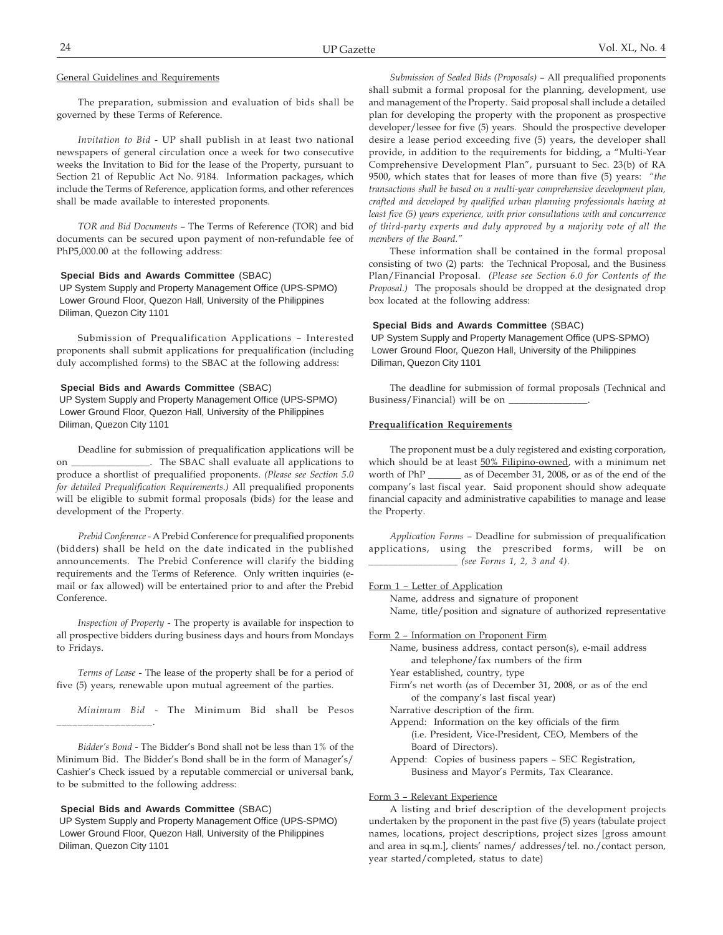#### General Guidelines and Requirements

The preparation, submission and evaluation of bids shall be governed by these Terms of Reference.

*Invitation to Bid* - UP shall publish in at least two national newspapers of general circulation once a week for two consecutive weeks the Invitation to Bid for the lease of the Property, pursuant to Section 21 of Republic Act No. 9184. Information packages, which include the Terms of Reference, application forms, and other references shall be made available to interested proponents.

*TOR and Bid Documents* – The Terms of Reference (TOR) and bid documents can be secured upon payment of non-refundable fee of PhP5,000.00 at the following address:

#### **Special Bids and Awards Committee** (SBAC)

 UP System Supply and Property Management Office (UPS-SPMO) Lower Ground Floor, Quezon Hall, University of the Philippines Diliman, Quezon City 1101

Submission of Prequalification Applications – Interested proponents shall submit applications for prequalification (including duly accomplished forms) to the SBAC at the following address:

#### **Special Bids and Awards Committee** (SBAC)

 UP System Supply and Property Management Office (UPS-SPMO) Lower Ground Floor, Quezon Hall, University of the Philippines Diliman, Quezon City 1101

Deadline for submission of prequalification applications will be on \_\_\_\_\_\_\_\_\_\_\_\_\_\_\_\_. The SBAC shall evaluate all applications to produce a shortlist of prequalified proponents. *(Please see Section 5.0 for detailed Prequalification Requirements.)* All prequalified proponents will be eligible to submit formal proposals (bids) for the lease and development of the Property.

*Prebid Conference* - A Prebid Conference for prequalified proponents (bidders) shall be held on the date indicated in the published announcements. The Prebid Conference will clarify the bidding requirements and the Terms of Reference. Only written inquiries (email or fax allowed) will be entertained prior to and after the Prebid Conference.

*Inspection of Property* - The property is available for inspection to all prospective bidders during business days and hours from Mondays to Fridays.

*Terms of Lease* - The lease of the property shall be for a period of five (5) years, renewable upon mutual agreement of the parties.

*Minimum Bid* - The Minimum Bid shall be Pesos

*Bidder's Bond* - The Bidder's Bond shall not be less than 1% of the Minimum Bid. The Bidder's Bond shall be in the form of Manager's/ Cashier's Check issued by a reputable commercial or universal bank, to be submitted to the following address:

#### **Special Bids and Awards Committee** (SBAC)

\_\_\_\_\_\_\_\_\_\_\_\_\_\_\_\_\_\_.

 UP System Supply and Property Management Office (UPS-SPMO) Lower Ground Floor, Quezon Hall, University of the Philippines Diliman, Quezon City 1101

*Submission of Sealed Bids (Proposals)* – All prequalified proponents shall submit a formal proposal for the planning, development, use and management of the Property. Said proposal shall include a detailed plan for developing the property with the proponent as prospective developer/lessee for five (5) years. Should the prospective developer desire a lease period exceeding five (5) years, the developer shall provide, in addition to the requirements for bidding, a "Multi-Year Comprehensive Development Plan", pursuant to Sec. 23(b) of RA 9500, which states that for leases of more than five (5) years: *"the transactions shall be based on a multi-year comprehensive development plan, crafted and developed by qualified urban planning professionals having at least five (5) years experience, with prior consultations with and concurrence of third-party experts and duly approved by a majority vote of all the members of the Board."*

These information shall be contained in the formal proposal consisting of two (2) parts: the Technical Proposal, and the Business Plan/Financial Proposal. *(Please see Section 6.0 for Contents of the Proposal.)* The proposals should be dropped at the designated drop box located at the following address:

#### **Special Bids and Awards Committee** (SBAC)

 UP System Supply and Property Management Office (UPS-SPMO) Lower Ground Floor, Quezon Hall, University of the Philippines Diliman, Quezon City 1101

The deadline for submission of formal proposals (Technical and Business/Financial) will be on

#### **Prequalification Requirements**

The proponent must be a duly registered and existing corporation, which should be at least 50% Filipino-owned, with a minimum net worth of PhP \_\_\_\_\_\_\_ as of December 31, 2008, or as of the end of the company's last fiscal year. Said proponent should show adequate financial capacity and administrative capabilities to manage and lease the Property.

*Application Forms* – Deadline for submission of prequalification applications, using the prescribed forms, will be on \_\_\_\_\_\_\_\_\_\_\_\_\_\_\_\_\_\_ *(see Forms 1, 2, 3 and 4).*

Form 1 – Letter of Application

Name, address and signature of proponent

Name, title/position and signature of authorized representative

Form 2 – Information on Proponent Firm

- Name, business address, contact person(s), e-mail address and telephone/fax numbers of the firm
- Year established, country, type
- Firm's net worth (as of December 31, 2008, or as of the end of the company's last fiscal year)
- Narrative description of the firm.
- Append: Information on the key officials of the firm (i.e. President, Vice-President, CEO, Members of the Board of Directors).
- Append: Copies of business papers SEC Registration, Business and Mayor's Permits, Tax Clearance.

#### Form 3 – Relevant Experience

A listing and brief description of the development projects undertaken by the proponent in the past five (5) years (tabulate project names, locations, project descriptions, project sizes [gross amount and area in sq.m.], clients' names/ addresses/tel. no./contact person, year started/completed, status to date)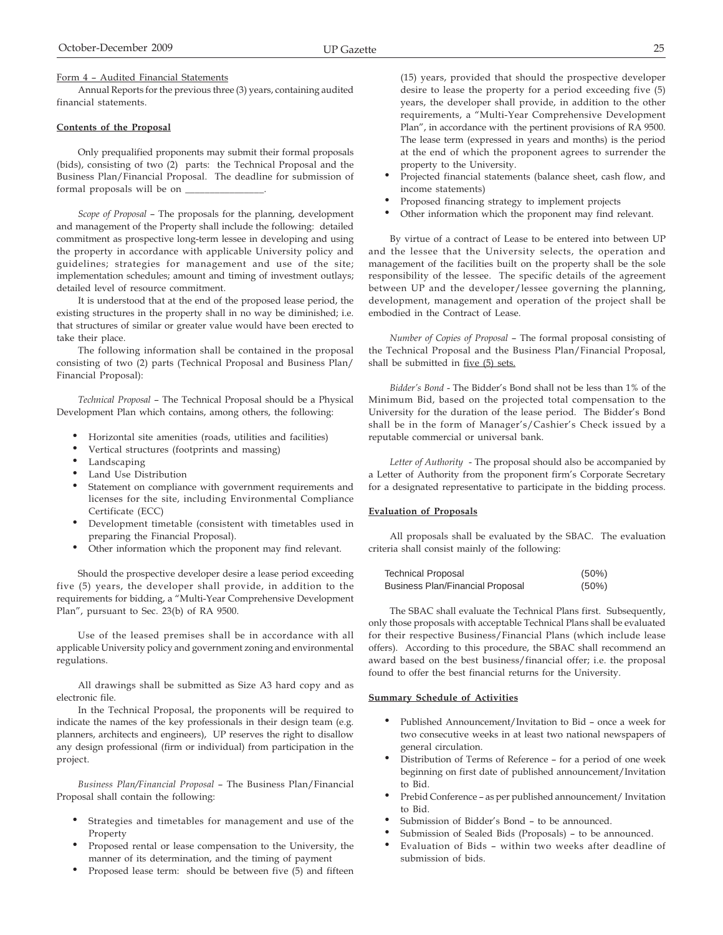Form 4 – Audited Financial Statements

Annual Reports for the previous three (3) years, containing audited financial statements.

#### **Contents of the Proposal**

Only prequalified proponents may submit their formal proposals (bids), consisting of two (2) parts: the Technical Proposal and the Business Plan/Financial Proposal. The deadline for submission of formal proposals will be on

*Scope of Proposal* – The proposals for the planning, development and management of the Property shall include the following: detailed commitment as prospective long-term lessee in developing and using the property in accordance with applicable University policy and guidelines; strategies for management and use of the site; implementation schedules; amount and timing of investment outlays; detailed level of resource commitment.

It is understood that at the end of the proposed lease period, the existing structures in the property shall in no way be diminished; i.e. that structures of similar or greater value would have been erected to take their place.

The following information shall be contained in the proposal consisting of two (2) parts (Technical Proposal and Business Plan/ Financial Proposal):

*Technical Proposal* – The Technical Proposal should be a Physical Development Plan which contains, among others, the following:

- Horizontal site amenities (roads, utilities and facilities)
- Vertical structures (footprints and massing)
- Landscaping
- Land Use Distribution
- Statement on compliance with government requirements and licenses for the site, including Environmental Compliance Certificate (ECC)
- Development timetable (consistent with timetables used in preparing the Financial Proposal).
- Other information which the proponent may find relevant.

Should the prospective developer desire a lease period exceeding five (5) years, the developer shall provide, in addition to the requirements for bidding, a "Multi-Year Comprehensive Development Plan", pursuant to Sec. 23(b) of RA 9500.

Use of the leased premises shall be in accordance with all applicable University policy and government zoning and environmental regulations.

All drawings shall be submitted as Size A3 hard copy and as electronic file.

In the Technical Proposal, the proponents will be required to indicate the names of the key professionals in their design team (e.g. planners, architects and engineers), UP reserves the right to disallow any design professional (firm or individual) from participation in the project.

*Business Plan/Financial Proposal* – The Business Plan/Financial Proposal shall contain the following:

- Strategies and timetables for management and use of the Property
- Proposed rental or lease compensation to the University, the manner of its determination, and the timing of payment
- Proposed lease term: should be between five (5) and fifteen

(15) years, provided that should the prospective developer desire to lease the property for a period exceeding five (5) years, the developer shall provide, in addition to the other requirements, a "Multi-Year Comprehensive Development Plan", in accordance with the pertinent provisions of RA 9500. The lease term (expressed in years and months) is the period at the end of which the proponent agrees to surrender the property to the University.

- Projected financial statements (balance sheet, cash flow, and income statements)
- Proposed financing strategy to implement projects
- Other information which the proponent may find relevant.

By virtue of a contract of Lease to be entered into between UP and the lessee that the University selects, the operation and management of the facilities built on the property shall be the sole responsibility of the lessee. The specific details of the agreement between UP and the developer/lessee governing the planning, development, management and operation of the project shall be embodied in the Contract of Lease.

*Number of Copies of Proposal* – The formal proposal consisting of the Technical Proposal and the Business Plan/Financial Proposal, shall be submitted in five (5) sets.

*Bidder's Bond* - The Bidder's Bond shall not be less than 1% of the Minimum Bid, based on the projected total compensation to the University for the duration of the lease period. The Bidder's Bond shall be in the form of Manager's/Cashier's Check issued by a reputable commercial or universal bank.

*Letter of Authority* - The proposal should also be accompanied by a Letter of Authority from the proponent firm's Corporate Secretary for a designated representative to participate in the bidding process.

## **Evaluation of Proposals**

All proposals shall be evaluated by the SBAC. The evaluation criteria shall consist mainly of the following:

| <b>Technical Proposal</b>               | $(50\%)$ |
|-----------------------------------------|----------|
| <b>Business Plan/Financial Proposal</b> | $(50\%)$ |

The SBAC shall evaluate the Technical Plans first. Subsequently, only those proposals with acceptable Technical Plans shall be evaluated for their respective Business/Financial Plans (which include lease offers). According to this procedure, the SBAC shall recommend an award based on the best business/financial offer; i.e. the proposal found to offer the best financial returns for the University.

#### **Summary Schedule of Activities**

- Published Announcement/Invitation to Bid once a week for two consecutive weeks in at least two national newspapers of general circulation.
- Distribution of Terms of Reference for a period of one week beginning on first date of published announcement/Invitation to Bid.
- Prebid Conference as per published announcement/ Invitation to Bid.
- Submission of Bidder's Bond to be announced.
- Submission of Sealed Bids (Proposals) to be announced.
- Evaluation of Bids within two weeks after deadline of submission of bids.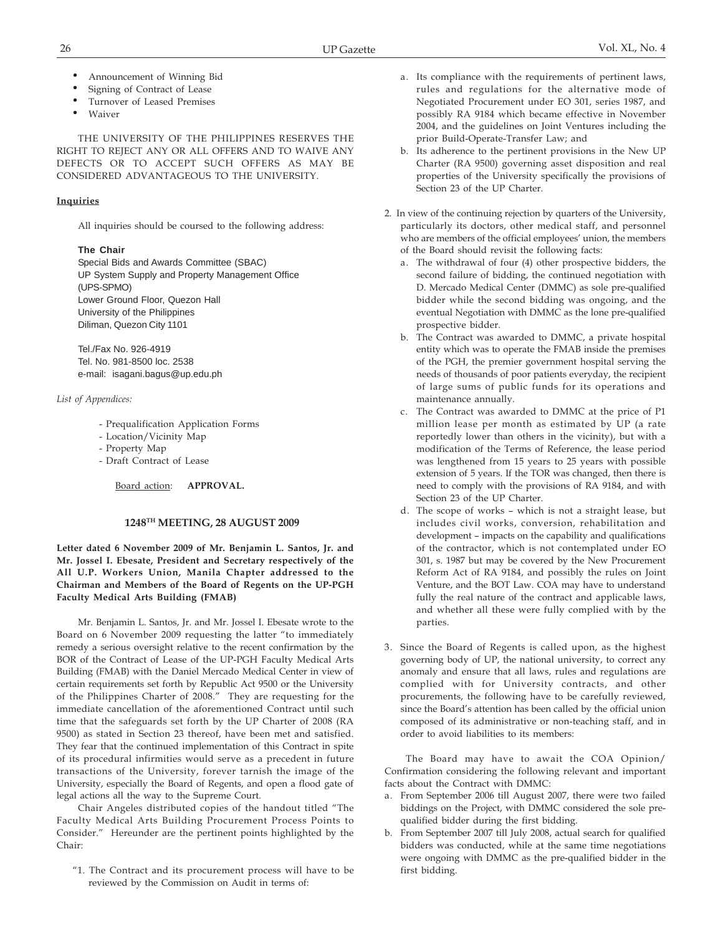- Announcement of Winning Bid
- Signing of Contract of Lease
- Turnover of Leased Premises
- Waiver

THE UNIVERSITY OF THE PHILIPPINES RESERVES THE RIGHT TO REJECT ANY OR ALL OFFERS AND TO WAIVE ANY DEFECTS OR TO ACCEPT SUCH OFFERS AS MAY BE CONSIDERED ADVANTAGEOUS TO THE UNIVERSITY.

## **Inquiries**

All inquiries should be coursed to the following address:

## **The Chair**

Special Bids and Awards Committee (SBAC) UP System Supply and Property Management Office (UPS-SPMO) Lower Ground Floor, Quezon Hall University of the Philippines Diliman, Quezon City 1101

Tel./Fax No. 926-4919 Tel. No. 981-8500 loc. 2538 e-mail: isagani.bagus@up.edu.ph

## *List of Appendices:*

- Prequalification Application Forms
- Location/Vicinity Map
- Property Map
- Draft Contract of Lease

Board action: **APPROVAL.**

#### **1248TH MEETING, 28 AUGUST 2009**

**Letter dated 6 November 2009 of Mr. Benjamin L. Santos, Jr. and Mr. Jossel I. Ebesate, President and Secretary respectively of the All U.P. Workers Union, Manila Chapter addressed to the Chairman and Members of the Board of Regents on the UP-PGH Faculty Medical Arts Building (FMAB)**

Mr. Benjamin L. Santos, Jr. and Mr. Jossel I. Ebesate wrote to the Board on 6 November 2009 requesting the latter "to immediately remedy a serious oversight relative to the recent confirmation by the BOR of the Contract of Lease of the UP-PGH Faculty Medical Arts Building (FMAB) with the Daniel Mercado Medical Center in view of certain requirements set forth by Republic Act 9500 or the University of the Philippines Charter of 2008." They are requesting for the immediate cancellation of the aforementioned Contract until such time that the safeguards set forth by the UP Charter of 2008 (RA 9500) as stated in Section 23 thereof, have been met and satisfied. They fear that the continued implementation of this Contract in spite of its procedural infirmities would serve as a precedent in future transactions of the University, forever tarnish the image of the University, especially the Board of Regents, and open a flood gate of legal actions all the way to the Supreme Court.

Chair Angeles distributed copies of the handout titled "The Faculty Medical Arts Building Procurement Process Points to Consider." Hereunder are the pertinent points highlighted by the Chair:

"1. The Contract and its procurement process will have to be reviewed by the Commission on Audit in terms of:

- a. Its compliance with the requirements of pertinent laws, rules and regulations for the alternative mode of Negotiated Procurement under EO 301, series 1987, and possibly RA 9184 which became effective in November 2004, and the guidelines on Joint Ventures including the prior Build-Operate-Transfer Law; and
- b. Its adherence to the pertinent provisions in the New UP Charter (RA 9500) governing asset disposition and real properties of the University specifically the provisions of Section 23 of the UP Charter.
- 2. In view of the continuing rejection by quarters of the University, particularly its doctors, other medical staff, and personnel who are members of the official employees' union, the members of the Board should revisit the following facts:
	- a. The withdrawal of four (4) other prospective bidders, the second failure of bidding, the continued negotiation with D. Mercado Medical Center (DMMC) as sole pre-qualified bidder while the second bidding was ongoing, and the eventual Negotiation with DMMC as the lone pre-qualified prospective bidder.
	- b. The Contract was awarded to DMMC, a private hospital entity which was to operate the FMAB inside the premises of the PGH, the premier government hospital serving the needs of thousands of poor patients everyday, the recipient of large sums of public funds for its operations and maintenance annually.
	- c. The Contract was awarded to DMMC at the price of P1 million lease per month as estimated by UP (a rate reportedly lower than others in the vicinity), but with a modification of the Terms of Reference, the lease period was lengthened from 15 years to 25 years with possible extension of 5 years. If the TOR was changed, then there is need to comply with the provisions of RA 9184, and with Section 23 of the UP Charter.
	- d. The scope of works which is not a straight lease, but includes civil works, conversion, rehabilitation and development – impacts on the capability and qualifications of the contractor, which is not contemplated under EO 301, s. 1987 but may be covered by the New Procurement Reform Act of RA 9184, and possibly the rules on Joint Venture, and the BOT Law. COA may have to understand fully the real nature of the contract and applicable laws, and whether all these were fully complied with by the parties.
- 3. Since the Board of Regents is called upon, as the highest governing body of UP, the national university, to correct any anomaly and ensure that all laws, rules and regulations are complied with for University contracts, and other procurements, the following have to be carefully reviewed, since the Board's attention has been called by the official union composed of its administrative or non-teaching staff, and in order to avoid liabilities to its members:

The Board may have to await the COA Opinion/ Confirmation considering the following relevant and important facts about the Contract with DMMC:

- a. From September 2006 till August 2007, there were two failed biddings on the Project, with DMMC considered the sole prequalified bidder during the first bidding.
- b. From September 2007 till July 2008, actual search for qualified bidders was conducted, while at the same time negotiations were ongoing with DMMC as the pre-qualified bidder in the first bidding.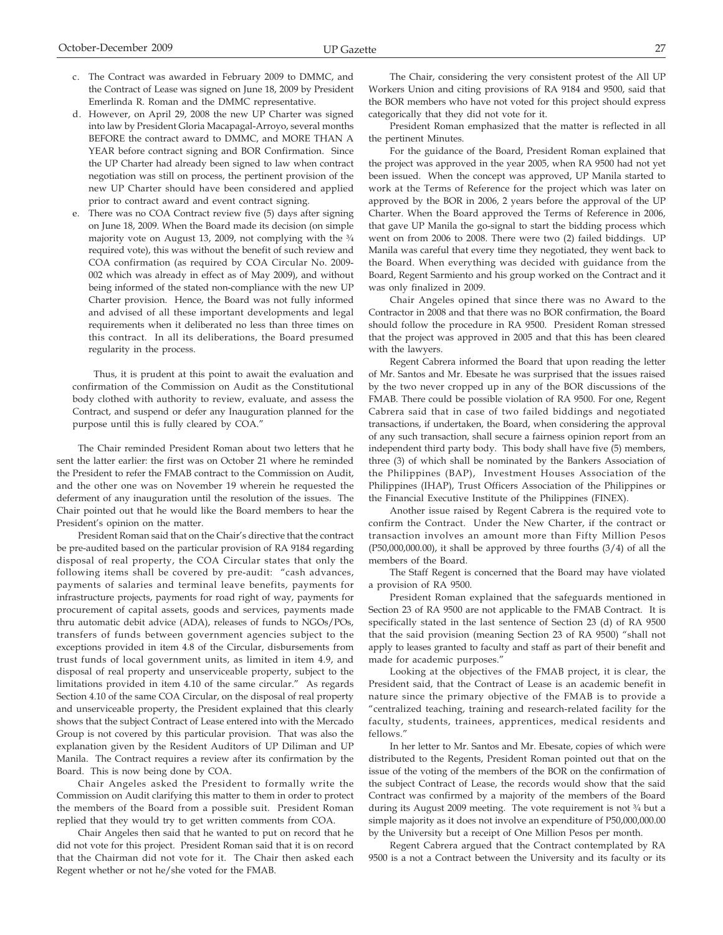- c. The Contract was awarded in February 2009 to DMMC, and the Contract of Lease was signed on June 18, 2009 by President Emerlinda R. Roman and the DMMC representative.
- d. However, on April 29, 2008 the new UP Charter was signed into law by President Gloria Macapagal-Arroyo, several months BEFORE the contract award to DMMC, and MORE THAN A YEAR before contract signing and BOR Confirmation. Since the UP Charter had already been signed to law when contract negotiation was still on process, the pertinent provision of the new UP Charter should have been considered and applied prior to contract award and event contract signing.
- e. There was no COA Contract review five (5) days after signing on June 18, 2009. When the Board made its decision (on simple majority vote on August 13, 2009, not complying with the  $\frac{3}{4}$ required vote), this was without the benefit of such review and COA confirmation (as required by COA Circular No. 2009- 002 which was already in effect as of May 2009), and without being informed of the stated non-compliance with the new UP Charter provision. Hence, the Board was not fully informed and advised of all these important developments and legal requirements when it deliberated no less than three times on this contract. In all its deliberations, the Board presumed regularity in the process.

Thus, it is prudent at this point to await the evaluation and confirmation of the Commission on Audit as the Constitutional body clothed with authority to review, evaluate, and assess the Contract, and suspend or defer any Inauguration planned for the purpose until this is fully cleared by COA."

The Chair reminded President Roman about two letters that he sent the latter earlier: the first was on October 21 where he reminded the President to refer the FMAB contract to the Commission on Audit, and the other one was on November 19 wherein he requested the deferment of any inauguration until the resolution of the issues. The Chair pointed out that he would like the Board members to hear the President's opinion on the matter.

President Roman said that on the Chair's directive that the contract be pre-audited based on the particular provision of RA 9184 regarding disposal of real property, the COA Circular states that only the following items shall be covered by pre-audit: "cash advances, payments of salaries and terminal leave benefits, payments for infrastructure projects, payments for road right of way, payments for procurement of capital assets, goods and services, payments made thru automatic debit advice (ADA), releases of funds to NGOs/POs, transfers of funds between government agencies subject to the exceptions provided in item 4.8 of the Circular, disbursements from trust funds of local government units, as limited in item 4.9, and disposal of real property and unserviceable property, subject to the limitations provided in item 4.10 of the same circular." As regards Section 4.10 of the same COA Circular, on the disposal of real property and unserviceable property, the President explained that this clearly shows that the subject Contract of Lease entered into with the Mercado Group is not covered by this particular provision. That was also the explanation given by the Resident Auditors of UP Diliman and UP Manila. The Contract requires a review after its confirmation by the Board. This is now being done by COA.

Chair Angeles asked the President to formally write the Commission on Audit clarifying this matter to them in order to protect the members of the Board from a possible suit. President Roman replied that they would try to get written comments from COA.

Chair Angeles then said that he wanted to put on record that he did not vote for this project. President Roman said that it is on record that the Chairman did not vote for it. The Chair then asked each Regent whether or not he/she voted for the FMAB.

The Chair, considering the very consistent protest of the All UP Workers Union and citing provisions of RA 9184 and 9500, said that the BOR members who have not voted for this project should express categorically that they did not vote for it.

President Roman emphasized that the matter is reflected in all the pertinent Minutes.

For the guidance of the Board, President Roman explained that the project was approved in the year 2005, when RA 9500 had not yet been issued. When the concept was approved, UP Manila started to work at the Terms of Reference for the project which was later on approved by the BOR in 2006, 2 years before the approval of the UP Charter. When the Board approved the Terms of Reference in 2006, that gave UP Manila the go-signal to start the bidding process which went on from 2006 to 2008. There were two (2) failed biddings. UP Manila was careful that every time they negotiated, they went back to the Board. When everything was decided with guidance from the Board, Regent Sarmiento and his group worked on the Contract and it was only finalized in 2009.

Chair Angeles opined that since there was no Award to the Contractor in 2008 and that there was no BOR confirmation, the Board should follow the procedure in RA 9500. President Roman stressed that the project was approved in 2005 and that this has been cleared with the lawyers.

Regent Cabrera informed the Board that upon reading the letter of Mr. Santos and Mr. Ebesate he was surprised that the issues raised by the two never cropped up in any of the BOR discussions of the FMAB. There could be possible violation of RA 9500. For one, Regent Cabrera said that in case of two failed biddings and negotiated transactions, if undertaken, the Board, when considering the approval of any such transaction, shall secure a fairness opinion report from an independent third party body. This body shall have five (5) members, three (3) of which shall be nominated by the Bankers Association of the Philippines (BAP), Investment Houses Association of the Philippines (IHAP), Trust Officers Association of the Philippines or the Financial Executive Institute of the Philippines (FINEX).

Another issue raised by Regent Cabrera is the required vote to confirm the Contract. Under the New Charter, if the contract or transaction involves an amount more than Fifty Million Pesos  $(P50,000,000.00)$ , it shall be approved by three fourths  $(3/4)$  of all the members of the Board.

The Staff Regent is concerned that the Board may have violated a provision of RA 9500.

President Roman explained that the safeguards mentioned in Section 23 of RA 9500 are not applicable to the FMAB Contract. It is specifically stated in the last sentence of Section 23 (d) of RA 9500 that the said provision (meaning Section 23 of RA 9500) "shall not apply to leases granted to faculty and staff as part of their benefit and made for academic purposes."

Looking at the objectives of the FMAB project, it is clear, the President said, that the Contract of Lease is an academic benefit in nature since the primary objective of the FMAB is to provide a "centralized teaching, training and research-related facility for the faculty, students, trainees, apprentices, medical residents and fellows."

In her letter to Mr. Santos and Mr. Ebesate, copies of which were distributed to the Regents, President Roman pointed out that on the issue of the voting of the members of the BOR on the confirmation of the subject Contract of Lease, the records would show that the said Contract was confirmed by a majority of the members of the Board during its August 2009 meeting. The vote requirement is not  $\frac{3}{4}$  but a simple majority as it does not involve an expenditure of P50,000,000.00 by the University but a receipt of One Million Pesos per month.

Regent Cabrera argued that the Contract contemplated by RA 9500 is a not a Contract between the University and its faculty or its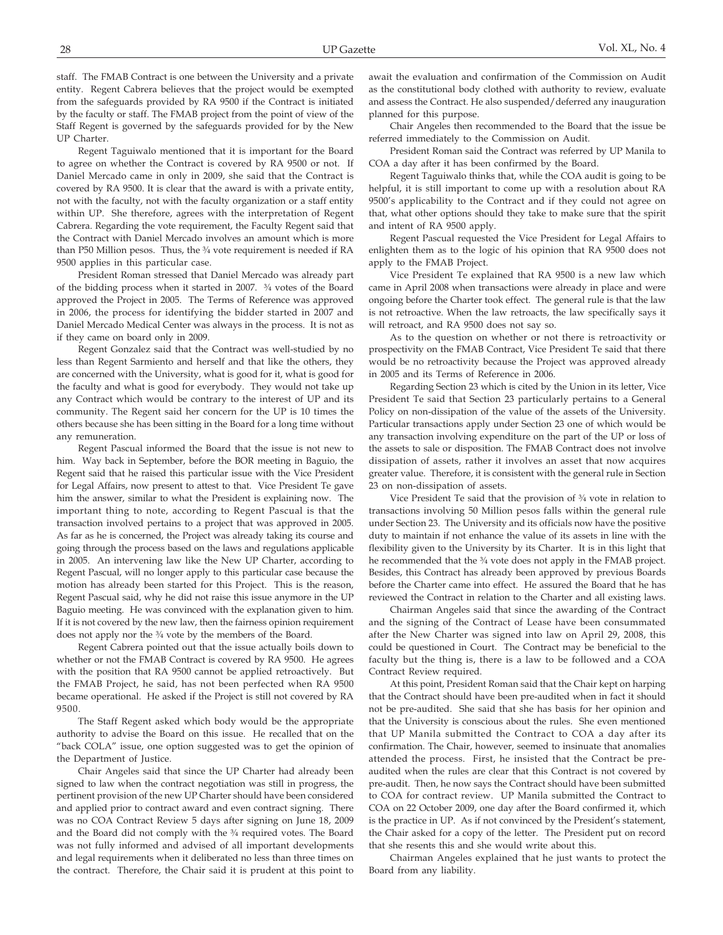entity. Regent Cabrera believes that the project would be exempted from the safeguards provided by RA 9500 if the Contract is initiated by the faculty or staff. The FMAB project from the point of view of the Staff Regent is governed by the safeguards provided for by the New UP Charter.

Regent Taguiwalo mentioned that it is important for the Board to agree on whether the Contract is covered by RA 9500 or not. If Daniel Mercado came in only in 2009, she said that the Contract is covered by RA 9500. It is clear that the award is with a private entity, not with the faculty, not with the faculty organization or a staff entity within UP. She therefore, agrees with the interpretation of Regent Cabrera. Regarding the vote requirement, the Faculty Regent said that the Contract with Daniel Mercado involves an amount which is more than P50 Million pesos. Thus, the  $\frac{3}{4}$  vote requirement is needed if RA 9500 applies in this particular case.

President Roman stressed that Daniel Mercado was already part of the bidding process when it started in 2007. ¾ votes of the Board approved the Project in 2005. The Terms of Reference was approved in 2006, the process for identifying the bidder started in 2007 and Daniel Mercado Medical Center was always in the process. It is not as if they came on board only in 2009.

Regent Gonzalez said that the Contract was well-studied by no less than Regent Sarmiento and herself and that like the others, they are concerned with the University, what is good for it, what is good for the faculty and what is good for everybody. They would not take up any Contract which would be contrary to the interest of UP and its community. The Regent said her concern for the UP is 10 times the others because she has been sitting in the Board for a long time without any remuneration.

Regent Pascual informed the Board that the issue is not new to him. Way back in September, before the BOR meeting in Baguio, the Regent said that he raised this particular issue with the Vice President for Legal Affairs, now present to attest to that. Vice President Te gave him the answer, similar to what the President is explaining now. The important thing to note, according to Regent Pascual is that the transaction involved pertains to a project that was approved in 2005. As far as he is concerned, the Project was already taking its course and going through the process based on the laws and regulations applicable in 2005. An intervening law like the New UP Charter, according to Regent Pascual, will no longer apply to this particular case because the motion has already been started for this Project. This is the reason, Regent Pascual said, why he did not raise this issue anymore in the UP Baguio meeting. He was convinced with the explanation given to him. If it is not covered by the new law, then the fairness opinion requirement does not apply nor the  $\frac{3}{4}$  vote by the members of the Board.

Regent Cabrera pointed out that the issue actually boils down to whether or not the FMAB Contract is covered by RA 9500. He agrees with the position that RA 9500 cannot be applied retroactively. But the FMAB Project, he said, has not been perfected when RA 9500 became operational. He asked if the Project is still not covered by RA 9500.

The Staff Regent asked which body would be the appropriate authority to advise the Board on this issue. He recalled that on the "back COLA" issue, one option suggested was to get the opinion of the Department of Justice.

Chair Angeles said that since the UP Charter had already been signed to law when the contract negotiation was still in progress, the pertinent provision of the new UP Charter should have been considered and applied prior to contract award and even contract signing. There was no COA Contract Review 5 days after signing on June 18, 2009 and the Board did not comply with the  $\frac{3}{4}$  required votes. The Board was not fully informed and advised of all important developments and legal requirements when it deliberated no less than three times on the contract. Therefore, the Chair said it is prudent at this point to await the evaluation and confirmation of the Commission on Audit as the constitutional body clothed with authority to review, evaluate and assess the Contract. He also suspended/deferred any inauguration planned for this purpose.

Chair Angeles then recommended to the Board that the issue be referred immediately to the Commission on Audit.

President Roman said the Contract was referred by UP Manila to COA a day after it has been confirmed by the Board.

Regent Taguiwalo thinks that, while the COA audit is going to be helpful, it is still important to come up with a resolution about RA 9500's applicability to the Contract and if they could not agree on that, what other options should they take to make sure that the spirit and intent of RA 9500 apply.

Regent Pascual requested the Vice President for Legal Affairs to enlighten them as to the logic of his opinion that RA 9500 does not apply to the FMAB Project.

Vice President Te explained that RA 9500 is a new law which came in April 2008 when transactions were already in place and were ongoing before the Charter took effect. The general rule is that the law is not retroactive. When the law retroacts, the law specifically says it will retroact, and RA 9500 does not say so.

As to the question on whether or not there is retroactivity or prospectivity on the FMAB Contract, Vice President Te said that there would be no retroactivity because the Project was approved already in 2005 and its Terms of Reference in 2006.

Regarding Section 23 which is cited by the Union in its letter, Vice President Te said that Section 23 particularly pertains to a General Policy on non-dissipation of the value of the assets of the University. Particular transactions apply under Section 23 one of which would be any transaction involving expenditure on the part of the UP or loss of the assets to sale or disposition. The FMAB Contract does not involve dissipation of assets, rather it involves an asset that now acquires greater value. Therefore, it is consistent with the general rule in Section 23 on non-dissipation of assets.

Vice President Te said that the provision of ¾ vote in relation to transactions involving 50 Million pesos falls within the general rule under Section 23. The University and its officials now have the positive duty to maintain if not enhance the value of its assets in line with the flexibility given to the University by its Charter. It is in this light that he recommended that the <sup>3/4</sup> vote does not apply in the FMAB project. Besides, this Contract has already been approved by previous Boards before the Charter came into effect. He assured the Board that he has reviewed the Contract in relation to the Charter and all existing laws.

Chairman Angeles said that since the awarding of the Contract and the signing of the Contract of Lease have been consummated after the New Charter was signed into law on April 29, 2008, this could be questioned in Court. The Contract may be beneficial to the faculty but the thing is, there is a law to be followed and a COA Contract Review required.

At this point, President Roman said that the Chair kept on harping that the Contract should have been pre-audited when in fact it should not be pre-audited. She said that she has basis for her opinion and that the University is conscious about the rules. She even mentioned that UP Manila submitted the Contract to COA a day after its confirmation. The Chair, however, seemed to insinuate that anomalies attended the process. First, he insisted that the Contract be preaudited when the rules are clear that this Contract is not covered by pre-audit. Then, he now says the Contract should have been submitted to COA for contract review. UP Manila submitted the Contract to COA on 22 October 2009, one day after the Board confirmed it, which is the practice in UP. As if not convinced by the President's statement, the Chair asked for a copy of the letter. The President put on record that she resents this and she would write about this.

Chairman Angeles explained that he just wants to protect the Board from any liability.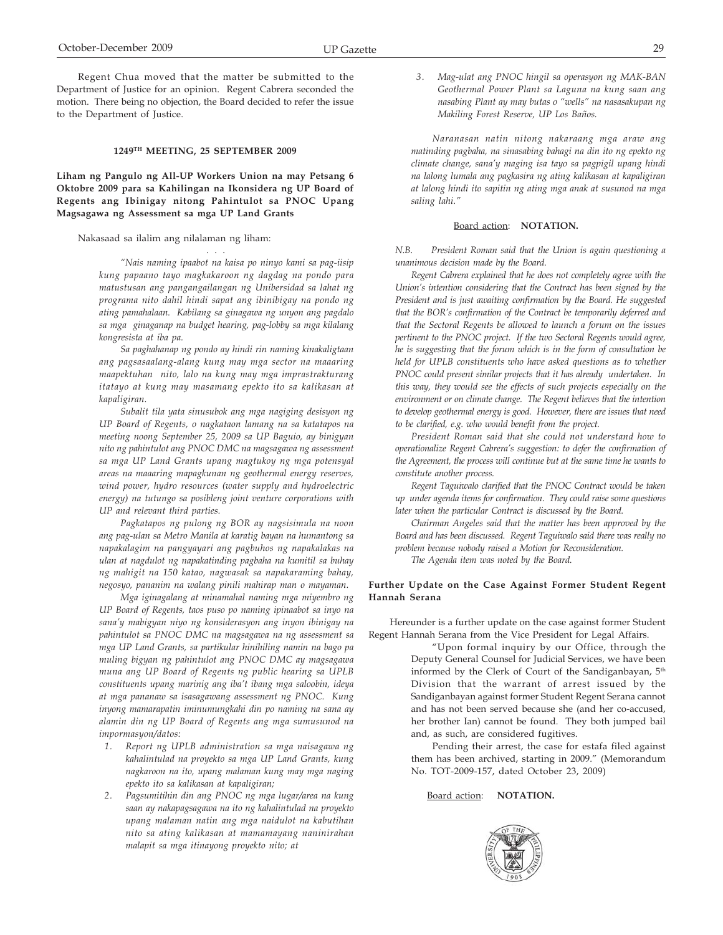Regent Chua moved that the matter be submitted to the Department of Justice for an opinion. Regent Cabrera seconded the motion. There being no objection, the Board decided to refer the issue to the Department of Justice.

#### **1249TH MEETING, 25 SEPTEMBER 2009**

## **Liham ng Pangulo ng All-UP Workers Union na may Petsang 6 Oktobre 2009 para sa Kahilingan na Ikonsidera ng UP Board of Regents ang Ibinigay nitong Pahintulot sa PNOC Upang Magsagawa ng Assessment sa mga UP Land Grants**

#### Nakasaad sa ilalim ang nilalaman ng liham:

*"Nais naming ipaabot na kaisa po ninyo kami sa pag-iisip kung papaano tayo magkakaroon ng dagdag na pondo para matustusan ang pangangailangan ng Unibersidad sa lahat ng programa nito dahil hindi sapat ang ibinibigay na pondo ng ating pamahalaan. Kabilang sa ginagawa ng unyon ang pagdalo sa mga ginaganap na budget hearing, pag-lobby sa mga kilalang kongresista at iba pa.*

. . .

*Sa paghahanap ng pondo ay hindi rin naming kinakaligtaan ang pagsasaalang-alang kung may mga sector na maaaring maapektuhan nito, lalo na kung may mga imprastrakturang itatayo at kung may masamang epekto ito sa kalikasan at kapaligiran.*

*Subalit tila yata sinusubok ang mga nagiging desisyon ng UP Board of Regents, o nagkataon lamang na sa katatapos na meeting noong September 25, 2009 sa UP Baguio, ay binigyan nito ng pahintulot ang PNOC DMC na magsagawa ng assessment sa mga UP Land Grants upang magtukoy ng mga potensyal areas na maaaring mapagkunan ng geothermal energy reserves, wind power, hydro resources (water supply and hydroelectric energy) na tutungo sa posibleng joint venture corporations with UP and relevant third parties.*

*Pagkatapos ng pulong ng BOR ay nagsisimula na noon ang pag-ulan sa Metro Manila at karatig bayan na humantong sa napakalagim na pangyayari ang pagbuhos ng napakalakas na ulan at nagdulot ng napakatinding pagbaha na kumitil sa buhay ng mahigit na 150 katao, nagwasak sa napakaraming bahay, negosyo, pananim na walang pinili mahirap man o mayaman.*

*Mga iginagalang at minamahal naming mga miyembro ng UP Board of Regents, taos puso po naming ipinaabot sa inyo na sana'y mabigyan niyo ng konsiderasyon ang inyon ibinigay na pahintulot sa PNOC DMC na magsagawa na ng assessment sa mga UP Land Grants, sa partikular hinihiling namin na bago pa muling bigyan ng pahintulot ang PNOC DMC ay magsagawa muna ang UP Board of Regents ng public hearing sa UPLB constituents upang marinig ang iba't ibang mga saloobin, ideya at mga pananaw sa isasagawang assessment ng PNOC. Kung inyong mamarapatin iminumungkahi din po naming na sana ay alamin din ng UP Board of Regents ang mga sumusunod na impormasyon/datos:*

- *1. Report ng UPLB administration sa mga naisagawa ng kahalintulad na proyekto sa mga UP Land Grants, kung nagkaroon na ito, upang malaman kung may mga naging epekto ito sa kalikasan at kapaligiran;*
- *2. Pagsumitihin din ang PNOC ng mga lugar/area na kung saan ay nakapagsagawa na ito ng kahalintulad na proyekto upang malaman natin ang mga naidulot na kabutihan nito sa ating kalikasan at mamamayang naninirahan malapit sa mga itinayong proyekto nito; at*

*3. Mag-ulat ang PNOC hingil sa operasyon ng MAK-BAN Geothermal Power Plant sa Laguna na kung saan ang nasabing Plant ay may butas o "wells" na nasasakupan ng Makiling Forest Reserve, UP Los Baños.*

*Naranasan natin nitong nakaraang mga araw ang matinding pagbaha, na sinasabing bahagi na din ito ng epekto ng climate change, sana'y maging isa tayo sa pagpigil upang hindi na lalong lumala ang pagkasira ng ating kalikasan at kapaligiran at lalong hindi ito sapitin ng ating mga anak at susunod na mga saling lahi."*

#### Board action: **NOTATION.**

*N.B. President Roman said that the Union is again questioning a unanimous decision made by the Board.*

*Regent Cabrera explained that he does not completely agree with the Union's intention considering that the Contract has been signed by the President and is just awaiting confirmation by the Board. He suggested that the BOR's confirmation of the Contract be temporarily deferred and that the Sectoral Regents be allowed to launch a forum on the issues pertinent to the PNOC project. If the two Sectoral Regents would agree, he is suggesting that the forum which is in the form of consultation be held for UPLB constituents who have asked questions as to whether PNOC could present similar projects that it has already undertaken. In this way, they would see the effects of such projects especially on the environment or on climate change. The Regent believes that the intention to develop geothermal energy is good. However, there are issues that need to be clarified, e.g. who would benefit from the project.*

*President Roman said that she could not understand how to operationalize Regent Cabrera's suggestion: to defer the confirmation of the Agreement, the process will continue but at the same time he wants to constitute another process.*

*Regent Taguiwalo clarified that the PNOC Contract would be taken up under agenda items for confirmation. They could raise some questions later when the particular Contract is discussed by the Board.*

*Chairman Angeles said that the matter has been approved by the Board and has been discussed. Regent Taguiwalo said there was really no problem because nobody raised a Motion for Reconsideration.*

*The Agenda item was noted by the Board.*

#### **Further Update on the Case Against Former Student Regent Hannah Serana**

Hereunder is a further update on the case against former Student Regent Hannah Serana from the Vice President for Legal Affairs.

> "Upon formal inquiry by our Office, through the Deputy General Counsel for Judicial Services, we have been informed by the Clerk of Court of the Sandiganbayan, 5<sup>th</sup> Division that the warrant of arrest issued by the Sandiganbayan against former Student Regent Serana cannot and has not been served because she (and her co-accused, her brother Ian) cannot be found. They both jumped bail and, as such, are considered fugitives.

> Pending their arrest, the case for estafa filed against them has been archived, starting in 2009." (Memorandum No. TOT-2009-157, dated October 23, 2009)

#### Board action: **NOTATION.**

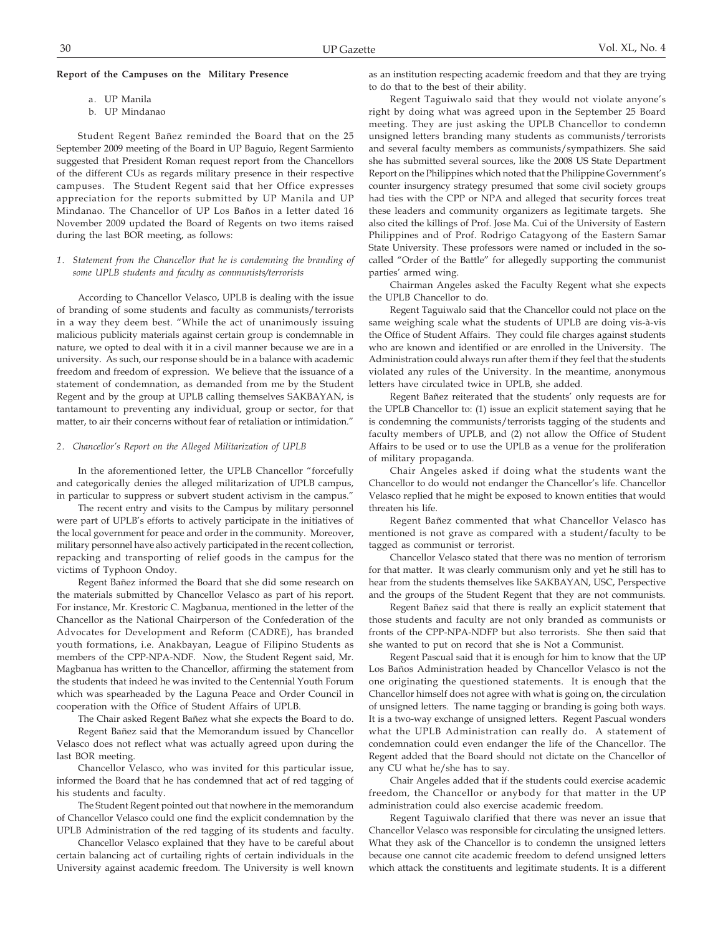### **Report of the Campuses on the Military Presence**

- a. UP Manila
- b. UP Mindanao

Student Regent Bañez reminded the Board that on the 25 September 2009 meeting of the Board in UP Baguio, Regent Sarmiento suggested that President Roman request report from the Chancellors of the different CUs as regards military presence in their respective campuses. The Student Regent said that her Office expresses appreciation for the reports submitted by UP Manila and UP Mindanao. The Chancellor of UP Los Baños in a letter dated 16 November 2009 updated the Board of Regents on two items raised during the last BOR meeting, as follows:

## *1. Statement from the Chancellor that he is condemning the branding of some UPLB students and faculty as communists/terrorists*

According to Chancellor Velasco, UPLB is dealing with the issue of branding of some students and faculty as communists/terrorists in a way they deem best. "While the act of unanimously issuing malicious publicity materials against certain group is condemnable in nature, we opted to deal with it in a civil manner because we are in a university. As such, our response should be in a balance with academic freedom and freedom of expression. We believe that the issuance of a statement of condemnation, as demanded from me by the Student Regent and by the group at UPLB calling themselves SAKBAYAN, is tantamount to preventing any individual, group or sector, for that matter, to air their concerns without fear of retaliation or intimidation."

## *2. Chancellor's Report on the Alleged Militarization of UPLB*

In the aforementioned letter, the UPLB Chancellor "forcefully and categorically denies the alleged militarization of UPLB campus, in particular to suppress or subvert student activism in the campus."

The recent entry and visits to the Campus by military personnel were part of UPLB's efforts to actively participate in the initiatives of the local government for peace and order in the community. Moreover, military personnel have also actively participated in the recent collection, repacking and transporting of relief goods in the campus for the victims of Typhoon Ondoy.

Regent Bañez informed the Board that she did some research on the materials submitted by Chancellor Velasco as part of his report. For instance, Mr. Krestoric C. Magbanua, mentioned in the letter of the Chancellor as the National Chairperson of the Confederation of the Advocates for Development and Reform (CADRE), has branded youth formations, i.e. Anakbayan, League of Filipino Students as members of the CPP-NPA-NDF. Now, the Student Regent said, Mr. Magbanua has written to the Chancellor, affirming the statement from the students that indeed he was invited to the Centennial Youth Forum which was spearheaded by the Laguna Peace and Order Council in cooperation with the Office of Student Affairs of UPLB.

The Chair asked Regent Bañez what she expects the Board to do. Regent Bañez said that the Memorandum issued by Chancellor Velasco does not reflect what was actually agreed upon during the last BOR meeting.

Chancellor Velasco, who was invited for this particular issue, informed the Board that he has condemned that act of red tagging of his students and faculty.

The Student Regent pointed out that nowhere in the memorandum of Chancellor Velasco could one find the explicit condemnation by the UPLB Administration of the red tagging of its students and faculty.

Chancellor Velasco explained that they have to be careful about certain balancing act of curtailing rights of certain individuals in the University against academic freedom. The University is well known as an institution respecting academic freedom and that they are trying to do that to the best of their ability.

Regent Taguiwalo said that they would not violate anyone's right by doing what was agreed upon in the September 25 Board meeting. They are just asking the UPLB Chancellor to condemn unsigned letters branding many students as communists/terrorists and several faculty members as communists/sympathizers. She said she has submitted several sources, like the 2008 US State Department Report on the Philippines which noted that the Philippine Government's counter insurgency strategy presumed that some civil society groups had ties with the CPP or NPA and alleged that security forces treat these leaders and community organizers as legitimate targets. She also cited the killings of Prof. Jose Ma. Cui of the University of Eastern Philippines and of Prof. Rodrigo Catagyong of the Eastern Samar State University. These professors were named or included in the socalled "Order of the Battle" for allegedly supporting the communist parties' armed wing.

Chairman Angeles asked the Faculty Regent what she expects the UPLB Chancellor to do.

Regent Taguiwalo said that the Chancellor could not place on the same weighing scale what the students of UPLB are doing vis-à-vis the Office of Student Affairs. They could file charges against students who are known and identified or are enrolled in the University. The Administration could always run after them if they feel that the students violated any rules of the University. In the meantime, anonymous letters have circulated twice in UPLB, she added.

Regent Bañez reiterated that the students' only requests are for the UPLB Chancellor to: (1) issue an explicit statement saying that he is condemning the communists/terrorists tagging of the students and faculty members of UPLB, and (2) not allow the Office of Student Affairs to be used or to use the UPLB as a venue for the proliferation of military propaganda.

Chair Angeles asked if doing what the students want the Chancellor to do would not endanger the Chancellor's life. Chancellor Velasco replied that he might be exposed to known entities that would threaten his life.

Regent Bañez commented that what Chancellor Velasco has mentioned is not grave as compared with a student/faculty to be tagged as communist or terrorist.

Chancellor Velasco stated that there was no mention of terrorism for that matter. It was clearly communism only and yet he still has to hear from the students themselves like SAKBAYAN, USC, Perspective and the groups of the Student Regent that they are not communists.

Regent Bañez said that there is really an explicit statement that those students and faculty are not only branded as communists or fronts of the CPP-NPA-NDFP but also terrorists. She then said that she wanted to put on record that she is Not a Communist.

Regent Pascual said that it is enough for him to know that the UP Los Baños Administration headed by Chancellor Velasco is not the one originating the questioned statements. It is enough that the Chancellor himself does not agree with what is going on, the circulation of unsigned letters. The name tagging or branding is going both ways. It is a two-way exchange of unsigned letters. Regent Pascual wonders what the UPLB Administration can really do. A statement of condemnation could even endanger the life of the Chancellor. The Regent added that the Board should not dictate on the Chancellor of any CU what he/she has to say.

Chair Angeles added that if the students could exercise academic freedom, the Chancellor or anybody for that matter in the UP administration could also exercise academic freedom.

Regent Taguiwalo clarified that there was never an issue that Chancellor Velasco was responsible for circulating the unsigned letters. What they ask of the Chancellor is to condemn the unsigned letters because one cannot cite academic freedom to defend unsigned letters which attack the constituents and legitimate students. It is a different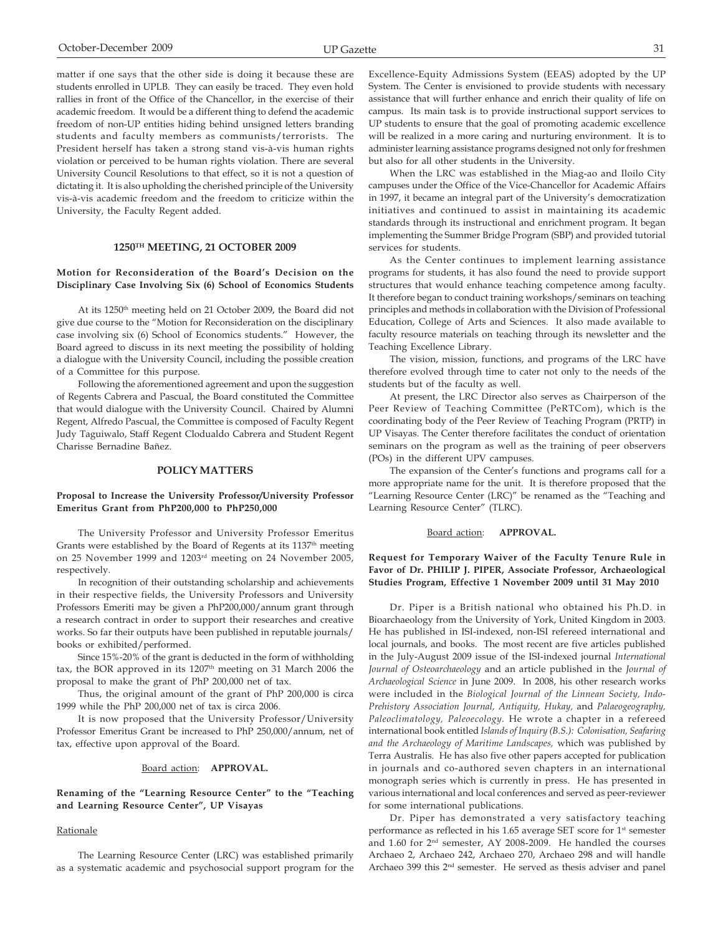matter if one says that the other side is doing it because these are students enrolled in UPLB. They can easily be traced. They even hold rallies in front of the Office of the Chancellor, in the exercise of their academic freedom. It would be a different thing to defend the academic freedom of non-UP entities hiding behind unsigned letters branding students and faculty members as communists/terrorists. The President herself has taken a strong stand vis-à-vis human rights violation or perceived to be human rights violation. There are several University Council Resolutions to that effect, so it is not a question of dictating it. It is also upholding the cherished principle of the University vis-à-vis academic freedom and the freedom to criticize within the University, the Faculty Regent added.

## **1250TH MEETING, 21 OCTOBER 2009**

## **Motion for Reconsideration of the Board's Decision on the Disciplinary Case Involving Six (6) School of Economics Students**

At its 1250<sup>th</sup> meeting held on 21 October 2009, the Board did not give due course to the "Motion for Reconsideration on the disciplinary case involving six (6) School of Economics students." However, the Board agreed to discuss in its next meeting the possibility of holding a dialogue with the University Council, including the possible creation of a Committee for this purpose.

Following the aforementioned agreement and upon the suggestion of Regents Cabrera and Pascual, the Board constituted the Committee that would dialogue with the University Council. Chaired by Alumni Regent, Alfredo Pascual, the Committee is composed of Faculty Regent Judy Taguiwalo, Staff Regent Clodualdo Cabrera and Student Regent Charisse Bernadine Bañez.

## **POLICY MATTERS**

### **Proposal to Increase the University Professor/University Professor Emeritus Grant from PhP200,000 to PhP250,000**

The University Professor and University Professor Emeritus Grants were established by the Board of Regents at its 1137<sup>th</sup> meeting on 25 November 1999 and 1203rd meeting on 24 November 2005, respectively.

In recognition of their outstanding scholarship and achievements in their respective fields, the University Professors and University Professors Emeriti may be given a PhP200,000/annum grant through a research contract in order to support their researches and creative works. So far their outputs have been published in reputable journals/ books or exhibited/performed.

Since 15%-20% of the grant is deducted in the form of withholding tax, the BOR approved in its 1207<sup>th</sup> meeting on 31 March 2006 the proposal to make the grant of PhP 200,000 net of tax.

Thus, the original amount of the grant of PhP 200,000 is circa 1999 while the PhP 200,000 net of tax is circa 2006.

It is now proposed that the University Professor/University Professor Emeritus Grant be increased to PhP 250,000/annum, net of tax, effective upon approval of the Board.

#### Board action: **APPROVAL.**

**Renaming of the "Learning Resource Center" to the "Teaching and Learning Resource Center", UP Visayas**

### **Rationale**

The Learning Resource Center (LRC) was established primarily as a systematic academic and psychosocial support program for the

Excellence-Equity Admissions System (EEAS) adopted by the UP System. The Center is envisioned to provide students with necessary assistance that will further enhance and enrich their quality of life on campus. Its main task is to provide instructional support services to UP students to ensure that the goal of promoting academic excellence will be realized in a more caring and nurturing environment. It is to administer learning assistance programs designed not only for freshmen but also for all other students in the University.

When the LRC was established in the Miag-ao and Iloilo City campuses under the Office of the Vice-Chancellor for Academic Affairs in 1997, it became an integral part of the University's democratization initiatives and continued to assist in maintaining its academic standards through its instructional and enrichment program. It began implementing the Summer Bridge Program (SBP) and provided tutorial services for students.

As the Center continues to implement learning assistance programs for students, it has also found the need to provide support structures that would enhance teaching competence among faculty. It therefore began to conduct training workshops/seminars on teaching principles and methods in collaboration with the Division of Professional Education, College of Arts and Sciences. It also made available to faculty resource materials on teaching through its newsletter and the Teaching Excellence Library.

The vision, mission, functions, and programs of the LRC have therefore evolved through time to cater not only to the needs of the students but of the faculty as well.

At present, the LRC Director also serves as Chairperson of the Peer Review of Teaching Committee (PeRTCom), which is the coordinating body of the Peer Review of Teaching Program (PRTP) in UP Visayas. The Center therefore facilitates the conduct of orientation seminars on the program as well as the training of peer observers (POs) in the different UPV campuses.

The expansion of the Center's functions and programs call for a more appropriate name for the unit. It is therefore proposed that the "Learning Resource Center (LRC)" be renamed as the "Teaching and Learning Resource Center" (TLRC).

Board action: **APPROVAL.**

## **Request for Temporary Waiver of the Faculty Tenure Rule in Favor of Dr. PHILIP J. PIPER, Associate Professor, Archaeological Studies Program, Effective 1 November 2009 until 31 May 2010**

Dr. Piper is a British national who obtained his Ph.D. in Bioarchaeology from the University of York, United Kingdom in 2003. He has published in ISI-indexed, non-ISI refereed international and local journals, and books. The most recent are five articles published in the July-August 2009 issue of the ISI-indexed journal *International Journal of Osteoarchaeology* and an article published in the *Journal of Archaeological Science* in June 2009. In 2008, his other research works were included in the *Biological Journal of the Linnean Society, Indo-Prehistory Association Journal, Antiquity, Hukay,* and *Palaeogeography, Paleoclimatology, Paleoecology.* He wrote a chapter in a refereed international book entitled *Islands of Inquiry (B.S.): Colonisation, Seafaring and the Archaeology of Maritime Landscapes,* which was published by Terra Australis. He has also five other papers accepted for publication in journals and co-authored seven chapters in an international monograph series which is currently in press. He has presented in various international and local conferences and served as peer-reviewer for some international publications.

Dr. Piper has demonstrated a very satisfactory teaching performance as reflected in his 1.65 average SET score for 1<sup>st</sup> semester and 1.60 for 2nd semester, AY 2008-2009. He handled the courses Archaeo 2, Archaeo 242, Archaeo 270, Archaeo 298 and will handle Archaeo 399 this 2nd semester. He served as thesis adviser and panel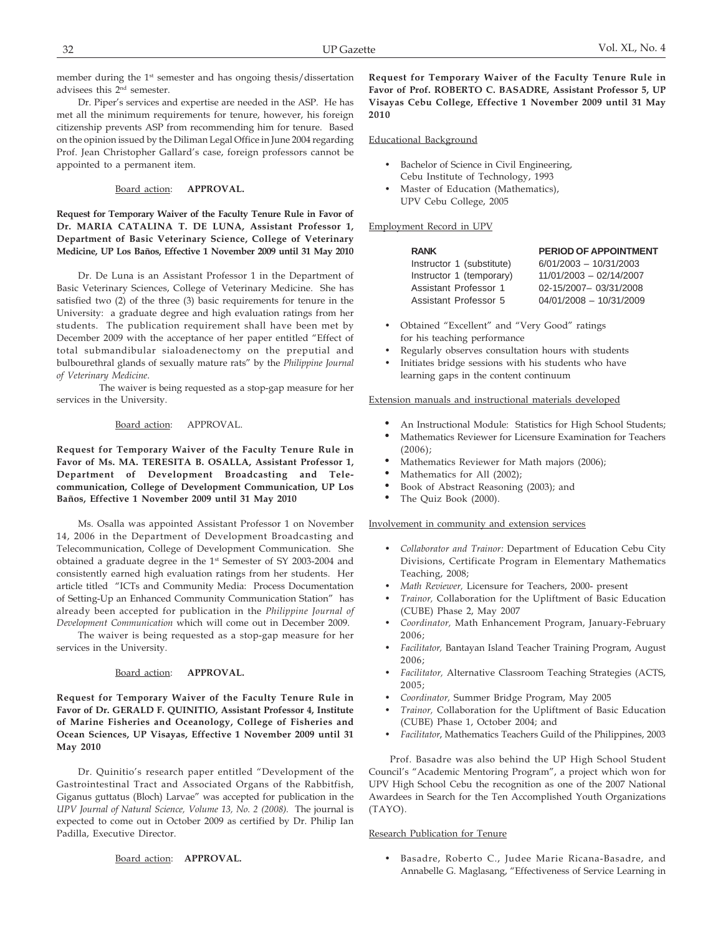member during the 1<sup>st</sup> semester and has ongoing thesis/dissertation advisees this 2nd semester.

Dr. Piper's services and expertise are needed in the ASP. He has met all the minimum requirements for tenure, however, his foreign citizenship prevents ASP from recommending him for tenure. Based on the opinion issued by the Diliman Legal Office in June 2004 regarding Prof. Jean Christopher Gallard's case, foreign professors cannot be appointed to a permanent item.

### Board action: **APPROVAL.**

**Request for Temporary Waiver of the Faculty Tenure Rule in Favor of Dr. MARIA CATALINA T. DE LUNA, Assistant Professor 1, Department of Basic Veterinary Science, College of Veterinary Medicine, UP Los Baños, Effective 1 November 2009 until 31 May 2010**

Dr. De Luna is an Assistant Professor 1 in the Department of Basic Veterinary Sciences, College of Veterinary Medicine. She has satisfied two (2) of the three (3) basic requirements for tenure in the University: a graduate degree and high evaluation ratings from her students. The publication requirement shall have been met by December 2009 with the acceptance of her paper entitled "Effect of total submandibular sialoadenectomy on the preputial and bulbourethral glands of sexually mature rats" by the *Philippine Journal of Veterinary Medicine*.

The waiver is being requested as a stop-gap measure for her services in the University.

### Board action: APPROVAL.

**Request for Temporary Waiver of the Faculty Tenure Rule in Favor of Ms. MA. TERESITA B. OSALLA, Assistant Professor 1, Department of Development Broadcasting and Telecommunication, College of Development Communication, UP Los Baños, Effective 1 November 2009 until 31 May 2010**

Ms. Osalla was appointed Assistant Professor 1 on November 14, 2006 in the Department of Development Broadcasting and Telecommunication, College of Development Communication. She obtained a graduate degree in the 1<sup>st</sup> Semester of SY 2003-2004 and consistently earned high evaluation ratings from her students. Her article titled "ICTs and Community Media: Process Documentation of Setting-Up an Enhanced Community Communication Station" has already been accepted for publication in the *Philippine Journal of Development Communication* which will come out in December 2009.

The waiver is being requested as a stop-gap measure for her services in the University.

### Board action: **APPROVAL.**

**Request for Temporary Waiver of the Faculty Tenure Rule in Favor of Dr. GERALD F. QUINITIO, Assistant Professor 4, Institute of Marine Fisheries and Oceanology, College of Fisheries and Ocean Sciences, UP Visayas, Effective 1 November 2009 until 31 May 2010**

Dr. Quinitio's research paper entitled "Development of the Gastrointestinal Tract and Associated Organs of the Rabbitfish, Giganus guttatus (Bloch) Larvae" was accepted for publication in the *UPV Journal of Natural Science, Volume 13, No. 2 (2008).* The journal is expected to come out in October 2009 as certified by Dr. Philip Ian Padilla, Executive Director.

Board action: **APPROVAL.**

**Request for Temporary Waiver of the Faculty Tenure Rule in Favor of Prof. ROBERTO C. BASADRE, Assistant Professor 5, UP Visayas Cebu College, Effective 1 November 2009 until 31 May 2010**

#### Educational Background

- Bachelor of Science in Civil Engineering, Cebu Institute of Technology, 1993
- Master of Education (Mathematics), UPV Cebu College, 2005

#### Employment Record in UPV

| <b>RANK</b>               | <b>PERIOD OF APPOINTMENT</b> |
|---------------------------|------------------------------|
| Instructor 1 (substitute) | $6/01/2003 - 10/31/2003$     |
| Instructor 1 (temporary)  | 11/01/2003 - 02/14/2007      |
| Assistant Professor 1     | 02-15/2007-03/31/2008        |
| Assistant Professor 5     | 04/01/2008 - 10/31/2009      |
|                           |                              |

- Obtained "Excellent" and "Very Good" ratings for his teaching performance
- Regularly observes consultation hours with students
- Initiates bridge sessions with his students who have
- learning gaps in the content continuum

### Extension manuals and instructional materials developed

- An Instructional Module: Statistics for High School Students;
- Mathematics Reviewer for Licensure Examination for Teachers (2006);
- Mathematics Reviewer for Math majors (2006);
- Mathematics for All (2002);
- Book of Abstract Reasoning (2003); and
- The Quiz Book (2000).

# Involvement in community and extension services

- *Collaborator and Trainor:* Department of Education Cebu City Divisions, Certificate Program in Elementary Mathematics Teaching, 2008;
- *Math Reviewer,* Licensure for Teachers, 2000- present
- *Trainor,* Collaboration for the Upliftment of Basic Education (CUBE) Phase 2, May 2007
- *Coordinator,* Math Enhancement Program, January-February 2006;
- *Facilitator,* Bantayan Island Teacher Training Program, August 2006;
- *Facilitator,* Alternative Classroom Teaching Strategies (ACTS, 2005;
- *Coordinator,* Summer Bridge Program, May 2005
- *Trainor,* Collaboration for the Upliftment of Basic Education (CUBE) Phase 1, October 2004; and
- *Facilitator*, Mathematics Teachers Guild of the Philippines, 2003

Prof. Basadre was also behind the UP High School Student Council's "Academic Mentoring Program", a project which won for UPV High School Cebu the recognition as one of the 2007 National Awardees in Search for the Ten Accomplished Youth Organizations (TAYO).

### Research Publication for Tenure

• Basadre, Roberto C., Judee Marie Ricana-Basadre, and Annabelle G. Maglasang, "Effectiveness of Service Learning in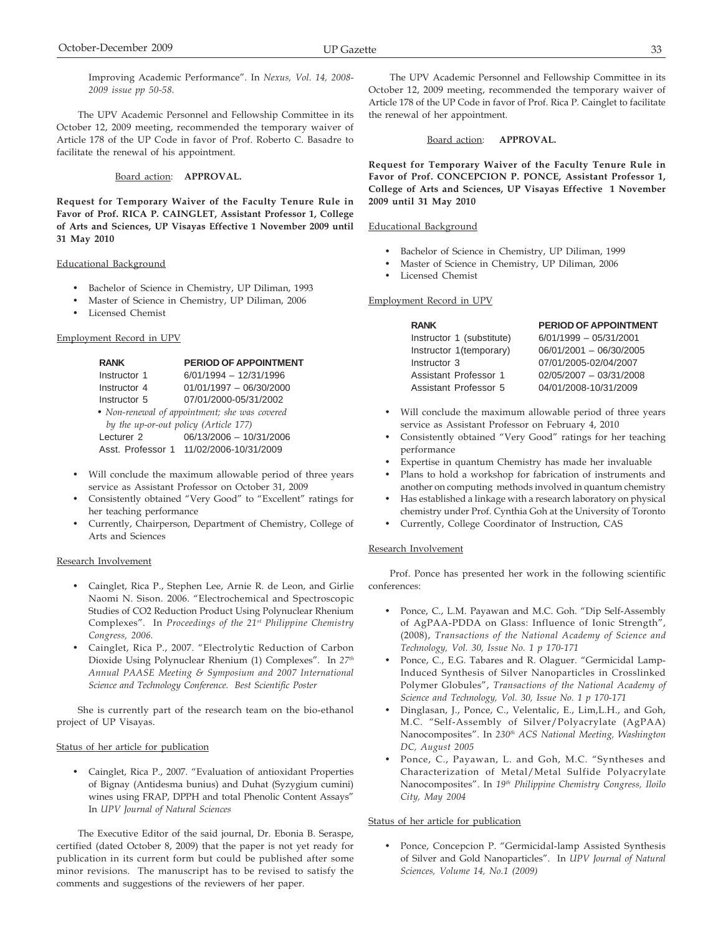The UPV Academic Personnel and Fellowship Committee in its October 12, 2009 meeting, recommended the temporary waiver of Article 178 of the UP Code in favor of Prof. Roberto C. Basadre to facilitate the renewal of his appointment.

# Board action: **APPROVAL.**

**Request for Temporary Waiver of the Faculty Tenure Rule in Favor of Prof. RICA P. CAINGLET, Assistant Professor 1, College of Arts and Sciences, UP Visayas Effective 1 November 2009 until 31 May 2010**

## Educational Background

- Bachelor of Science in Chemistry, UP Diliman, 1993
- Master of Science in Chemistry, UP Diliman, 2006
- Licensed Chemist

# Employment Record in UPV

| <b>RANK</b>                                   | PERIOD OF APPOINTMENT                   |  |  |
|-----------------------------------------------|-----------------------------------------|--|--|
| Instructor 1                                  | $6/01/1994 - 12/31/1996$                |  |  |
| Instructor 4                                  | $01/01/1997 - 06/30/2000$               |  |  |
| Instructor 5                                  | 07/01/2000-05/31/2002                   |  |  |
| • Non-renewal of appointment; she was covered |                                         |  |  |
| by the up-or-out policy (Article 177)         |                                         |  |  |
| Lecturer <sub>2</sub>                         | 06/13/2006 - 10/31/2006                 |  |  |
|                                               | Asst. Professor 1 11/02/2006-10/31/2009 |  |  |

- Will conclude the maximum allowable period of three years service as Assistant Professor on October 31, 2009
- Consistently obtained "Very Good" to "Excellent" ratings for her teaching performance
- Currently, Chairperson, Department of Chemistry, College of Arts and Sciences

### Research Involvement

- Cainglet, Rica P., Stephen Lee, Arnie R. de Leon, and Girlie Naomi N. Sison. 2006. "Electrochemical and Spectroscopic Studies of CO2 Reduction Product Using Polynuclear Rhenium Complexes"*.* In *Proceedings of the 21st Philippine Chemistry Congress, 2006.*
- Cainglet, Rica P., 2007. "Electrolytic Reduction of Carbon Dioxide Using Polynuclear Rhenium (1) Complexes"*.* In *27th Annual PAASE Meeting & Symposium and 2007 International Science and Technology Conference. Best Scientific Poster*

She is currently part of the research team on the bio-ethanol project of UP Visayas.

## Status of her article for publication

• Cainglet, Rica P., 2007. "Evaluation of antioxidant Properties of Bignay (Antidesma bunius) and Duhat (Syzygium cumini) wines using FRAP, DPPH and total Phenolic Content Assays" In *UPV Journal of Natural Sciences*

The Executive Editor of the said journal, Dr. Ebonia B. Seraspe, certified (dated October 8, 2009) that the paper is not yet ready for publication in its current form but could be published after some minor revisions. The manuscript has to be revised to satisfy the comments and suggestions of the reviewers of her paper.

The UPV Academic Personnel and Fellowship Committee in its October 12, 2009 meeting, recommended the temporary waiver of Article 178 of the UP Code in favor of Prof. Rica P. Cainglet to facilitate the renewal of her appointment.

## Board action: **APPROVAL.**

**Request for Temporary Waiver of the Faculty Tenure Rule in Favor of Prof. CONCEPCION P. PONCE, Assistant Professor 1, College of Arts and Sciences, UP Visayas Effective 1 November 2009 until 31 May 2010**

## Educational Background

- Bachelor of Science in Chemistry, UP Diliman, 1999
- Master of Science in Chemistry, UP Diliman, 2006
- Licensed Chemist

## Employment Record in UPV

| <b>RANK</b>               | PERIOD OF APPOINTMENT    |
|---------------------------|--------------------------|
| Instructor 1 (substitute) | $6/01/1999 - 05/31/2001$ |
| Instructor 1(temporary)   | 06/01/2001 - 06/30/2005  |
| Instructor 3              | 07/01/2005-02/04/2007    |
| Assistant Professor 1     | 02/05/2007 - 03/31/2008  |
| Assistant Professor 5     | 04/01/2008-10/31/2009    |

- Will conclude the maximum allowable period of three years service as Assistant Professor on February 4, 2010
- Consistently obtained "Very Good" ratings for her teaching performance
- Expertise in quantum Chemistry has made her invaluable
- Plans to hold a workshop for fabrication of instruments and another on computing methods involved in quantum chemistry
- Has established a linkage with a research laboratory on physical chemistry under Prof. Cynthia Goh at the University of Toronto
- Currently, College Coordinator of Instruction, CAS

## Research Involvement

Prof. Ponce has presented her work in the following scientific conferences:

- Ponce, C., L.M. Payawan and M.C. Goh. "Dip Self-Assembly of AgPAA-PDDA on Glass: Influence of Ionic Strength", (2008), *Transactions of the National Academy of Science and Technology, Vol. 30, Issue No. 1 p 170-171*
- Ponce, C., E.G. Tabares and R. Olaguer. "Germicidal Lamp-Induced Synthesis of Silver Nanoparticles in Crosslinked Polymer Globules", *Transactions of the National Academy of Science and Technology, Vol. 30, Issue No. 1 p 170-171*
- Dinglasan, J., Ponce, C., Velentalic, E., Lim,L.H., and Goh, M.C. "Self-Assembly of Silver/Polyacrylate (AgPAA) Nanocomposites". In *230th ACS National Meeting, Washington DC, August 2005*
- Ponce, C., Payawan, L. and Goh, M.C. "Syntheses and Characterization of Metal/Metal Sulfide Polyacrylate Nanocomposites". In *19th Philippine Chemistry Congress, Iloilo City, May 2004*

# Status of her article for publication

• Ponce, Concepcion P. "Germicidal-lamp Assisted Synthesis of Silver and Gold Nanoparticles". In *UPV Journal of Natural Sciences, Volume 14, No.1 (2009)*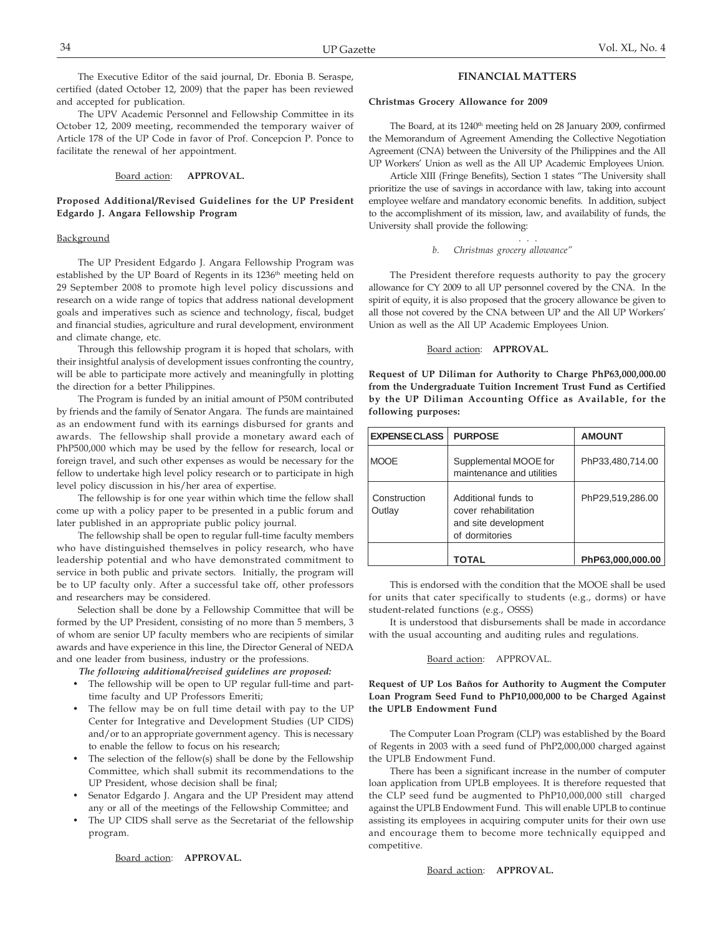The Executive Editor of the said journal, Dr. Ebonia B. Seraspe, certified (dated October 12, 2009) that the paper has been reviewed and accepted for publication.

The UPV Academic Personnel and Fellowship Committee in its October 12, 2009 meeting, recommended the temporary waiver of Article 178 of the UP Code in favor of Prof. Concepcion P. Ponce to facilitate the renewal of her appointment.

### Board action: **APPROVAL.**

## **Proposed Additional/Revised Guidelines for the UP President Edgardo J. Angara Fellowship Program**

### Background

The UP President Edgardo J. Angara Fellowship Program was established by the UP Board of Regents in its 1236<sup>th</sup> meeting held on 29 September 2008 to promote high level policy discussions and research on a wide range of topics that address national development goals and imperatives such as science and technology, fiscal, budget and financial studies, agriculture and rural development, environment and climate change, etc.

Through this fellowship program it is hoped that scholars, with their insightful analysis of development issues confronting the country, will be able to participate more actively and meaningfully in plotting the direction for a better Philippines.

The Program is funded by an initial amount of P50M contributed by friends and the family of Senator Angara. The funds are maintained as an endowment fund with its earnings disbursed for grants and awards. The fellowship shall provide a monetary award each of PhP500,000 which may be used by the fellow for research, local or foreign travel, and such other expenses as would be necessary for the fellow to undertake high level policy research or to participate in high level policy discussion in his/her area of expertise.

The fellowship is for one year within which time the fellow shall come up with a policy paper to be presented in a public forum and later published in an appropriate public policy journal.

The fellowship shall be open to regular full-time faculty members who have distinguished themselves in policy research, who have leadership potential and who have demonstrated commitment to service in both public and private sectors. Initially, the program will be to UP faculty only. After a successful take off, other professors and researchers may be considered.

Selection shall be done by a Fellowship Committee that will be formed by the UP President, consisting of no more than 5 members, 3 of whom are senior UP faculty members who are recipients of similar awards and have experience in this line, the Director General of NEDA and one leader from business, industry or the professions.

*The following additional/revised guidelines are proposed:*

- The fellowship will be open to UP regular full-time and parttime faculty and UP Professors Emeriti;
- The fellow may be on full time detail with pay to the UP Center for Integrative and Development Studies (UP CIDS) and/or to an appropriate government agency. This is necessary to enable the fellow to focus on his research;
- The selection of the fellow(s) shall be done by the Fellowship Committee, which shall submit its recommendations to the UP President, whose decision shall be final;
- Senator Edgardo J. Angara and the UP President may attend any or all of the meetings of the Fellowship Committee; and
- The UP CIDS shall serve as the Secretariat of the fellowship program.

Board action: **APPROVAL.**

## **FINANCIAL MATTERS**

#### **Christmas Grocery Allowance for 2009**

The Board, at its 1240<sup>th</sup> meeting held on 28 January 2009, confirmed the Memorandum of Agreement Amending the Collective Negotiation Agreement (CNA) between the University of the Philippines and the All UP Workers' Union as well as the All UP Academic Employees Union.

Article XIII (Fringe Benefits), Section 1 states "The University shall prioritize the use of savings in accordance with law, taking into account employee welfare and mandatory economic benefits. In addition, subject to the accomplishment of its mission, law, and availability of funds, the University shall provide the following:

. . .

## *b. Christmas grocery allowance"*

The President therefore requests authority to pay the grocery allowance for CY 2009 to all UP personnel covered by the CNA. In the spirit of equity, it is also proposed that the grocery allowance be given to all those not covered by the CNA between UP and the All UP Workers' Union as well as the All UP Academic Employees Union.

## Board action: **APPROVAL.**

**Request of UP Diliman for Authority to Charge PhP63,000,000.00 from the Undergraduate Tuition Increment Trust Fund as Certified by the UP Diliman Accounting Office as Available, for the following purposes:**

| <b>EXPENSE CLASS</b>   | <b>PURPOSE</b>                                                                        | <b>AMOUNT</b>    |
|------------------------|---------------------------------------------------------------------------------------|------------------|
| <b>MOOE</b>            | Supplemental MOOE for<br>maintenance and utilities                                    | PhP33,480,714.00 |
| Construction<br>Outlay | Additional funds to<br>cover rehabilitation<br>and site development<br>of dormitories | PhP29,519,286.00 |
|                        | TOTAL                                                                                 | PhP63,000,000.00 |

This is endorsed with the condition that the MOOE shall be used for units that cater specifically to students (e.g., dorms) or have student-related functions (e.g., OSSS)

It is understood that disbursements shall be made in accordance with the usual accounting and auditing rules and regulations.

#### Board action: APPROVAL.

## **Request of UP Los Baños for Authority to Augment the Computer Loan Program Seed Fund to PhP10,000,000 to be Charged Against the UPLB Endowment Fund**

The Computer Loan Program (CLP) was established by the Board of Regents in 2003 with a seed fund of PhP2,000,000 charged against the UPLB Endowment Fund.

There has been a significant increase in the number of computer loan application from UPLB employees. It is therefore requested that the CLP seed fund be augmented to PhP10,000,000 still charged against the UPLB Endowment Fund. This will enable UPLB to continue assisting its employees in acquiring computer units for their own use and encourage them to become more technically equipped and competitive.

Board action: **APPROVAL.**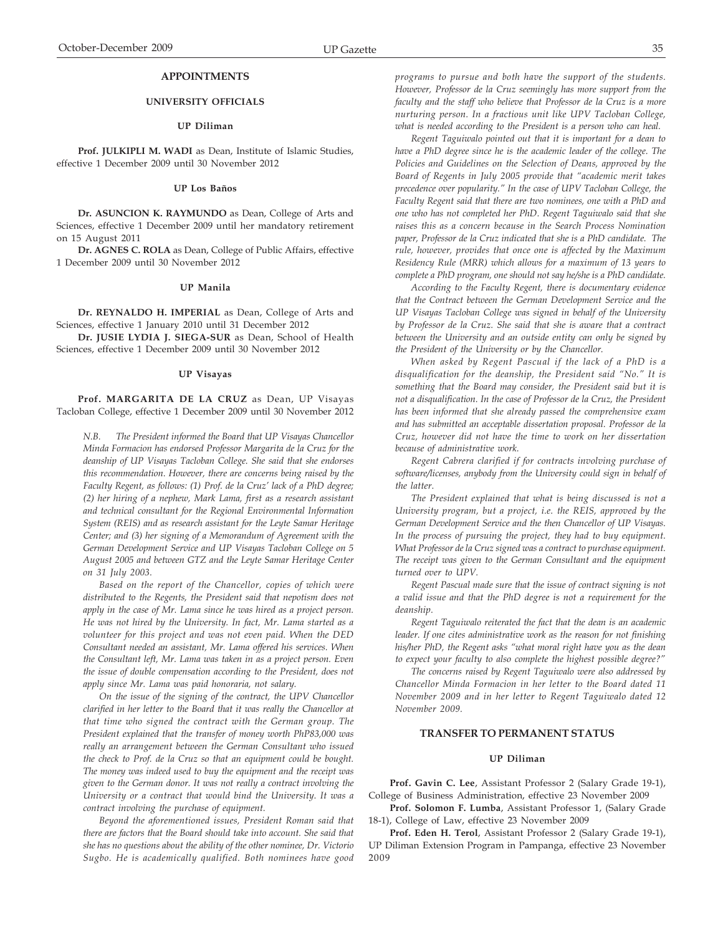# **APPOINTMENTS**

## **UNIVERSITY OFFICIALS**

### **UP Diliman**

**Prof. JULKIPLI M. WADI** as Dean, Institute of Islamic Studies, effective 1 December 2009 until 30 November 2012

## **UP Los Baños**

**Dr. ASUNCION K. RAYMUNDO** as Dean, College of Arts and Sciences, effective 1 December 2009 until her mandatory retirement on 15 August 2011

**Dr. AGNES C. ROLA** as Dean, College of Public Affairs, effective 1 December 2009 until 30 November 2012

### **UP Manila**

**Dr. REYNALDO H. IMPERIAL** as Dean, College of Arts and Sciences, effective 1 January 2010 until 31 December 2012

**Dr. JUSIE LYDIA J. SIEGA-SUR** as Dean, School of Health Sciences, effective 1 December 2009 until 30 November 2012

### **UP Visayas**

**Prof. MARGARITA DE LA CRUZ** as Dean, UP Visayas Tacloban College, effective 1 December 2009 until 30 November 2012

*N.B. The President informed the Board that UP Visayas Chancellor Minda Formacion has endorsed Professor Margarita de la Cruz for the deanship of UP Visayas Tacloban College. She said that she endorses this recommendation. However, there are concerns being raised by the Faculty Regent, as follows: (1) Prof. de la Cruz' lack of a PhD degree; (2) her hiring of a nephew, Mark Lama, first as a research assistant and technical consultant for the Regional Environmental Information System (REIS) and as research assistant for the Leyte Samar Heritage Center; and (3) her signing of a Memorandum of Agreement with the German Development Service and UP Visayas Tacloban College on 5 August 2005 and between GTZ and the Leyte Samar Heritage Center on 31 July 2003.*

*Based on the report of the Chancellor, copies of which were distributed to the Regents, the President said that nepotism does not apply in the case of Mr. Lama since he was hired as a project person. He was not hired by the University. In fact, Mr. Lama started as a volunteer for this project and was not even paid. When the DED Consultant needed an assistant, Mr. Lama offered his services. When the Consultant left, Mr. Lama was taken in as a project person. Even the issue of double compensation according to the President, does not apply since Mr. Lama was paid honoraria, not salary.*

*On the issue of the signing of the contract, the UPV Chancellor clarified in her letter to the Board that it was really the Chancellor at that time who signed the contract with the German group. The President explained that the transfer of money worth PhP83,000 was really an arrangement between the German Consultant who issued the check to Prof. de la Cruz so that an equipment could be bought. The money was indeed used to buy the equipment and the receipt was given to the German donor. It was not really a contract involving the University or a contract that would bind the University. It was a contract involving the purchase of equipment.*

*Beyond the aforementioned issues, President Roman said that there are factors that the Board should take into account. She said that she has no questions about the ability of the other nominee, Dr. Victorio Sugbo. He is academically qualified. Both nominees have good* *programs to pursue and both have the support of the students. However, Professor de la Cruz seemingly has more support from the faculty and the staff who believe that Professor de la Cruz is a more nurturing person. In a fractious unit like UPV Tacloban College, what is needed according to the President is a person who can heal.*

*Regent Taguiwalo pointed out that it is important for a dean to have a PhD degree since he is the academic leader of the college. The Policies and Guidelines on the Selection of Deans, approved by the Board of Regents in July 2005 provide that "academic merit takes precedence over popularity." In the case of UPV Tacloban College, the Faculty Regent said that there are two nominees, one with a PhD and one who has not completed her PhD. Regent Taguiwalo said that she raises this as a concern because in the Search Process Nomination paper, Professor de la Cruz indicated that she is a PhD candidate. The rule, however, provides that once one is affected by the Maximum Residency Rule (MRR) which allows for a maximum of 13 years to complete a PhD program, one should not say he/she is a PhD candidate.*

*According to the Faculty Regent, there is documentary evidence that the Contract between the German Development Service and the UP Visayas Tacloban College was signed in behalf of the University by Professor de la Cruz. She said that she is aware that a contract between the University and an outside entity can only be signed by the President of the University or by the Chancellor.*

*When asked by Regent Pascual if the lack of a PhD is a disqualification for the deanship, the President said "No." It is something that the Board may consider, the President said but it is not a disqualification. In the case of Professor de la Cruz, the President has been informed that she already passed the comprehensive exam and has submitted an acceptable dissertation proposal. Professor de la Cruz, however did not have the time to work on her dissertation because of administrative work.*

*Regent Cabrera clarified if for contracts involving purchase of software/licenses, anybody from the University could sign in behalf of the latter.*

*The President explained that what is being discussed is not a University program, but a project, i.e. the REIS, approved by the German Development Service and the then Chancellor of UP Visayas. In the process of pursuing the project, they had to buy equipment. What Professor de la Cruz signed was a contract to purchase equipment. The receipt was given to the German Consultant and the equipment turned over to UPV.*

*Regent Pascual made sure that the issue of contract signing is not a valid issue and that the PhD degree is not a requirement for the deanship.*

*Regent Taguiwalo reiterated the fact that the dean is an academic leader. If one cites administrative work as the reason for not finishing his/her PhD, the Regent asks "what moral right have you as the dean to expect your faculty to also complete the highest possible degree?"*

*The concerns raised by Regent Taguiwalo were also addressed by Chancellor Minda Formacion in her letter to the Board dated 11 November 2009 and in her letter to Regent Taguiwalo dated 12 November 2009.*

### **TRANSFER TO PERMANENT STATUS**

## **UP Diliman**

**Prof. Gavin C. Lee**, Assistant Professor 2 (Salary Grade 19-1), College of Business Administration, effective 23 November 2009

**Prof. Solomon F. Lumba**, Assistant Professor 1, (Salary Grade 18-1), College of Law, effective 23 November 2009

**Prof. Eden H. Terol**, Assistant Professor 2 (Salary Grade 19-1), UP Diliman Extension Program in Pampanga, effective 23 November 2009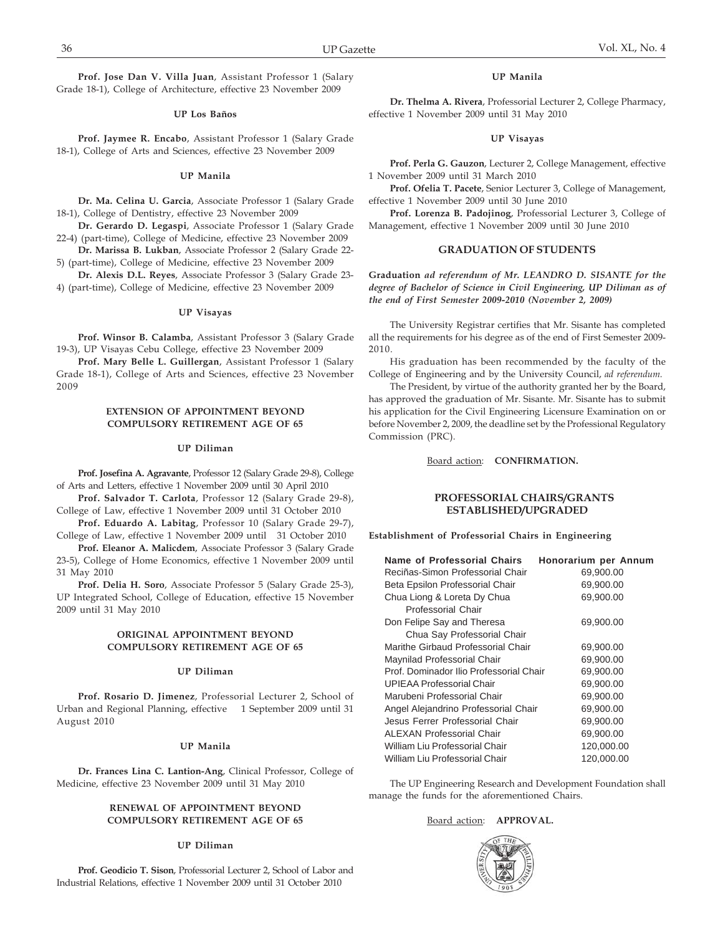**Prof. Jose Dan V. Villa Juan**, Assistant Professor 1 (Salary Grade 18-1), College of Architecture, effective 23 November 2009

#### **UP Los Baños**

**Prof. Jaymee R. Encabo**, Assistant Professor 1 (Salary Grade 18-1), College of Arts and Sciences, effective 23 November 2009

### **UP Manila**

**Dr. Ma. Celina U. Garcia**, Associate Professor 1 (Salary Grade 18-1), College of Dentistry, effective 23 November 2009

**Dr. Gerardo D. Legaspi**, Associate Professor 1 (Salary Grade 22-4) (part-time), College of Medicine, effective 23 November 2009

**Dr. Marissa B. Lukban**, Associate Professor 2 (Salary Grade 22- 5) (part-time), College of Medicine, effective 23 November 2009

**Dr. Alexis D.L. Reyes**, Associate Professor 3 (Salary Grade 23- 4) (part-time), College of Medicine, effective 23 November 2009

### **UP Visayas**

**Prof. Winsor B. Calamba**, Assistant Professor 3 (Salary Grade 19-3), UP Visayas Cebu College, effective 23 November 2009

**Prof. Mary Belle L. Guillergan**, Assistant Professor 1 (Salary Grade 18-1), College of Arts and Sciences, effective 23 November 2009

### **EXTENSION OF APPOINTMENT BEYOND COMPULSORY RETIREMENT AGE OF 65**

#### **UP Diliman**

**Prof. Josefina A. Agravante**, Professor 12 (Salary Grade 29-8), College of Arts and Letters, effective 1 November 2009 until 30 April 2010

**Prof. Salvador T. Carlota**, Professor 12 (Salary Grade 29-8), College of Law, effective 1 November 2009 until 31 October 2010

**Prof. Eduardo A. Labitag**, Professor 10 (Salary Grade 29-7), College of Law, effective 1 November 2009 until 31 October 2010

**Prof. Eleanor A. Malicdem**, Associate Professor 3 (Salary Grade 23-5), College of Home Economics, effective 1 November 2009 until 31 May 2010

**Prof. Delia H. Soro**, Associate Professor 5 (Salary Grade 25-3), UP Integrated School, College of Education, effective 15 November 2009 until 31 May 2010

## **ORIGINAL APPOINTMENT BEYOND COMPULSORY RETIREMENT AGE OF 65**

### **UP Diliman**

**Prof. Rosario D. Jimenez**, Professorial Lecturer 2, School of Urban and Regional Planning, effective 1 September 2009 until 31 August 2010

### **UP Manila**

**Dr. Frances Lina C. Lantion-Ang**, Clinical Professor, College of Medicine, effective 23 November 2009 until 31 May 2010

## **RENEWAL OF APPOINTMENT BEYOND COMPULSORY RETIREMENT AGE OF 65**

## **UP Diliman**

**Prof. Geodicio T. Sison**, Professorial Lecturer 2, School of Labor and Industrial Relations, effective 1 November 2009 until 31 October 2010

## **UP Manila**

**Dr. Thelma A. Rivera**, Professorial Lecturer 2, College Pharmacy, effective 1 November 2009 until 31 May 2010

#### **UP Visayas**

**Prof. Perla G. Gauzon**, Lecturer 2, College Management, effective 1 November 2009 until 31 March 2010

**Prof. Ofelia T. Pacete**, Senior Lecturer 3, College of Management, effective 1 November 2009 until 30 June 2010

**Prof. Lorenza B. Padojinog**, Professorial Lecturer 3, College of Management, effective 1 November 2009 until 30 June 2010

## **GRADUATION OF STUDENTS**

**Graduation** *ad referendum of Mr. LEANDRO D. SISANTE for the degree of Bachelor of Science in Civil Engineering, UP Diliman as of the end of First Semester 2009-2010 (November 2, 2009)*

The University Registrar certifies that Mr. Sisante has completed all the requirements for his degree as of the end of First Semester 2009- 2010.

His graduation has been recommended by the faculty of the College of Engineering and by the University Council, *ad referendum.*

The President, by virtue of the authority granted her by the Board, has approved the graduation of Mr. Sisante. Mr. Sisante has to submit his application for the Civil Engineering Licensure Examination on or before November 2, 2009, the deadline set by the Professional Regulatory Commission (PRC).

Board action: **CONFIRMATION.**

## **PROFESSORIAL CHAIRS/GRANTS ESTABLISHED/UPGRADED**

**Establishment of Professorial Chairs in Engineering**

| <b>Name of Professorial Chairs</b>      | Honorarium per Annum |
|-----------------------------------------|----------------------|
| Reciñas-Simon Professorial Chair        | 69,900.00            |
| Beta Epsilon Professorial Chair         | 69,900.00            |
| Chua Liong & Loreta Dy Chua             | 69,900.00            |
| Professorial Chair                      |                      |
| Don Felipe Say and Theresa              | 69,900.00            |
| Chua Say Professorial Chair             |                      |
| Marithe Girbaud Professorial Chair      | 69,900.00            |
| Maynilad Professorial Chair             | 69,900.00            |
| Prof. Dominador Ilio Professorial Chair | 69,900.00            |
| UPIEAA Professorial Chair               | 69,900.00            |
| Marubeni Professorial Chair             | 69,900.00            |
| Angel Alejandrino Professorial Chair    | 69,900.00            |
| Jesus Ferrer Professorial Chair         | 69,900.00            |
| ALEXAN Professorial Chair               | 69,900.00            |
| William Liu Professorial Chair          | 120,000.00           |
| William Liu Professorial Chair          | 120,000.00           |

The UP Engineering Research and Development Foundation shall manage the funds for the aforementioned Chairs.

# Board action: **APPROVAL.**

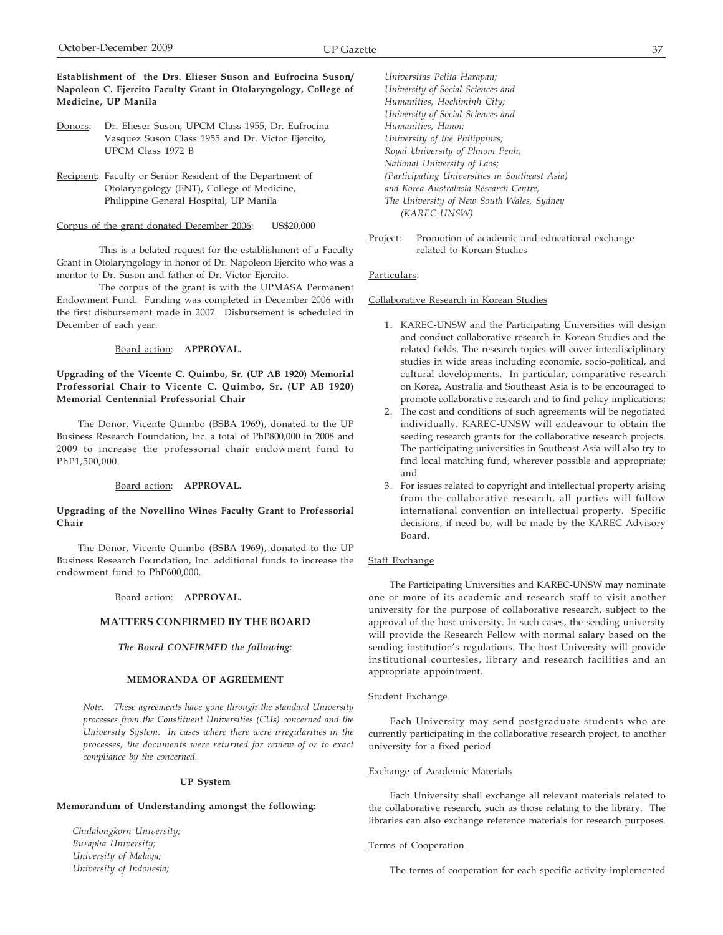**Establishment of the Drs. Elieser Suson and Eufrocina Suson/ Napoleon C. Ejercito Faculty Grant in Otolaryngology, College of Medicine, UP Manila**

- Donors: Dr. Elieser Suson, UPCM Class 1955, Dr. Eufrocina Vasquez Suson Class 1955 and Dr. Victor Ejercito, UPCM Class 1972 B
- Recipient: Faculty or Senior Resident of the Department of Otolaryngology (ENT), College of Medicine, Philippine General Hospital, UP Manila

#### Corpus of the grant donated December 2006: US\$20,000

This is a belated request for the establishment of a Faculty Grant in Otolaryngology in honor of Dr. Napoleon Ejercito who was a mentor to Dr. Suson and father of Dr. Victor Ejercito.

The corpus of the grant is with the UPMASA Permanent Endowment Fund. Funding was completed in December 2006 with the first disbursement made in 2007. Disbursement is scheduled in December of each year.

## Board action: **APPROVAL.**

## **Upgrading of the Vicente C. Quimbo, Sr. (UP AB 1920) Memorial Professorial Chair to Vicente C. Quimbo, Sr. (UP AB 1920) Memorial Centennial Professorial Chair**

The Donor, Vicente Quimbo (BSBA 1969), donated to the UP Business Research Foundation, Inc. a total of PhP800,000 in 2008 and 2009 to increase the professorial chair endowment fund to PhP1,500,000.

#### Board action: **APPROVAL.**

### **Upgrading of the Novellino Wines Faculty Grant to Professorial Chair**

The Donor, Vicente Quimbo (BSBA 1969), donated to the UP Business Research Foundation, Inc. additional funds to increase the endowment fund to PhP600,000.

# Board action: **APPROVAL.**

## **MATTERS CONFIRMED BY THE BOARD**

## *The Board CONFIRMED the following:*

### **MEMORANDA OF AGREEMENT**

*Note: These agreements have gone through the standard University processes from the Constituent Universities (CUs) concerned and the University System. In cases where there were irregularities in the processes, the documents were returned for review of or to exact compliance by the concerned.*

#### **UP System**

## **Memorandum of Understanding amongst the following:**

*Chulalongkorn University; Burapha University; University of Malaya; University of Indonesia;*

*Universitas Pelita Harapan; University of Social Sciences and Humanities, Hochiminh City; University of Social Sciences and Humanities, Hanoi; University of the Philippines; Royal University of Phnom Penh; National University of Laos; (Participating Universities in Southeast Asia) and Korea Australasia Research Centre, The University of New South Wales, Sydney (KAREC-UNSW)*

Project: Promotion of academic and educational exchange related to Korean Studies

## Particulars:

### Collaborative Research in Korean Studies

- 1. KAREC-UNSW and the Participating Universities will design and conduct collaborative research in Korean Studies and the related fields. The research topics will cover interdisciplinary studies in wide areas including economic, socio-political, and cultural developments. In particular, comparative research on Korea, Australia and Southeast Asia is to be encouraged to promote collaborative research and to find policy implications;
- 2. The cost and conditions of such agreements will be negotiated individually. KAREC-UNSW will endeavour to obtain the seeding research grants for the collaborative research projects. The participating universities in Southeast Asia will also try to find local matching fund, wherever possible and appropriate; and
- 3. For issues related to copyright and intellectual property arising from the collaborative research, all parties will follow international convention on intellectual property. Specific decisions, if need be, will be made by the KAREC Advisory Board.

#### Staff Exchange

The Participating Universities and KAREC-UNSW may nominate one or more of its academic and research staff to visit another university for the purpose of collaborative research, subject to the approval of the host university. In such cases, the sending university will provide the Research Fellow with normal salary based on the sending institution's regulations. The host University will provide institutional courtesies, library and research facilities and an appropriate appointment.

## Student Exchange

Each University may send postgraduate students who are currently participating in the collaborative research project, to another university for a fixed period.

#### Exchange of Academic Materials

Each University shall exchange all relevant materials related to the collaborative research, such as those relating to the library. The libraries can also exchange reference materials for research purposes.

## Terms of Cooperation

The terms of cooperation for each specific activity implemented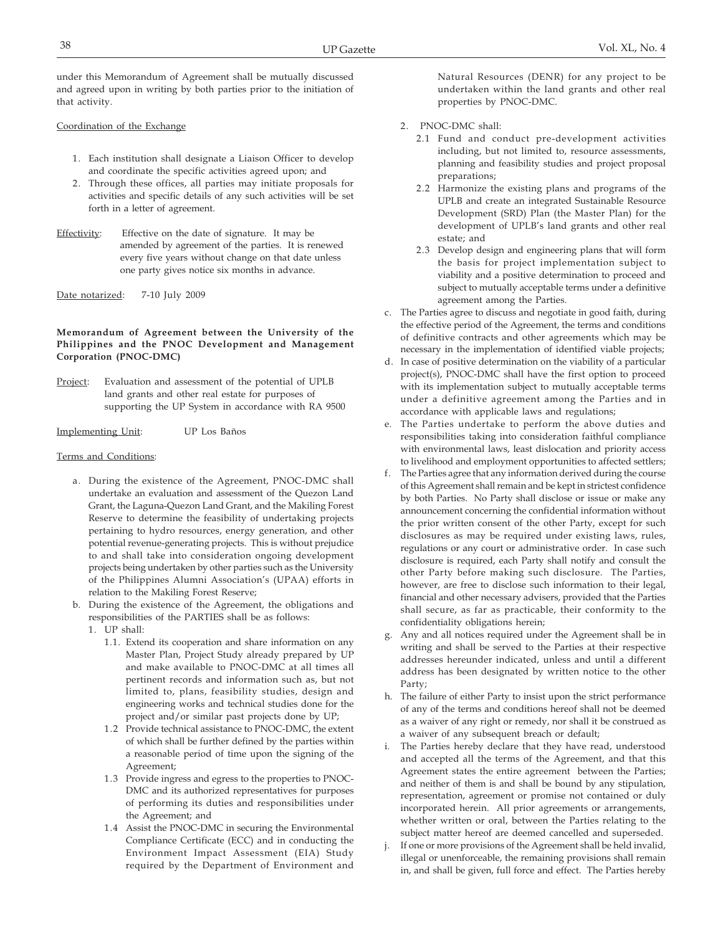under this Memorandum of Agreement shall be mutually discussed and agreed upon in writing by both parties prior to the initiation of that activity.

## Coordination of the Exchange

- 1. Each institution shall designate a Liaison Officer to develop and coordinate the specific activities agreed upon; and
- 2. Through these offices, all parties may initiate proposals for activities and specific details of any such activities will be set forth in a letter of agreement.
- Effectivity: Effective on the date of signature. It may be amended by agreement of the parties. It is renewed every five years without change on that date unless one party gives notice six months in advance.
- Date notarized: 7-10 July 2009

## **Memorandum of Agreement between the University of the Philippines and the PNOC Development and Management Corporation (PNOC-DMC)**

Project: Evaluation and assessment of the potential of UPLB land grants and other real estate for purposes of supporting the UP System in accordance with RA 9500

Implementing Unit: UP Los Baños

## Terms and Conditions:

- a. During the existence of the Agreement, PNOC-DMC shall undertake an evaluation and assessment of the Quezon Land Grant, the Laguna-Quezon Land Grant, and the Makiling Forest Reserve to determine the feasibility of undertaking projects pertaining to hydro resources, energy generation, and other potential revenue-generating projects. This is without prejudice to and shall take into consideration ongoing development projects being undertaken by other parties such as the University of the Philippines Alumni Association's (UPAA) efforts in relation to the Makiling Forest Reserve;
- b. During the existence of the Agreement, the obligations and responsibilities of the PARTIES shall be as follows:
	- 1. UP shall:
		- 1.1. Extend its cooperation and share information on any Master Plan, Project Study already prepared by UP and make available to PNOC-DMC at all times all pertinent records and information such as, but not limited to, plans, feasibility studies, design and engineering works and technical studies done for the project and/or similar past projects done by UP;
		- 1.2 Provide technical assistance to PNOC-DMC, the extent of which shall be further defined by the parties within a reasonable period of time upon the signing of the Agreement;
		- 1.3 Provide ingress and egress to the properties to PNOC-DMC and its authorized representatives for purposes of performing its duties and responsibilities under the Agreement; and
		- 1.4 Assist the PNOC-DMC in securing the Environmental Compliance Certificate (ECC) and in conducting the Environment Impact Assessment (EIA) Study required by the Department of Environment and

Natural Resources (DENR) for any project to be undertaken within the land grants and other real properties by PNOC-DMC.

- 2. PNOC-DMC shall:
	- 2.1 Fund and conduct pre-development activities including, but not limited to, resource assessments, planning and feasibility studies and project proposal preparations;
	- 2.2 Harmonize the existing plans and programs of the UPLB and create an integrated Sustainable Resource Development (SRD) Plan (the Master Plan) for the development of UPLB's land grants and other real estate; and
	- 2.3 Develop design and engineering plans that will form the basis for project implementation subject to viability and a positive determination to proceed and subject to mutually acceptable terms under a definitive agreement among the Parties.
- c. The Parties agree to discuss and negotiate in good faith, during the effective period of the Agreement, the terms and conditions of definitive contracts and other agreements which may be necessary in the implementation of identified viable projects;
- d. In case of positive determination on the viability of a particular project(s), PNOC-DMC shall have the first option to proceed with its implementation subject to mutually acceptable terms under a definitive agreement among the Parties and in accordance with applicable laws and regulations;
- e. The Parties undertake to perform the above duties and responsibilities taking into consideration faithful compliance with environmental laws, least dislocation and priority access to livelihood and employment opportunities to affected settlers;
- f. The Parties agree that any information derived during the course of this Agreement shall remain and be kept in strictest confidence by both Parties. No Party shall disclose or issue or make any announcement concerning the confidential information without the prior written consent of the other Party, except for such disclosures as may be required under existing laws, rules, regulations or any court or administrative order. In case such disclosure is required, each Party shall notify and consult the other Party before making such disclosure. The Parties, however, are free to disclose such information to their legal, financial and other necessary advisers, provided that the Parties shall secure, as far as practicable, their conformity to the confidentiality obligations herein;
- g. Any and all notices required under the Agreement shall be in writing and shall be served to the Parties at their respective addresses hereunder indicated, unless and until a different address has been designated by written notice to the other Party;
- h. The failure of either Party to insist upon the strict performance of any of the terms and conditions hereof shall not be deemed as a waiver of any right or remedy, nor shall it be construed as a waiver of any subsequent breach or default;
- i. The Parties hereby declare that they have read, understood and accepted all the terms of the Agreement, and that this Agreement states the entire agreement between the Parties; and neither of them is and shall be bound by any stipulation, representation, agreement or promise not contained or duly incorporated herein. All prior agreements or arrangements, whether written or oral, between the Parties relating to the subject matter hereof are deemed cancelled and superseded.
- j. If one or more provisions of the Agreement shall be held invalid, illegal or unenforceable, the remaining provisions shall remain in, and shall be given, full force and effect. The Parties hereby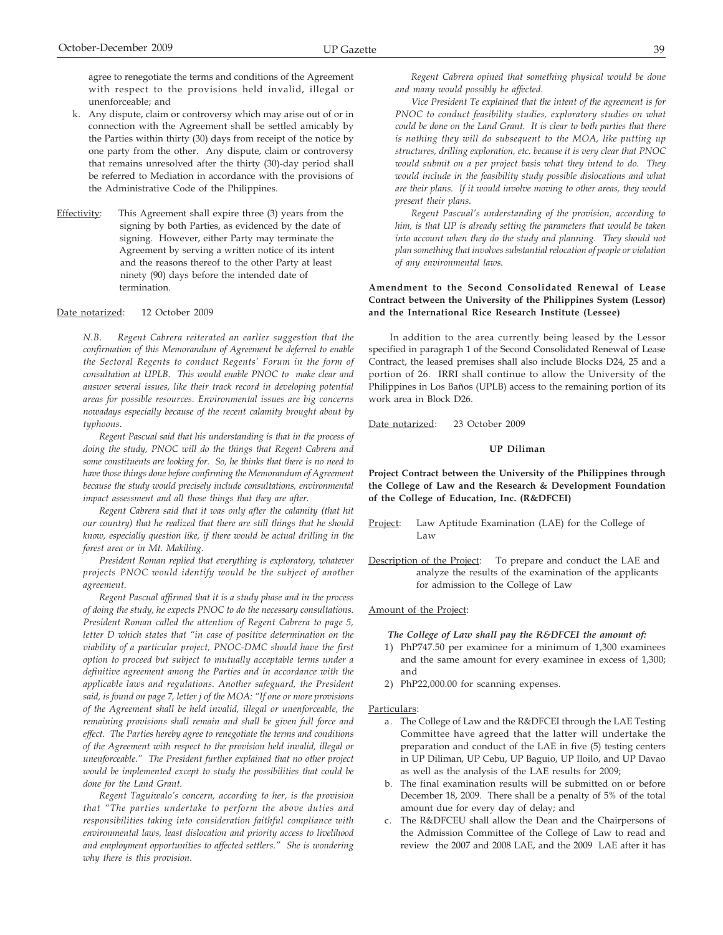agree to renegotiate the terms and conditions of the Agreement with respect to the provisions held invalid, illegal or unenforceable; and

- k. Any dispute, claim or controversy which may arise out of or in connection with the Agreement shall be settled amicably by the Parties within thirty (30) days from receipt of the notice by one party from the other. Any dispute, claim or controversy that remains unresolved after the thirty (30)-day period shall be referred to Mediation in accordance with the provisions of the Administrative Code of the Philippines.
- Effectivity: This Agreement shall expire three (3) years from the signing by both Parties, as evidenced by the date of signing. However, either Party may terminate the Agreement by serving a written notice of its intent and the reasons thereof to the other Party at least ninety (90) days before the intended date of termination.

## Date notarized: 12 October 2009

*N.B. Regent Cabrera reiterated an earlier suggestion that the confirmation of this Memorandum of Agreement be deferred to enable the Sectoral Regents to conduct Regents' Forum in the form of consultation at UPLB. This would enable PNOC to make clear and answer several issues, like their track record in developing potential areas for possible resources. Environmental issues are big concerns nowadays especially because of the recent calamity brought about by typhoons.*

*Regent Pascual said that his understanding is that in the process of doing the study, PNOC will do the things that Regent Cabrera and some constituents are looking for. So, he thinks that there is no need to have those things done before confirming the Memorandum of Agreement because the study would precisely include consultations, environmental impact assessment and all those things that they are after.*

*Regent Cabrera said that it was only after the calamity (that hit our country) that he realized that there are still things that he should know, especially question like, if there would be actual drilling in the forest area or in Mt. Makiling.*

*President Roman replied that everything is exploratory, whatever projects PNOC would identify would be the subject of another agreement.*

*Regent Pascual affirmed that it is a study phase and in the process of doing the study, he expects PNOC to do the necessary consultations. President Roman called the attention of Regent Cabrera to page 5, letter D which states that "in case of positive determination on the viability of a particular project, PNOC-DMC should have the first option to proceed but subject to mutually acceptable terms under a definitive agreement among the Parties and in accordance with the applicable laws and regulations. Another safeguard, the President said, is found on page 7, letter j of the MOA: "If one or more provisions of the Agreement shall be held invalid, illegal or unenforceable, the remaining provisions shall remain and shall be given full force and effect. The Parties hereby agree to renegotiate the terms and conditions of the Agreement with respect to the provision held invalid, illegal or unenforceable." The President further explained that no other project would be implemented except to study the possibilities that could be done for the Land Grant.*

*Regent Taguiwalo's concern, according to her, is the provision that "The parties undertake to perform the above duties and responsibilities taking into consideration faithful compliance with environmental laws, least dislocation and priority access to livelihood and employment opportunities to affected settlers." She is wondering why there is this provision.*

*Vice President Te explained that the intent of the agreement is for PNOC to conduct feasibility studies, exploratory studies on what could be done on the Land Grant. It is clear to both parties that there is nothing they will do subsequent to the MOA, like putting up structures, drilling exploration, etc. because it is very clear that PNOC would submit on a per project basis what they intend to do. They would include in the feasibility study possible dislocations and what are their plans. If it would involve moving to other areas, they would present their plans.*

*Regent Pascual's understanding of the provision, according to him, is that UP is already setting the parameters that would be taken into account when they do the study and planning. They should not plan something that involves substantial relocation of people or violation of any environmental laws.*

## **Amendment to the Second Consolidated Renewal of Lease Contract between the University of the Philippines System (Lessor) and the International Rice Research Institute (Lessee)**

In addition to the area currently being leased by the Lessor specified in paragraph 1 of the Second Consolidated Renewal of Lease Contract, the leased premises shall also include Blocks D24, 25 and a portion of 26. IRRI shall continue to allow the University of the Philippines in Los Baños (UPLB) access to the remaining portion of its work area in Block D26.

Date notarized: 23 October 2009

## **UP Diliman**

**Project Contract between the University of the Philippines through the College of Law and the Research & Development Foundation of the College of Education, Inc. (R&DFCEI)**

- Project: Law Aptitude Examination (LAE) for the College of Law
- Description of the Project: To prepare and conduct the LAE and analyze the results of the examination of the applicants for admission to the College of Law

Amount of the Project:

*The College of Law shall pay the R&DFCEI the amount of:*

- 1) PhP747.50 per examinee for a minimum of 1,300 examinees and the same amount for every examinee in excess of 1,300; and
- 2) PhP22,000.00 for scanning expenses.

- a. The College of Law and the R&DFCEI through the LAE Testing Committee have agreed that the latter will undertake the preparation and conduct of the LAE in five (5) testing centers in UP Diliman, UP Cebu, UP Baguio, UP Iloilo, and UP Davao as well as the analysis of the LAE results for 2009;
- b. The final examination results will be submitted on or before December 18, 2009. There shall be a penalty of 5% of the total amount due for every day of delay; and
- c. The R&DFCEU shall allow the Dean and the Chairpersons of the Admission Committee of the College of Law to read and review the 2007 and 2008 LAE, and the 2009 LAE after it has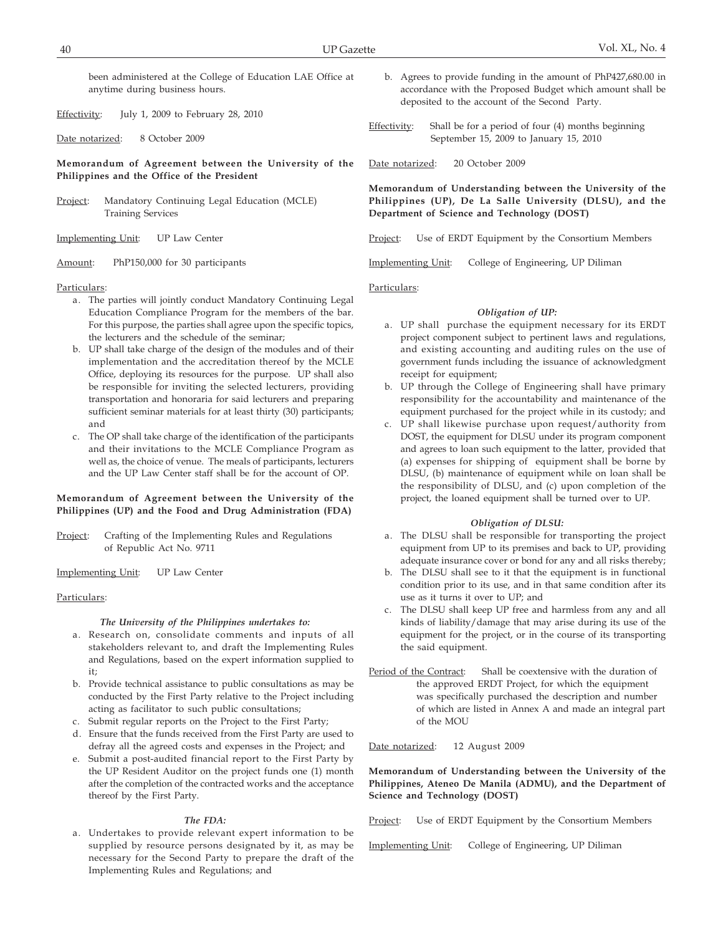been administered at the College of Education LAE Office at anytime during business hours.

Effectivity: July 1, 2009 to February 28, 2010

Date notarized: 8 October 2009

**Memorandum of Agreement between the University of the Philippines and the Office of the President**

Project: Mandatory Continuing Legal Education (MCLE) Training Services

Implementing Unit: UP Law Center

Amount: PhP150,000 for 30 participants

### Particulars:

- a. The parties will jointly conduct Mandatory Continuing Legal Education Compliance Program for the members of the bar. For this purpose, the parties shall agree upon the specific topics, the lecturers and the schedule of the seminar;
- b. UP shall take charge of the design of the modules and of their implementation and the accreditation thereof by the MCLE Office, deploying its resources for the purpose. UP shall also be responsible for inviting the selected lecturers, providing transportation and honoraria for said lecturers and preparing sufficient seminar materials for at least thirty (30) participants; and
- c. The OP shall take charge of the identification of the participants and their invitations to the MCLE Compliance Program as well as, the choice of venue. The meals of participants, lecturers and the UP Law Center staff shall be for the account of OP.

## **Memorandum of Agreement between the University of the Philippines (UP) and the Food and Drug Administration (FDA)**

Project: Crafting of the Implementing Rules and Regulations of Republic Act No. 9711

Implementing Unit: UP Law Center

## Particulars:

### *The University of the Philippines undertakes to:*

- a. Research on, consolidate comments and inputs of all stakeholders relevant to, and draft the Implementing Rules and Regulations, based on the expert information supplied to it;
- b. Provide technical assistance to public consultations as may be conducted by the First Party relative to the Project including acting as facilitator to such public consultations;
- c. Submit regular reports on the Project to the First Party;
- d. Ensure that the funds received from the First Party are used to defray all the agreed costs and expenses in the Project; and
- e. Submit a post-audited financial report to the First Party by the UP Resident Auditor on the project funds one (1) month after the completion of the contracted works and the acceptance thereof by the First Party.

### *The FDA:*

a. Undertakes to provide relevant expert information to be supplied by resource persons designated by it, as may be necessary for the Second Party to prepare the draft of the Implementing Rules and Regulations; and

- b. Agrees to provide funding in the amount of PhP427,680.00 in accordance with the Proposed Budget which amount shall be deposited to the account of the Second Party.
- Effectivity: Shall be for a period of four (4) months beginning September 15, 2009 to January 15, 2010

Date notarized: 20 October 2009

**Memorandum of Understanding between the University of the Philippines (UP), De La Salle University (DLSU), and the Department of Science and Technology (DOST)**

Project: Use of ERDT Equipment by the Consortium Members

Implementing Unit: College of Engineering, UP Diliman

Particulars:

## *Obligation of UP:*

- a. UP shall purchase the equipment necessary for its ERDT project component subject to pertinent laws and regulations, and existing accounting and auditing rules on the use of government funds including the issuance of acknowledgment receipt for equipment;
- b. UP through the College of Engineering shall have primary responsibility for the accountability and maintenance of the equipment purchased for the project while in its custody; and
- c. UP shall likewise purchase upon request/authority from DOST, the equipment for DLSU under its program component and agrees to loan such equipment to the latter, provided that (a) expenses for shipping of equipment shall be borne by DLSU, (b) maintenance of equipment while on loan shall be the responsibility of DLSU, and (c) upon completion of the project, the loaned equipment shall be turned over to UP.

#### *Obligation of DLSU:*

- a. The DLSU shall be responsible for transporting the project equipment from UP to its premises and back to UP, providing adequate insurance cover or bond for any and all risks thereby;
- b. The DLSU shall see to it that the equipment is in functional condition prior to its use, and in that same condition after its use as it turns it over to UP; and
- The DLSU shall keep UP free and harmless from any and all kinds of liability/damage that may arise during its use of the equipment for the project, or in the course of its transporting the said equipment.
- Period of the Contract: Shall be coextensive with the duration of the approved ERDT Project, for which the equipment was specifically purchased the description and number of which are listed in Annex A and made an integral part of the MOU

Date notarized: 12 August 2009

**Memorandum of Understanding between the University of the Philippines, Ateneo De Manila (ADMU), and the Department of Science and Technology (DOST)**

Project: Use of ERDT Equipment by the Consortium Members

Implementing Unit: College of Engineering, UP Diliman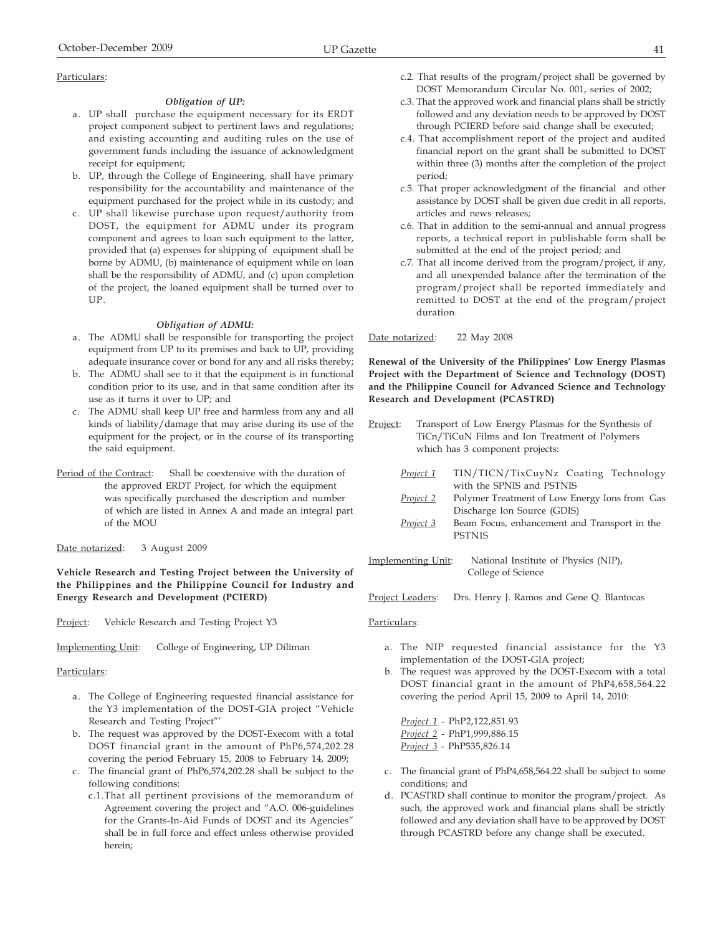### *Obligation of UP:*

- a. UP shall purchase the equipment necessary for its ERDT project component subject to pertinent laws and regulations; and existing accounting and auditing rules on the use of government funds including the issuance of acknowledgment receipt for equipment;
- b. UP, through the College of Engineering, shall have primary responsibility for the accountability and maintenance of the equipment purchased for the project while in its custody; and
- c. UP shall likewise purchase upon request/authority from DOST, the equipment for ADMU under its program component and agrees to loan such equipment to the latter, provided that (a) expenses for shipping of equipment shall be borne by ADMU, (b) maintenance of equipment while on loan shall be the responsibility of ADMU, and (c) upon completion of the project, the loaned equipment shall be turned over to UP.

### *Obligation of ADMU:*

- a. The ADMU shall be responsible for transporting the project equipment from UP to its premises and back to UP, providing adequate insurance cover or bond for any and all risks thereby;
- b. The ADMU shall see to it that the equipment is in functional condition prior to its use, and in that same condition after its use as it turns it over to UP; and
- c. The ADMU shall keep UP free and harmless from any and all kinds of liability/damage that may arise during its use of the equipment for the project, or in the course of its transporting the said equipment.
- Period of the Contract: Shall be coextensive with the duration of the approved ERDT Project, for which the equipment was specifically purchased the description and number of which are listed in Annex A and made an integral part of the MOU
- Date notarized: 3 August 2009

**Vehicle Research and Testing Project between the University of the Philippines and the Philippine Council for Industry and Energy Research and Development (PCIERD)**

Project: Vehicle Research and Testing Project Y3

Implementing Unit: College of Engineering, UP Diliman

#### Particulars:

- a. The College of Engineering requested financial assistance for the Y3 implementation of the DOST-GIA project "Vehicle Research and Testing Project"'
- b. The request was approved by the DOST-Execom with a total DOST financial grant in the amount of PhP6,574,202.28 covering the period February 15, 2008 to February 14, 2009;
- c. The financial grant of PhP6,574,202.28 shall be subject to the following conditions:
	- c.1.That all pertinent provisions of the memorandum of Agreement covering the project and "A.O. 006-guidelines for the Grants-In-Aid Funds of DOST and its Agencies" shall be in full force and effect unless otherwise provided herein;
- c.2. That results of the program/project shall be governed by DOST Memorandum Circular No. 001, series of 2002;
- c.3. That the approved work and financial plans shall be strictly followed and any deviation needs to be approved by DOST through PCIERD before said change shall be executed;
- c.4. That accomplishment report of the project and audited financial report on the grant shall be submitted to DOST within three (3) months after the completion of the project period;
- c.5. That proper acknowledgment of the financial and other assistance by DOST shall be given due credit in all reports, articles and news releases;
- c.6. That in addition to the semi-annual and annual progress reports, a technical report in publishable form shall be submitted at the end of the project period; and
- c.7. That all income derived from the program/project, if any, and all unexpended balance after the termination of the program/project shall be reported immediately and remitted to DOST at the end of the program/project duration.

Date notarized: 22 May 2008

**Renewal of the University of the Philippines' Low Energy Plasmas Project with the Department of Science and Technology (DOST) and the Philippine Council for Advanced Science and Technology Research and Development (PCASTRD)**

- Project: Transport of Low Energy Plasmas for the Synthesis of TiCn/TiCuN Films and Ion Treatment of Polymers which has 3 component projects: *Project 1* TIN/TICN/TixCuyNz Coating Technology with the SPNIS and PSTNIS
	- *Project 2* Polymer Treatment of Low Energy Ions from Gas Discharge Ion Source (GDIS)
	- *Project 3* Beam Focus, enhancement and Transport in the PSTNIS
- Implementing Unit: National Institute of Physics (NIP), College of Science
- Project Leaders: Drs. Henry J. Ramos and Gene Q. Blantocas

### Particulars:

- a. The NIP requested financial assistance for the Y3 implementation of the DOST-GIA project;
- b. The request was approved by the DOST-Execom with a total DOST financial grant in the amount of PhP4,658,564.22 covering the period April 15, 2009 to April 14, 2010:

*Project 1* - PhP2,122,851.93 *Project 2* - PhP1,999,886.15 *Project 3* - PhP535,826.14

- c. The financial grant of PhP4,658,564.22 shall be subject to some conditions; and
- d. PCASTRD shall continue to monitor the program/project. As such, the approved work and financial plans shall be strictly followed and any deviation shall have to be approved by DOST through PCASTRD before any change shall be executed.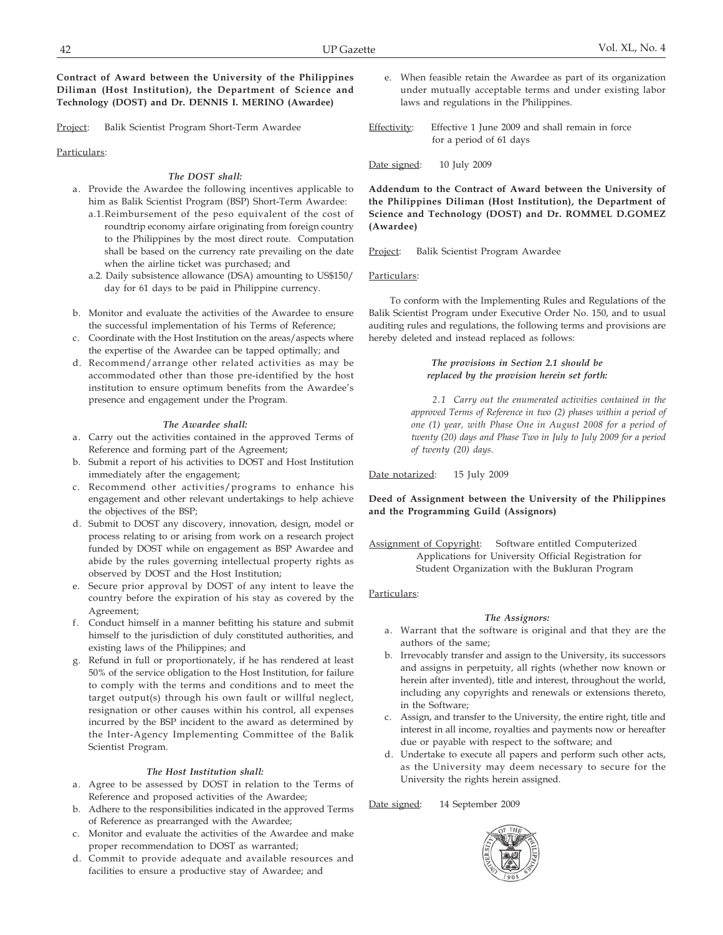**Contract of Award between the University of the Philippines Diliman (Host Institution), the Department of Science and Technology (DOST) and Dr. DENNIS I. MERINO (Awardee)**

Project: Balik Scientist Program Short-Term Awardee

## Particulars:

## *The DOST shall:*

- a. Provide the Awardee the following incentives applicable to him as Balik Scientist Program (BSP) Short-Term Awardee:
	- a.1.Reimbursement of the peso equivalent of the cost of roundtrip economy airfare originating from foreign country to the Philippines by the most direct route. Computation shall be based on the currency rate prevailing on the date when the airline ticket was purchased; and
	- a.2. Daily subsistence allowance (DSA) amounting to US\$150/ day for 61 days to be paid in Philippine currency.
- b. Monitor and evaluate the activities of the Awardee to ensure the successful implementation of his Terms of Reference;
- c. Coordinate with the Host Institution on the areas/aspects where the expertise of the Awardee can be tapped optimally; and
- d. Recommend/arrange other related activities as may be accommodated other than those pre-identified by the host institution to ensure optimum benefits from the Awardee's presence and engagement under the Program.

### *The Awardee shall:*

- a. Carry out the activities contained in the approved Terms of Reference and forming part of the Agreement;
- b. Submit a report of his activities to DOST and Host Institution immediately after the engagement;
- c. Recommend other activities/programs to enhance his engagement and other relevant undertakings to help achieve the objectives of the BSP;
- d. Submit to DOST any discovery, innovation, design, model or process relating to or arising from work on a research project funded by DOST while on engagement as BSP Awardee and abide by the rules governing intellectual property rights as observed by DOST and the Host Institution;
- e. Secure prior approval by DOST of any intent to leave the country before the expiration of his stay as covered by the Agreement;
- f. Conduct himself in a manner befitting his stature and submit himself to the jurisdiction of duly constituted authorities, and existing laws of the Philippines; and
- g. Refund in full or proportionately, if he has rendered at least 50% of the service obligation to the Host Institution, for failure to comply with the terms and conditions and to meet the target output(s) through his own fault or willful neglect, resignation or other causes within his control, all expenses incurred by the BSP incident to the award as determined by the Inter-Agency Implementing Committee of the Balik Scientist Program.

### *The Host Institution shall:*

- a. Agree to be assessed by DOST in relation to the Terms of Reference and proposed activities of the Awardee;
- b. Adhere to the responsibilities indicated in the approved Terms of Reference as prearranged with the Awardee;
- c. Monitor and evaluate the activities of the Awardee and make proper recommendation to DOST as warranted;
- d. Commit to provide adequate and available resources and facilities to ensure a productive stay of Awardee; and
- e. When feasible retain the Awardee as part of its organization under mutually acceptable terms and under existing labor laws and regulations in the Philippines.
- Effectivity: Effective 1 June 2009 and shall remain in force for a period of 61 days

Date signed: 10 July 2009

**Addendum to the Contract of Award between the University of the Philippines Diliman (Host Institution), the Department of Science and Technology (DOST) and Dr. ROMMEL D.GOMEZ (Awardee)**

Project: Balik Scientist Program Awardee

## Particulars:

To conform with the Implementing Rules and Regulations of the Balik Scientist Program under Executive Order No. 150, and to usual auditing rules and regulations, the following terms and provisions are hereby deleted and instead replaced as follows:

## *The provisions in Section 2.1 should be replaced by the provision herein set forth:*

*2.1 Carry out the enumerated activities contained in the approved Terms of Reference in two (2) phases within a period of one (1) year, with Phase One in August 2008 for a period of twenty (20) days and Phase Two in July to July 2009 for a period of twenty (20) days.*

Date notarized: 15 July 2009

## **Deed of Assignment between the University of the Philippines and the Programming Guild (Assignors)**

Assignment of Copyright: Software entitled Computerized Applications for University Official Registration for Student Organization with the Bukluran Program

## Particulars:

### *The Assignors:*

- a. Warrant that the software is original and that they are the authors of the same;
- b. Irrevocably transfer and assign to the University, its successors and assigns in perpetuity, all rights (whether now known or herein after invented), title and interest, throughout the world, including any copyrights and renewals or extensions thereto, in the Software;
- c. Assign, and transfer to the University, the entire right, title and interest in all income, royalties and payments now or hereafter due or payable with respect to the software; and
- d. Undertake to execute all papers and perform such other acts, as the University may deem necessary to secure for the University the rights herein assigned.

Date signed: 14 September 2009

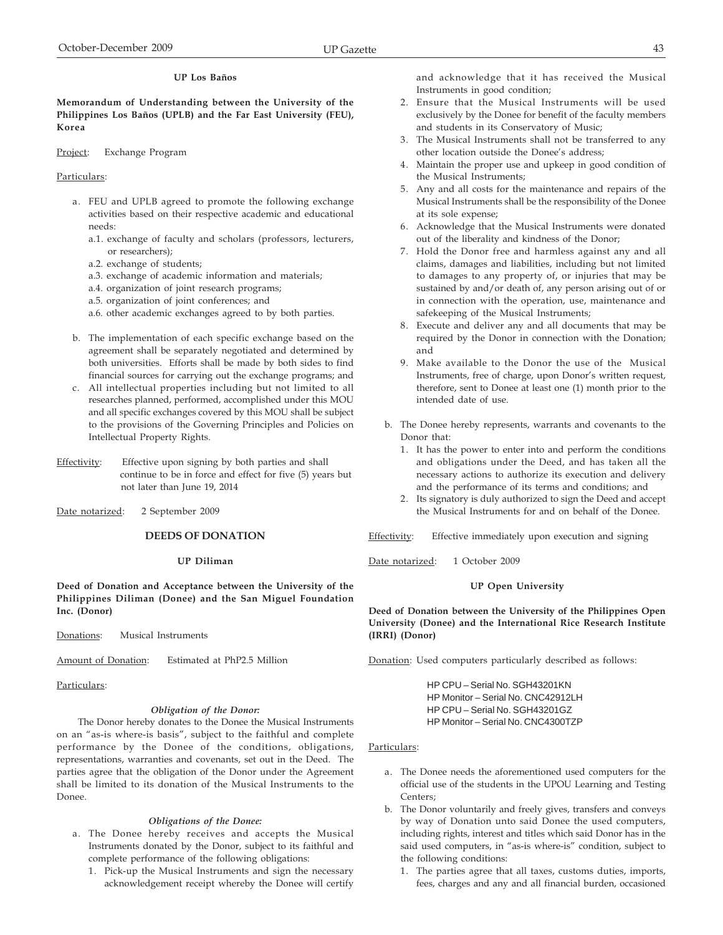## **UP Los Baños**

**Memorandum of Understanding between the University of the Philippines Los Baños (UPLB) and the Far East University (FEU), Korea**

Project: Exchange Program

#### Particulars:

- a. FEU and UPLB agreed to promote the following exchange activities based on their respective academic and educational needs:
	- a.1. exchange of faculty and scholars (professors, lecturers, or researchers);
	- a.2. exchange of students;
	- a.3. exchange of academic information and materials;
	- a.4. organization of joint research programs;
	- a.5. organization of joint conferences; and
	- a.6. other academic exchanges agreed to by both parties.
- b. The implementation of each specific exchange based on the agreement shall be separately negotiated and determined by both universities. Efforts shall be made by both sides to find financial sources for carrying out the exchange programs; and
- c. All intellectual properties including but not limited to all researches planned, performed, accomplished under this MOU and all specific exchanges covered by this MOU shall be subject to the provisions of the Governing Principles and Policies on Intellectual Property Rights.
- Effectivity: Effective upon signing by both parties and shall continue to be in force and effect for five (5) years but not later than June 19, 2014
- Date notarized: 2 September 2009

# **DEEDS OF DONATION**

## **UP Diliman**

**Deed of Donation and Acceptance between the University of the Philippines Diliman (Donee) and the San Miguel Foundation Inc. (Donor)**

Donations: Musical Instruments

Amount of Donation: Estimated at PhP2.5 Million

### Particulars:

#### *Obligation of the Donor:*

The Donor hereby donates to the Donee the Musical Instruments on an "as-is where-is basis", subject to the faithful and complete performance by the Donee of the conditions, obligations, representations, warranties and covenants, set out in the Deed. The parties agree that the obligation of the Donor under the Agreement shall be limited to its donation of the Musical Instruments to the Donee.

### *Obligations of the Donee:*

- a. The Donee hereby receives and accepts the Musical Instruments donated by the Donor, subject to its faithful and complete performance of the following obligations:
	- 1. Pick-up the Musical Instruments and sign the necessary acknowledgement receipt whereby the Donee will certify

and acknowledge that it has received the Musical Instruments in good condition;

- 2. Ensure that the Musical Instruments will be used exclusively by the Donee for benefit of the faculty members and students in its Conservatory of Music;
- 3. The Musical Instruments shall not be transferred to any other location outside the Donee's address;
- 4. Maintain the proper use and upkeep in good condition of the Musical Instruments;
- 5. Any and all costs for the maintenance and repairs of the Musical Instruments shall be the responsibility of the Donee at its sole expense;
- 6. Acknowledge that the Musical Instruments were donated out of the liberality and kindness of the Donor;
- 7. Hold the Donor free and harmless against any and all claims, damages and liabilities, including but not limited to damages to any property of, or injuries that may be sustained by and/or death of, any person arising out of or in connection with the operation, use, maintenance and safekeeping of the Musical Instruments;
- 8. Execute and deliver any and all documents that may be required by the Donor in connection with the Donation; and
- 9. Make available to the Donor the use of the Musical Instruments, free of charge, upon Donor's written request, therefore, sent to Donee at least one (1) month prior to the intended date of use.
- b. The Donee hereby represents, warrants and covenants to the Donor that:
	- 1. It has the power to enter into and perform the conditions and obligations under the Deed, and has taken all the necessary actions to authorize its execution and delivery and the performance of its terms and conditions; and
	- 2. Its signatory is duly authorized to sign the Deed and accept the Musical Instruments for and on behalf of the Donee.

Effectivity: Effective immediately upon execution and signing

Date notarized: 1 October 2009

## **UP Open University**

**Deed of Donation between the University of the Philippines Open University (Donee) and the International Rice Research Institute (IRRI) (Donor)**

Donation: Used computers particularly described as follows:

HP CPU – Serial No. SGH43201KN HP Monitor – Serial No. CNC42912LH HP CPU – Serial No. SGH43201GZ HP Monitor – Serial No. CNC4300TZP

- a. The Donee needs the aforementioned used computers for the official use of the students in the UPOU Learning and Testing Centers;
- b. The Donor voluntarily and freely gives, transfers and conveys by way of Donation unto said Donee the used computers, including rights, interest and titles which said Donor has in the said used computers, in "as-is where-is" condition, subject to the following conditions:
	- 1. The parties agree that all taxes, customs duties, imports, fees, charges and any and all financial burden, occasioned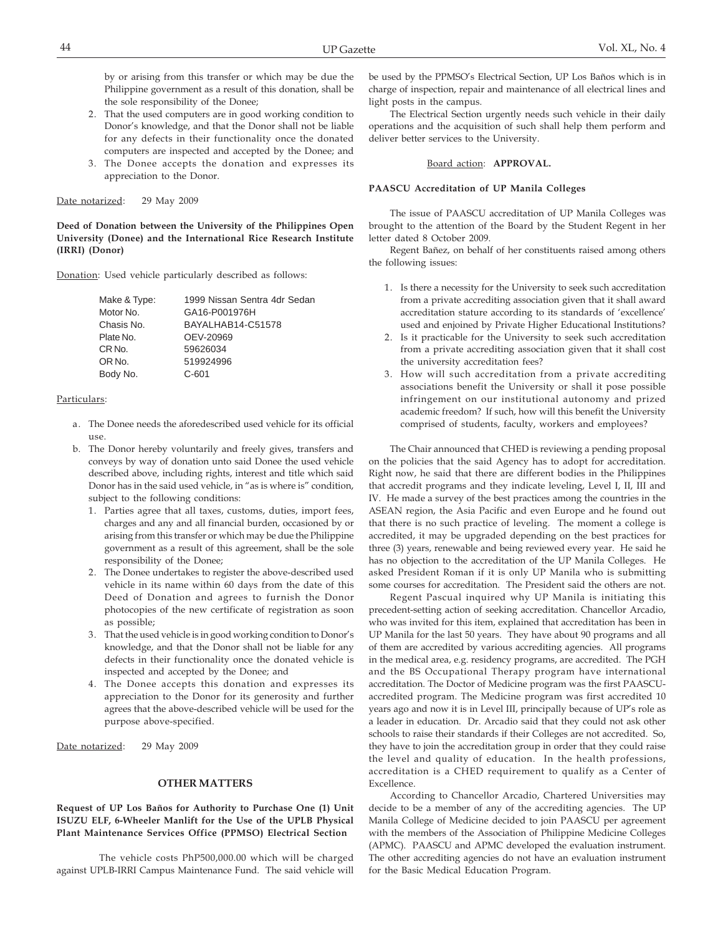by or arising from this transfer or which may be due the Philippine government as a result of this donation, shall be the sole responsibility of the Donee;

- 2. That the used computers are in good working condition to Donor's knowledge, and that the Donor shall not be liable for any defects in their functionality once the donated computers are inspected and accepted by the Donee; and
- 3. The Donee accepts the donation and expresses its appreciation to the Donor.

Date notarized: 29 May 2009

**Deed of Donation between the University of the Philippines Open University (Donee) and the International Rice Research Institute (IRRI) (Donor)**

Donation: Used vehicle particularly described as follows:

| Make & Type: | 1999 Nissan Sentra 4dr Sedan |
|--------------|------------------------------|
| Motor No.    | GA16-P001976H                |
| Chasis No.   | BAYALHAB14-C51578            |
| Plate No.    | OEV-20969                    |
| CR No.       | 59626034                     |
| OR No.       | 519924996                    |
| Body No.     | $C - 601$                    |

### Particulars:

- a. The Donee needs the aforedescribed used vehicle for its official use.
- b. The Donor hereby voluntarily and freely gives, transfers and conveys by way of donation unto said Donee the used vehicle described above, including rights, interest and title which said Donor has in the said used vehicle, in "as is where is" condition, subject to the following conditions:
	- 1. Parties agree that all taxes, customs, duties, import fees, charges and any and all financial burden, occasioned by or arising from this transfer or which may be due the Philippine government as a result of this agreement, shall be the sole responsibility of the Donee;
	- 2. The Donee undertakes to register the above-described used vehicle in its name within 60 days from the date of this Deed of Donation and agrees to furnish the Donor photocopies of the new certificate of registration as soon as possible;
	- 3. That the used vehicle is in good working condition to Donor's knowledge, and that the Donor shall not be liable for any defects in their functionality once the donated vehicle is inspected and accepted by the Donee; and
	- 4. The Donee accepts this donation and expresses its appreciation to the Donor for its generosity and further agrees that the above-described vehicle will be used for the purpose above-specified.

Date notarized: 29 May 2009

## **OTHER MATTERS**

**Request of UP Los Baños for Authority to Purchase One (1) Unit ISUZU ELF, 6-Wheeler Manlift for the Use of the UPLB Physical Plant Maintenance Services Office (PPMSO) Electrical Section**

The vehicle costs PhP500,000.00 which will be charged against UPLB-IRRI Campus Maintenance Fund. The said vehicle will be used by the PPMSO's Electrical Section, UP Los Baños which is in charge of inspection, repair and maintenance of all electrical lines and light posts in the campus.

The Electrical Section urgently needs such vehicle in their daily operations and the acquisition of such shall help them perform and deliver better services to the University.

## Board action: **APPROVAL.**

### **PAASCU Accreditation of UP Manila Colleges**

The issue of PAASCU accreditation of UP Manila Colleges was brought to the attention of the Board by the Student Regent in her letter dated 8 October 2009.

Regent Bañez, on behalf of her constituents raised among others the following issues:

- 1. Is there a necessity for the University to seek such accreditation from a private accrediting association given that it shall award accreditation stature according to its standards of 'excellence' used and enjoined by Private Higher Educational Institutions?
- 2. Is it practicable for the University to seek such accreditation from a private accrediting association given that it shall cost the university accreditation fees?
- 3. How will such accreditation from a private accrediting associations benefit the University or shall it pose possible infringement on our institutional autonomy and prized academic freedom? If such, how will this benefit the University comprised of students, faculty, workers and employees?

The Chair announced that CHED is reviewing a pending proposal on the policies that the said Agency has to adopt for accreditation. Right now, he said that there are different bodies in the Philippines that accredit programs and they indicate leveling, Level I, II, III and IV. He made a survey of the best practices among the countries in the ASEAN region, the Asia Pacific and even Europe and he found out that there is no such practice of leveling. The moment a college is accredited, it may be upgraded depending on the best practices for three (3) years, renewable and being reviewed every year. He said he has no objection to the accreditation of the UP Manila Colleges. He asked President Roman if it is only UP Manila who is submitting some courses for accreditation. The President said the others are not.

Regent Pascual inquired why UP Manila is initiating this precedent-setting action of seeking accreditation. Chancellor Arcadio, who was invited for this item, explained that accreditation has been in UP Manila for the last 50 years. They have about 90 programs and all of them are accredited by various accrediting agencies. All programs in the medical area, e.g. residency programs, are accredited. The PGH and the BS Occupational Therapy program have international accreditation. The Doctor of Medicine program was the first PAASCUaccredited program. The Medicine program was first accredited 10 years ago and now it is in Level III, principally because of UP's role as a leader in education. Dr. Arcadio said that they could not ask other schools to raise their standards if their Colleges are not accredited. So, they have to join the accreditation group in order that they could raise the level and quality of education. In the health professions, accreditation is a CHED requirement to qualify as a Center of Excellence.

According to Chancellor Arcadio, Chartered Universities may decide to be a member of any of the accrediting agencies. The UP Manila College of Medicine decided to join PAASCU per agreement with the members of the Association of Philippine Medicine Colleges (APMC). PAASCU and APMC developed the evaluation instrument. The other accrediting agencies do not have an evaluation instrument for the Basic Medical Education Program.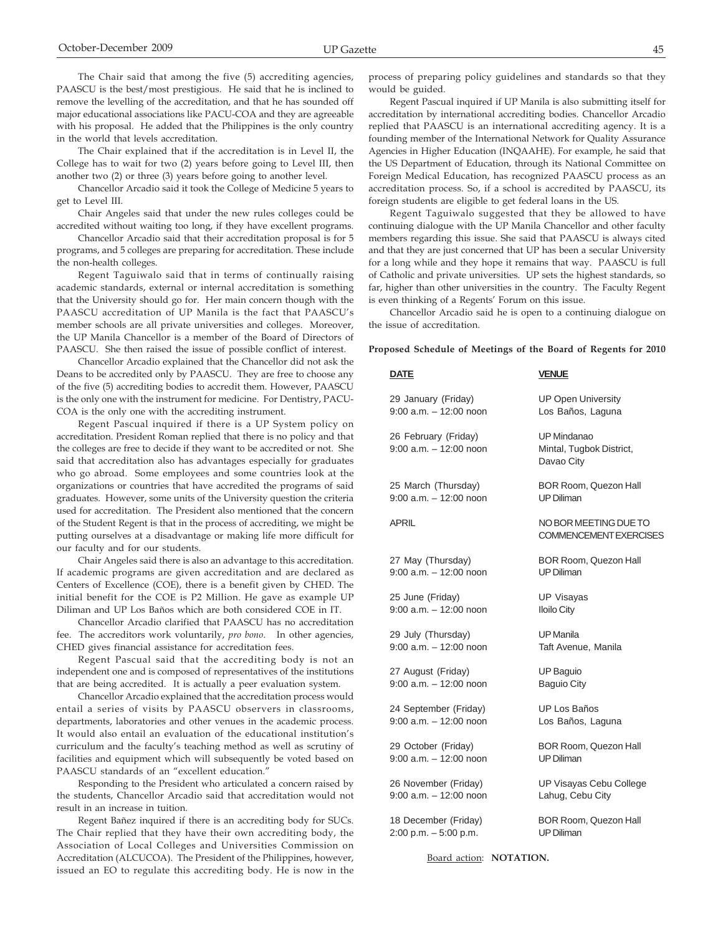The Chair explained that if the accreditation is in Level II, the College has to wait for two (2) years before going to Level III, then another two (2) or three (3) years before going to another level.

Chancellor Arcadio said it took the College of Medicine 5 years to get to Level III.

Chair Angeles said that under the new rules colleges could be accredited without waiting too long, if they have excellent programs.

Chancellor Arcadio said that their accreditation proposal is for 5 programs, and 5 colleges are preparing for accreditation. These include the non-health colleges.

Regent Taguiwalo said that in terms of continually raising academic standards, external or internal accreditation is something that the University should go for. Her main concern though with the PAASCU accreditation of UP Manila is the fact that PAASCU's member schools are all private universities and colleges. Moreover, the UP Manila Chancellor is a member of the Board of Directors of PAASCU. She then raised the issue of possible conflict of interest.

Chancellor Arcadio explained that the Chancellor did not ask the Deans to be accredited only by PAASCU. They are free to choose any of the five (5) accrediting bodies to accredit them. However, PAASCU is the only one with the instrument for medicine. For Dentistry, PACU-COA is the only one with the accrediting instrument.

Regent Pascual inquired if there is a UP System policy on accreditation. President Roman replied that there is no policy and that the colleges are free to decide if they want to be accredited or not. She said that accreditation also has advantages especially for graduates who go abroad. Some employees and some countries look at the organizations or countries that have accredited the programs of said graduates. However, some units of the University question the criteria used for accreditation. The President also mentioned that the concern of the Student Regent is that in the process of accrediting, we might be putting ourselves at a disadvantage or making life more difficult for our faculty and for our students.

Chair Angeles said there is also an advantage to this accreditation. If academic programs are given accreditation and are declared as Centers of Excellence (COE), there is a benefit given by CHED. The initial benefit for the COE is P2 Million. He gave as example UP Diliman and UP Los Baños which are both considered COE in IT.

Chancellor Arcadio clarified that PAASCU has no accreditation fee. The accreditors work voluntarily, *pro bono*. In other agencies, CHED gives financial assistance for accreditation fees.

Regent Pascual said that the accrediting body is not an independent one and is composed of representatives of the institutions that are being accredited. It is actually a peer evaluation system.

Chancellor Arcadio explained that the accreditation process would entail a series of visits by PAASCU observers in classrooms, departments, laboratories and other venues in the academic process. It would also entail an evaluation of the educational institution's curriculum and the faculty's teaching method as well as scrutiny of facilities and equipment which will subsequently be voted based on PAASCU standards of an "excellent education."

Responding to the President who articulated a concern raised by the students, Chancellor Arcadio said that accreditation would not result in an increase in tuition.

Regent Bañez inquired if there is an accrediting body for SUCs. The Chair replied that they have their own accrediting body, the Association of Local Colleges and Universities Commission on Accreditation (ALCUCOA). The President of the Philippines, however, issued an EO to regulate this accrediting body. He is now in the process of preparing policy guidelines and standards so that they would be guided.

Regent Pascual inquired if UP Manila is also submitting itself for accreditation by international accrediting bodies. Chancellor Arcadio replied that PAASCU is an international accrediting agency. It is a founding member of the International Network for Quality Assurance Agencies in Higher Education (INQAAHE). For example, he said that the US Department of Education, through its National Committee on Foreign Medical Education, has recognized PAASCU process as an accreditation process. So, if a school is accredited by PAASCU, its foreign students are eligible to get federal loans in the US.

Regent Taguiwalo suggested that they be allowed to have continuing dialogue with the UP Manila Chancellor and other faculty members regarding this issue. She said that PAASCU is always cited and that they are just concerned that UP has been a secular University for a long while and they hope it remains that way. PAASCU is full of Catholic and private universities. UP sets the highest standards, so far, higher than other universities in the country. The Faculty Regent is even thinking of a Regents' Forum on this issue.

Chancellor Arcadio said he is open to a continuing dialogue on the issue of accreditation.

**Proposed Schedule of Meetings of the Board of Regents for 2010**

| <b>DATE</b>                                        | <b>VENUE</b>                                           |
|----------------------------------------------------|--------------------------------------------------------|
| 29 January (Friday)<br>$9:00$ a.m. $-12:00$ noon   | <b>UP Open University</b><br>Los Baños, Laguna         |
| 26 February (Friday)<br>$9:00$ a.m. $-12:00$ noon  | UP Mindanao<br>Mintal, Tugbok District,<br>Davao City  |
| 25 March (Thursday)<br>$9:00$ a.m. $-12:00$ noon   | BOR Room, Quezon Hall<br><b>UP Diliman</b>             |
| APRIL                                              | NO BOR MEETING DUE TO<br><b>COMMENCEMENT EXERCISES</b> |
| 27 May (Thursday)<br>$9:00$ a.m. $-12:00$ noon     | BOR Room, Quezon Hall<br><b>UP Diliman</b>             |
| 25 June (Friday)<br>$9:00$ a.m. $-12:00$ noon      | <b>UP Visayas</b><br><b>Iloilo City</b>                |
| 29 July (Thursday)<br>$9:00$ a.m. $-12:00$ noon    | <b>UP</b> Manila<br>Taft Avenue, Manila                |
| 27 August (Friday)<br>$9:00$ a.m. $-12:00$ noon    | UP Baguio<br><b>Baguio City</b>                        |
| 24 September (Friday)<br>$9:00$ a.m. $-12:00$ noon | UP Los Baños<br>Los Baños, Laguna                      |
| 29 October (Friday)<br>$9:00$ a.m. $-12:00$ noon   | BOR Room, Quezon Hall<br><b>UP Diliman</b>             |
| 26 November (Friday)<br>$9:00$ a.m. $-12:00$ noon  | UP Visayas Cebu College<br>Lahug, Cebu City            |
| 18 December (Friday)<br>$2:00$ p.m. $-5:00$ p.m.   | <b>BOR Room, Quezon Hall</b><br><b>UP Diliman</b>      |

Board action: **NOTATION.**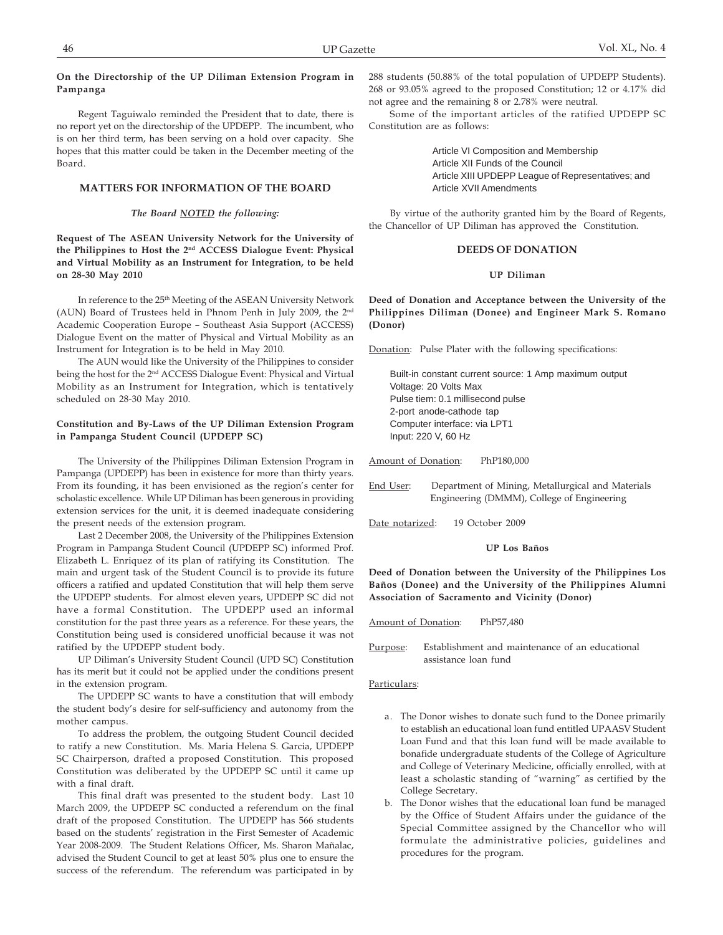## **On the Directorship of the UP Diliman Extension Program in Pampanga**

Regent Taguiwalo reminded the President that to date, there is no report yet on the directorship of the UPDEPP. The incumbent, who is on her third term, has been serving on a hold over capacity. She hopes that this matter could be taken in the December meeting of the Board.

## **MATTERS FOR INFORMATION OF THE BOARD**

### *The Board NOTED the following:*

**Request of The ASEAN University Network for the University of the Philippines to Host the 2nd ACCESS Dialogue Event: Physical and Virtual Mobility as an Instrument for Integration, to be held on 28-30 May 2010**

In reference to the 25<sup>th</sup> Meeting of the ASEAN University Network (AUN) Board of Trustees held in Phnom Penh in July 2009, the 2nd Academic Cooperation Europe – Southeast Asia Support (ACCESS) Dialogue Event on the matter of Physical and Virtual Mobility as an Instrument for Integration is to be held in May 2010.

The AUN would like the University of the Philippines to consider being the host for the 2nd ACCESS Dialogue Event: Physical and Virtual Mobility as an Instrument for Integration, which is tentatively scheduled on 28-30 May 2010.

## **Constitution and By-Laws of the UP Diliman Extension Program in Pampanga Student Council (UPDEPP SC)**

The University of the Philippines Diliman Extension Program in Pampanga (UPDEPP) has been in existence for more than thirty years. From its founding, it has been envisioned as the region's center for scholastic excellence. While UP Diliman has been generous in providing extension services for the unit, it is deemed inadequate considering the present needs of the extension program.

Last 2 December 2008, the University of the Philippines Extension Program in Pampanga Student Council (UPDEPP SC) informed Prof. Elizabeth L. Enriquez of its plan of ratifying its Constitution. The main and urgent task of the Student Council is to provide its future officers a ratified and updated Constitution that will help them serve the UPDEPP students. For almost eleven years, UPDEPP SC did not have a formal Constitution. The UPDEPP used an informal constitution for the past three years as a reference. For these years, the Constitution being used is considered unofficial because it was not ratified by the UPDEPP student body.

UP Diliman's University Student Council (UPD SC) Constitution has its merit but it could not be applied under the conditions present in the extension program.

The UPDEPP SC wants to have a constitution that will embody the student body's desire for self-sufficiency and autonomy from the mother campus.

To address the problem, the outgoing Student Council decided to ratify a new Constitution. Ms. Maria Helena S. Garcia, UPDEPP SC Chairperson, drafted a proposed Constitution. This proposed Constitution was deliberated by the UPDEPP SC until it came up with a final draft.

This final draft was presented to the student body. Last 10 March 2009, the UPDEPP SC conducted a referendum on the final draft of the proposed Constitution. The UPDEPP has 566 students based on the students' registration in the First Semester of Academic Year 2008-2009. The Student Relations Officer, Ms. Sharon Mañalac, advised the Student Council to get at least 50% plus one to ensure the success of the referendum. The referendum was participated in by 288 students (50.88% of the total population of UPDEPP Students). 268 or 93.05% agreed to the proposed Constitution; 12 or 4.17% did not agree and the remaining 8 or 2.78% were neutral.

Some of the important articles of the ratified UPDEPP SC Constitution are as follows:

> Article VI Composition and Membership Article XII Funds of the Council Article XIII UPDEPP League of Representatives; and Article XVII Amendments

By virtue of the authority granted him by the Board of Regents, the Chancellor of UP Diliman has approved the Constitution.

## **DEEDS OF DONATION**

### **UP Diliman**

**Deed of Donation and Acceptance between the University of the Philippines Diliman (Donee) and Engineer Mark S. Romano (Donor)**

Donation: Pulse Plater with the following specifications:

Built-in constant current source: 1 Amp maximum output Voltage: 20 Volts Max Pulse tiem: 0.1 millisecond pulse 2-port anode-cathode tap Computer interface: via LPT1 Input: 220 V, 60 Hz

Amount of Donation: PhP180,000

- End User: Department of Mining, Metallurgical and Materials Engineering (DMMM), College of Engineering
- Date notarized: 19 October 2009

**UP Los Baños**

**Deed of Donation between the University of the Philippines Los Baños (Donee) and the University of the Philippines Alumni Association of Sacramento and Vicinity (Donor)**

Amount of Donation: PhP57,480

Purpose: Establishment and maintenance of an educational assistance loan fund

- a. The Donor wishes to donate such fund to the Donee primarily to establish an educational loan fund entitled UPAASV Student Loan Fund and that this loan fund will be made available to bonafide undergraduate students of the College of Agriculture and College of Veterinary Medicine, officially enrolled, with at least a scholastic standing of "warning" as certified by the College Secretary.
- b. The Donor wishes that the educational loan fund be managed by the Office of Student Affairs under the guidance of the Special Committee assigned by the Chancellor who will formulate the administrative policies, guidelines and procedures for the program.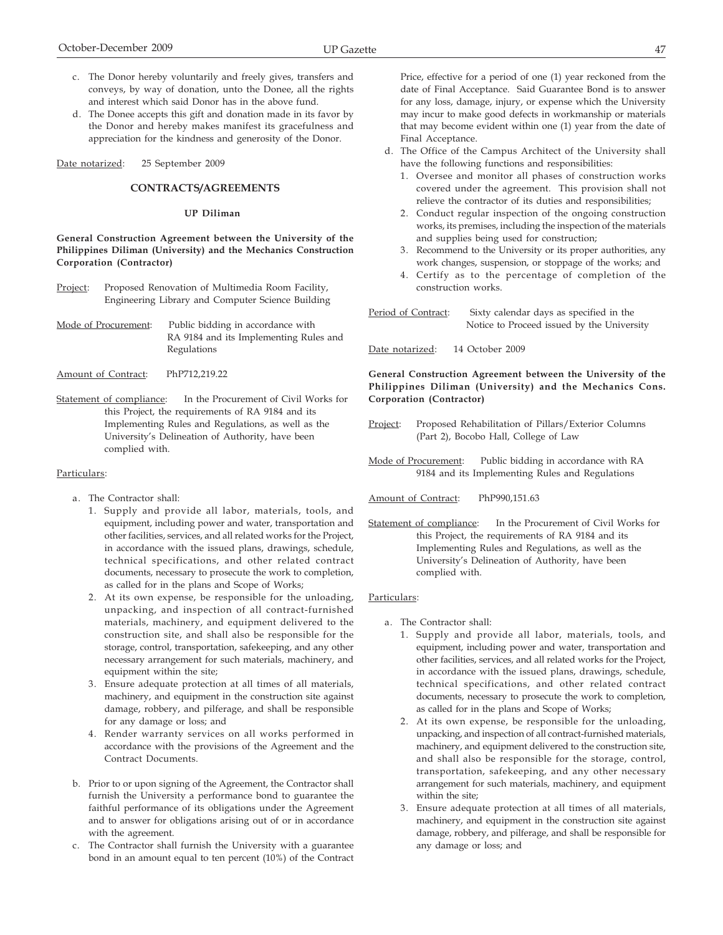d. The Donee accepts this gift and donation made in its favor by the Donor and hereby makes manifest its gracefulness and appreciation for the kindness and generosity of the Donor.

Date notarized: 25 September 2009

## **CONTRACTS/AGREEMENTS**

## **UP Diliman**

**General Construction Agreement between the University of the Philippines Diliman (University) and the Mechanics Construction Corporation (Contractor)**

- Project: Proposed Renovation of Multimedia Room Facility, Engineering Library and Computer Science Building
- Mode of Procurement: Public bidding in accordance with RA 9184 and its Implementing Rules and Regulations
- Amount of Contract: PhP712,219.22
- Statement of compliance: In the Procurement of Civil Works for this Project, the requirements of RA 9184 and its Implementing Rules and Regulations, as well as the University's Delineation of Authority, have been complied with.

## Particulars:

- a. The Contractor shall:
	- 1. Supply and provide all labor, materials, tools, and equipment, including power and water, transportation and other facilities, services, and all related works for the Project, in accordance with the issued plans, drawings, schedule, technical specifications, and other related contract documents, necessary to prosecute the work to completion, as called for in the plans and Scope of Works;
	- 2. At its own expense, be responsible for the unloading, unpacking, and inspection of all contract-furnished materials, machinery, and equipment delivered to the construction site, and shall also be responsible for the storage, control, transportation, safekeeping, and any other necessary arrangement for such materials, machinery, and equipment within the site;
	- 3. Ensure adequate protection at all times of all materials, machinery, and equipment in the construction site against damage, robbery, and pilferage, and shall be responsible for any damage or loss; and
	- 4. Render warranty services on all works performed in accordance with the provisions of the Agreement and the Contract Documents.
- b. Prior to or upon signing of the Agreement, the Contractor shall furnish the University a performance bond to guarantee the faithful performance of its obligations under the Agreement and to answer for obligations arising out of or in accordance with the agreement.
- c. The Contractor shall furnish the University with a guarantee bond in an amount equal to ten percent (10%) of the Contract

Price, effective for a period of one (1) year reckoned from the date of Final Acceptance. Said Guarantee Bond is to answer for any loss, damage, injury, or expense which the University may incur to make good defects in workmanship or materials that may become evident within one (1) year from the date of Final Acceptance.

- d. The Office of the Campus Architect of the University shall have the following functions and responsibilities:
	- 1. Oversee and monitor all phases of construction works covered under the agreement. This provision shall not relieve the contractor of its duties and responsibilities;
	- 2. Conduct regular inspection of the ongoing construction works, its premises, including the inspection of the materials and supplies being used for construction;
	- 3. Recommend to the University or its proper authorities, any work changes, suspension, or stoppage of the works; and
	- 4. Certify as to the percentage of completion of the construction works.

Period of Contract: Sixty calendar days as specified in the Notice to Proceed issued by the University

Date notarized: 14 October 2009

**General Construction Agreement between the University of the Philippines Diliman (University) and the Mechanics Cons. Corporation (Contractor)**

- Project: Proposed Rehabilitation of Pillars/Exterior Columns (Part 2), Bocobo Hall, College of Law
- Mode of Procurement: Public bidding in accordance with RA 9184 and its Implementing Rules and Regulations
- Amount of Contract: PhP990,151.63
- Statement of compliance: In the Procurement of Civil Works for this Project, the requirements of RA 9184 and its Implementing Rules and Regulations, as well as the University's Delineation of Authority, have been complied with.

- a. The Contractor shall:
	- 1. Supply and provide all labor, materials, tools, and equipment, including power and water, transportation and other facilities, services, and all related works for the Project, in accordance with the issued plans, drawings, schedule, technical specifications, and other related contract documents, necessary to prosecute the work to completion, as called for in the plans and Scope of Works;
	- 2. At its own expense, be responsible for the unloading, unpacking, and inspection of all contract-furnished materials, machinery, and equipment delivered to the construction site, and shall also be responsible for the storage, control, transportation, safekeeping, and any other necessary arrangement for such materials, machinery, and equipment within the site;
	- 3. Ensure adequate protection at all times of all materials, machinery, and equipment in the construction site against damage, robbery, and pilferage, and shall be responsible for any damage or loss; and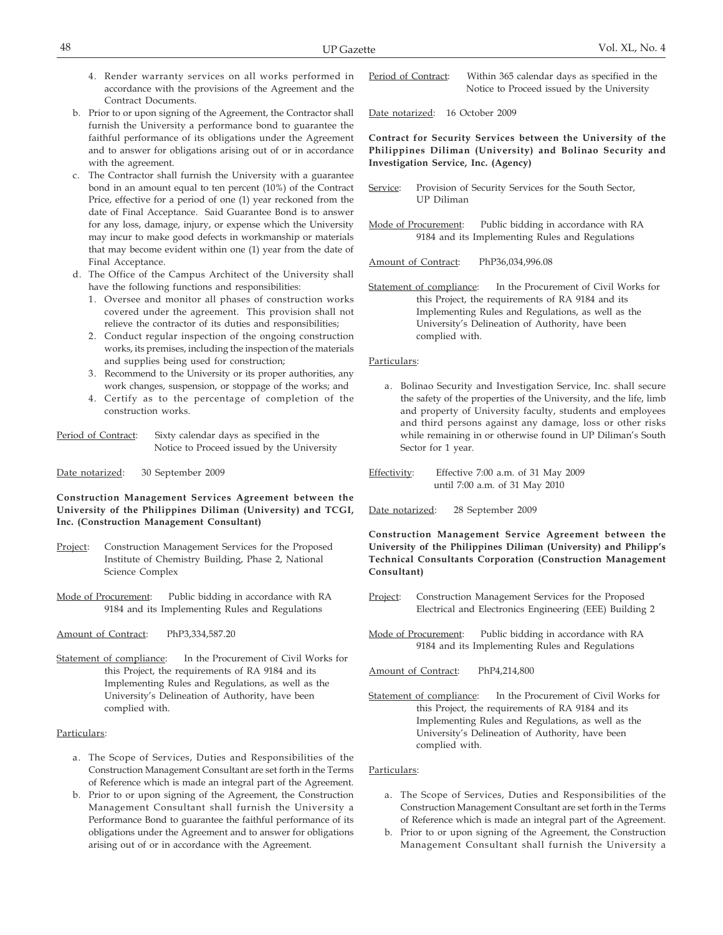- 4. Render warranty services on all works performed in accordance with the provisions of the Agreement and the Contract Documents.
- b. Prior to or upon signing of the Agreement, the Contractor shall furnish the University a performance bond to guarantee the faithful performance of its obligations under the Agreement and to answer for obligations arising out of or in accordance with the agreement.
- c. The Contractor shall furnish the University with a guarantee bond in an amount equal to ten percent (10%) of the Contract Price, effective for a period of one (1) year reckoned from the date of Final Acceptance. Said Guarantee Bond is to answer for any loss, damage, injury, or expense which the University may incur to make good defects in workmanship or materials that may become evident within one (1) year from the date of Final Acceptance.
- d. The Office of the Campus Architect of the University shall have the following functions and responsibilities:
	- 1. Oversee and monitor all phases of construction works covered under the agreement. This provision shall not relieve the contractor of its duties and responsibilities;
	- 2. Conduct regular inspection of the ongoing construction works, its premises, including the inspection of the materials and supplies being used for construction;
	- 3. Recommend to the University or its proper authorities, any work changes, suspension, or stoppage of the works; and
	- 4. Certify as to the percentage of completion of the construction works.
- Period of Contract: Sixty calendar days as specified in the Notice to Proceed issued by the University

Date notarized: 30 September 2009

## **Construction Management Services Agreement between the University of the Philippines Diliman (University) and TCGI, Inc. (Construction Management Consultant)**

- Project: Construction Management Services for the Proposed Institute of Chemistry Building, Phase 2, National Science Complex
- Mode of Procurement: Public bidding in accordance with RA 9184 and its Implementing Rules and Regulations
- Amount of Contract: PhP3,334,587.20
- Statement of compliance: In the Procurement of Civil Works for this Project, the requirements of RA 9184 and its Implementing Rules and Regulations, as well as the University's Delineation of Authority, have been complied with.

## Particulars:

- a. The Scope of Services, Duties and Responsibilities of the Construction Management Consultant are set forth in the Terms of Reference which is made an integral part of the Agreement.
- b. Prior to or upon signing of the Agreement, the Construction Management Consultant shall furnish the University a Performance Bond to guarantee the faithful performance of its obligations under the Agreement and to answer for obligations arising out of or in accordance with the Agreement.
- Period of Contract: Within 365 calendar days as specified in the Notice to Proceed issued by the University
- Date notarized: 16 October 2009

**Contract for Security Services between the University of the Philippines Diliman (University) and Bolinao Security and Investigation Service, Inc. (Agency)**

- Service: Provision of Security Services for the South Sector, UP Diliman
- Mode of Procurement: Public bidding in accordance with RA 9184 and its Implementing Rules and Regulations
- Amount of Contract: PhP36,034,996.08
- Statement of compliance: In the Procurement of Civil Works for this Project, the requirements of RA 9184 and its Implementing Rules and Regulations, as well as the University's Delineation of Authority, have been complied with.

## Particulars:

- a. Bolinao Security and Investigation Service, Inc. shall secure the safety of the properties of the University, and the life, limb and property of University faculty, students and employees and third persons against any damage, loss or other risks while remaining in or otherwise found in UP Diliman's South Sector for 1 year.
- Effectivity: Effective 7:00 a.m. of 31 May 2009 until 7:00 a.m. of 31 May 2010
- Date notarized: 28 September 2009

**Construction Management Service Agreement between the University of the Philippines Diliman (University) and Philipp's Technical Consultants Corporation (Construction Management Consultant)**

- Project: Construction Management Services for the Proposed Electrical and Electronics Engineering (EEE) Building 2
- Mode of Procurement: Public bidding in accordance with RA 9184 and its Implementing Rules and Regulations
- Amount of Contract: PhP4,214,800
- Statement of compliance: In the Procurement of Civil Works for this Project, the requirements of RA 9184 and its Implementing Rules and Regulations, as well as the University's Delineation of Authority, have been complied with.

- a. The Scope of Services, Duties and Responsibilities of the Construction Management Consultant are set forth in the Terms of Reference which is made an integral part of the Agreement.
- b. Prior to or upon signing of the Agreement, the Construction Management Consultant shall furnish the University a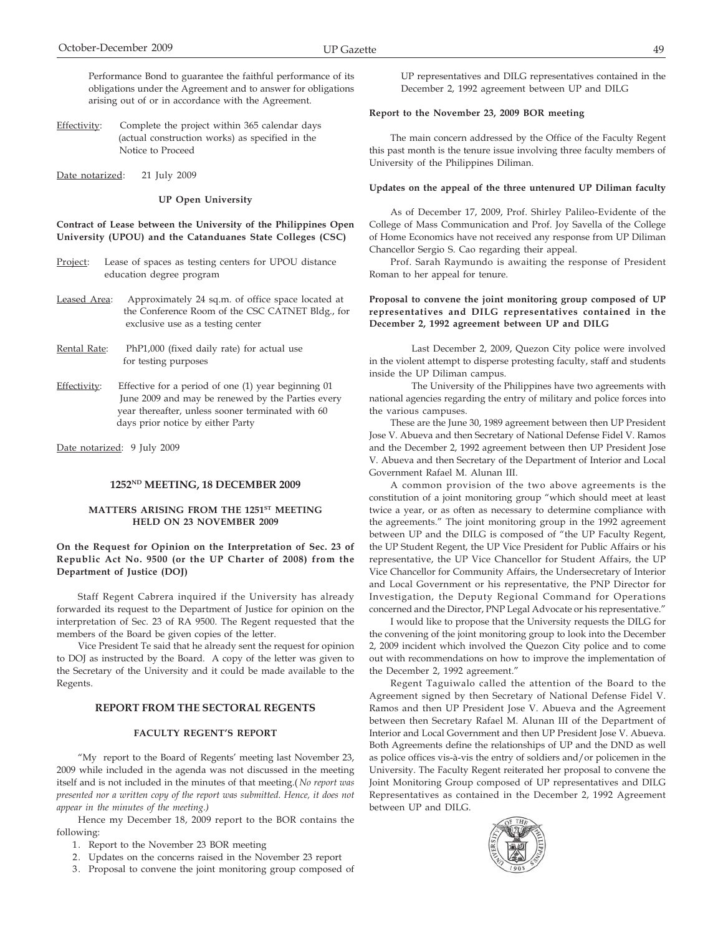Performance Bond to guarantee the faithful performance of its obligations under the Agreement and to answer for obligations arising out of or in accordance with the Agreement.

- Effectivity: Complete the project within 365 calendar days (actual construction works) as specified in the Notice to Proceed
- Date notarized: 21 July 2009

**UP Open University**

## **Contract of Lease between the University of the Philippines Open University (UPOU) and the Catanduanes State Colleges (CSC)**

- Project: Lease of spaces as testing centers for UPOU distance education degree program
- Leased Area: Approximately 24 sq.m. of office space located at the Conference Room of the CSC CATNET Bldg., for exclusive use as a testing center
- Rental Rate: PhP1,000 (fixed daily rate) for actual use for testing purposes
- Effectivity: Effective for a period of one (1) year beginning 01 June 2009 and may be renewed by the Parties every year thereafter, unless sooner terminated with 60 days prior notice by either Party

Date notarized: 9 July 2009

### **1252ND MEETING, 18 DECEMBER 2009**

## MATTERS ARISING FROM THE 1251<sup>st</sup> MEETING **HELD ON 23 NOVEMBER 2009**

## **On the Request for Opinion on the Interpretation of Sec. 23 of Republic Act No. 9500 (or the UP Charter of 2008) from the Department of Justice (DOJ)**

Staff Regent Cabrera inquired if the University has already forwarded its request to the Department of Justice for opinion on the interpretation of Sec. 23 of RA 9500. The Regent requested that the members of the Board be given copies of the letter.

Vice President Te said that he already sent the request for opinion to DOJ as instructed by the Board. A copy of the letter was given to the Secretary of the University and it could be made available to the Regents.

# **REPORT FROM THE SECTORAL REGENTS**

## **FACULTY REGENT'S REPORT**

"My report to the Board of Regents' meeting last November 23, 2009 while included in the agenda was not discussed in the meeting itself and is not included in the minutes of that meeting.( *No report was presented nor a written copy of the report was submitted. Hence, it does not appear in the minutes of the meeting.)*

Hence my December 18, 2009 report to the BOR contains the following:

- 1. Report to the November 23 BOR meeting
- 2. Updates on the concerns raised in the November 23 report
- 3. Proposal to convene the joint monitoring group composed of

UP representatives and DILG representatives contained in the December 2, 1992 agreement between UP and DILG

### **Report to the November 23, 2009 BOR meeting**

,,,,,,,,,

The main concern addressed by the Office of the Faculty Regent this past month is the tenure issue involving three faculty members of University of the Philippines Diliman.

#### **Updates on the appeal of the three untenured UP Diliman faculty**

As of December 17, 2009, Prof. Shirley Palileo-Evidente of the College of Mass Communication and Prof. Joy Savella of the College of Home Economics have not received any response from UP Diliman Chancellor Sergio S. Cao regarding their appeal.

Prof. Sarah Raymundo is awaiting the response of President Roman to her appeal for tenure.

## **Proposal to convene the joint monitoring group composed of UP representatives and DILG representatives contained in the December 2, 1992 agreement between UP and DILG**

Last December 2, 2009, Quezon City police were involved in the violent attempt to disperse protesting faculty, staff and students inside the UP Diliman campus.

The University of the Philippines have two agreements with national agencies regarding the entry of military and police forces into the various campuses.

These are the June 30, 1989 agreement between then UP President Jose V. Abueva and then Secretary of National Defense Fidel V. Ramos and the December 2, 1992 agreement between then UP President Jose V. Abueva and then Secretary of the Department of Interior and Local Government Rafael M. Alunan III.

A common provision of the two above agreements is the constitution of a joint monitoring group "which should meet at least twice a year, or as often as necessary to determine compliance with the agreements." The joint monitoring group in the 1992 agreement between UP and the DILG is composed of "the UP Faculty Regent, the UP Student Regent, the UP Vice President for Public Affairs or his representative, the UP Vice Chancellor for Student Affairs, the UP Vice Chancellor for Community Affairs, the Undersecretary of Interior and Local Government or his representative, the PNP Director for Investigation, the Deputy Regional Command for Operations concerned and the Director, PNP Legal Advocate or his representative."

I would like to propose that the University requests the DILG for the convening of the joint monitoring group to look into the December 2, 2009 incident which involved the Quezon City police and to come out with recommendations on how to improve the implementation of the December 2, 1992 agreement."

Regent Taguiwalo called the attention of the Board to the Agreement signed by then Secretary of National Defense Fidel V. Ramos and then UP President Jose V. Abueva and the Agreement between then Secretary Rafael M. Alunan III of the Department of Interior and Local Government and then UP President Jose V. Abueva. Both Agreements define the relationships of UP and the DND as well as police offices vis-à-vis the entry of soldiers and/or policemen in the University. The Faculty Regent reiterated her proposal to convene the Joint Monitoring Group composed of UP representatives and DILG Representatives as contained in the December 2, 1992 Agreement between UP and DILG.

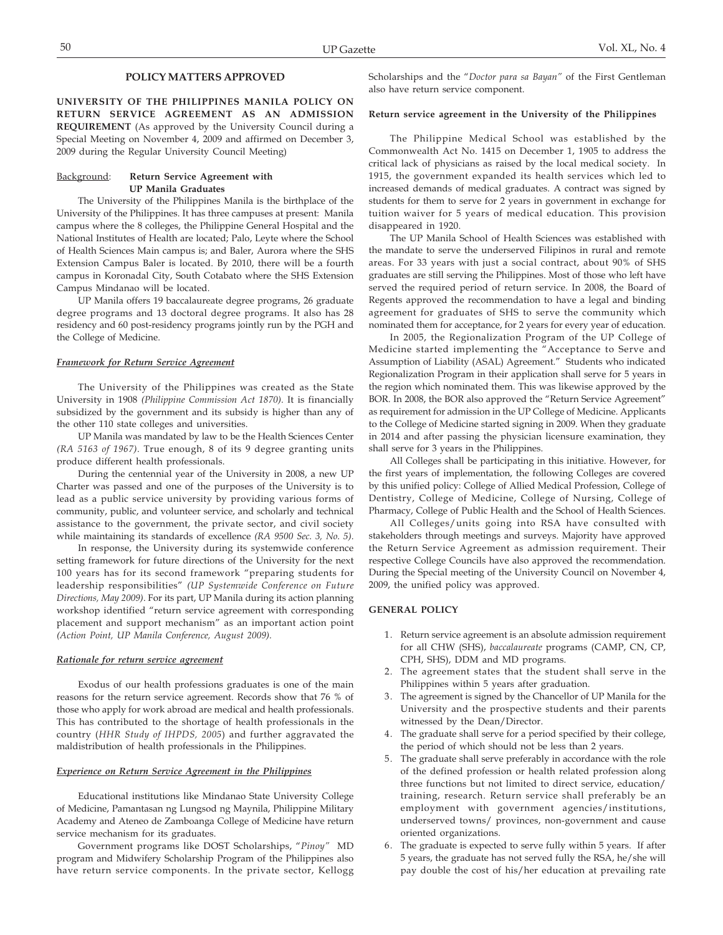## **POLICY MATTERS APPROVED**

**UNIVERSITY OF THE PHILIPPINES MANILA POLICY ON RETURN SERVICE AGREEMENT AS AN ADMISSION REQUIREMENT** (As approved by the University Council during a Special Meeting on November 4, 2009 and affirmed on December 3, 2009 during the Regular University Council Meeting)

### Background: **Return Service Agreement with UP Manila Graduates**

The University of the Philippines Manila is the birthplace of the University of the Philippines. It has three campuses at present: Manila campus where the 8 colleges, the Philippine General Hospital and the National Institutes of Health are located; Palo, Leyte where the School of Health Sciences Main campus is; and Baler, Aurora where the SHS Extension Campus Baler is located. By 2010, there will be a fourth campus in Koronadal City, South Cotabato where the SHS Extension Campus Mindanao will be located.

UP Manila offers 19 baccalaureate degree programs, 26 graduate degree programs and 13 doctoral degree programs. It also has 28 residency and 60 post-residency programs jointly run by the PGH and the College of Medicine.

#### *Framework for Return Service Agreement*

The University of the Philippines was created as the State University in 1908 *(Philippine Commission Act 1870).* It is financially subsidized by the government and its subsidy is higher than any of the other 110 state colleges and universities.

UP Manila was mandated by law to be the Health Sciences Center *(RA 5163 of 1967)*. True enough, 8 of its 9 degree granting units produce different health professionals.

During the centennial year of the University in 2008, a new UP Charter was passed and one of the purposes of the University is to lead as a public service university by providing various forms of community, public, and volunteer service, and scholarly and technical assistance to the government, the private sector, and civil society while maintaining its standards of excellence *(RA 9500 Sec. 3, No. 5)*.

In response, the University during its systemwide conference setting framework for future directions of the University for the next 100 years has for its second framework "preparing students for leadership responsibilities" *(UP Systemwide Conference on Future Directions, May 2009)*. For its part, UP Manila during its action planning workshop identified "return service agreement with corresponding placement and support mechanism" as an important action point *(Action Point, UP Manila Conference, August 2009).*

## *Rationale for return service agreement*

Exodus of our health professions graduates is one of the main reasons for the return service agreement. Records show that 76 % of those who apply for work abroad are medical and health professionals. This has contributed to the shortage of health professionals in the country (*HHR Study of IHPDS, 2005*) and further aggravated the maldistribution of health professionals in the Philippines.

#### *Experience on Return Service Agreement in the Philippines*

Educational institutions like Mindanao State University College of Medicine, Pamantasan ng Lungsod ng Maynila, Philippine Military Academy and Ateneo de Zamboanga College of Medicine have return service mechanism for its graduates.

Government programs like DOST Scholarships, "*Pinoy"* MD program and Midwifery Scholarship Program of the Philippines also have return service components. In the private sector, Kellogg Scholarships and the "*Doctor para sa Bayan"* of the First Gentleman also have return service component.

### **Return service agreement in the University of the Philippines**

The Philippine Medical School was established by the Commonwealth Act No. 1415 on December 1, 1905 to address the critical lack of physicians as raised by the local medical society. In 1915, the government expanded its health services which led to increased demands of medical graduates. A contract was signed by students for them to serve for 2 years in government in exchange for tuition waiver for 5 years of medical education. This provision disappeared in 1920.

The UP Manila School of Health Sciences was established with the mandate to serve the underserved Filipinos in rural and remote areas. For 33 years with just a social contract, about 90% of SHS graduates are still serving the Philippines. Most of those who left have served the required period of return service. In 2008, the Board of Regents approved the recommendation to have a legal and binding agreement for graduates of SHS to serve the community which nominated them for acceptance, for 2 years for every year of education.

In 2005, the Regionalization Program of the UP College of Medicine started implementing the "Acceptance to Serve and Assumption of Liability (ASAL) Agreement." Students who indicated Regionalization Program in their application shall serve for 5 years in the region which nominated them. This was likewise approved by the BOR. In 2008, the BOR also approved the "Return Service Agreement" as requirement for admission in the UP College of Medicine. Applicants to the College of Medicine started signing in 2009. When they graduate in 2014 and after passing the physician licensure examination, they shall serve for 3 years in the Philippines.

All Colleges shall be participating in this initiative. However, for the first years of implementation, the following Colleges are covered by this unified policy: College of Allied Medical Profession, College of Dentistry, College of Medicine, College of Nursing, College of Pharmacy, College of Public Health and the School of Health Sciences.

All Colleges/units going into RSA have consulted with stakeholders through meetings and surveys. Majority have approved the Return Service Agreement as admission requirement. Their respective College Councils have also approved the recommendation. During the Special meeting of the University Council on November 4, 2009, the unified policy was approved.

### **GENERAL POLICY**

- 1. Return service agreement is an absolute admission requirement for all CHW (SHS), *baccalaureate* programs (CAMP, CN, CP, CPH, SHS), DDM and MD programs.
- 2. The agreement states that the student shall serve in the Philippines within 5 years after graduation.
- 3. The agreement is signed by the Chancellor of UP Manila for the University and the prospective students and their parents witnessed by the Dean/Director.
- 4. The graduate shall serve for a period specified by their college, the period of which should not be less than 2 years.
- 5. The graduate shall serve preferably in accordance with the role of the defined profession or health related profession along three functions but not limited to direct service, education/ training, research. Return service shall preferably be an employment with government agencies/institutions, underserved towns/ provinces, non-government and cause oriented organizations.
- 6. The graduate is expected to serve fully within 5 years. If after 5 years, the graduate has not served fully the RSA, he/she will pay double the cost of his/her education at prevailing rate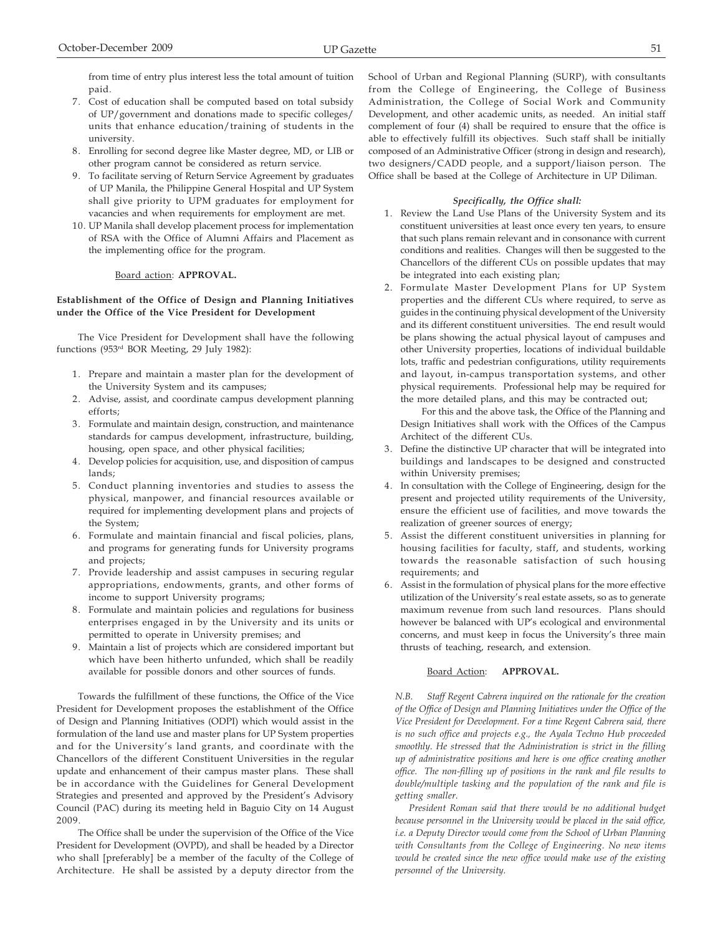from time of entry plus interest less the total amount of tuition paid.

- 7. Cost of education shall be computed based on total subsidy of UP/government and donations made to specific colleges/ units that enhance education/training of students in the university.
- 8. Enrolling for second degree like Master degree, MD, or LIB or other program cannot be considered as return service.
- 9. To facilitate serving of Return Service Agreement by graduates of UP Manila, the Philippine General Hospital and UP System shall give priority to UPM graduates for employment for vacancies and when requirements for employment are met.
- 10. UP Manila shall develop placement process for implementation of RSA with the Office of Alumni Affairs and Placement as the implementing office for the program.

# Board action: **APPROVAL.**

## **Establishment of the Office of Design and Planning Initiatives under the Office of the Vice President for Development**

The Vice President for Development shall have the following functions (953rd BOR Meeting, 29 July 1982):

- 1. Prepare and maintain a master plan for the development of the University System and its campuses;
- 2. Advise, assist, and coordinate campus development planning efforts;
- 3. Formulate and maintain design, construction, and maintenance standards for campus development, infrastructure, building, housing, open space, and other physical facilities;
- 4. Develop policies for acquisition, use, and disposition of campus lands;
- 5. Conduct planning inventories and studies to assess the physical, manpower, and financial resources available or required for implementing development plans and projects of the System;
- 6. Formulate and maintain financial and fiscal policies, plans, and programs for generating funds for University programs and projects;
- 7. Provide leadership and assist campuses in securing regular appropriations, endowments, grants, and other forms of income to support University programs;
- 8. Formulate and maintain policies and regulations for business enterprises engaged in by the University and its units or permitted to operate in University premises; and
- 9. Maintain a list of projects which are considered important but which have been hitherto unfunded, which shall be readily available for possible donors and other sources of funds.

Towards the fulfillment of these functions, the Office of the Vice President for Development proposes the establishment of the Office of Design and Planning Initiatives (ODPI) which would assist in the formulation of the land use and master plans for UP System properties and for the University's land grants, and coordinate with the Chancellors of the different Constituent Universities in the regular update and enhancement of their campus master plans. These shall be in accordance with the Guidelines for General Development Strategies and presented and approved by the President's Advisory Council (PAC) during its meeting held in Baguio City on 14 August 2009.

The Office shall be under the supervision of the Office of the Vice President for Development (OVPD), and shall be headed by a Director who shall [preferably] be a member of the faculty of the College of Architecture. He shall be assisted by a deputy director from the School of Urban and Regional Planning (SURP), with consultants from the College of Engineering, the College of Business Administration, the College of Social Work and Community Development, and other academic units, as needed. An initial staff complement of four (4) shall be required to ensure that the office is able to effectively fulfill its objectives. Such staff shall be initially composed of an Administrative Officer (strong in design and research), two designers/CADD people, and a support/liaison person. The Office shall be based at the College of Architecture in UP Diliman.

# *Specifically, the Office shall:*

- 1. Review the Land Use Plans of the University System and its constituent universities at least once every ten years, to ensure that such plans remain relevant and in consonance with current conditions and realities. Changes will then be suggested to the Chancellors of the different CUs on possible updates that may be integrated into each existing plan;
- 2. Formulate Master Development Plans for UP System properties and the different CUs where required, to serve as guides in the continuing physical development of the University and its different constituent universities. The end result would be plans showing the actual physical layout of campuses and other University properties, locations of individual buildable lots, traffic and pedestrian configurations, utility requirements and layout, in-campus transportation systems, and other physical requirements. Professional help may be required for the more detailed plans, and this may be contracted out;

For this and the above task, the Office of the Planning and Design Initiatives shall work with the Offices of the Campus Architect of the different CUs.

- 3. Define the distinctive UP character that will be integrated into buildings and landscapes to be designed and constructed within University premises;
- 4. In consultation with the College of Engineering, design for the present and projected utility requirements of the University, ensure the efficient use of facilities, and move towards the realization of greener sources of energy;
- 5. Assist the different constituent universities in planning for housing facilities for faculty, staff, and students, working towards the reasonable satisfaction of such housing requirements; and
- 6. Assist in the formulation of physical plans for the more effective utilization of the University's real estate assets, so as to generate maximum revenue from such land resources. Plans should however be balanced with UP's ecological and environmental concerns, and must keep in focus the University's three main thrusts of teaching, research, and extension.

# Board Action: **APPROVAL.**

*N.B. Staff Regent Cabrera inquired on the rationale for the creation of the Office of Design and Planning Initiatives under the Office of the Vice President for Development. For a time Regent Cabrera said, there is no such office and projects e.g., the Ayala Techno Hub proceeded smoothly. He stressed that the Administration is strict in the filling up of administrative positions and here is one office creating another office. The non-filling up of positions in the rank and file results to double/multiple tasking and the population of the rank and file is getting smaller.*

 *President Roman said that there would be no additional budget because personnel in the University would be placed in the said office, i.e. a Deputy Director would come from the School of Urban Planning with Consultants from the College of Engineering. No new items would be created since the new office would make use of the existing personnel of the University.*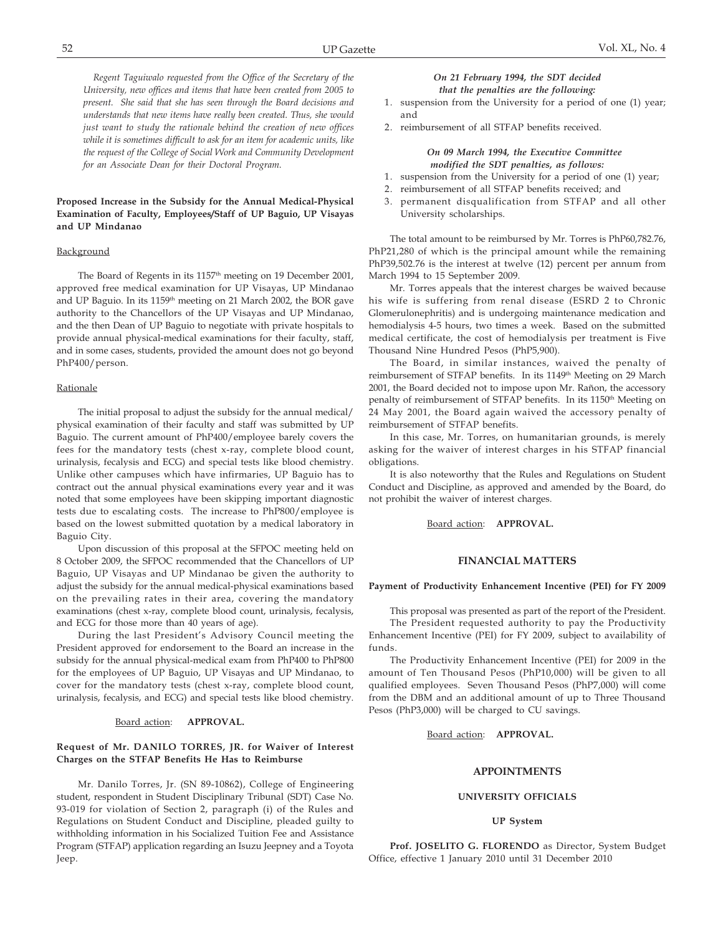*Regent Taguiwalo requested from the Office of the Secretary of the University, new offices and items that have been created from 2005 to present. She said that she has seen through the Board decisions and understands that new items have really been created. Thus, she would just want to study the rationale behind the creation of new offices while it is sometimes difficult to ask for an item for academic units, like the request of the College of Social Work and Community Development for an Associate Dean for their Doctoral Program.*

## **Proposed Increase in the Subsidy for the Annual Medical-Physical Examination of Faculty, Employees/Staff of UP Baguio, UP Visayas and UP Mindanao**

#### Background

The Board of Regents in its 1157<sup>th</sup> meeting on 19 December 2001, approved free medical examination for UP Visayas, UP Mindanao and UP Baguio. In its 1159<sup>th</sup> meeting on 21 March 2002, the BOR gave authority to the Chancellors of the UP Visayas and UP Mindanao, and the then Dean of UP Baguio to negotiate with private hospitals to provide annual physical-medical examinations for their faculty, staff, and in some cases, students, provided the amount does not go beyond PhP400/person.

## **Rationale**

The initial proposal to adjust the subsidy for the annual medical/ physical examination of their faculty and staff was submitted by UP Baguio. The current amount of PhP400/employee barely covers the fees for the mandatory tests (chest x-ray, complete blood count, urinalysis, fecalysis and ECG) and special tests like blood chemistry. Unlike other campuses which have infirmaries, UP Baguio has to contract out the annual physical examinations every year and it was noted that some employees have been skipping important diagnostic tests due to escalating costs. The increase to PhP800/employee is based on the lowest submitted quotation by a medical laboratory in Baguio City.

Upon discussion of this proposal at the SFPOC meeting held on 8 October 2009, the SFPOC recommended that the Chancellors of UP Baguio, UP Visayas and UP Mindanao be given the authority to adjust the subsidy for the annual medical-physical examinations based on the prevailing rates in their area, covering the mandatory examinations (chest x-ray, complete blood count, urinalysis, fecalysis, and ECG for those more than 40 years of age).

During the last President's Advisory Council meeting the President approved for endorsement to the Board an increase in the subsidy for the annual physical-medical exam from PhP400 to PhP800 for the employees of UP Baguio, UP Visayas and UP Mindanao, to cover for the mandatory tests (chest x-ray, complete blood count, urinalysis, fecalysis, and ECG) and special tests like blood chemistry.

### Board action: **APPROVAL.**

## **Request of Mr. DANILO TORRES, JR. for Waiver of Interest Charges on the STFAP Benefits He Has to Reimburse**

Mr. Danilo Torres, Jr. (SN 89-10862), College of Engineering student, respondent in Student Disciplinary Tribunal (SDT) Case No. 93-019 for violation of Section 2, paragraph (i) of the Rules and Regulations on Student Conduct and Discipline, pleaded guilty to withholding information in his Socialized Tuition Fee and Assistance Program (STFAP) application regarding an Isuzu Jeepney and a Toyota Jeep.

## *On 21 February 1994, the SDT decided that the penalties are the following:*

- 1. suspension from the University for a period of one (1) year; and
- 2. reimbursement of all STFAP benefits received.

## *On 09 March 1994, the Executive Committee modified the SDT penalties, as follows:*

- 1. suspension from the University for a period of one (1) year;
- 2. reimbursement of all STFAP benefits received; and
- 3. permanent disqualification from STFAP and all other University scholarships.

The total amount to be reimbursed by Mr. Torres is PhP60,782.76, PhP21,280 of which is the principal amount while the remaining PhP39,502.76 is the interest at twelve (12) percent per annum from March 1994 to 15 September 2009.

Mr. Torres appeals that the interest charges be waived because his wife is suffering from renal disease (ESRD 2 to Chronic Glomerulonephritis) and is undergoing maintenance medication and hemodialysis 4-5 hours, two times a week. Based on the submitted medical certificate, the cost of hemodialysis per treatment is Five Thousand Nine Hundred Pesos (PhP5,900).

The Board, in similar instances, waived the penalty of reimbursement of STFAP benefits. In its 1149<sup>th</sup> Meeting on 29 March 2001, the Board decided not to impose upon Mr. Rañon, the accessory penalty of reimbursement of STFAP benefits. In its 1150<sup>th</sup> Meeting on 24 May 2001, the Board again waived the accessory penalty of reimbursement of STFAP benefits.

In this case, Mr. Torres, on humanitarian grounds, is merely asking for the waiver of interest charges in his STFAP financial obligations.

It is also noteworthy that the Rules and Regulations on Student Conduct and Discipline, as approved and amended by the Board, do not prohibit the waiver of interest charges.

Board action: **APPROVAL.**

### **FINANCIAL MATTERS**

### **Payment of Productivity Enhancement Incentive (PEI) for FY 2009**

This proposal was presented as part of the report of the President. The President requested authority to pay the Productivity Enhancement Incentive (PEI) for FY 2009, subject to availability of funds.

The Productivity Enhancement Incentive (PEI) for 2009 in the amount of Ten Thousand Pesos (PhP10,000) will be given to all qualified employees. Seven Thousand Pesos (PhP7,000) will come from the DBM and an additional amount of up to Three Thousand Pesos (PhP3,000) will be charged to CU savings.

### Board action: **APPROVAL.**

## **APPOINTMENTS**

#### **UNIVERSITY OFFICIALS**

#### **UP System**

**Prof. JOSELITO G. FLORENDO** as Director, System Budget Office, effective 1 January 2010 until 31 December 2010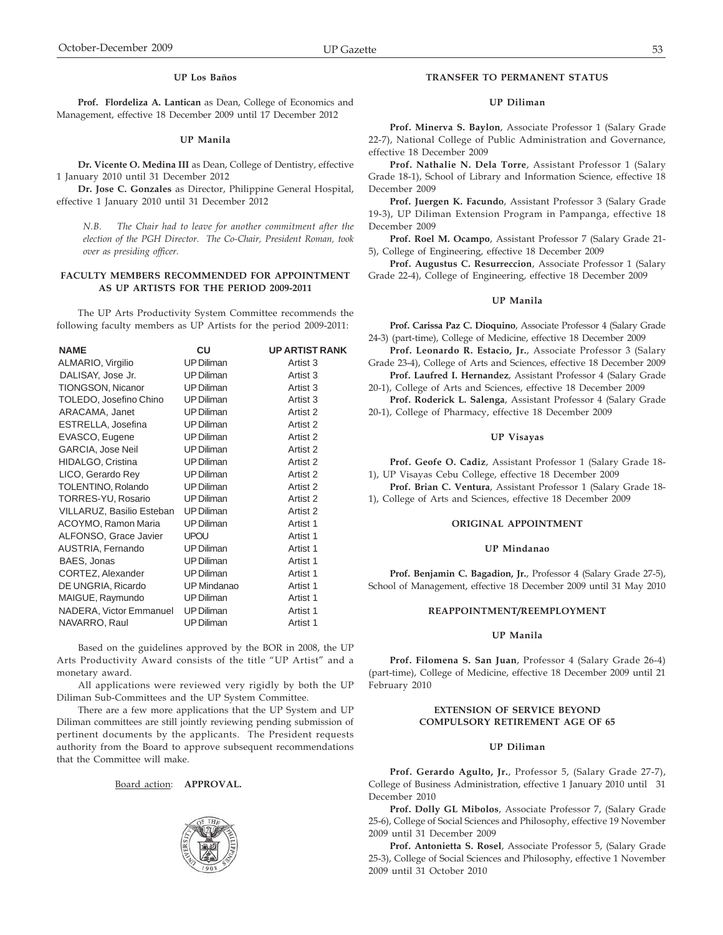**Prof. Flordeliza A. Lantican** as Dean, College of Economics and Management, effective 18 December 2009 until 17 December 2012

#### **UP Manila**

**Dr. Vicente O. Medina III** as Dean, College of Dentistry, effective 1 January 2010 until 31 December 2012

**Dr. Jose C. Gonzales** as Director, Philippine General Hospital, effective 1 January 2010 until 31 December 2012

*N.B. The Chair had to leave for another commitment after the election of the PGH Director. The Co-Chair, President Roman, took over as presiding officer.*

## **FACULTY MEMBERS RECOMMENDED FOR APPOINTMENT AS UP ARTISTS FOR THE PERIOD 2009-2011**

The UP Arts Productivity System Committee recommends the following faculty members as UP Artists for the period 2009-2011:

| <b>CU</b>          | <b>UP ARTIST RANK</b> |
|--------------------|-----------------------|
| <b>UP Diliman</b>  | Artist 3              |
| <b>UP Diliman</b>  | Artist 3              |
| <b>UP Diliman</b>  | Artist 3              |
| <b>UP Diliman</b>  | Artist 3              |
| <b>UP Diliman</b>  | Artist 2              |
| <b>UP Diliman</b>  | Artist 2              |
| <b>UP Diliman</b>  | Artist 2              |
| <b>UP Diliman</b>  | Artist 2              |
| <b>UP Diliman</b>  | Artist 2              |
| <b>UP Diliman</b>  | Artist 2              |
| <b>UP Diliman</b>  | Artist 2              |
| <b>UP Diliman</b>  | Artist 2              |
| <b>UP Diliman</b>  | Artist 2              |
| <b>UP Diliman</b>  | Artist 1              |
| <b>UPOU</b>        | Artist 1              |
| <b>UP Diliman</b>  | Artist 1              |
| <b>UP Diliman</b>  | Artist 1              |
| <b>UP Diliman</b>  | Artist 1              |
| <b>UP Mindanao</b> | Artist 1              |
| <b>UP Diliman</b>  | Artist 1              |
| <b>UP Diliman</b>  | Artist 1              |
| <b>UP Diliman</b>  | Artist 1              |
|                    |                       |

Based on the guidelines approved by the BOR in 2008, the UP Arts Productivity Award consists of the title "UP Artist" and a monetary award.

All applications were reviewed very rigidly by both the UP Diliman Sub-Committees and the UP System Committee.

There are a few more applications that the UP System and UP Diliman committees are still jointly reviewing pending submission of pertinent documents by the applicants. The President requests authority from the Board to approve subsequent recommendations that the Committee will make.

Board action: **APPROVAL.**



### **TRANSFER TO PERMANENT STATUS**

### **UP Diliman**

**Prof. Minerva S. Baylon**, Associate Professor 1 (Salary Grade 22-7), National College of Public Administration and Governance, effective 18 December 2009

**Prof. Nathalie N. Dela Torre**, Assistant Professor 1 (Salary Grade 18-1), School of Library and Information Science, effective 18 December 2009

**Prof. Juergen K. Facundo**, Assistant Professor 3 (Salary Grade 19-3), UP Diliman Extension Program in Pampanga, effective 18 December 2009

**Prof. Roel M. Ocampo**, Assistant Professor 7 (Salary Grade 21- 5), College of Engineering, effective 18 December 2009

**Prof. Augustus C. Resurreccion**, Associate Professor 1 (Salary Grade 22-4), College of Engineering, effective 18 December 2009

## **UP Manila**

**Prof. Carissa Paz C. Dioquino**, Associate Professor 4 (Salary Grade 24-3) (part-time), College of Medicine, effective 18 December 2009

**Prof. Leonardo R. Estacio, Jr.**, Associate Professor 3 (Salary Grade 23-4), College of Arts and Sciences, effective 18 December 2009

**Prof. Laufred I. Hernandez**, Assistant Professor 4 (Salary Grade 20-1), College of Arts and Sciences, effective 18 December 2009

**Prof. Roderick L. Salenga**, Assistant Professor 4 (Salary Grade 20-1), College of Pharmacy, effective 18 December 2009

### **UP Visayas**

**Prof. Geofe O. Cadiz**, Assistant Professor 1 (Salary Grade 18- 1), UP Visayas Cebu College, effective 18 December 2009

**Prof. Brian C. Ventura**, Assistant Professor 1 (Salary Grade 18- 1), College of Arts and Sciences, effective 18 December 2009

#### **ORIGINAL APPOINTMENT**

#### **UP Mindanao**

**Prof. Benjamin C. Bagadion, Jr.**, Professor 4 (Salary Grade 27-5), School of Management, effective 18 December 2009 until 31 May 2010

### **REAPPOINTMENT/REEMPLOYMENT**

### **UP Manila**

**Prof. Filomena S. San Juan**, Professor 4 (Salary Grade 26-4) (part-time), College of Medicine, effective 18 December 2009 until 21 February 2010

## **EXTENSION OF SERVICE BEYOND COMPULSORY RETIREMENT AGE OF 65**

## **UP Diliman**

**Prof. Gerardo Agulto, Jr.**, Professor 5, (Salary Grade 27-7), College of Business Administration, effective 1 January 2010 until 31 December 2010

**Prof. Dolly GL Mibolos**, Associate Professor 7, (Salary Grade 25-6), College of Social Sciences and Philosophy, effective 19 November 2009 until 31 December 2009

**Prof. Antonietta S. Rosel**, Associate Professor 5, (Salary Grade 25-3), College of Social Sciences and Philosophy, effective 1 November 2009 until 31 October 2010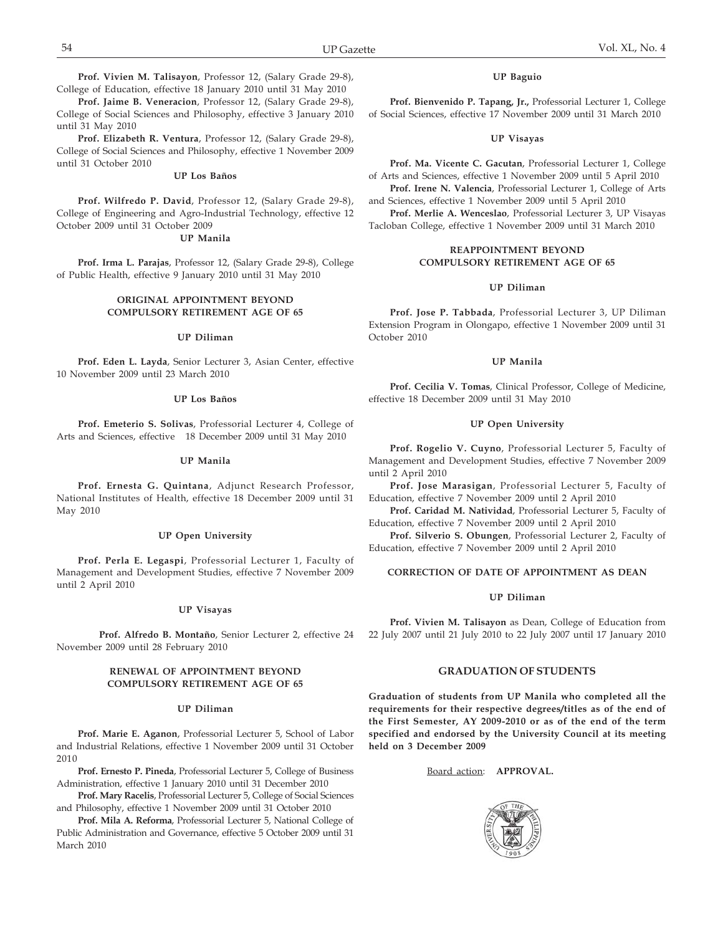**Prof. Jaime B. Veneracion**, Professor 12, (Salary Grade 29-8), College of Social Sciences and Philosophy, effective 3 January 2010 until 31 May 2010

**Prof. Elizabeth R. Ventura**, Professor 12, (Salary Grade 29-8), College of Social Sciences and Philosophy, effective 1 November 2009 until 31 October 2010

### **UP Los Baños**

**Prof. Wilfredo P. David**, Professor 12, (Salary Grade 29-8), College of Engineering and Agro-Industrial Technology, effective 12 October 2009 until 31 October 2009

## **UP Manila**

**Prof. Irma L. Parajas**, Professor 12, (Salary Grade 29-8), College of Public Health, effective 9 January 2010 until 31 May 2010

## **ORIGINAL APPOINTMENT BEYOND COMPULSORY RETIREMENT AGE OF 65**

### **UP Diliman**

**Prof. Eden L. Layda**, Senior Lecturer 3, Asian Center, effective 10 November 2009 until 23 March 2010

#### **UP Los Baños**

**Prof. Emeterio S. Solivas**, Professorial Lecturer 4, College of Arts and Sciences, effective 18 December 2009 until 31 May 2010

#### **UP Manila**

**Prof. Ernesta G. Quintana**, Adjunct Research Professor, National Institutes of Health, effective 18 December 2009 until 31 May 2010

#### **UP Open University**

**Prof. Perla E. Legaspi**, Professorial Lecturer 1, Faculty of Management and Development Studies, effective 7 November 2009 until 2 April 2010

#### **UP Visayas**

**Prof. Alfredo B. Montaño**, Senior Lecturer 2, effective 24 November 2009 until 28 February 2010

## **RENEWAL OF APPOINTMENT BEYOND COMPULSORY RETIREMENT AGE OF 65**

## **UP Diliman**

**Prof. Marie E. Aganon**, Professorial Lecturer 5, School of Labor and Industrial Relations, effective 1 November 2009 until 31 October 2010

**Prof. Ernesto P. Pineda**, Professorial Lecturer 5, College of Business Administration, effective 1 January 2010 until 31 December 2010

**Prof. Mary Racelis**, Professorial Lecturer 5, College of Social Sciences and Philosophy, effective 1 November 2009 until 31 October 2010

**Prof. Mila A. Reforma**, Professorial Lecturer 5, National College of Public Administration and Governance, effective 5 October 2009 until 31 March 2010

## **UP Baguio**

**Prof. Bienvenido P. Tapang, Jr.,** Professorial Lecturer 1, College of Social Sciences, effective 17 November 2009 until 31 March 2010

### **UP Visayas**

**Prof. Ma. Vicente C. Gacutan**, Professorial Lecturer 1, College of Arts and Sciences, effective 1 November 2009 until 5 April 2010 **Prof. Irene N. Valencia**, Professorial Lecturer 1, College of Arts

and Sciences, effective 1 November 2009 until 5 April 2010

**Prof. Merlie A. Wenceslao**, Professorial Lecturer 3, UP Visayas Tacloban College, effective 1 November 2009 until 31 March 2010

## **REAPPOINTMENT BEYOND COMPULSORY RETIREMENT AGE OF 65**

### **UP Diliman**

**Prof. Jose P. Tabbada**, Professorial Lecturer 3, UP Diliman Extension Program in Olongapo, effective 1 November 2009 until 31 October 2010

#### **UP Manila**

**Prof. Cecilia V. Tomas**, Clinical Professor, College of Medicine, effective 18 December 2009 until 31 May 2010

## **UP Open University**

**Prof. Rogelio V. Cuyno**, Professorial Lecturer 5, Faculty of Management and Development Studies, effective 7 November 2009 until 2 April 2010

**Prof. Jose Marasigan**, Professorial Lecturer 5, Faculty of Education, effective 7 November 2009 until 2 April 2010

**Prof. Caridad M. Natividad**, Professorial Lecturer 5, Faculty of Education, effective 7 November 2009 until 2 April 2010

**Prof. Silverio S. Obungen**, Professorial Lecturer 2, Faculty of Education, effective 7 November 2009 until 2 April 2010

### **CORRECTION OF DATE OF APPOINTMENT AS DEAN**

#### **UP Diliman**

**Prof. Vivien M. Talisayon** as Dean, College of Education from 22 July 2007 until 21 July 2010 to 22 July 2007 until 17 January 2010

## **GRADUATION OF STUDENTS**

**Graduation of students from UP Manila who completed all the requirements for their respective degrees/titles as of the end of the First Semester, AY 2009-2010 or as of the end of the term specified and endorsed by the University Council at its meeting held on 3 December 2009**

# Board action: **APPROVAL.**

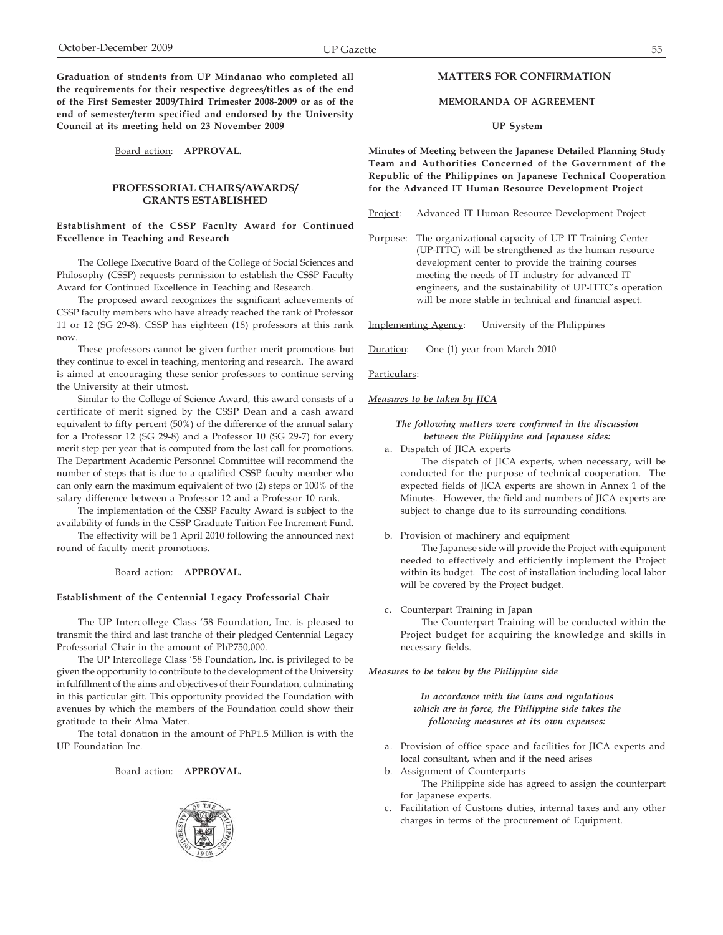**Graduation of students from UP Mindanao who completed all the requirements for their respective degrees/titles as of the end of the First Semester 2009/Third Trimester 2008-2009 or as of the end of semester/term specified and endorsed by the University Council at its meeting held on 23 November 2009**

Board action: **APPROVAL.**

## **PROFESSORIAL CHAIRS/AWARDS/ GRANTS ESTABLISHED**

## **Establishment of the CSSP Faculty Award for Continued Excellence in Teaching and Research**

The College Executive Board of the College of Social Sciences and Philosophy (CSSP) requests permission to establish the CSSP Faculty Award for Continued Excellence in Teaching and Research.

The proposed award recognizes the significant achievements of CSSP faculty members who have already reached the rank of Professor 11 or 12 (SG 29-8). CSSP has eighteen (18) professors at this rank now.

These professors cannot be given further merit promotions but they continue to excel in teaching, mentoring and research. The award is aimed at encouraging these senior professors to continue serving the University at their utmost.

Similar to the College of Science Award, this award consists of a certificate of merit signed by the CSSP Dean and a cash award equivalent to fifty percent (50%) of the difference of the annual salary for a Professor 12 (SG 29-8) and a Professor 10 (SG 29-7) for every merit step per year that is computed from the last call for promotions. The Department Academic Personnel Committee will recommend the number of steps that is due to a qualified CSSP faculty member who can only earn the maximum equivalent of two (2) steps or 100% of the salary difference between a Professor 12 and a Professor 10 rank.

The implementation of the CSSP Faculty Award is subject to the availability of funds in the CSSP Graduate Tuition Fee Increment Fund.

The effectivity will be 1 April 2010 following the announced next round of faculty merit promotions.

### Board action: **APPROVAL.**

### **Establishment of the Centennial Legacy Professorial Chair**

The UP Intercollege Class '58 Foundation, Inc. is pleased to transmit the third and last tranche of their pledged Centennial Legacy Professorial Chair in the amount of PhP750,000.

The UP Intercollege Class '58 Foundation, Inc. is privileged to be given the opportunity to contribute to the development of the University in fulfillment of the aims and objectives of their Foundation, culminating in this particular gift. This opportunity provided the Foundation with avenues by which the members of the Foundation could show their gratitude to their Alma Mater.

The total donation in the amount of PhP1.5 Million is with the UP Foundation Inc.

# Board action: **APPROVAL.**



# **MATTERS FOR CONFIRMATION**

## **MEMORANDA OF AGREEMENT**

### **UP System**

**Minutes of Meeting between the Japanese Detailed Planning Study Team and Authorities Concerned of the Government of the Republic of the Philippines on Japanese Technical Cooperation for the Advanced IT Human Resource Development Project**

Project: Advanced IT Human Resource Development Project

Purpose: The organizational capacity of UP IT Training Center (UP-ITTC) will be strengthened as the human resource development center to provide the training courses meeting the needs of IT industry for advanced IT engineers, and the sustainability of UP-ITTC's operation will be more stable in technical and financial aspect.

Implementing Agency: University of the Philippines

Duration: One (1) year from March 2010

Particulars:

#### *Measures to be taken by JICA*

*The following matters were confirmed in the discussion between the Philippine and Japanese sides:*

- a. Dispatch of JICA experts The dispatch of JICA experts, when necessary, will be conducted for the purpose of technical cooperation. The expected fields of JICA experts are shown in Annex 1 of the Minutes. However, the field and numbers of JICA experts are subject to change due to its surrounding conditions.
- b. Provision of machinery and equipment

The Japanese side will provide the Project with equipment needed to effectively and efficiently implement the Project within its budget. The cost of installation including local labor will be covered by the Project budget.

### c. Counterpart Training in Japan

The Counterpart Training will be conducted within the Project budget for acquiring the knowledge and skills in necessary fields.

#### *Measures to be taken by the Philippine side*

*In accordance with the laws and regulations which are in force, the Philippine side takes the following measures at its own expenses:*

- a. Provision of office space and facilities for JICA experts and local consultant, when and if the need arises
- b. Assignment of Counterparts

The Philippine side has agreed to assign the counterpart for Japanese experts.

c. Facilitation of Customs duties, internal taxes and any other charges in terms of the procurement of Equipment.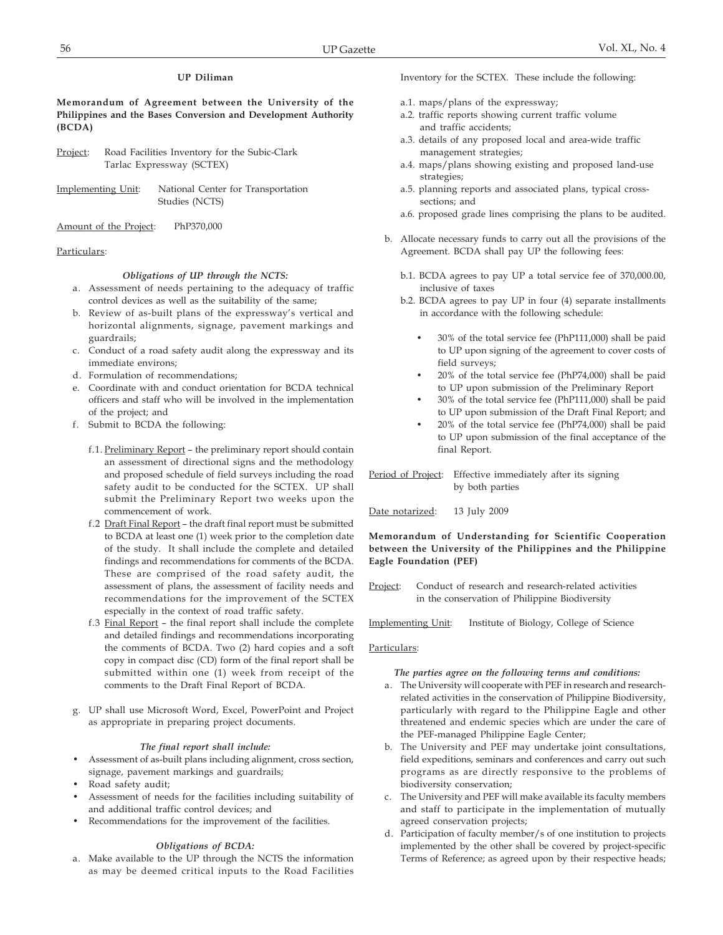## **UP Diliman**

**Memorandum of Agreement between the University of the Philippines and the Bases Conversion and Development Authority (BCDA)**

- Project: Road Facilities Inventory for the Subic-Clark Tarlac Expressway (SCTEX)
- Implementing Unit: National Center for Transportation Studies (NCTS)

Amount of the Project: PhP370,000

## Particulars:

## *Obligations of UP through the NCTS:*

- a. Assessment of needs pertaining to the adequacy of traffic control devices as well as the suitability of the same;
- b. Review of as-built plans of the expressway's vertical and horizontal alignments, signage, pavement markings and guardrails;
- c. Conduct of a road safety audit along the expressway and its immediate environs;
- d. Formulation of recommendations;
- e. Coordinate with and conduct orientation for BCDA technical officers and staff who will be involved in the implementation of the project; and
- f. Submit to BCDA the following:
	- f.1. Preliminary Report the preliminary report should contain an assessment of directional signs and the methodology and proposed schedule of field surveys including the road safety audit to be conducted for the SCTEX. UP shall submit the Preliminary Report two weeks upon the commencement of work.
	- f.2 Draft Final Report the draft final report must be submitted to BCDA at least one (1) week prior to the completion date of the study. It shall include the complete and detailed findings and recommendations for comments of the BCDA. These are comprised of the road safety audit, the assessment of plans, the assessment of facility needs and recommendations for the improvement of the SCTEX especially in the context of road traffic safety.
	- f.3 Final Report the final report shall include the complete and detailed findings and recommendations incorporating the comments of BCDA. Two (2) hard copies and a soft copy in compact disc (CD) form of the final report shall be submitted within one (1) week from receipt of the comments to the Draft Final Report of BCDA.
- g. UP shall use Microsoft Word, Excel, PowerPoint and Project as appropriate in preparing project documents.

## *The final report shall include:*

- Assessment of as-built plans including alignment, cross section, signage, pavement markings and guardrails;
- Road safety audit;
- Assessment of needs for the facilities including suitability of and additional traffic control devices; and
- Recommendations for the improvement of the facilities.

## *Obligations of BCDA:*

a. Make available to the UP through the NCTS the information as may be deemed critical inputs to the Road Facilities Inventory for the SCTEX. These include the following:

- a.1. maps/plans of the expressway;
- a.2. traffic reports showing current traffic volume and traffic accidents;
- a.3. details of any proposed local and area-wide traffic management strategies;
- a.4. maps/plans showing existing and proposed land-use strategies;
- a.5. planning reports and associated plans, typical cross sections; and
- a.6. proposed grade lines comprising the plans to be audited.
- b. Allocate necessary funds to carry out all the provisions of the Agreement. BCDA shall pay UP the following fees:
	- b.1. BCDA agrees to pay UP a total service fee of 370,000.00, inclusive of taxes
	- b.2. BCDA agrees to pay UP in four (4) separate installments in accordance with the following schedule:
		- 30% of the total service fee (PhP111,000) shall be paid to UP upon signing of the agreement to cover costs of field surveys;
		- 20% of the total service fee (PhP74,000) shall be paid to UP upon submission of the Preliminary Report
		- 30% of the total service fee (PhP111,000) shall be paid to UP upon submission of the Draft Final Report; and
		- 20% of the total service fee (PhP74,000) shall be paid to UP upon submission of the final acceptance of the final Report.

Period of Project: Effective immediately after its signing by both parties

Date notarized: 13 July 2009

## **Memorandum of Understanding for Scientific Cooperation between the University of the Philippines and the Philippine Eagle Foundation (PEF)**

- Project: Conduct of research and research-related activities in the conservation of Philippine Biodiversity
- Implementing Unit: Institute of Biology, College of Science

## Particulars:

### *The parties agree on the following terms and conditions:*

- a. The University will cooperate with PEF in research and researchrelated activities in the conservation of Philippine Biodiversity, particularly with regard to the Philippine Eagle and other threatened and endemic species which are under the care of the PEF-managed Philippine Eagle Center;
- b. The University and PEF may undertake joint consultations, field expeditions, seminars and conferences and carry out such programs as are directly responsive to the problems of biodiversity conservation;
- c. The University and PEF will make available its faculty members and staff to participate in the implementation of mutually agreed conservation projects;
- d. Participation of faculty member/s of one institution to projects implemented by the other shall be covered by project-specific Terms of Reference; as agreed upon by their respective heads;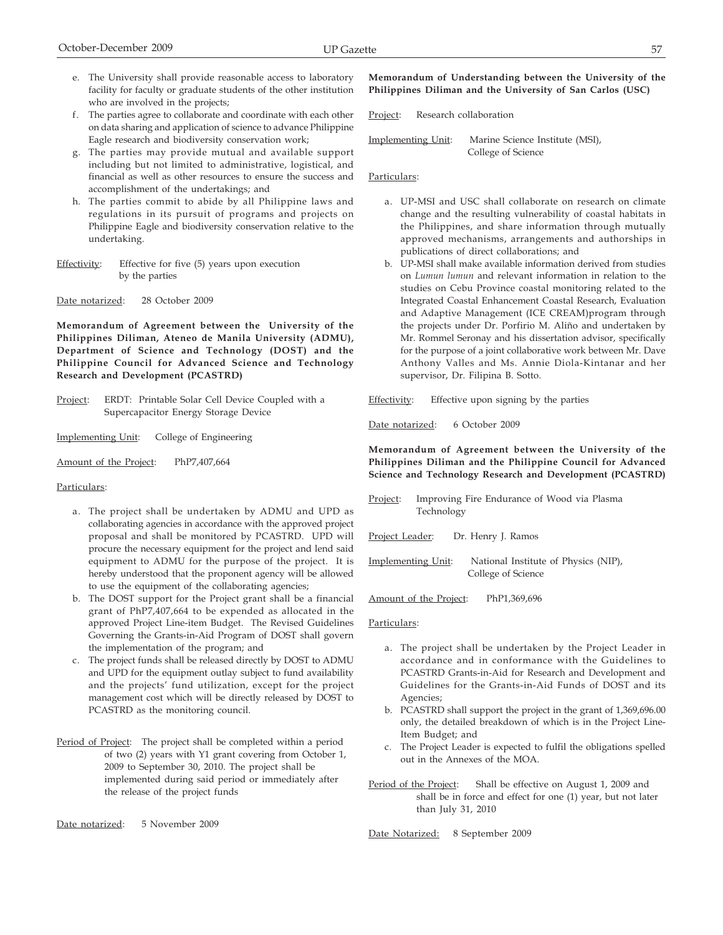- e. The University shall provide reasonable access to laboratory facility for faculty or graduate students of the other institution who are involved in the projects;
- f. The parties agree to collaborate and coordinate with each other on data sharing and application of science to advance Philippine Eagle research and biodiversity conservation work;
- g. The parties may provide mutual and available support including but not limited to administrative, logistical, and financial as well as other resources to ensure the success and accomplishment of the undertakings; and
- h. The parties commit to abide by all Philippine laws and regulations in its pursuit of programs and projects on Philippine Eagle and biodiversity conservation relative to the undertaking.
- Effectivity: Effective for five (5) years upon execution by the parties

Date notarized: 28 October 2009

**Memorandum of Agreement between the University of the Philippines Diliman, Ateneo de Manila University (ADMU), Department of Science and Technology (DOST) and the Philippine Council for Advanced Science and Technology Research and Development (PCASTRD)**

- Project: ERDT: Printable Solar Cell Device Coupled with a Supercapacitor Energy Storage Device
- Implementing Unit: College of Engineering
- Amount of the Project: PhP7,407,664

## Particulars:

- a. The project shall be undertaken by ADMU and UPD as collaborating agencies in accordance with the approved project proposal and shall be monitored by PCASTRD. UPD will procure the necessary equipment for the project and lend said equipment to ADMU for the purpose of the project. It is hereby understood that the proponent agency will be allowed to use the equipment of the collaborating agencies;
- b. The DOST support for the Project grant shall be a financial grant of PhP7,407,664 to be expended as allocated in the approved Project Line-item Budget. The Revised Guidelines Governing the Grants-in-Aid Program of DOST shall govern the implementation of the program; and
- c. The project funds shall be released directly by DOST to ADMU and UPD for the equipment outlay subject to fund availability and the projects' fund utilization, except for the project management cost which will be directly released by DOST to PCASTRD as the monitoring council.
- Period of Project: The project shall be completed within a period of two (2) years with Y1 grant covering from October 1, 2009 to September 30, 2010. The project shall be implemented during said period or immediately after the release of the project funds

Date notarized: 5 November 2009

# **Memorandum of Understanding between the University of the Philippines Diliman and the University of San Carlos (USC)**

Project: Research collaboration

Implementing Unit: Marine Science Institute (MSI), College of Science

#### Particulars:

- a. UP-MSI and USC shall collaborate on research on climate change and the resulting vulnerability of coastal habitats in the Philippines, and share information through mutually approved mechanisms, arrangements and authorships in publications of direct collaborations; and
- b. UP-MSI shall make available information derived from studies on *Lumun lumun* and relevant information in relation to the studies on Cebu Province coastal monitoring related to the Integrated Coastal Enhancement Coastal Research, Evaluation and Adaptive Management (ICE CREAM)program through the projects under Dr. Porfirio M. Aliño and undertaken by Mr. Rommel Seronay and his dissertation advisor, specifically for the purpose of a joint collaborative work between Mr. Dave Anthony Valles and Ms. Annie Diola-Kintanar and her supervisor, Dr. Filipina B. Sotto.

Effectivity: Effective upon signing by the parties

Date notarized: 6 October 2009

**Memorandum of Agreement between the University of the Philippines Diliman and the Philippine Council for Advanced Science and Technology Research and Development (PCASTRD)**

Project: Improving Fire Endurance of Wood via Plasma Technology

Project Leader: Dr. Henry J. Ramos

Implementing Unit: National Institute of Physics (NIP), College of Science

Amount of the Project: PhP1,369,696

#### Particulars:

- a. The project shall be undertaken by the Project Leader in accordance and in conformance with the Guidelines to PCASTRD Grants-in-Aid for Research and Development and Guidelines for the Grants-in-Aid Funds of DOST and its Agencies;
- b. PCASTRD shall support the project in the grant of 1,369,696.00 only, the detailed breakdown of which is in the Project Line-Item Budget; and
- c. The Project Leader is expected to fulfil the obligations spelled out in the Annexes of the MOA.
- Period of the Project: Shall be effective on August 1, 2009 and shall be in force and effect for one (1) year, but not later than July 31, 2010

Date Notarized: 8 September 2009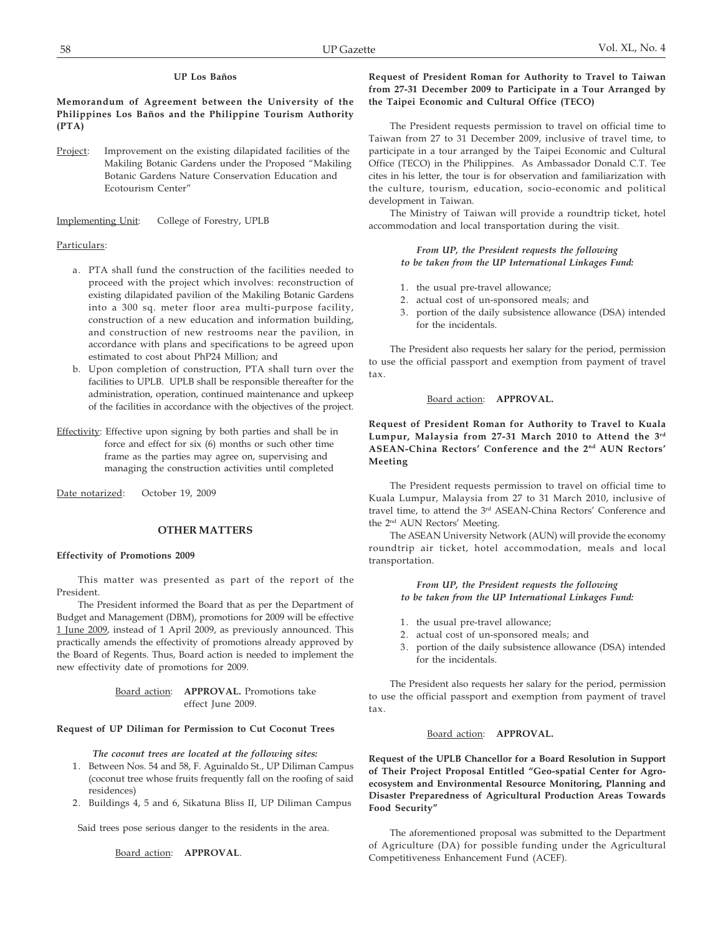## **UP Los Baños**

**Memorandum of Agreement between the University of the Philippines Los Baños and the Philippine Tourism Authority (PTA)**

Project: Improvement on the existing dilapidated facilities of the Makiling Botanic Gardens under the Proposed "Makiling Botanic Gardens Nature Conservation Education and Ecotourism Center"

Implementing Unit: College of Forestry, UPLB

## Particulars:

- a. PTA shall fund the construction of the facilities needed to proceed with the project which involves: reconstruction of existing dilapidated pavilion of the Makiling Botanic Gardens into a 300 sq. meter floor area multi-purpose facility, construction of a new education and information building, and construction of new restrooms near the pavilion, in accordance with plans and specifications to be agreed upon estimated to cost about PhP24 Million; and
- b. Upon completion of construction, PTA shall turn over the facilities to UPLB. UPLB shall be responsible thereafter for the administration, operation, continued maintenance and upkeep of the facilities in accordance with the objectives of the project.
- Effectivity: Effective upon signing by both parties and shall be in force and effect for six (6) months or such other time frame as the parties may agree on, supervising and managing the construction activities until completed

Date notarized: October 19, 2009

# **OTHER MATTERS**

## **Effectivity of Promotions 2009**

This matter was presented as part of the report of the President.

The President informed the Board that as per the Department of Budget and Management (DBM), promotions for 2009 will be effective 1 June 2009, instead of 1 April 2009, as previously announced. This practically amends the effectivity of promotions already approved by the Board of Regents. Thus, Board action is needed to implement the new effectivity date of promotions for 2009.

## Board action: **APPROVAL.** Promotions take effect June 2009.

## **Request of UP Diliman for Permission to Cut Coconut Trees**

*The coconut trees are located at the following sites:*

- 1. Between Nos. 54 and 58, F. Aguinaldo St., UP Diliman Campus (coconut tree whose fruits frequently fall on the roofing of said residences)
- 2. Buildings 4, 5 and 6, Sikatuna Bliss II, UP Diliman Campus

Said trees pose serious danger to the residents in the area.

Board action: **APPROVAL**.

## **Request of President Roman for Authority to Travel to Taiwan from 27-31 December 2009 to Participate in a Tour Arranged by the Taipei Economic and Cultural Office (TECO)**

The President requests permission to travel on official time to Taiwan from 27 to 31 December 2009, inclusive of travel time, to participate in a tour arranged by the Taipei Economic and Cultural Office (TECO) in the Philippines. As Ambassador Donald C.T. Tee cites in his letter, the tour is for observation and familiarization with the culture, tourism, education, socio-economic and political development in Taiwan.

The Ministry of Taiwan will provide a roundtrip ticket, hotel accommodation and local transportation during the visit.

### *From UP, the President requests the following to be taken from the UP International Linkages Fund:*

- 1. the usual pre-travel allowance;
- 2. actual cost of un-sponsored meals; and
- 3. portion of the daily subsistence allowance (DSA) intended for the incidentals.

The President also requests her salary for the period, permission to use the official passport and exemption from payment of travel tax.

### Board action: **APPROVAL.**

**Request of President Roman for Authority to Travel to Kuala Lumpur, Malaysia from 27-31 March 2010 to Attend the 3rd ASEAN-China Rectors' Conference and the 2nd AUN Rectors' Meeting**

The President requests permission to travel on official time to Kuala Lumpur, Malaysia from 27 to 31 March 2010, inclusive of travel time, to attend the 3<sup>rd</sup> ASEAN-China Rectors' Conference and the 2nd AUN Rectors' Meeting.

The ASEAN University Network (AUN) will provide the economy roundtrip air ticket, hotel accommodation, meals and local transportation.

> *From UP, the President requests the following to be taken from the UP International Linkages Fund:*

- 1. the usual pre-travel allowance;
- 2. actual cost of un-sponsored meals; and
- 3. portion of the daily subsistence allowance (DSA) intended for the incidentals.

The President also requests her salary for the period, permission to use the official passport and exemption from payment of travel tax.

# Board action: **APPROVAL.**

**Request of the UPLB Chancellor for a Board Resolution in Support of Their Project Proposal Entitled "Geo-spatial Center for Agroecosystem and Environmental Resource Monitoring, Planning and Disaster Preparedness of Agricultural Production Areas Towards Food Security"**

The aforementioned proposal was submitted to the Department of Agriculture (DA) for possible funding under the Agricultural Competitiveness Enhancement Fund (ACEF).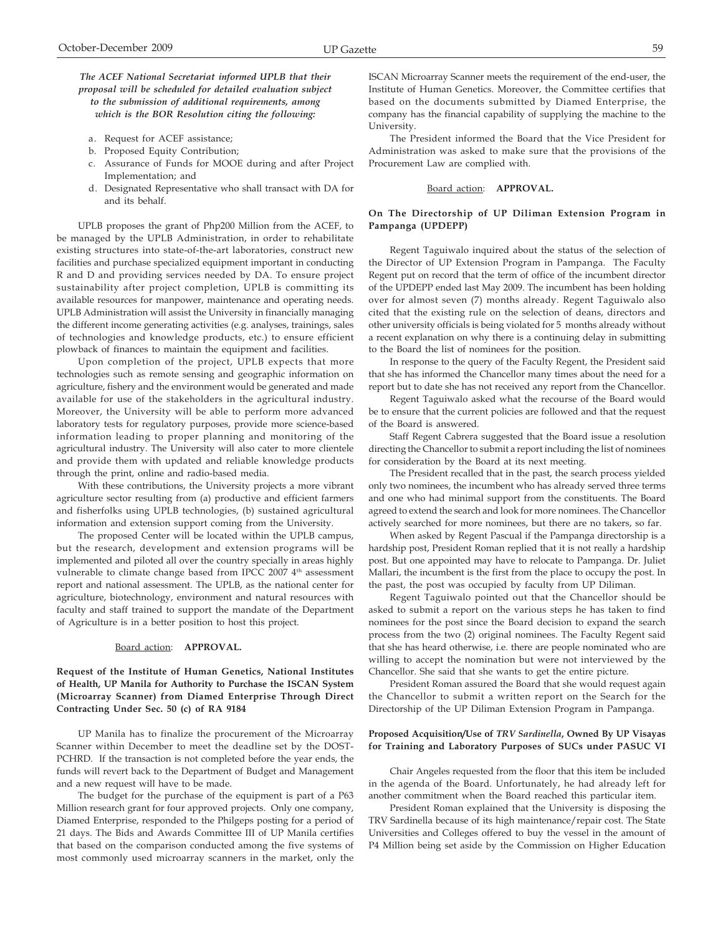## *The ACEF National Secretariat informed UPLB that their proposal will be scheduled for detailed evaluation subject to the submission of additional requirements, among which is the BOR Resolution citing the following:*

- a. Request for ACEF assistance;
- b. Proposed Equity Contribution;
- c. Assurance of Funds for MOOE during and after Project Implementation; and
- d. Designated Representative who shall transact with DA for and its behalf.

UPLB proposes the grant of Php200 Million from the ACEF, to be managed by the UPLB Administration, in order to rehabilitate existing structures into state-of-the-art laboratories, construct new facilities and purchase specialized equipment important in conducting R and D and providing services needed by DA. To ensure project sustainability after project completion, UPLB is committing its available resources for manpower, maintenance and operating needs. UPLB Administration will assist the University in financially managing the different income generating activities (e.g. analyses, trainings, sales of technologies and knowledge products, etc.) to ensure efficient plowback of finances to maintain the equipment and facilities.

Upon completion of the project, UPLB expects that more technologies such as remote sensing and geographic information on agriculture, fishery and the environment would be generated and made available for use of the stakeholders in the agricultural industry. Moreover, the University will be able to perform more advanced laboratory tests for regulatory purposes, provide more science-based information leading to proper planning and monitoring of the agricultural industry. The University will also cater to more clientele and provide them with updated and reliable knowledge products through the print, online and radio-based media.

With these contributions, the University projects a more vibrant agriculture sector resulting from (a) productive and efficient farmers and fisherfolks using UPLB technologies, (b) sustained agricultural information and extension support coming from the University.

The proposed Center will be located within the UPLB campus, but the research, development and extension programs will be implemented and piloted all over the country specially in areas highly vulnerable to climate change based from IPCC 2007 4<sup>th</sup> assessment report and national assessment. The UPLB, as the national center for agriculture, biotechnology, environment and natural resources with faculty and staff trained to support the mandate of the Department of Agriculture is in a better position to host this project.

#### Board action: **APPROVAL.**

## **Request of the Institute of Human Genetics, National Institutes of Health, UP Manila for Authority to Purchase the ISCAN System (Microarray Scanner) from Diamed Enterprise Through Direct Contracting Under Sec. 50 (c) of RA 9184**

UP Manila has to finalize the procurement of the Microarray Scanner within December to meet the deadline set by the DOST-PCHRD. If the transaction is not completed before the year ends, the funds will revert back to the Department of Budget and Management and a new request will have to be made.

The budget for the purchase of the equipment is part of a P63 Million research grant for four approved projects. Only one company, Diamed Enterprise, responded to the Philgeps posting for a period of 21 days. The Bids and Awards Committee III of UP Manila certifies that based on the comparison conducted among the five systems of most commonly used microarray scanners in the market, only the

ISCAN Microarray Scanner meets the requirement of the end-user, the Institute of Human Genetics. Moreover, the Committee certifies that based on the documents submitted by Diamed Enterprise, the company has the financial capability of supplying the machine to the University.

The President informed the Board that the Vice President for Administration was asked to make sure that the provisions of the Procurement Law are complied with.

## Board action: **APPROVAL.**

## **On The Directorship of UP Diliman Extension Program in Pampanga (UPDEPP)**

Regent Taguiwalo inquired about the status of the selection of the Director of UP Extension Program in Pampanga. The Faculty Regent put on record that the term of office of the incumbent director of the UPDEPP ended last May 2009. The incumbent has been holding over for almost seven (7) months already. Regent Taguiwalo also cited that the existing rule on the selection of deans, directors and other university officials is being violated for 5 months already without a recent explanation on why there is a continuing delay in submitting to the Board the list of nominees for the position.

In response to the query of the Faculty Regent, the President said that she has informed the Chancellor many times about the need for a report but to date she has not received any report from the Chancellor.

Regent Taguiwalo asked what the recourse of the Board would be to ensure that the current policies are followed and that the request of the Board is answered.

Staff Regent Cabrera suggested that the Board issue a resolution directing the Chancellor to submit a report including the list of nominees for consideration by the Board at its next meeting.

The President recalled that in the past, the search process yielded only two nominees, the incumbent who has already served three terms and one who had minimal support from the constituents. The Board agreed to extend the search and look for more nominees. The Chancellor actively searched for more nominees, but there are no takers, so far.

When asked by Regent Pascual if the Pampanga directorship is a hardship post, President Roman replied that it is not really a hardship post. But one appointed may have to relocate to Pampanga. Dr. Juliet Mallari, the incumbent is the first from the place to occupy the post. In the past, the post was occupied by faculty from UP Diliman.

Regent Taguiwalo pointed out that the Chancellor should be asked to submit a report on the various steps he has taken to find nominees for the post since the Board decision to expand the search process from the two (2) original nominees. The Faculty Regent said that she has heard otherwise, i.e. there are people nominated who are willing to accept the nomination but were not interviewed by the Chancellor. She said that she wants to get the entire picture.

President Roman assured the Board that she would request again the Chancellor to submit a written report on the Search for the Directorship of the UP Diliman Extension Program in Pampanga.

## **Proposed Acquisition/Use of** *TRV Sardinella***, Owned By UP Visayas for Training and Laboratory Purposes of SUCs under PASUC VI**

Chair Angeles requested from the floor that this item be included in the agenda of the Board. Unfortunately, he had already left for another commitment when the Board reached this particular item.

President Roman explained that the University is disposing the TRV Sardinella because of its high maintenance/repair cost. The State Universities and Colleges offered to buy the vessel in the amount of P4 Million being set aside by the Commission on Higher Education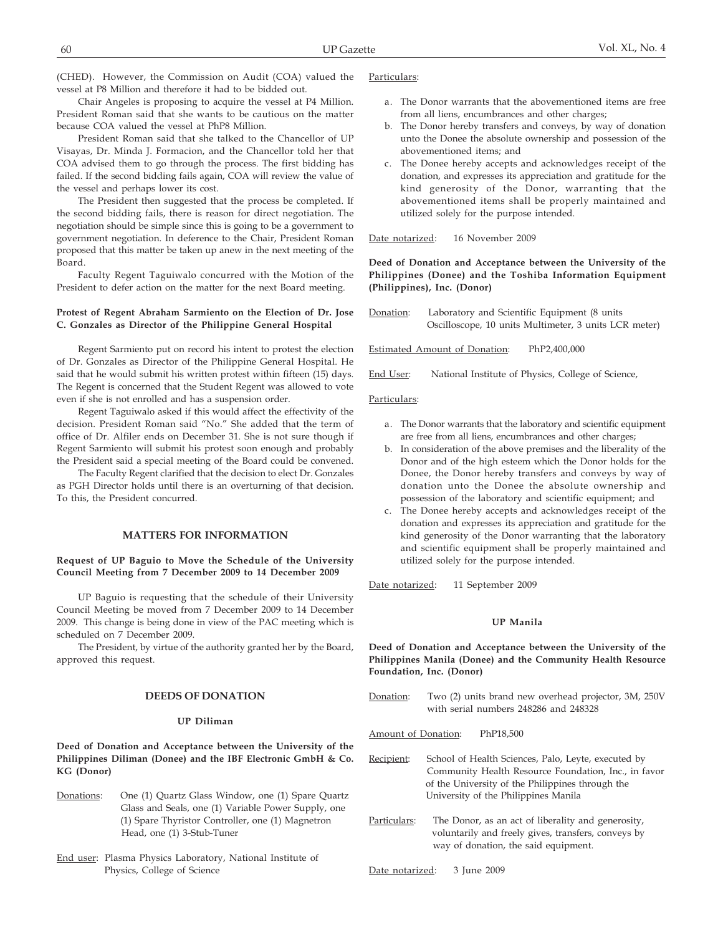(CHED). However, the Commission on Audit (COA) valued the vessel at P8 Million and therefore it had to be bidded out.

Chair Angeles is proposing to acquire the vessel at P4 Million. President Roman said that she wants to be cautious on the matter because COA valued the vessel at PhP8 Million.

President Roman said that she talked to the Chancellor of UP Visayas, Dr. Minda J. Formacion, and the Chancellor told her that COA advised them to go through the process. The first bidding has failed. If the second bidding fails again, COA will review the value of the vessel and perhaps lower its cost.

The President then suggested that the process be completed. If the second bidding fails, there is reason for direct negotiation. The negotiation should be simple since this is going to be a government to government negotiation. In deference to the Chair, President Roman proposed that this matter be taken up anew in the next meeting of the Board.

Faculty Regent Taguiwalo concurred with the Motion of the President to defer action on the matter for the next Board meeting.

## **Protest of Regent Abraham Sarmiento on the Election of Dr. Jose C. Gonzales as Director of the Philippine General Hospital**

Regent Sarmiento put on record his intent to protest the election of Dr. Gonzales as Director of the Philippine General Hospital. He said that he would submit his written protest within fifteen (15) days. The Regent is concerned that the Student Regent was allowed to vote even if she is not enrolled and has a suspension order.

Regent Taguiwalo asked if this would affect the effectivity of the decision. President Roman said "No." She added that the term of office of Dr. Alfiler ends on December 31. She is not sure though if Regent Sarmiento will submit his protest soon enough and probably the President said a special meeting of the Board could be convened.

The Faculty Regent clarified that the decision to elect Dr. Gonzales as PGH Director holds until there is an overturning of that decision. To this, the President concurred.

## **MATTERS FOR INFORMATION**

### **Request of UP Baguio to Move the Schedule of the University Council Meeting from 7 December 2009 to 14 December 2009**

UP Baguio is requesting that the schedule of their University Council Meeting be moved from 7 December 2009 to 14 December 2009. This change is being done in view of the PAC meeting which is scheduled on 7 December 2009.

The President, by virtue of the authority granted her by the Board, approved this request.

## **DEEDS OF DONATION**

## **UP Diliman**

**Deed of Donation and Acceptance between the University of the Philippines Diliman (Donee) and the IBF Electronic GmbH & Co. KG (Donor)**

- Donations: One (1) Quartz Glass Window, one (1) Spare Quartz Glass and Seals, one (1) Variable Power Supply, one (1) Spare Thyristor Controller, one (1) Magnetron Head, one (1) 3-Stub-Tuner
- End user: Plasma Physics Laboratory, National Institute of Physics, College of Science

### Particulars:

- a. The Donor warrants that the abovementioned items are free from all liens, encumbrances and other charges;
- b. The Donor hereby transfers and conveys, by way of donation unto the Donee the absolute ownership and possession of the abovementioned items; and
- c. The Donee hereby accepts and acknowledges receipt of the donation, and expresses its appreciation and gratitude for the kind generosity of the Donor, warranting that the abovementioned items shall be properly maintained and utilized solely for the purpose intended.

Date notarized: 16 November 2009

**Deed of Donation and Acceptance between the University of the Philippines (Donee) and the Toshiba Information Equipment (Philippines), Inc. (Donor)**

Donation: Laboratory and Scientific Equipment (8 units Oscilloscope, 10 units Multimeter, 3 units LCR meter)

Estimated Amount of Donation: PhP2,400,000

End User: National Institute of Physics, College of Science,

#### Particulars:

- a. The Donor warrants that the laboratory and scientific equipment are free from all liens, encumbrances and other charges;
- b. In consideration of the above premises and the liberality of the Donor and of the high esteem which the Donor holds for the Donee, the Donor hereby transfers and conveys by way of donation unto the Donee the absolute ownership and possession of the laboratory and scientific equipment; and
- c. The Donee hereby accepts and acknowledges receipt of the donation and expresses its appreciation and gratitude for the kind generosity of the Donor warranting that the laboratory and scientific equipment shall be properly maintained and utilized solely for the purpose intended.

Date notarized: 11 September 2009

# **UP Manila**

**Deed of Donation and Acceptance between the University of the Philippines Manila (Donee) and the Community Health Resource Foundation, Inc. (Donor)**

- Donation: Two (2) units brand new overhead projector, 3M, 250V with serial numbers 248286 and 248328
- Amount of Donation: PhP18,500
- Recipient: School of Health Sciences, Palo, Leyte, executed by Community Health Resource Foundation, Inc., in favor of the University of the Philippines through the University of the Philippines Manila
- Particulars: The Donor, as an act of liberality and generosity, voluntarily and freely gives, transfers, conveys by way of donation, the said equipment.

Date notarized: 3 June 2009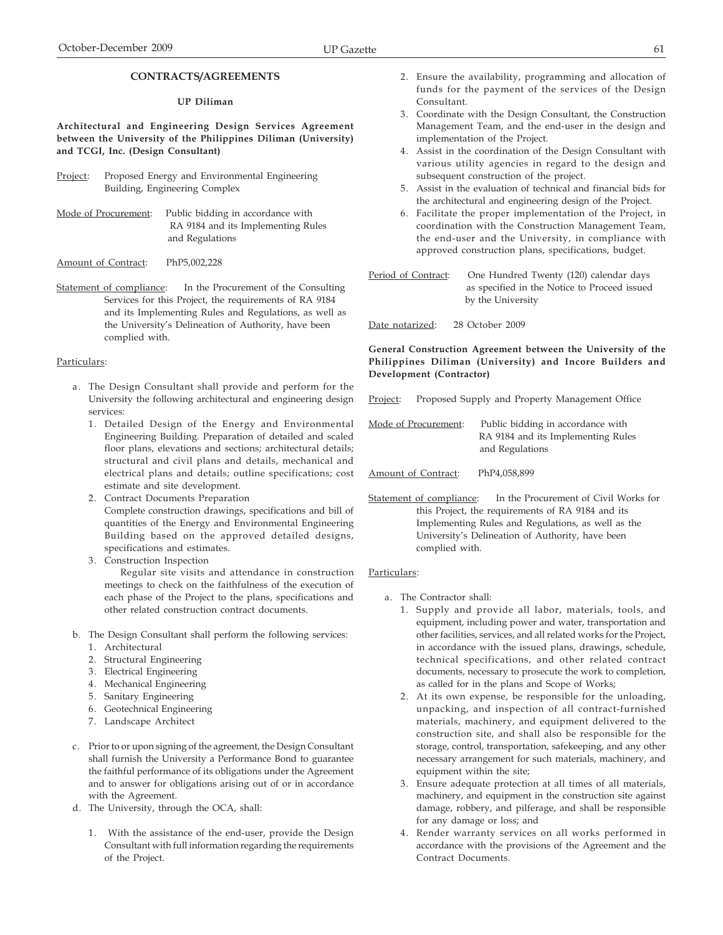# **CONTRACTS/AGREEMENTS**

## **UP Diliman**

**Architectural and Engineering Design Services Agreement between the University of the Philippines Diliman (University) and TCGI, Inc. (Design Consultant)**

- Project: Proposed Energy and Environmental Engineering Building, Engineering Complex
- Mode of Procurement: Public bidding in accordance with RA 9184 and its Implementing Rules and Regulations
- Amount of Contract: PhP5,002,228
- Statement of compliance: In the Procurement of the Consulting Services for this Project, the requirements of RA 9184 and its Implementing Rules and Regulations, as well as the University's Delineation of Authority, have been complied with.

## Particulars:

- a. The Design Consultant shall provide and perform for the University the following architectural and engineering design services:
	- 1. Detailed Design of the Energy and Environmental Engineering Building. Preparation of detailed and scaled floor plans, elevations and sections; architectural details; structural and civil plans and details, mechanical and electrical plans and details; outline specifications; cost estimate and site development.
	- 2. Contract Documents Preparation Complete construction drawings, specifications and bill of quantities of the Energy and Environmental Engineering Building based on the approved detailed designs, specifications and estimates.
	- 3. Construction Inspection

 Regular site visits and attendance in construction meetings to check on the faithfulness of the execution of each phase of the Project to the plans, specifications and other related construction contract documents.

- b. The Design Consultant shall perform the following services:
	- 1. Architectural
	- 2. Structural Engineering
	- 3. Electrical Engineering
	- 4. Mechanical Engineering
	- 5. Sanitary Engineering
	- 6. Geotechnical Engineering
	- 7. Landscape Architect
- c. Prior to or upon signing of the agreement, the Design Consultant shall furnish the University a Performance Bond to guarantee the faithful performance of its obligations under the Agreement and to answer for obligations arising out of or in accordance with the Agreement.
- d. The University, through the OCA, shall:
	- 1. With the assistance of the end-user, provide the Design Consultant with full information regarding the requirements of the Project.
- 2. Ensure the availability, programming and allocation of funds for the payment of the services of the Design Consultant.
- 3. Coordinate with the Design Consultant, the Construction Management Team, and the end-user in the design and implementation of the Project.
- 4. Assist in the coordination of the Design Consultant with various utility agencies in regard to the design and subsequent construction of the project.
- 5. Assist in the evaluation of technical and financial bids for the architectural and engineering design of the Project.
- 6. Facilitate the proper implementation of the Project, in coordination with the Construction Management Team, the end-user and the University, in compliance with approved construction plans, specifications, budget.

Period of Contract: One Hundred Twenty (120) calendar days as specified in the Notice to Proceed issued by the University

Date notarized: 28 October 2009

## **General Construction Agreement between the University of the Philippines Diliman (University) and Incore Builders and Development (Contractor)**

Project: Proposed Supply and Property Management Office

Mode of Procurement: Public bidding in accordance with RA 9184 and its Implementing Rules and Regulations

- Amount of Contract: PhP4,058,899
- Statement of compliance: In the Procurement of Civil Works for this Project, the requirements of RA 9184 and its Implementing Rules and Regulations, as well as the University's Delineation of Authority, have been complied with.

- a. The Contractor shall:
	- 1. Supply and provide all labor, materials, tools, and equipment, including power and water, transportation and other facilities, services, and all related works for the Project, in accordance with the issued plans, drawings, schedule, technical specifications, and other related contract documents, necessary to prosecute the work to completion, as called for in the plans and Scope of Works;
	- 2. At its own expense, be responsible for the unloading, unpacking, and inspection of all contract-furnished materials, machinery, and equipment delivered to the construction site, and shall also be responsible for the storage, control, transportation, safekeeping, and any other necessary arrangement for such materials, machinery, and equipment within the site;
	- 3. Ensure adequate protection at all times of all materials, machinery, and equipment in the construction site against damage, robbery, and pilferage, and shall be responsible for any damage or loss; and
	- 4. Render warranty services on all works performed in accordance with the provisions of the Agreement and the Contract Documents.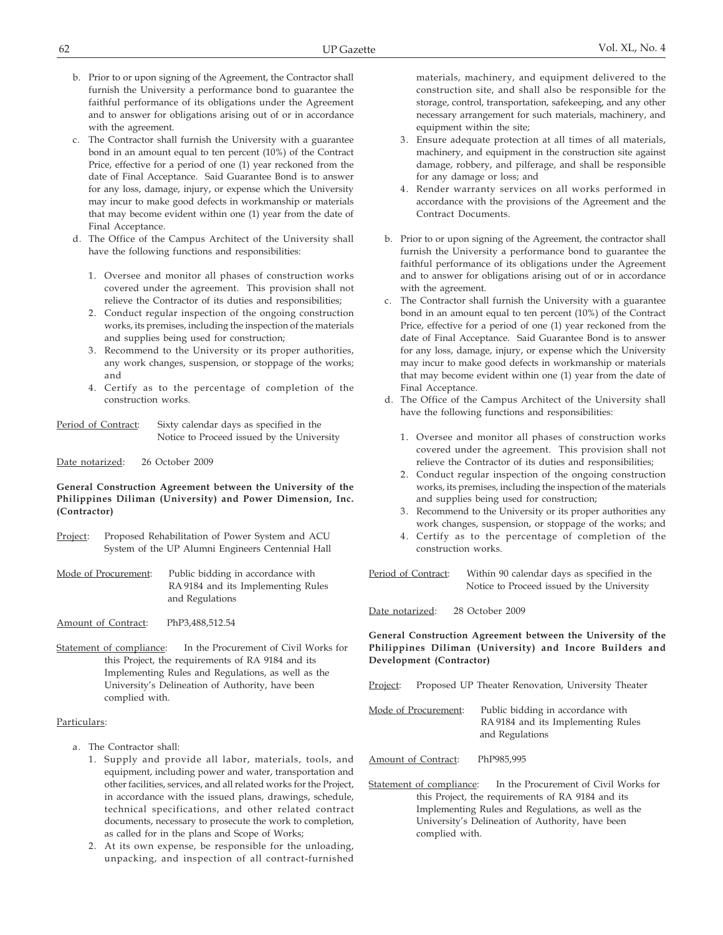- b. Prior to or upon signing of the Agreement, the Contractor shall furnish the University a performance bond to guarantee the faithful performance of its obligations under the Agreement and to answer for obligations arising out of or in accordance with the agreement.
- c. The Contractor shall furnish the University with a guarantee bond in an amount equal to ten percent (10%) of the Contract Price, effective for a period of one (1) year reckoned from the date of Final Acceptance. Said Guarantee Bond is to answer for any loss, damage, injury, or expense which the University may incur to make good defects in workmanship or materials that may become evident within one (1) year from the date of Final Acceptance.
- d. The Office of the Campus Architect of the University shall have the following functions and responsibilities:
	- 1. Oversee and monitor all phases of construction works covered under the agreement. This provision shall not relieve the Contractor of its duties and responsibilities;
	- 2. Conduct regular inspection of the ongoing construction works, its premises, including the inspection of the materials and supplies being used for construction;
	- 3. Recommend to the University or its proper authorities, any work changes, suspension, or stoppage of the works; and
	- 4. Certify as to the percentage of completion of the construction works.

| Period of Contract: | Sixty calendar days as specified in the    |
|---------------------|--------------------------------------------|
|                     | Notice to Proceed issued by the University |

## Date notarized: 26 October 2009

## **General Construction Agreement between the University of the Philippines Diliman (University) and Power Dimension, Inc. (Contractor)**

Project: Proposed Rehabilitation of Power System and ACU System of the UP Alumni Engineers Centennial Hall

Mode of Procurement: Public bidding in accordance with RA 9184 and its Implementing Rules and Regulations

Amount of Contract: PhP3,488,512.54

Statement of compliance: In the Procurement of Civil Works for this Project, the requirements of RA 9184 and its Implementing Rules and Regulations, as well as the University's Delineation of Authority, have been complied with.

## Particulars:

- a. The Contractor shall:
	- 1. Supply and provide all labor, materials, tools, and equipment, including power and water, transportation and other facilities, services, and all related works for the Project, in accordance with the issued plans, drawings, schedule, technical specifications, and other related contract documents, necessary to prosecute the work to completion, as called for in the plans and Scope of Works;
	- 2. At its own expense, be responsible for the unloading, unpacking, and inspection of all contract-furnished

materials, machinery, and equipment delivered to the construction site, and shall also be responsible for the storage, control, transportation, safekeeping, and any other necessary arrangement for such materials, machinery, and equipment within the site;

- 3. Ensure adequate protection at all times of all materials, machinery, and equipment in the construction site against damage, robbery, and pilferage, and shall be responsible for any damage or loss; and
- 4. Render warranty services on all works performed in accordance with the provisions of the Agreement and the Contract Documents.
- b. Prior to or upon signing of the Agreement, the contractor shall furnish the University a performance bond to guarantee the faithful performance of its obligations under the Agreement and to answer for obligations arising out of or in accordance with the agreement.
- c. The Contractor shall furnish the University with a guarantee bond in an amount equal to ten percent (10%) of the Contract Price, effective for a period of one (1) year reckoned from the date of Final Acceptance. Said Guarantee Bond is to answer for any loss, damage, injury, or expense which the University may incur to make good defects in workmanship or materials that may become evident within one (1) year from the date of Final Acceptance.
- d. The Office of the Campus Architect of the University shall have the following functions and responsibilities:
	- 1. Oversee and monitor all phases of construction works covered under the agreement. This provision shall not relieve the Contractor of its duties and responsibilities;
	- 2. Conduct regular inspection of the ongoing construction works, its premises, including the inspection of the materials and supplies being used for construction;
	- 3. Recommend to the University or its proper authorities any work changes, suspension, or stoppage of the works; and
	- 4. Certify as to the percentage of completion of the construction works.

Period of Contract: Within 90 calendar days as specified in the Notice to Proceed issued by the University

Date notarized: 28 October 2009

**General Construction Agreement between the University of the Philippines Diliman (University) and Incore Builders and Development (Contractor)**

- Project: Proposed UP Theater Renovation, University Theater
- Mode of Procurement: Public bidding in accordance with RA 9184 and its Implementing Rules and Regulations
- Amount of Contract: PhP985,995
- Statement of compliance: In the Procurement of Civil Works for this Project, the requirements of RA 9184 and its Implementing Rules and Regulations, as well as the University's Delineation of Authority, have been complied with.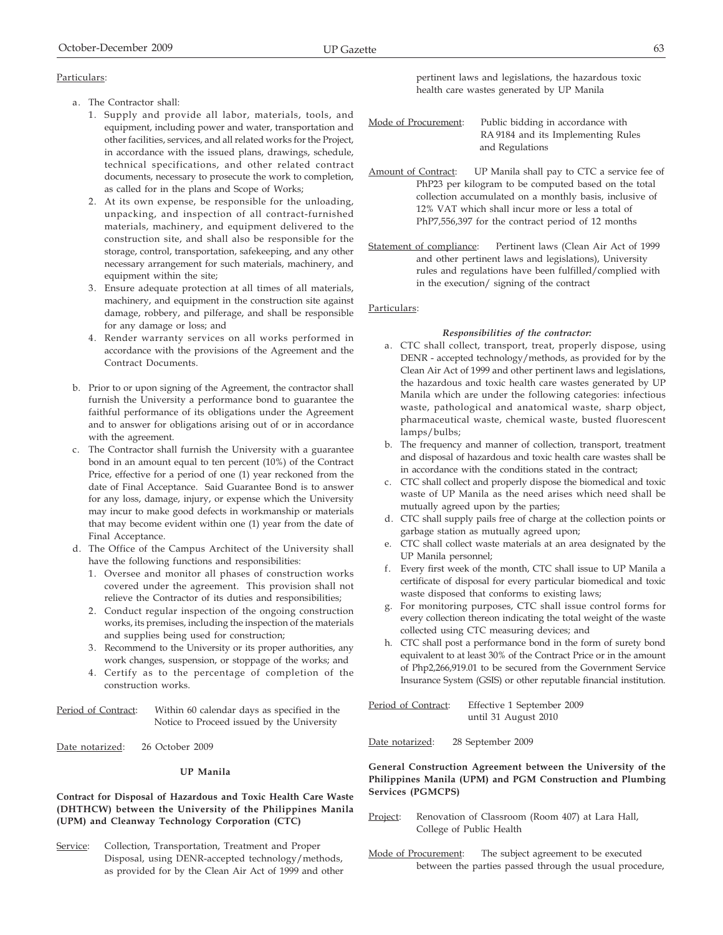- a. The Contractor shall:
	- 1. Supply and provide all labor, materials, tools, and equipment, including power and water, transportation and other facilities, services, and all related works for the Project, in accordance with the issued plans, drawings, schedule, technical specifications, and other related contract documents, necessary to prosecute the work to completion, as called for in the plans and Scope of Works;
	- 2. At its own expense, be responsible for the unloading, unpacking, and inspection of all contract-furnished materials, machinery, and equipment delivered to the construction site, and shall also be responsible for the storage, control, transportation, safekeeping, and any other necessary arrangement for such materials, machinery, and equipment within the site;
	- 3. Ensure adequate protection at all times of all materials, machinery, and equipment in the construction site against damage, robbery, and pilferage, and shall be responsible for any damage or loss; and
	- 4. Render warranty services on all works performed in accordance with the provisions of the Agreement and the Contract Documents.
- b. Prior to or upon signing of the Agreement, the contractor shall furnish the University a performance bond to guarantee the faithful performance of its obligations under the Agreement and to answer for obligations arising out of or in accordance with the agreement.
- c. The Contractor shall furnish the University with a guarantee bond in an amount equal to ten percent (10%) of the Contract Price, effective for a period of one (1) year reckoned from the date of Final Acceptance. Said Guarantee Bond is to answer for any loss, damage, injury, or expense which the University may incur to make good defects in workmanship or materials that may become evident within one (1) year from the date of Final Acceptance.
- d. The Office of the Campus Architect of the University shall have the following functions and responsibilities:
	- 1. Oversee and monitor all phases of construction works covered under the agreement. This provision shall not relieve the Contractor of its duties and responsibilities;
	- 2. Conduct regular inspection of the ongoing construction works, its premises, including the inspection of the materials and supplies being used for construction;
	- 3. Recommend to the University or its proper authorities, any work changes, suspension, or stoppage of the works; and
	- 4. Certify as to the percentage of completion of the construction works.

Period of Contract: Within 60 calendar days as specified in the Notice to Proceed issued by the University

Date notarized: 26 October 2009

# **UP Manila**

## **Contract for Disposal of Hazardous and Toxic Health Care Waste (DHTHCW) between the University of the Philippines Manila (UPM) and Cleanway Technology Corporation (CTC)**

Service: Collection, Transportation, Treatment and Proper Disposal, using DENR-accepted technology/methods, as provided for by the Clean Air Act of 1999 and other pertinent laws and legislations, the hazardous toxic health care wastes generated by UP Manila

| Mode of Procurement: | Public bidding in accordance with  |
|----------------------|------------------------------------|
|                      | RA 9184 and its Implementing Rules |
|                      | and Regulations                    |

Amount of Contract: UP Manila shall pay to CTC a service fee of PhP23 per kilogram to be computed based on the total collection accumulated on a monthly basis, inclusive of 12% VAT which shall incur more or less a total of PhP7,556,397 for the contract period of 12 months

Statement of compliance: Pertinent laws (Clean Air Act of 1999 and other pertinent laws and legislations), University rules and regulations have been fulfilled/complied with in the execution/ signing of the contract

## Particulars:

## *Responsibilities of the contractor:*

- a. CTC shall collect, transport, treat, properly dispose, using DENR - accepted technology/methods, as provided for by the Clean Air Act of 1999 and other pertinent laws and legislations, the hazardous and toxic health care wastes generated by UP Manila which are under the following categories: infectious waste, pathological and anatomical waste, sharp object, pharmaceutical waste, chemical waste, busted fluorescent lamps/bulbs;
- b. The frequency and manner of collection, transport, treatment and disposal of hazardous and toxic health care wastes shall be in accordance with the conditions stated in the contract;
- c. CTC shall collect and properly dispose the biomedical and toxic waste of UP Manila as the need arises which need shall be mutually agreed upon by the parties;
- d. CTC shall supply pails free of charge at the collection points or garbage station as mutually agreed upon;
- e. CTC shall collect waste materials at an area designated by the UP Manila personnel;
- f. Every first week of the month, CTC shall issue to UP Manila a certificate of disposal for every particular biomedical and toxic waste disposed that conforms to existing laws;
- g. For monitoring purposes, CTC shall issue control forms for every collection thereon indicating the total weight of the waste collected using CTC measuring devices; and
- h. CTC shall post a performance bond in the form of surety bond equivalent to at least 30% of the Contract Price or in the amount of Php2,266,919.01 to be secured from the Government Service Insurance System (GSIS) or other reputable financial institution.

Period of Contract: Effective 1 September 2009 until 31 August 2010

Date notarized: 28 September 2009

## **General Construction Agreement between the University of the Philippines Manila (UPM) and PGM Construction and Plumbing Services (PGMCPS)**

- Project: Renovation of Classroom (Room 407) at Lara Hall, College of Public Health
- Mode of Procurement: The subject agreement to be executed between the parties passed through the usual procedure,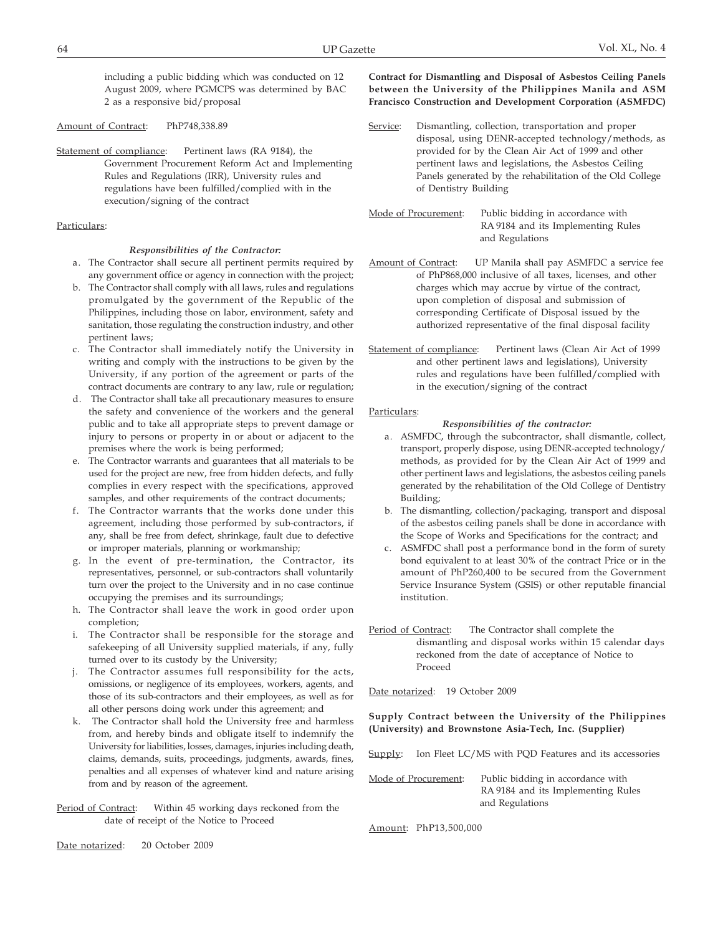including a public bidding which was conducted on 12 August 2009, where PGMCPS was determined by BAC 2 as a responsive bid/proposal

Amount of Contract: PhP748,338.89

Statement of compliance: Pertinent laws (RA 9184), the Government Procurement Reform Act and Implementing Rules and Regulations (IRR), University rules and regulations have been fulfilled/complied with in the execution/signing of the contract

## Particulars:

## *Responsibilities of the Contractor:*

- a. The Contractor shall secure all pertinent permits required by any government office or agency in connection with the project;
- b. The Contractor shall comply with all laws, rules and regulations promulgated by the government of the Republic of the Philippines, including those on labor, environment, safety and sanitation, those regulating the construction industry, and other pertinent laws;
- c. The Contractor shall immediately notify the University in writing and comply with the instructions to be given by the University, if any portion of the agreement or parts of the contract documents are contrary to any law, rule or regulation;
- d. The Contractor shall take all precautionary measures to ensure the safety and convenience of the workers and the general public and to take all appropriate steps to prevent damage or injury to persons or property in or about or adjacent to the premises where the work is being performed;
- e. The Contractor warrants and guarantees that all materials to be used for the project are new, free from hidden defects, and fully complies in every respect with the specifications, approved samples, and other requirements of the contract documents;
- f. The Contractor warrants that the works done under this agreement, including those performed by sub-contractors, if any, shall be free from defect, shrinkage, fault due to defective or improper materials, planning or workmanship;
- g. In the event of pre-termination, the Contractor, its representatives, personnel, or sub-contractors shall voluntarily turn over the project to the University and in no case continue occupying the premises and its surroundings;
- h. The Contractor shall leave the work in good order upon completion;
- i. The Contractor shall be responsible for the storage and safekeeping of all University supplied materials, if any, fully turned over to its custody by the University;
- j. The Contractor assumes full responsibility for the acts, omissions, or negligence of its employees, workers, agents, and those of its sub-contractors and their employees, as well as for all other persons doing work under this agreement; and
- k. The Contractor shall hold the University free and harmless from, and hereby binds and obligate itself to indemnify the University for liabilities, losses, damages, injuries including death, claims, demands, suits, proceedings, judgments, awards, fines, penalties and all expenses of whatever kind and nature arising from and by reason of the agreement.

Period of Contract: Within 45 working days reckoned from the date of receipt of the Notice to Proceed

**Contract for Dismantling and Disposal of Asbestos Ceiling Panels between the University of the Philippines Manila and ASM Francisco Construction and Development Corporation (ASMFDC)**

- Service: Dismantling, collection, transportation and proper disposal, using DENR-accepted technology/methods, as provided for by the Clean Air Act of 1999 and other pertinent laws and legislations, the Asbestos Ceiling Panels generated by the rehabilitation of the Old College of Dentistry Building
- Mode of Procurement: Public bidding in accordance with RA 9184 and its Implementing Rules and Regulations
- Amount of Contract: UP Manila shall pay ASMFDC a service fee of PhP868,000 inclusive of all taxes, licenses, and other charges which may accrue by virtue of the contract, upon completion of disposal and submission of corresponding Certificate of Disposal issued by the authorized representative of the final disposal facility
- Statement of compliance: Pertinent laws (Clean Air Act of 1999 and other pertinent laws and legislations), University rules and regulations have been fulfilled/complied with in the execution/signing of the contract

## Particulars:

## *Responsibilities of the contractor:*

- a. ASMFDC, through the subcontractor, shall dismantle, collect, transport, properly dispose, using DENR-accepted technology/ methods, as provided for by the Clean Air Act of 1999 and other pertinent laws and legislations, the asbestos ceiling panels generated by the rehabilitation of the Old College of Dentistry Building;
- b. The dismantling, collection/packaging, transport and disposal of the asbestos ceiling panels shall be done in accordance with the Scope of Works and Specifications for the contract; and
- c. ASMFDC shall post a performance bond in the form of surety bond equivalent to at least 30% of the contract Price or in the amount of PhP260,400 to be secured from the Government Service Insurance System (GSIS) or other reputable financial institution.
- Period of Contract: The Contractor shall complete the dismantling and disposal works within 15 calendar days reckoned from the date of acceptance of Notice to Proceed

Date notarized: 19 October 2009

**Supply Contract between the University of the Philippines (University) and Brownstone Asia-Tech, Inc. (Supplier)**

Supply: Ion Fleet LC/MS with PQD Features and its accessories

| Mode of Procurement: | Public bidding in accordance with  |
|----------------------|------------------------------------|
|                      | RA 9184 and its Implementing Rules |
|                      | and Regulations                    |

Amount: PhP13,500,000

Date notarized: 20 October 2009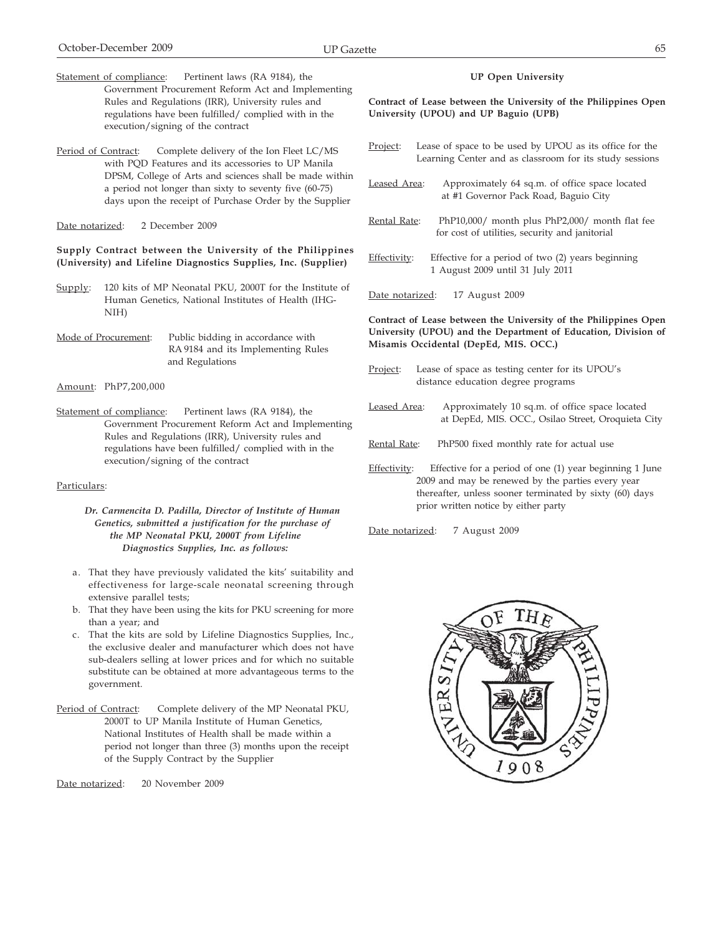- Statement of compliance: Pertinent laws (RA 9184), the Government Procurement Reform Act and Implementing Rules and Regulations (IRR), University rules and regulations have been fulfilled/ complied with in the execution/signing of the contract
- Period of Contract: Complete delivery of the Ion Fleet LC/MS with PQD Features and its accessories to UP Manila DPSM, College of Arts and sciences shall be made within a period not longer than sixty to seventy five (60-75) days upon the receipt of Purchase Order by the Supplier

Date notarized: 2 December 2009

## **Supply Contract between the University of the Philippines (University) and Lifeline Diagnostics Supplies, Inc. (Supplier)**

- Supply: 120 kits of MP Neonatal PKU, 2000T for the Institute of Human Genetics, National Institutes of Health (IHG-NIH)
- Mode of Procurement: Public bidding in accordance with RA 9184 and its Implementing Rules and Regulations
- Amount: PhP7,200,000
- Statement of compliance: Pertinent laws (RA 9184), the Government Procurement Reform Act and Implementing Rules and Regulations (IRR), University rules and regulations have been fulfilled/ complied with in the execution/signing of the contract

## Particulars:

*Dr. Carmencita D. Padilla, Director of Institute of Human Genetics, submitted a justification for the purchase of the MP Neonatal PKU, 2000T from Lifeline Diagnostics Supplies, Inc. as follows:*

- a. That they have previously validated the kits' suitability and effectiveness for large-scale neonatal screening through extensive parallel tests;
- b. That they have been using the kits for PKU screening for more than a year; and
- c. That the kits are sold by Lifeline Diagnostics Supplies, Inc., the exclusive dealer and manufacturer which does not have sub-dealers selling at lower prices and for which no suitable substitute can be obtained at more advantageous terms to the government.
- Period of Contract: Complete delivery of the MP Neonatal PKU, 2000T to UP Manila Institute of Human Genetics, National Institutes of Health shall be made within a period not longer than three (3) months upon the receipt of the Supply Contract by the Supplier

Date notarized: 20 November 2009

## **UP Open University**

**Contract of Lease between the University of the Philippines Open University (UPOU) and UP Baguio (UPB)**

- Project: Lease of space to be used by UPOU as its office for the Learning Center and as classroom for its study sessions
- Leased Area: Approximately 64 sq.m. of office space located at #1 Governor Pack Road, Baguio City
- Rental Rate: PhP10,000/ month plus PhP2,000/ month flat fee for cost of utilities, security and janitorial
- Effectivity: Effective for a period of two (2) years beginning 1 August 2009 until 31 July 2011

Date notarized: 17 August 2009

## **Contract of Lease between the University of the Philippines Open University (UPOU) and the Department of Education, Division of Misamis Occidental (DepEd, MIS. OCC.)**

- Project: Lease of space as testing center for its UPOU's distance education degree programs
- Leased Area: Approximately 10 sq.m. of office space located at DepEd, MIS. OCC., Osilao Street, Oroquieta City
- Rental Rate: PhP500 fixed monthly rate for actual use
- Effectivity: Effective for a period of one (1) year beginning 1 June 2009 and may be renewed by the parties every year thereafter, unless sooner terminated by sixty (60) days prior written notice by either party
- Date notarized: 7 August 2009

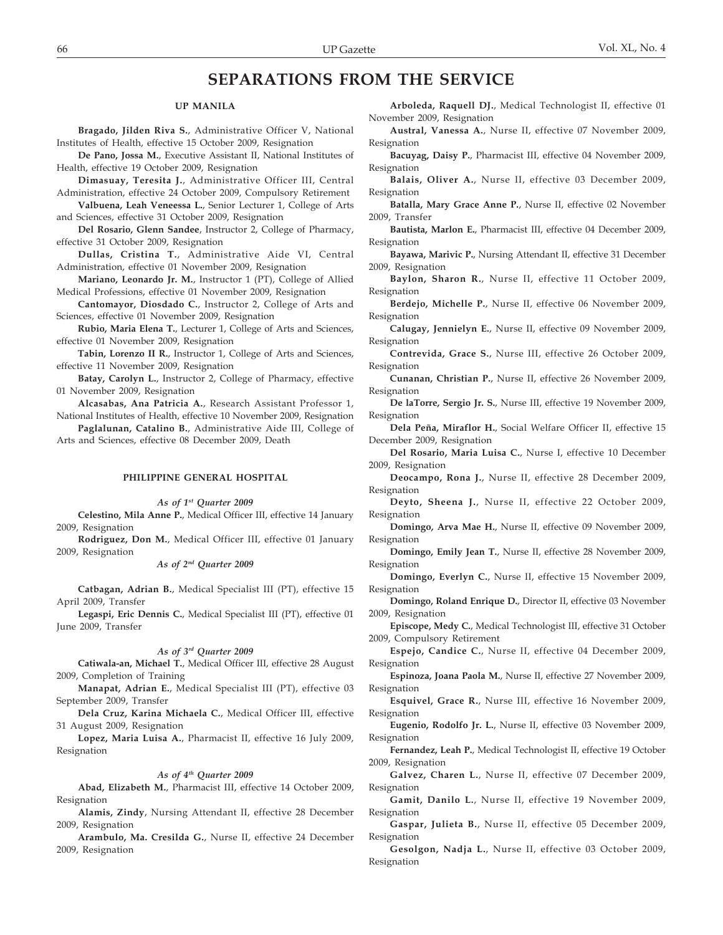# **SEPARATIONS FROM THE SERVICE**

#### **UP MANILA**

**Bragado, Jilden Riva S.**, Administrative Officer V, National Institutes of Health, effective 15 October 2009, Resignation

**De Pano, Jossa M.**, Executive Assistant II, National Institutes of Health, effective 19 October 2009, Resignation

**Dimasuay, Teresita J.**, Administrative Officer III, Central Administration, effective 24 October 2009, Compulsory Retirement

**Valbuena, Leah Veneessa L.**, Senior Lecturer 1, College of Arts and Sciences, effective 31 October 2009, Resignation

**Del Rosario, Glenn Sandee**, Instructor 2, College of Pharmacy, effective 31 October 2009, Resignation

**Dullas, Cristina T.**, Administrative Aide VI, Central Administration, effective 01 November 2009, Resignation

**Mariano, Leonardo Jr. M.**, Instructor 1 (PT), College of Allied Medical Professions, effective 01 November 2009, Resignation

**Cantomayor, Diosdado C.**, Instructor 2, College of Arts and Sciences, effective 01 November 2009, Resignation

**Rubio, Maria Elena T.**, Lecturer 1, College of Arts and Sciences, effective 01 November 2009, Resignation

**Tabin, Lorenzo II R.**, Instructor 1, College of Arts and Sciences, effective 11 November 2009, Resignation

**Batay, Carolyn L.**, Instructor 2, College of Pharmacy, effective 01 November 2009, Resignation

**Alcasabas, Ana Patricia A.**, Research Assistant Professor 1, National Institutes of Health, effective 10 November 2009, Resignation

**Paglalunan, Catalino B.**, Administrative Aide III, College of Arts and Sciences, effective 08 December 2009, Death

### **PHILIPPINE GENERAL HOSPITAL**

#### *As of 1st Quarter 2009*

**Celestino, Mila Anne P.**, Medical Officer III, effective 14 January 2009, Resignation

**Rodriguez, Don M.**, Medical Officer III, effective 01 January 2009, Resignation

*As of 2nd Quarter 2009*

**Catbagan, Adrian B.**, Medical Specialist III (PT), effective 15 April 2009, Transfer

**Legaspi, Eric Dennis C.**, Medical Specialist III (PT), effective 01 June 2009, Transfer

#### *As of 3rd Quarter 2009*

**Catiwala-an, Michael T.**, Medical Officer III, effective 28 August 2009, Completion of Training

**Manapat, Adrian E.**, Medical Specialist III (PT), effective 03 September 2009, Transfer

**Dela Cruz, Karina Michaela C.**, Medical Officer III, effective 31 August 2009, Resignation

**Lopez, Maria Luisa A.**, Pharmacist II, effective 16 July 2009, Resignation

#### *As of 4th Quarter 2009*

**Abad, Elizabeth M.**, Pharmacist III, effective 14 October 2009, Resignation

**Alamis, Zindy**, Nursing Attendant II, effective 28 December 2009, Resignation

**Arambulo, Ma. Cresilda G.**, Nurse II, effective 24 December 2009, Resignation

**Arboleda, Raquell DJ.**, Medical Technologist II, effective 01 November 2009, Resignation

**Austral, Vanessa A.**, Nurse II, effective 07 November 2009, Resignation

**Bacuyag, Daisy P.**, Pharmacist III, effective 04 November 2009, Resignation

**Balais, Oliver A.**, Nurse II, effective 03 December 2009, Resignation

**Batalla, Mary Grace Anne P.**, Nurse II, effective 02 November 2009, Transfer

**Bautista, Marlon E.**, Pharmacist III, effective 04 December 2009, Resignation

**Bayawa, Marivic P.**, Nursing Attendant II, effective 31 December 2009, Resignation

**Baylon, Sharon R.**, Nurse II, effective 11 October 2009, Resignation

**Berdejo, Michelle P.**, Nurse II, effective 06 November 2009, Resignation

**Calugay, Jennielyn E.**, Nurse II, effective 09 November 2009, Resignation

**Contrevida, Grace S.**, Nurse III, effective 26 October 2009, Resignation

**Cunanan, Christian P.**, Nurse II, effective 26 November 2009, Resignation

**De laTorre, Sergio Jr. S.**, Nurse III, effective 19 November 2009, Resignation

**Dela Peña, Miraflor H.**, Social Welfare Officer II, effective 15 December 2009, Resignation

**Del Rosario, Maria Luisa C.**, Nurse I, effective 10 December 2009, Resignation

**Deocampo, Rona J.**, Nurse II, effective 28 December 2009, Resignation

**Deyto, Sheena J.**, Nurse II, effective 22 October 2009, Resignation

**Domingo, Arva Mae H.**, Nurse II, effective 09 November 2009, Resignation

**Domingo, Emily Jean T.**, Nurse II, effective 28 November 2009, Resignation

**Domingo, Everlyn C.**, Nurse II, effective 15 November 2009, Resignation

**Domingo, Roland Enrique D.**, Director II, effective 03 November 2009, Resignation

**Episcope, Medy C.**, Medical Technologist III, effective 31 October 2009, Compulsory Retirement

**Espejo, Candice C.**, Nurse II, effective 04 December 2009, Resignation

**Espinoza, Joana Paola M.**, Nurse II, effective 27 November 2009, Resignation

**Esquivel, Grace R.**, Nurse III, effective 16 November 2009, Resignation

**Eugenio, Rodolfo Jr. L.**, Nurse II, effective 03 November 2009, Resignation

**Fernandez, Leah P.**, Medical Technologist II, effective 19 October 2009, Resignation

**Galvez, Charen L.**, Nurse II, effective 07 December 2009, Resignation

**Gamit, Danilo L.**, Nurse II, effective 19 November 2009, Resignation

**Gaspar, Julieta B.**, Nurse II, effective 05 December 2009, Resignation

**Gesolgon, Nadja L.**, Nurse II, effective 03 October 2009, Resignation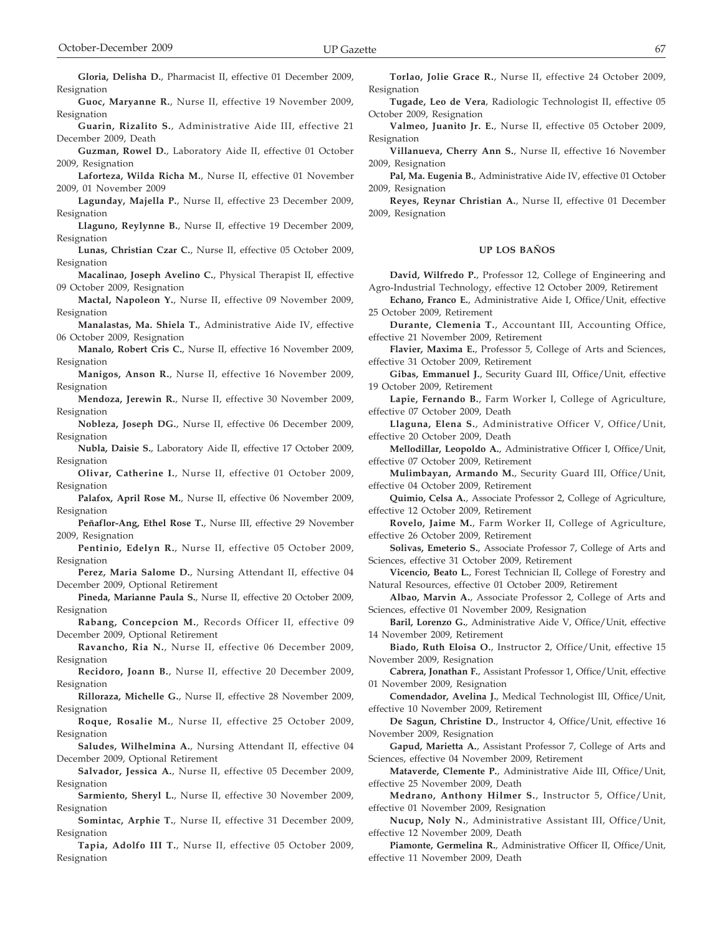**Gloria, Delisha D.**, Pharmacist II, effective 01 December 2009, Resignation

**Guoc, Maryanne R.**, Nurse II, effective 19 November 2009, Resignation

**Guarin, Rizalito S.**, Administrative Aide III, effective 21 December 2009, Death

**Guzman, Rowel D.**, Laboratory Aide II, effective 01 October 2009, Resignation

**Laforteza, Wilda Richa M.**, Nurse II, effective 01 November 2009, 01 November 2009

**Lagunday, Majella P.**, Nurse II, effective 23 December 2009, Resignation

**Llaguno, Reylynne B.**, Nurse II, effective 19 December 2009, **Resignation** 

**Lunas, Christian Czar C.**, Nurse II, effective 05 October 2009, Resignation

**Macalinao, Joseph Avelino C.**, Physical Therapist II, effective 09 October 2009, Resignation

**Mactal, Napoleon Y.**, Nurse II, effective 09 November 2009, Resignation

**Manalastas, Ma. Shiela T.**, Administrative Aide IV, effective 06 October 2009, Resignation

**Manalo, Robert Cris C.**, Nurse II, effective 16 November 2009, Resignation

**Manigos, Anson R.**, Nurse II, effective 16 November 2009, Resignation

**Mendoza, Jerewin R.**, Nurse II, effective 30 November 2009, Resignation

**Nobleza, Joseph DG.**, Nurse II, effective 06 December 2009, Resignation

**Nubla, Daisie S.**, Laboratory Aide II, effective 17 October 2009, Resignation

**Olivar, Catherine I.**, Nurse II, effective 01 October 2009, Resignation

**Palafox, April Rose M.**, Nurse II, effective 06 November 2009, Resignation

**Peñaflor-Ang, Ethel Rose T.**, Nurse III, effective 29 November 2009, Resignation

**Pentinio, Edelyn R.**, Nurse II, effective 05 October 2009, Resignation

**Perez, Maria Salome D.**, Nursing Attendant II, effective 04 December 2009, Optional Retirement

**Pineda, Marianne Paula S.**, Nurse II, effective 20 October 2009, Resignation

**Rabang, Concepcion M.**, Records Officer II, effective 09 December 2009, Optional Retirement

**Ravancho, Ria N.**, Nurse II, effective 06 December 2009, Resignation

**Recidoro, Joann B.**, Nurse II, effective 20 December 2009, Resignation

**Rilloraza, Michelle G.**, Nurse II, effective 28 November 2009, Resignation

**Roque, Rosalie M.**, Nurse II, effective 25 October 2009, Resignation

**Saludes, Wilhelmina A.**, Nursing Attendant II, effective 04 December 2009, Optional Retirement

**Salvador, Jessica A.**, Nurse II, effective 05 December 2009, Resignation

**Sarmiento, Sheryl L.**, Nurse II, effective 30 November 2009, Resignation

**Somintac, Arphie T.**, Nurse II, effective 31 December 2009, Resignation

**Tapia, Adolfo III T.**, Nurse II, effective 05 October 2009, Resignation

**Torlao, Jolie Grace R.**, Nurse II, effective 24 October 2009, Resignation

**Tugade, Leo de Vera**, Radiologic Technologist II, effective 05 October 2009, Resignation

**Valmeo, Juanito Jr. E.**, Nurse II, effective 05 October 2009, Resignation

**Villanueva, Cherry Ann S.**, Nurse II, effective 16 November 2009, Resignation

**Pal, Ma. Eugenia B.**, Administrative Aide IV, effective 01 October 2009, Resignation

**Reyes, Reynar Christian A.**, Nurse II, effective 01 December 2009, Resignation

#### **UP LOS BAÑOS**

**David, Wilfredo P.**, Professor 12, College of Engineering and Agro-Industrial Technology, effective 12 October 2009, Retirement

**Echano, Franco E.**, Administrative Aide I, Office/Unit, effective 25 October 2009, Retirement

**Durante, Clemenia T.**, Accountant III, Accounting Office, effective 21 November 2009, Retirement

**Flavier, Maxima E.**, Professor 5, College of Arts and Sciences, effective 31 October 2009, Retirement

**Gibas, Emmanuel J.**, Security Guard III, Office/Unit, effective 19 October 2009, Retirement

**Lapie, Fernando B.**, Farm Worker I, College of Agriculture, effective 07 October 2009, Death

**Llaguna, Elena S.**, Administrative Officer V, Office/Unit, effective 20 October 2009, Death

**Mellodillar, Leopoldo A.**, Administrative Officer I, Office/Unit, effective 07 October 2009, Retirement

**Mulimbayan, Armando M.**, Security Guard III, Office/Unit, effective 04 October 2009, Retirement

**Quimio, Celsa A.**, Associate Professor 2, College of Agriculture, effective 12 October 2009, Retirement

**Rovelo, Jaime M.**, Farm Worker II, College of Agriculture, effective 26 October 2009, Retirement

**Solivas, Emeterio S.**, Associate Professor 7, College of Arts and Sciences, effective 31 October 2009, Retirement

**Vicencio, Beato L.**, Forest Technician II, College of Forestry and Natural Resources, effective 01 October 2009, Retirement

**Albao, Marvin A.**, Associate Professor 2, College of Arts and Sciences, effective 01 November 2009, Resignation

**Baril, Lorenzo G.**, Administrative Aide V, Office/Unit, effective 14 November 2009, Retirement

**Biado, Ruth Eloisa O.**, Instructor 2, Office/Unit, effective 15 November 2009, Resignation

**Cabrera, Jonathan F.**, Assistant Professor 1, Office/Unit, effective 01 November 2009, Resignation

**Comendador, Avelina J.**, Medical Technologist III, Office/Unit, effective 10 November 2009, Retirement

**De Sagun, Christine D.**, Instructor 4, Office/Unit, effective 16 November 2009, Resignation

**Gapud, Marietta A.**, Assistant Professor 7, College of Arts and Sciences, effective 04 November 2009, Retirement

**Mataverde, Clemente P.**, Administrative Aide III, Office/Unit, effective 25 November 2009, Death

**Medrano, Anthony Hilmer S.**, Instructor 5, Office/Unit, effective 01 November 2009, Resignation

**Nucup, Noly N.**, Administrative Assistant III, Office/Unit, effective 12 November 2009, Death

**Piamonte, Germelina R.**, Administrative Officer II, Office/Unit, effective 11 November 2009, Death